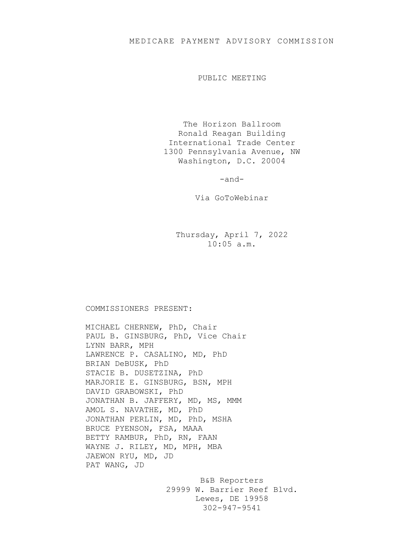## MEDICARE PAYMENT ADVISORY COMMISSION

PUBLIC MEETING

The Horizon Ballroom Ronald Reagan Building International Trade Center 1300 Pennsylvania Avenue, NW Washington, D.C. 20004

-and-

Via GoToWebinar

Thursday, April 7, 2022 10:05 a.m.

## COMMISSIONERS PRESENT:

MICHAEL CHERNEW, PhD, Chair PAUL B. GINSBURG, PhD, Vice Chair LYNN BARR, MPH LAWRENCE P. CASALINO, MD, PhD BRIAN DeBUSK, PhD STACIE B. DUSETZINA, PhD MARJORIE E. GINSBURG, BSN, MPH DAVID GRABOWSKI, PhD JONATHAN B. JAFFERY, MD, MS, MMM AMOL S. NAVATHE, MD, PhD JONATHAN PERLIN, MD, PhD, MSHA BRUCE PYENSON, FSA, MAAA BETTY RAMBUR, PhD, RN, FAAN WAYNE J. RILEY, MD, MPH, MBA JAEWON RYU, MD, JD PAT WANG, JD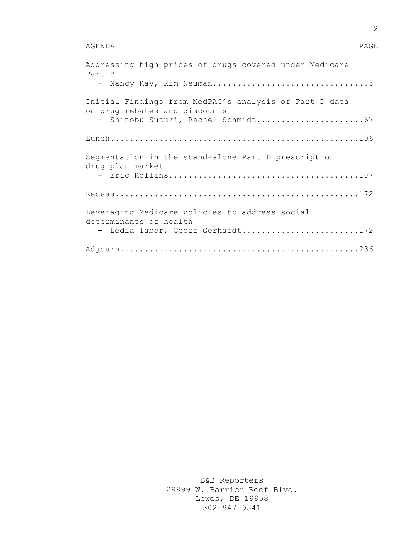## AGENDA PAGE

| Addressing high prices of drugs covered under Medicare<br>Part B                        |
|-----------------------------------------------------------------------------------------|
| - Nancy Ray, Kim Neuman3                                                                |
| Initial Findings from MedPAC's analysis of Part D data<br>on drug rebates and discounts |
| - Shinobu Suzuki, Rachel Schmidt67                                                      |
|                                                                                         |
| Segmentation in the stand-alone Part D prescription<br>drug plan market                 |
|                                                                                         |
|                                                                                         |
| Leveraging Medicare policies to address social<br>determinants of health                |
| - Ledia Tabor, Geoff Gerhardt172                                                        |
|                                                                                         |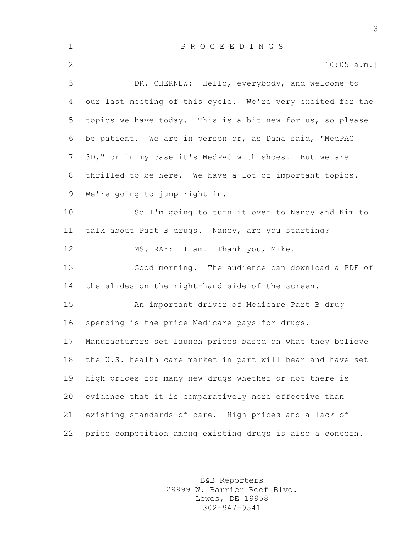| $\mathbf 1$    | P R O C E E D I N G S                                      |
|----------------|------------------------------------------------------------|
| $\overline{2}$ | [10:05 a.m.]                                               |
| 3              | DR. CHERNEW: Hello, everybody, and welcome to              |
| 4              | our last meeting of this cycle. We're very excited for the |
| 5              | topics we have today. This is a bit new for us, so please  |
| 6              | be patient. We are in person or, as Dana said, "MedPAC     |
| $7\phantom{.}$ | 3D," or in my case it's MedPAC with shoes. But we are      |
| 8              | thrilled to be here. We have a lot of important topics.    |
| 9              | We're going to jump right in.                              |
| 10             | So I'm going to turn it over to Nancy and Kim to           |
| 11             | talk about Part B drugs. Nancy, are you starting?          |
| 12             | MS. RAY: I am. Thank you, Mike.                            |
| 13             | Good morning. The audience can download a PDF of           |
| 14             | the slides on the right-hand side of the screen.           |
| 15             | An important driver of Medicare Part B drug                |
| 16             | spending is the price Medicare pays for drugs.             |
| 17             | Manufacturers set launch prices based on what they believe |
| 18             | the U.S. health care market in part will bear and have set |
| 19             | high prices for many new drugs whether or not there is     |
| 20             | evidence that it is comparatively more effective than      |
| 21             | existing standards of care. High prices and a lack of      |
| 22             | price competition among existing drugs is also a concern.  |

B&B Reporters 29999 W. Barrier Reef Blvd. Lewes, DE 19958 302-947-9541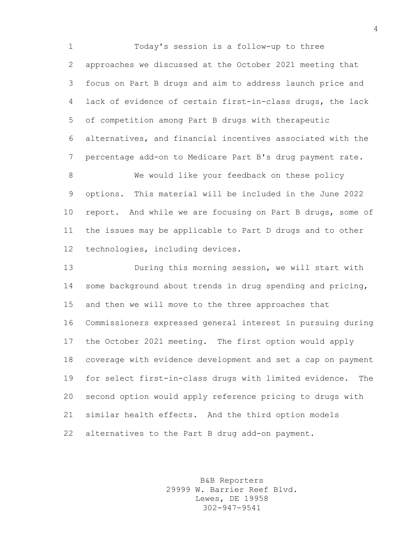Today's session is a follow-up to three approaches we discussed at the October 2021 meeting that focus on Part B drugs and aim to address launch price and lack of evidence of certain first-in-class drugs, the lack of competition among Part B drugs with therapeutic alternatives, and financial incentives associated with the percentage add-on to Medicare Part B's drug payment rate.

8 We would like your feedback on these policy options. This material will be included in the June 2022 report. And while we are focusing on Part B drugs, some of the issues may be applicable to Part D drugs and to other technologies, including devices.

 During this morning session, we will start with some background about trends in drug spending and pricing, and then we will move to the three approaches that Commissioners expressed general interest in pursuing during the October 2021 meeting. The first option would apply coverage with evidence development and set a cap on payment for select first-in-class drugs with limited evidence. The second option would apply reference pricing to drugs with similar health effects. And the third option models alternatives to the Part B drug add-on payment.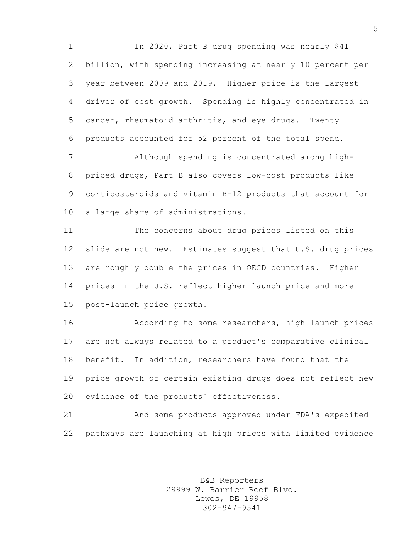In 2020, Part B drug spending was nearly \$41 billion, with spending increasing at nearly 10 percent per year between 2009 and 2019. Higher price is the largest driver of cost growth. Spending is highly concentrated in cancer, rheumatoid arthritis, and eye drugs. Twenty products accounted for 52 percent of the total spend.

 Although spending is concentrated among high- priced drugs, Part B also covers low-cost products like corticosteroids and vitamin B-12 products that account for a large share of administrations.

 The concerns about drug prices listed on this slide are not new. Estimates suggest that U.S. drug prices are roughly double the prices in OECD countries. Higher prices in the U.S. reflect higher launch price and more post-launch price growth.

 According to some researchers, high launch prices are not always related to a product's comparative clinical benefit. In addition, researchers have found that the price growth of certain existing drugs does not reflect new evidence of the products' effectiveness.

 And some products approved under FDA's expedited pathways are launching at high prices with limited evidence

> B&B Reporters 29999 W. Barrier Reef Blvd. Lewes, DE 19958 302-947-9541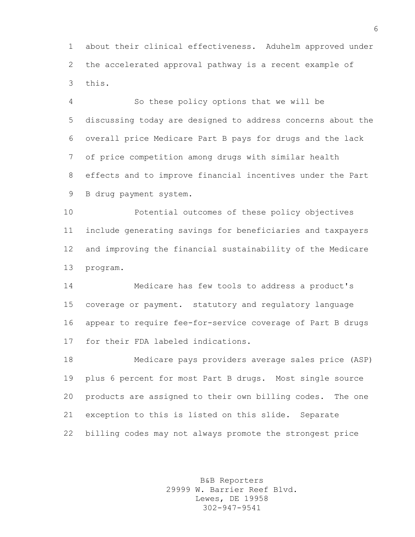about their clinical effectiveness. Aduhelm approved under the accelerated approval pathway is a recent example of this.

 So these policy options that we will be discussing today are designed to address concerns about the overall price Medicare Part B pays for drugs and the lack of price competition among drugs with similar health effects and to improve financial incentives under the Part B drug payment system.

 Potential outcomes of these policy objectives include generating savings for beneficiaries and taxpayers and improving the financial sustainability of the Medicare program.

 Medicare has few tools to address a product's coverage or payment. statutory and regulatory language appear to require fee-for-service coverage of Part B drugs for their FDA labeled indications.

 Medicare pays providers average sales price (ASP) plus 6 percent for most Part B drugs. Most single source products are assigned to their own billing codes. The one exception to this is listed on this slide. Separate billing codes may not always promote the strongest price

> B&B Reporters 29999 W. Barrier Reef Blvd. Lewes, DE 19958 302-947-9541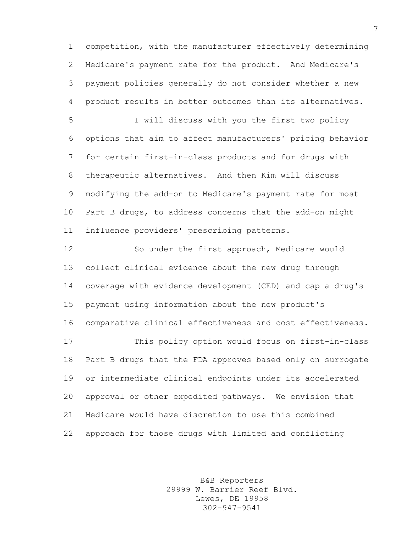competition, with the manufacturer effectively determining Medicare's payment rate for the product. And Medicare's payment policies generally do not consider whether a new product results in better outcomes than its alternatives.

 I will discuss with you the first two policy options that aim to affect manufacturers' pricing behavior for certain first-in-class products and for drugs with therapeutic alternatives. And then Kim will discuss modifying the add-on to Medicare's payment rate for most Part B drugs, to address concerns that the add-on might influence providers' prescribing patterns.

 So under the first approach, Medicare would collect clinical evidence about the new drug through coverage with evidence development (CED) and cap a drug's payment using information about the new product's comparative clinical effectiveness and cost effectiveness. This policy option would focus on first-in-class Part B drugs that the FDA approves based only on surrogate or intermediate clinical endpoints under its accelerated approval or other expedited pathways. We envision that Medicare would have discretion to use this combined approach for those drugs with limited and conflicting

> B&B Reporters 29999 W. Barrier Reef Blvd. Lewes, DE 19958 302-947-9541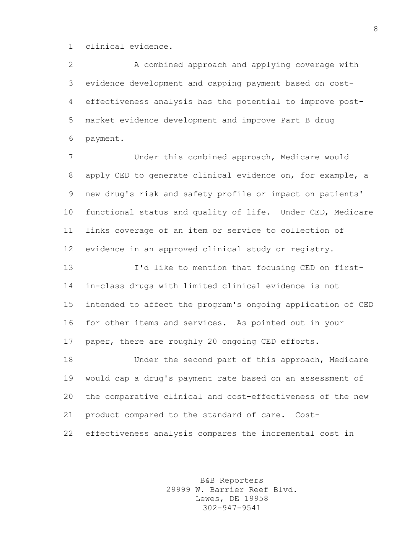clinical evidence.

 A combined approach and applying coverage with evidence development and capping payment based on cost- effectiveness analysis has the potential to improve post- market evidence development and improve Part B drug payment.

 Under this combined approach, Medicare would apply CED to generate clinical evidence on, for example, a new drug's risk and safety profile or impact on patients' functional status and quality of life. Under CED, Medicare links coverage of an item or service to collection of evidence in an approved clinical study or registry. I'd like to mention that focusing CED on first- in-class drugs with limited clinical evidence is not intended to affect the program's ongoing application of CED

paper, there are roughly 20 ongoing CED efforts.

for other items and services. As pointed out in your

 Under the second part of this approach, Medicare would cap a drug's payment rate based on an assessment of the comparative clinical and cost-effectiveness of the new product compared to the standard of care. Cost-effectiveness analysis compares the incremental cost in

> B&B Reporters 29999 W. Barrier Reef Blvd. Lewes, DE 19958 302-947-9541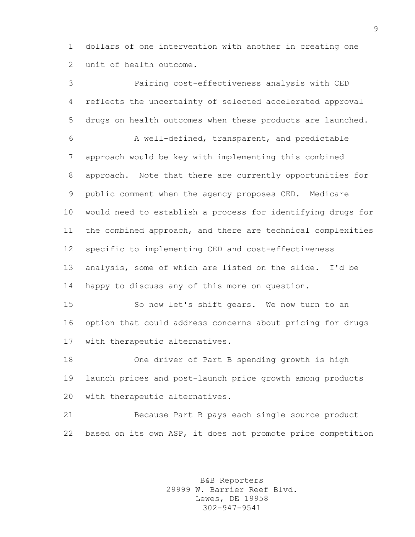dollars of one intervention with another in creating one unit of health outcome.

 Pairing cost-effectiveness analysis with CED reflects the uncertainty of selected accelerated approval drugs on health outcomes when these products are launched. A well-defined, transparent, and predictable approach would be key with implementing this combined approach. Note that there are currently opportunities for public comment when the agency proposes CED. Medicare would need to establish a process for identifying drugs for the combined approach, and there are technical complexities specific to implementing CED and cost-effectiveness analysis, some of which are listed on the slide. I'd be happy to discuss any of this more on question. So now let's shift gears. We now turn to an option that could address concerns about pricing for drugs with therapeutic alternatives. One driver of Part B spending growth is high

 launch prices and post-launch price growth among products with therapeutic alternatives.

 Because Part B pays each single source product based on its own ASP, it does not promote price competition

> B&B Reporters 29999 W. Barrier Reef Blvd. Lewes, DE 19958 302-947-9541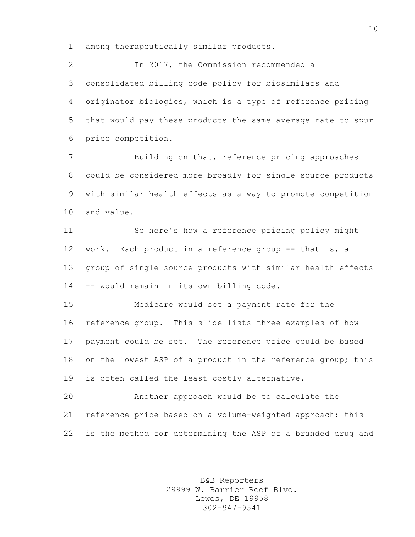among therapeutically similar products.

 In 2017, the Commission recommended a consolidated billing code policy for biosimilars and originator biologics, which is a type of reference pricing that would pay these products the same average rate to spur price competition.

 Building on that, reference pricing approaches could be considered more broadly for single source products with similar health effects as a way to promote competition and value.

 So here's how a reference pricing policy might 12 work. Each product in a reference group -- that is, a group of single source products with similar health effects -- would remain in its own billing code.

 Medicare would set a payment rate for the reference group. This slide lists three examples of how payment could be set. The reference price could be based 18 on the lowest ASP of a product in the reference group; this is often called the least costly alternative.

 Another approach would be to calculate the reference price based on a volume-weighted approach; this is the method for determining the ASP of a branded drug and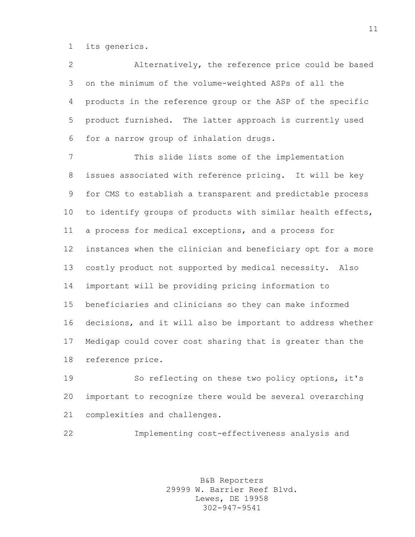its generics.

 Alternatively, the reference price could be based on the minimum of the volume-weighted ASPs of all the products in the reference group or the ASP of the specific product furnished. The latter approach is currently used for a narrow group of inhalation drugs.

 This slide lists some of the implementation issues associated with reference pricing. It will be key for CMS to establish a transparent and predictable process to identify groups of products with similar health effects, a process for medical exceptions, and a process for instances when the clinician and beneficiary opt for a more costly product not supported by medical necessity. Also important will be providing pricing information to beneficiaries and clinicians so they can make informed decisions, and it will also be important to address whether Medigap could cover cost sharing that is greater than the reference price.

 So reflecting on these two policy options, it's important to recognize there would be several overarching complexities and challenges.

Implementing cost-effectiveness analysis and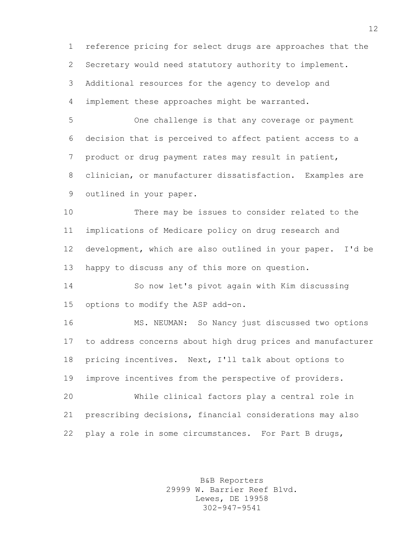reference pricing for select drugs are approaches that the Secretary would need statutory authority to implement. Additional resources for the agency to develop and implement these approaches might be warranted.

 One challenge is that any coverage or payment decision that is perceived to affect patient access to a product or drug payment rates may result in patient, clinician, or manufacturer dissatisfaction. Examples are outlined in your paper.

 There may be issues to consider related to the implications of Medicare policy on drug research and development, which are also outlined in your paper. I'd be happy to discuss any of this more on question.

 So now let's pivot again with Kim discussing options to modify the ASP add-on.

 MS. NEUMAN: So Nancy just discussed two options to address concerns about high drug prices and manufacturer pricing incentives. Next, I'll talk about options to improve incentives from the perspective of providers.

 While clinical factors play a central role in prescribing decisions, financial considerations may also 22 play a role in some circumstances. For Part B drugs,

> B&B Reporters 29999 W. Barrier Reef Blvd. Lewes, DE 19958 302-947-9541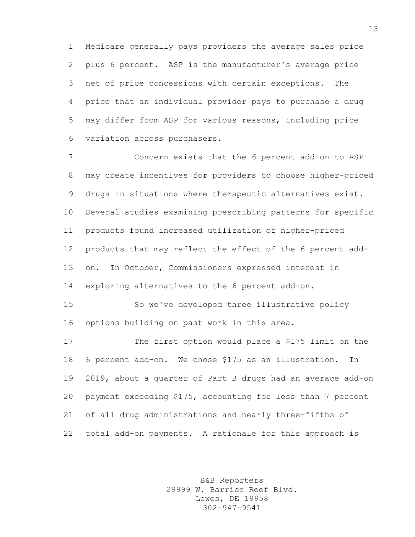Medicare generally pays providers the average sales price plus 6 percent. ASP is the manufacturer's average price net of price concessions with certain exceptions. The price that an individual provider pays to purchase a drug may differ from ASP for various reasons, including price variation across purchasers.

 Concern exists that the 6 percent add-on to ASP may create incentives for providers to choose higher-priced drugs in situations where therapeutic alternatives exist. Several studies examining prescribing patterns for specific products found increased utilization of higher-priced products that may reflect the effect of the 6 percent add- on. In October, Commissioners expressed interest in exploring alternatives to the 6 percent add-on.

 So we've developed three illustrative policy options building on past work in this area.

 The first option would place a \$175 limit on the 6 percent add-on. We chose \$175 as an illustration. In 2019, about a quarter of Part B drugs had an average add-on payment exceeding \$175, accounting for less than 7 percent of all drug administrations and nearly three-fifths of total add-on payments. A rationale for this approach is

> B&B Reporters 29999 W. Barrier Reef Blvd. Lewes, DE 19958 302-947-9541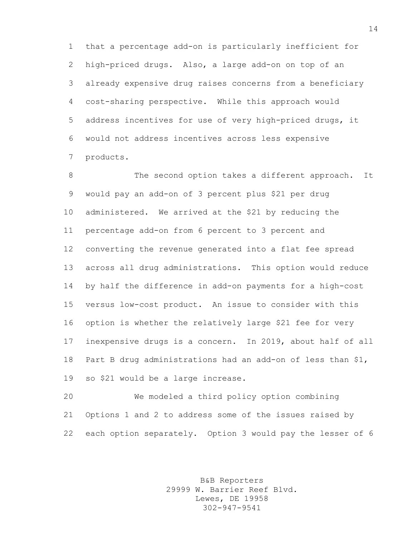that a percentage add-on is particularly inefficient for high-priced drugs. Also, a large add-on on top of an already expensive drug raises concerns from a beneficiary cost-sharing perspective. While this approach would address incentives for use of very high-priced drugs, it would not address incentives across less expensive products.

8 The second option takes a different approach. It would pay an add-on of 3 percent plus \$21 per drug administered. We arrived at the \$21 by reducing the percentage add-on from 6 percent to 3 percent and converting the revenue generated into a flat fee spread across all drug administrations. This option would reduce by half the difference in add-on payments for a high-cost versus low-cost product. An issue to consider with this option is whether the relatively large \$21 fee for very inexpensive drugs is a concern. In 2019, about half of all Part B drug administrations had an add-on of less than \$1, so \$21 would be a large increase.

 We modeled a third policy option combining Options 1 and 2 to address some of the issues raised by each option separately. Option 3 would pay the lesser of 6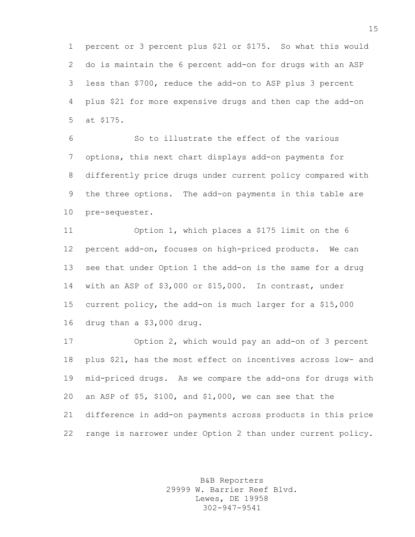percent or 3 percent plus \$21 or \$175. So what this would do is maintain the 6 percent add-on for drugs with an ASP less than \$700, reduce the add-on to ASP plus 3 percent plus \$21 for more expensive drugs and then cap the add-on at \$175.

 So to illustrate the effect of the various options, this next chart displays add-on payments for differently price drugs under current policy compared with the three options. The add-on payments in this table are pre-sequester.

 Option 1, which places a \$175 limit on the 6 percent add-on, focuses on high-priced products. We can see that under Option 1 the add-on is the same for a drug with an ASP of \$3,000 or \$15,000. In contrast, under current policy, the add-on is much larger for a \$15,000 drug than a \$3,000 drug.

 Option 2, which would pay an add-on of 3 percent plus \$21, has the most effect on incentives across low- and mid-priced drugs. As we compare the add-ons for drugs with an ASP of \$5, \$100, and \$1,000, we can see that the difference in add-on payments across products in this price range is narrower under Option 2 than under current policy.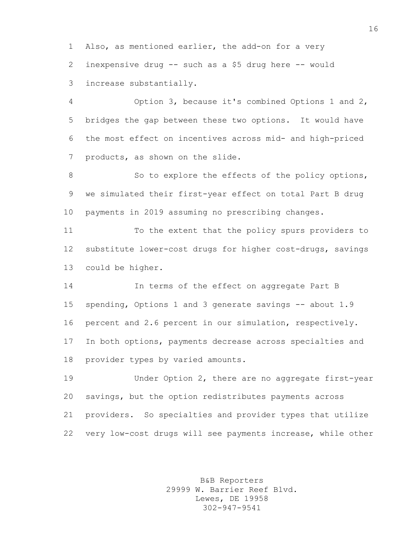Also, as mentioned earlier, the add-on for a very inexpensive drug -- such as a \$5 drug here -- would increase substantially.

 Option 3, because it's combined Options 1 and 2, bridges the gap between these two options. It would have the most effect on incentives across mid- and high-priced products, as shown on the slide.

8 So to explore the effects of the policy options, we simulated their first-year effect on total Part B drug payments in 2019 assuming no prescribing changes.

 To the extent that the policy spurs providers to substitute lower-cost drugs for higher cost-drugs, savings could be higher.

 In terms of the effect on aggregate Part B spending, Options 1 and 3 generate savings -- about 1.9 percent and 2.6 percent in our simulation, respectively. In both options, payments decrease across specialties and provider types by varied amounts.

 Under Option 2, there are no aggregate first-year savings, but the option redistributes payments across providers. So specialties and provider types that utilize very low-cost drugs will see payments increase, while other

> B&B Reporters 29999 W. Barrier Reef Blvd. Lewes, DE 19958 302-947-9541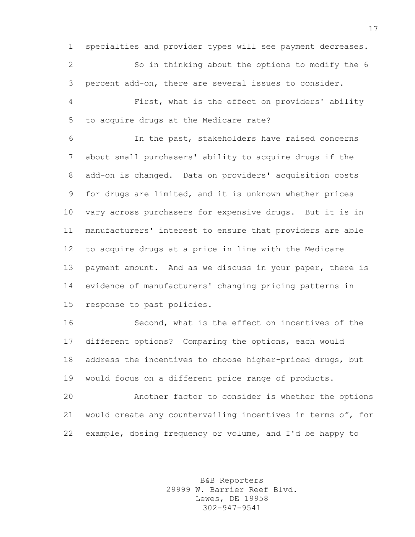specialties and provider types will see payment decreases.

 So in thinking about the options to modify the 6 percent add-on, there are several issues to consider.

 First, what is the effect on providers' ability to acquire drugs at the Medicare rate?

 In the past, stakeholders have raised concerns about small purchasers' ability to acquire drugs if the add-on is changed. Data on providers' acquisition costs for drugs are limited, and it is unknown whether prices vary across purchasers for expensive drugs. But it is in manufacturers' interest to ensure that providers are able to acquire drugs at a price in line with the Medicare 13 payment amount. And as we discuss in your paper, there is evidence of manufacturers' changing pricing patterns in response to past policies.

 Second, what is the effect on incentives of the different options? Comparing the options, each would 18 address the incentives to choose higher-priced drugs, but would focus on a different price range of products.

 Another factor to consider is whether the options would create any countervailing incentives in terms of, for example, dosing frequency or volume, and I'd be happy to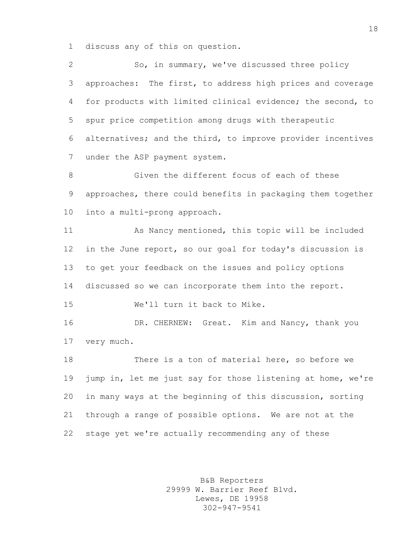discuss any of this on question.

 So, in summary, we've discussed three policy approaches: The first, to address high prices and coverage for products with limited clinical evidence; the second, to spur price competition among drugs with therapeutic alternatives; and the third, to improve provider incentives under the ASP payment system.

8 Given the different focus of each of these approaches, there could benefits in packaging them together into a multi-prong approach.

 As Nancy mentioned, this topic will be included in the June report, so our goal for today's discussion is to get your feedback on the issues and policy options discussed so we can incorporate them into the report. We'll turn it back to Mike.

 DR. CHERNEW: Great. Kim and Nancy, thank you very much.

 There is a ton of material here, so before we jump in, let me just say for those listening at home, we're in many ways at the beginning of this discussion, sorting through a range of possible options. We are not at the stage yet we're actually recommending any of these

> B&B Reporters 29999 W. Barrier Reef Blvd. Lewes, DE 19958 302-947-9541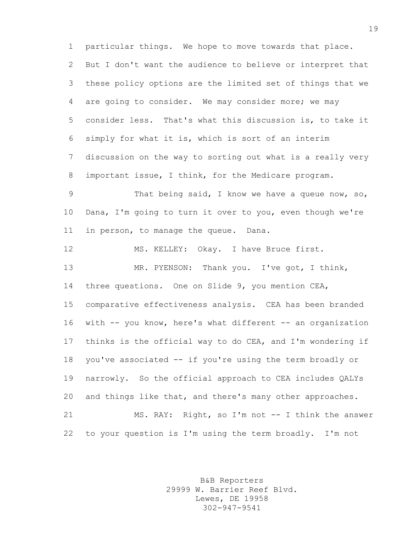particular things. We hope to move towards that place. But I don't want the audience to believe or interpret that these policy options are the limited set of things that we are going to consider. We may consider more; we may consider less. That's what this discussion is, to take it simply for what it is, which is sort of an interim discussion on the way to sorting out what is a really very important issue, I think, for the Medicare program.

 That being said, I know we have a queue now, so, Dana, I'm going to turn it over to you, even though we're in person, to manage the queue. Dana.

 MS. KELLEY: Okay. I have Bruce first. MR. PYENSON: Thank you. I've got, I think, three questions. One on Slide 9, you mention CEA, comparative effectiveness analysis. CEA has been branded with -- you know, here's what different -- an organization thinks is the official way to do CEA, and I'm wondering if you've associated -- if you're using the term broadly or narrowly. So the official approach to CEA includes QALYs and things like that, and there's many other approaches. 21 MS. RAY: Right, so I'm not -- I think the answer to your question is I'm using the term broadly. I'm not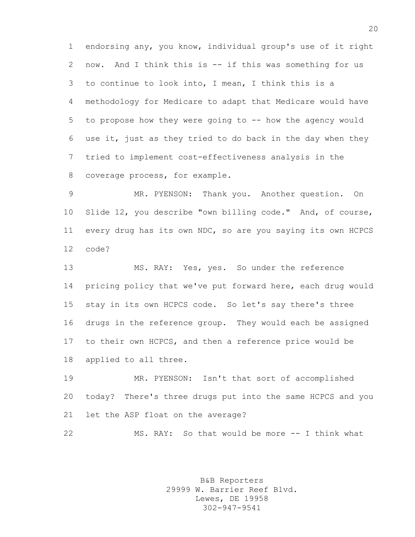endorsing any, you know, individual group's use of it right now. And I think this is -- if this was something for us to continue to look into, I mean, I think this is a methodology for Medicare to adapt that Medicare would have to propose how they were going to -- how the agency would use it, just as they tried to do back in the day when they tried to implement cost-effectiveness analysis in the coverage process, for example.

 MR. PYENSON: Thank you. Another question. On Slide 12, you describe "own billing code." And, of course, every drug has its own NDC, so are you saying its own HCPCS code?

 MS. RAY: Yes, yes. So under the reference pricing policy that we've put forward here, each drug would stay in its own HCPCS code. So let's say there's three drugs in the reference group. They would each be assigned to their own HCPCS, and then a reference price would be applied to all three.

 MR. PYENSON: Isn't that sort of accomplished today? There's three drugs put into the same HCPCS and you let the ASP float on the average?

MS. RAY: So that would be more -- I think what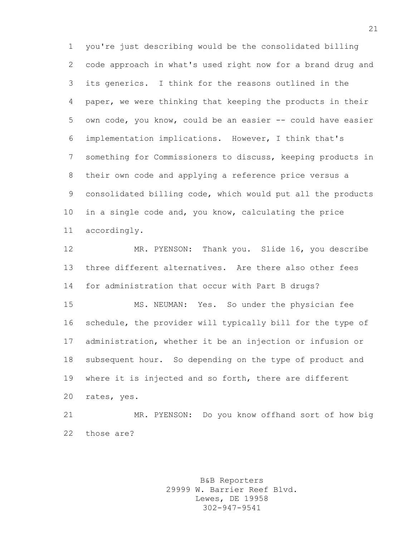you're just describing would be the consolidated billing code approach in what's used right now for a brand drug and its generics. I think for the reasons outlined in the paper, we were thinking that keeping the products in their own code, you know, could be an easier -- could have easier implementation implications. However, I think that's something for Commissioners to discuss, keeping products in their own code and applying a reference price versus a consolidated billing code, which would put all the products in a single code and, you know, calculating the price accordingly.

 MR. PYENSON: Thank you. Slide 16, you describe three different alternatives. Are there also other fees for administration that occur with Part B drugs?

 MS. NEUMAN: Yes. So under the physician fee schedule, the provider will typically bill for the type of administration, whether it be an injection or infusion or subsequent hour. So depending on the type of product and where it is injected and so forth, there are different rates, yes.

 MR. PYENSON: Do you know offhand sort of how big those are?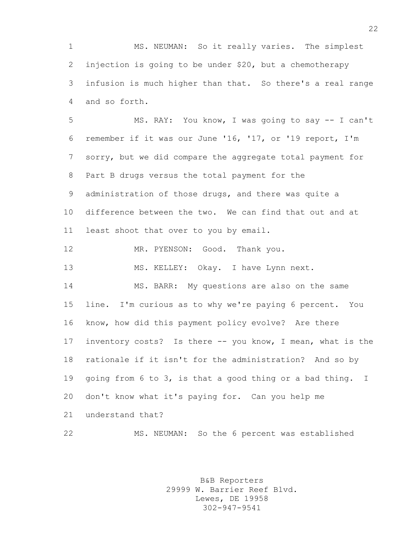MS. NEUMAN: So it really varies. The simplest injection is going to be under \$20, but a chemotherapy infusion is much higher than that. So there's a real range and so forth.

 MS. RAY: You know, I was going to say -- I can't remember if it was our June '16, '17, or '19 report, I'm sorry, but we did compare the aggregate total payment for Part B drugs versus the total payment for the administration of those drugs, and there was quite a difference between the two. We can find that out and at least shoot that over to you by email. 12 MR. PYENSON: Good. Thank you. 13 MS. KELLEY: Okay. I have Lynn next. MS. BARR: My questions are also on the same

 line. I'm curious as to why we're paying 6 percent. You know, how did this payment policy evolve? Are there inventory costs? Is there -- you know, I mean, what is the rationale if it isn't for the administration? And so by going from 6 to 3, is that a good thing or a bad thing. I don't know what it's paying for. Can you help me understand that?

MS. NEUMAN: So the 6 percent was established

B&B Reporters 29999 W. Barrier Reef Blvd. Lewes, DE 19958 302-947-9541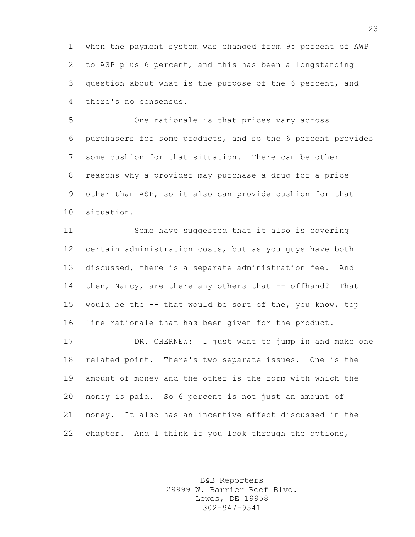when the payment system was changed from 95 percent of AWP to ASP plus 6 percent, and this has been a longstanding question about what is the purpose of the 6 percent, and there's no consensus.

 One rationale is that prices vary across purchasers for some products, and so the 6 percent provides some cushion for that situation. There can be other reasons why a provider may purchase a drug for a price other than ASP, so it also can provide cushion for that situation.

 Some have suggested that it also is covering certain administration costs, but as you guys have both discussed, there is a separate administration fee. And then, Nancy, are there any others that -- offhand? That would be the -- that would be sort of the, you know, top line rationale that has been given for the product.

 DR. CHERNEW: I just want to jump in and make one related point. There's two separate issues. One is the amount of money and the other is the form with which the money is paid. So 6 percent is not just an amount of money. It also has an incentive effect discussed in the chapter. And I think if you look through the options,

> B&B Reporters 29999 W. Barrier Reef Blvd. Lewes, DE 19958 302-947-9541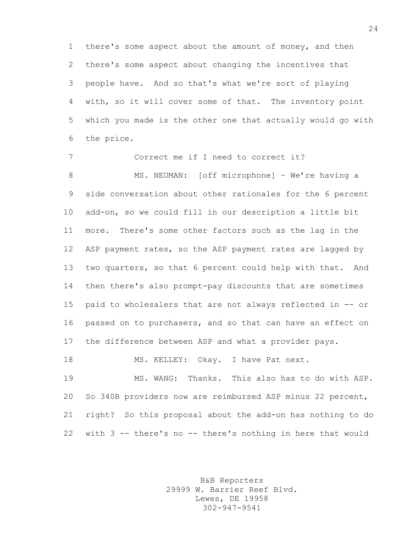there's some aspect about the amount of money, and then there's some aspect about changing the incentives that people have. And so that's what we're sort of playing with, so it will cover some of that. The inventory point which you made is the other one that actually would go with the price.

 Correct me if I need to correct it? 8 MS. NEUMAN: [off microphone] - We're having a side conversation about other rationales for the 6 percent add-on, so we could fill in our description a little bit more. There's some other factors such as the lag in the 12 ASP payment rates, so the ASP payment rates are lagged by two quarters, so that 6 percent could help with that. And then there's also prompt-pay discounts that are sometimes paid to wholesalers that are not always reflected in -- or passed on to purchasers, and so that can have an effect on the difference between ASP and what a provider pays. 18 MS. KELLEY: Okay. I have Pat next. MS. WANG: Thanks. This also has to do with ASP. So 340B providers now are reimbursed ASP minus 22 percent, right? So this proposal about the add-on has nothing to do

> B&B Reporters 29999 W. Barrier Reef Blvd. Lewes, DE 19958 302-947-9541

with 3 -- there's no -- there's nothing in here that would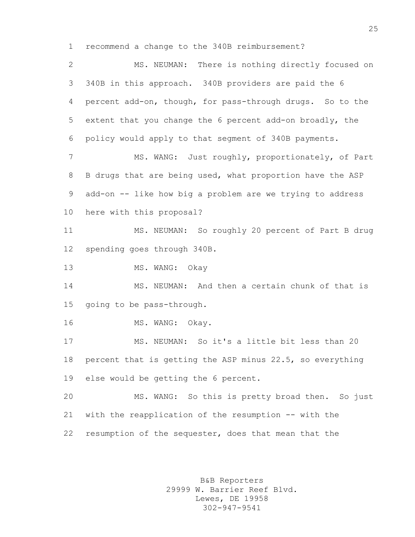recommend a change to the 340B reimbursement?

 MS. NEUMAN: There is nothing directly focused on 340B in this approach. 340B providers are paid the 6 percent add-on, though, for pass-through drugs. So to the extent that you change the 6 percent add-on broadly, the policy would apply to that segment of 340B payments. 7 MS. WANG: Just roughly, proportionately, of Part

 B drugs that are being used, what proportion have the ASP add-on -- like how big a problem are we trying to address here with this proposal?

 MS. NEUMAN: So roughly 20 percent of Part B drug spending goes through 340B.

13 MS. WANG: Okay

 MS. NEUMAN: And then a certain chunk of that is going to be pass-through.

16 MS. WANG: Okay.

 MS. NEUMAN: So it's a little bit less than 20 percent that is getting the ASP minus 22.5, so everything else would be getting the 6 percent.

 MS. WANG: So this is pretty broad then. So just with the reapplication of the resumption -- with the resumption of the sequester, does that mean that the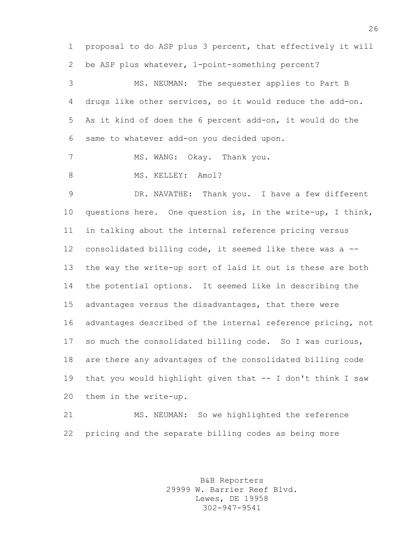proposal to do ASP plus 3 percent, that effectively it will be ASP plus whatever, 1-point-something percent? MS. NEUMAN: The sequester applies to Part B drugs like other services, so it would reduce the add-on. As it kind of does the 6 percent add-on, it would do the same to whatever add-on you decided upon. 7 MS. WANG: Okay. Thank you. 8 MS. KELLEY: Amol? DR. NAVATHE: Thank you. I have a few different questions here. One question is, in the write-up, I think, in talking about the internal reference pricing versus consolidated billing code, it seemed like there was a -- the way the write-up sort of laid it out is these are both the potential options. It seemed like in describing the advantages versus the disadvantages, that there were advantages described of the internal reference pricing, not so much the consolidated billing code. So I was curious, are there any advantages of the consolidated billing code that you would highlight given that -- I don't think I saw them in the write-up.

 MS. NEUMAN: So we highlighted the reference pricing and the separate billing codes as being more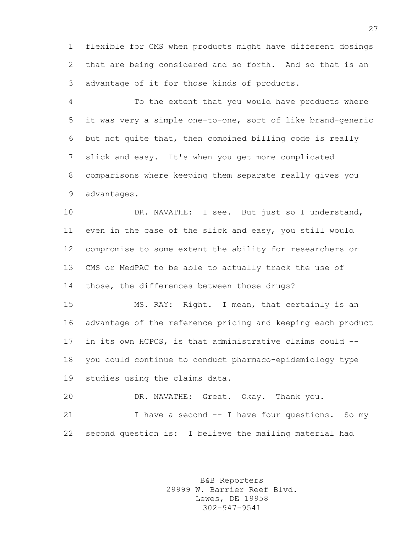flexible for CMS when products might have different dosings that are being considered and so forth. And so that is an advantage of it for those kinds of products.

 To the extent that you would have products where it was very a simple one-to-one, sort of like brand-generic but not quite that, then combined billing code is really slick and easy. It's when you get more complicated comparisons where keeping them separate really gives you advantages.

 DR. NAVATHE: I see. But just so I understand, even in the case of the slick and easy, you still would compromise to some extent the ability for researchers or CMS or MedPAC to be able to actually track the use of those, the differences between those drugs?

 MS. RAY: Right. I mean, that certainly is an advantage of the reference pricing and keeping each product in its own HCPCS, is that administrative claims could -- you could continue to conduct pharmaco-epidemiology type studies using the claims data.

 DR. NAVATHE: Great. Okay. Thank you. I have a second -- I have four questions. So my second question is: I believe the mailing material had

> B&B Reporters 29999 W. Barrier Reef Blvd. Lewes, DE 19958 302-947-9541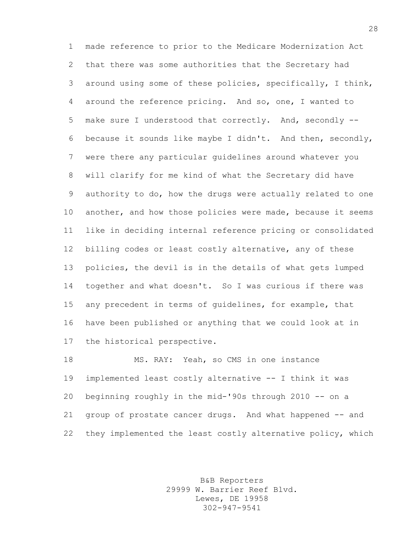made reference to prior to the Medicare Modernization Act that there was some authorities that the Secretary had around using some of these policies, specifically, I think, around the reference pricing. And so, one, I wanted to make sure I understood that correctly. And, secondly -- 6 because it sounds like maybe I didn't. And then, secondly, were there any particular guidelines around whatever you will clarify for me kind of what the Secretary did have authority to do, how the drugs were actually related to one another, and how those policies were made, because it seems like in deciding internal reference pricing or consolidated billing codes or least costly alternative, any of these policies, the devil is in the details of what gets lumped together and what doesn't. So I was curious if there was any precedent in terms of guidelines, for example, that have been published or anything that we could look at in the historical perspective.

 MS. RAY: Yeah, so CMS in one instance implemented least costly alternative -- I think it was beginning roughly in the mid-'90s through 2010 -- on a group of prostate cancer drugs. And what happened -- and they implemented the least costly alternative policy, which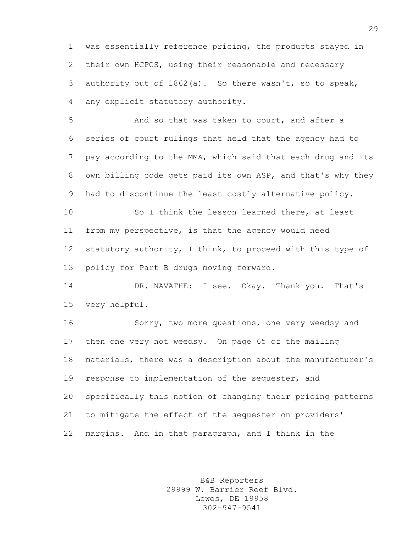was essentially reference pricing, the products stayed in their own HCPCS, using their reasonable and necessary authority out of 1862(a). So there wasn't, so to speak, any explicit statutory authority.

 And so that was taken to court, and after a series of court rulings that held that the agency had to pay according to the MMA, which said that each drug and its own billing code gets paid its own ASP, and that's why they had to discontinue the least costly alternative policy.

 So I think the lesson learned there, at least from my perspective, is that the agency would need statutory authority, I think, to proceed with this type of policy for Part B drugs moving forward.

 DR. NAVATHE: I see. Okay. Thank you. That's very helpful.

 Sorry, two more questions, one very weedsy and then one very not weedsy. On page 65 of the mailing materials, there was a description about the manufacturer's response to implementation of the sequester, and specifically this notion of changing their pricing patterns to mitigate the effect of the sequester on providers' margins. And in that paragraph, and I think in the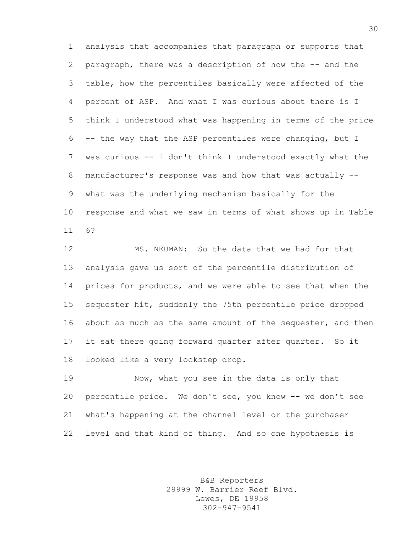analysis that accompanies that paragraph or supports that paragraph, there was a description of how the -- and the table, how the percentiles basically were affected of the percent of ASP. And what I was curious about there is I think I understood what was happening in terms of the price -- the way that the ASP percentiles were changing, but I was curious -- I don't think I understood exactly what the manufacturer's response was and how that was actually -- what was the underlying mechanism basically for the response and what we saw in terms of what shows up in Table 6?

 MS. NEUMAN: So the data that we had for that analysis gave us sort of the percentile distribution of prices for products, and we were able to see that when the sequester hit, suddenly the 75th percentile price dropped 16 about as much as the same amount of the sequester, and then it sat there going forward quarter after quarter. So it looked like a very lockstep drop.

 Now, what you see in the data is only that percentile price. We don't see, you know -- we don't see what's happening at the channel level or the purchaser level and that kind of thing. And so one hypothesis is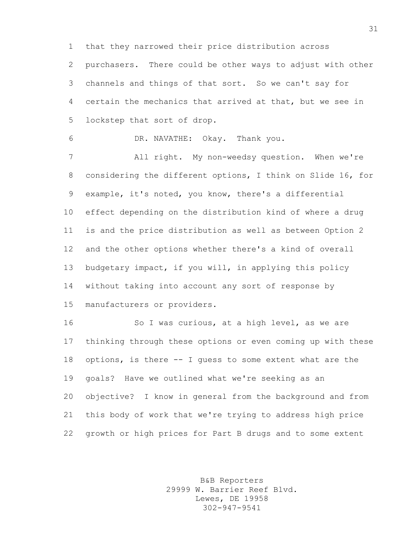that they narrowed their price distribution across

 purchasers. There could be other ways to adjust with other channels and things of that sort. So we can't say for certain the mechanics that arrived at that, but we see in lockstep that sort of drop.

DR. NAVATHE: Okay. Thank you.

 All right. My non-weedsy question. When we're considering the different options, I think on Slide 16, for example, it's noted, you know, there's a differential effect depending on the distribution kind of where a drug is and the price distribution as well as between Option 2 and the other options whether there's a kind of overall budgetary impact, if you will, in applying this policy without taking into account any sort of response by manufacturers or providers.

16 So I was curious, at a high level, as we are thinking through these options or even coming up with these options, is there -- I guess to some extent what are the goals? Have we outlined what we're seeking as an objective? I know in general from the background and from this body of work that we're trying to address high price growth or high prices for Part B drugs and to some extent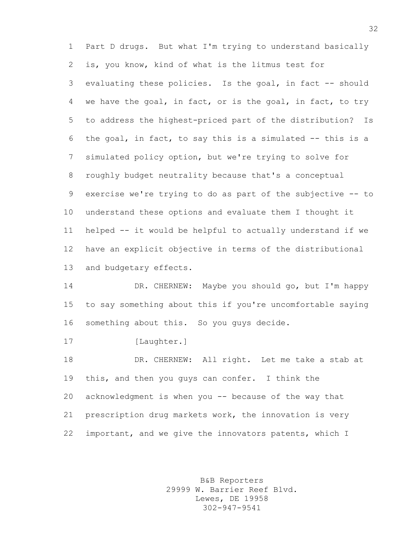Part D drugs. But what I'm trying to understand basically is, you know, kind of what is the litmus test for evaluating these policies. Is the goal, in fact -- should we have the goal, in fact, or is the goal, in fact, to try to address the highest-priced part of the distribution? Is the goal, in fact, to say this is a simulated -- this is a simulated policy option, but we're trying to solve for roughly budget neutrality because that's a conceptual exercise we're trying to do as part of the subjective -- to understand these options and evaluate them I thought it helped -- it would be helpful to actually understand if we have an explicit objective in terms of the distributional and budgetary effects. DR. CHERNEW: Maybe you should go, but I'm happy

 to say something about this if you're uncomfortable saying something about this. So you guys decide.

17 [Laughter.]

 DR. CHERNEW: All right. Let me take a stab at this, and then you guys can confer. I think the acknowledgment is when you -- because of the way that prescription drug markets work, the innovation is very important, and we give the innovators patents, which I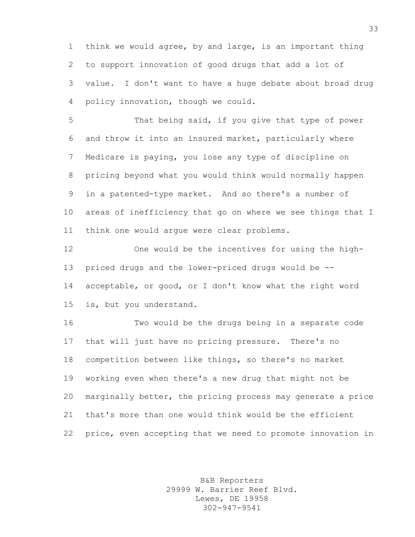think we would agree, by and large, is an important thing to support innovation of good drugs that add a lot of value. I don't want to have a huge debate about broad drug policy innovation, though we could.

 That being said, if you give that type of power and throw it into an insured market, particularly where Medicare is paying, you lose any type of discipline on pricing beyond what you would think would normally happen in a patented-type market. And so there's a number of areas of inefficiency that go on where we see things that I think one would argue were clear problems.

 One would be the incentives for using the high- priced drugs and the lower-priced drugs would be -- acceptable, or good, or I don't know what the right word is, but you understand.

 Two would be the drugs being in a separate code that will just have no pricing pressure. There's no competition between like things, so there's no market working even when there's a new drug that might not be marginally better, the pricing process may generate a price that's more than one would think would be the efficient price, even accepting that we need to promote innovation in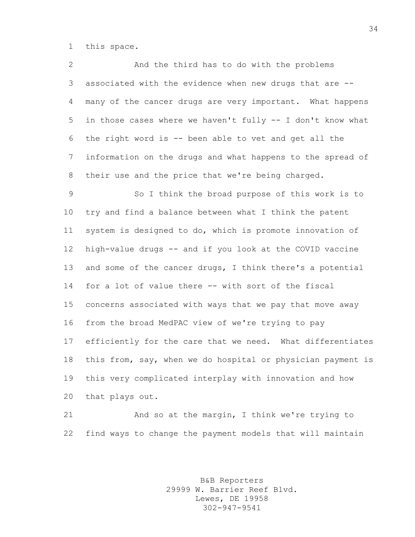this space.

 And the third has to do with the problems associated with the evidence when new drugs that are -- many of the cancer drugs are very important. What happens in those cases where we haven't fully -- I don't know what the right word is -- been able to vet and get all the information on the drugs and what happens to the spread of their use and the price that we're being charged.

 So I think the broad purpose of this work is to try and find a balance between what I think the patent system is designed to do, which is promote innovation of high-value drugs -- and if you look at the COVID vaccine and some of the cancer drugs, I think there's a potential for a lot of value there -- with sort of the fiscal concerns associated with ways that we pay that move away from the broad MedPAC view of we're trying to pay efficiently for the care that we need. What differentiates this from, say, when we do hospital or physician payment is this very complicated interplay with innovation and how that plays out.

 And so at the margin, I think we're trying to find ways to change the payment models that will maintain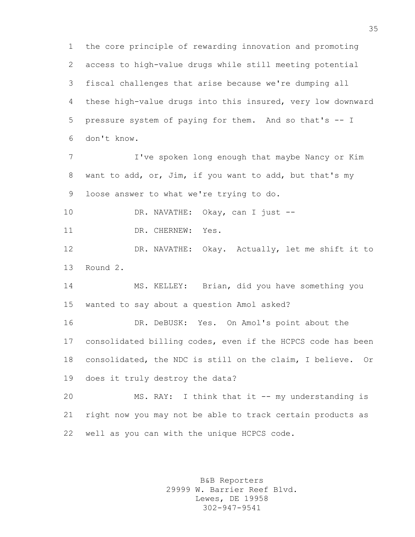the core principle of rewarding innovation and promoting access to high-value drugs while still meeting potential fiscal challenges that arise because we're dumping all these high-value drugs into this insured, very low downward pressure system of paying for them. And so that's -- I don't know. 7 I've spoken long enough that maybe Nancy or Kim want to add, or, Jim, if you want to add, but that's my loose answer to what we're trying to do. DR. NAVATHE: Okay, can I just -- 11 DR. CHERNEW: Yes. DR. NAVATHE: Okay. Actually, let me shift it to Round 2. MS. KELLEY: Brian, did you have something you wanted to say about a question Amol asked? DR. DeBUSK: Yes. On Amol's point about the consolidated billing codes, even if the HCPCS code has been consolidated, the NDC is still on the claim, I believe. Or does it truly destroy the data? MS. RAY: I think that it -- my understanding is right now you may not be able to track certain products as well as you can with the unique HCPCS code.

> B&B Reporters 29999 W. Barrier Reef Blvd. Lewes, DE 19958 302-947-9541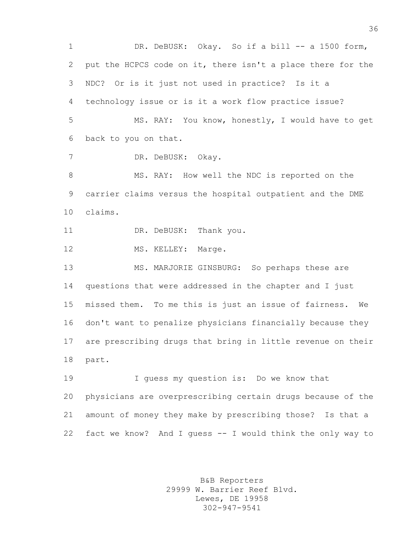1 DR. DeBUSK: Okay. So if a bill -- a 1500 form, put the HCPCS code on it, there isn't a place there for the NDC? Or is it just not used in practice? Is it a technology issue or is it a work flow practice issue? MS. RAY: You know, honestly, I would have to get back to you on that. DR. DeBUSK: Okay. MS. RAY: How well the NDC is reported on the carrier claims versus the hospital outpatient and the DME claims. 11 DR. DeBUSK: Thank you. 12 MS. KELLEY: Marge. MS. MARJORIE GINSBURG: So perhaps these are questions that were addressed in the chapter and I just missed them. To me this is just an issue of fairness. We don't want to penalize physicians financially because they are prescribing drugs that bring in little revenue on their part. I guess my question is: Do we know that physicians are overprescribing certain drugs because of the amount of money they make by prescribing those? Is that a fact we know? And I guess -- I would think the only way to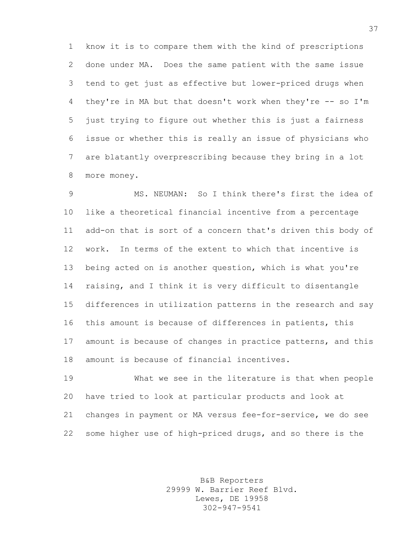know it is to compare them with the kind of prescriptions done under MA. Does the same patient with the same issue tend to get just as effective but lower-priced drugs when they're in MA but that doesn't work when they're -- so I'm just trying to figure out whether this is just a fairness issue or whether this is really an issue of physicians who are blatantly overprescribing because they bring in a lot more money.

 MS. NEUMAN: So I think there's first the idea of like a theoretical financial incentive from a percentage add-on that is sort of a concern that's driven this body of work. In terms of the extent to which that incentive is being acted on is another question, which is what you're raising, and I think it is very difficult to disentangle differences in utilization patterns in the research and say this amount is because of differences in patients, this amount is because of changes in practice patterns, and this amount is because of financial incentives.

 What we see in the literature is that when people have tried to look at particular products and look at changes in payment or MA versus fee-for-service, we do see some higher use of high-priced drugs, and so there is the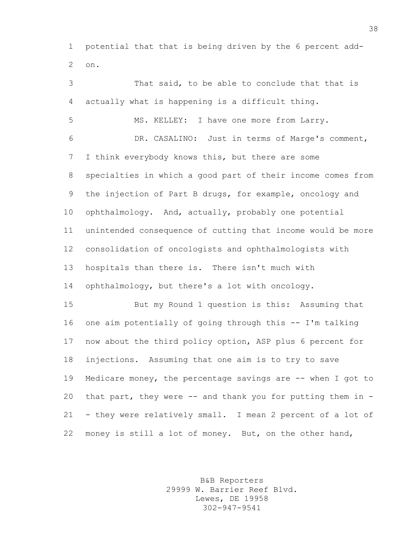potential that that is being driven by the 6 percent add-on.

 That said, to be able to conclude that that is actually what is happening is a difficult thing. MS. KELLEY: I have one more from Larry. DR. CASALINO: Just in terms of Marge's comment, I think everybody knows this, but there are some specialties in which a good part of their income comes from the injection of Part B drugs, for example, oncology and ophthalmology. And, actually, probably one potential unintended consequence of cutting that income would be more consolidation of oncologists and ophthalmologists with hospitals than there is. There isn't much with ophthalmology, but there's a lot with oncology. But my Round 1 question is this: Assuming that one aim potentially of going through this -- I'm talking now about the third policy option, ASP plus 6 percent for injections. Assuming that one aim is to try to save 19 Medicare money, the percentage savings are -- when I got to that part, they were -- and thank you for putting them in - - they were relatively small. I mean 2 percent of a lot of money is still a lot of money. But, on the other hand,

> B&B Reporters 29999 W. Barrier Reef Blvd. Lewes, DE 19958 302-947-9541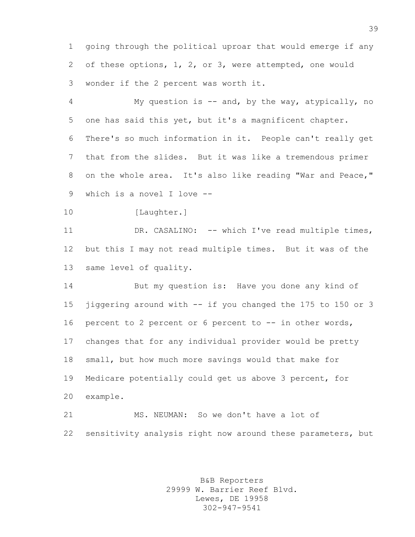going through the political uproar that would emerge if any of these options, 1, 2, or 3, were attempted, one would wonder if the 2 percent was worth it.

 My question is -- and, by the way, atypically, no one has said this yet, but it's a magnificent chapter. There's so much information in it. People can't really get that from the slides. But it was like a tremendous primer on the whole area. It's also like reading "War and Peace," which is a novel I love --

10 [Laughter.]

11 DR. CASALINO: -- which I've read multiple times, but this I may not read multiple times. But it was of the same level of quality.

 But my question is: Have you done any kind of jiggering around with -- if you changed the 175 to 150 or 3 percent to 2 percent or 6 percent to -- in other words, changes that for any individual provider would be pretty small, but how much more savings would that make for Medicare potentially could get us above 3 percent, for example.

 MS. NEUMAN: So we don't have a lot of sensitivity analysis right now around these parameters, but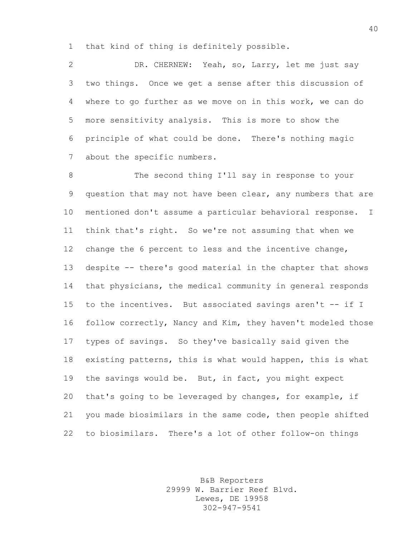that kind of thing is definitely possible.

 DR. CHERNEW: Yeah, so, Larry, let me just say two things. Once we get a sense after this discussion of where to go further as we move on in this work, we can do more sensitivity analysis. This is more to show the principle of what could be done. There's nothing magic about the specific numbers.

 The second thing I'll say in response to your question that may not have been clear, any numbers that are mentioned don't assume a particular behavioral response. I think that's right. So we're not assuming that when we change the 6 percent to less and the incentive change, despite -- there's good material in the chapter that shows that physicians, the medical community in general responds to the incentives. But associated savings aren't -- if I follow correctly, Nancy and Kim, they haven't modeled those types of savings. So they've basically said given the existing patterns, this is what would happen, this is what the savings would be. But, in fact, you might expect that's going to be leveraged by changes, for example, if you made biosimilars in the same code, then people shifted to biosimilars. There's a lot of other follow-on things

> B&B Reporters 29999 W. Barrier Reef Blvd. Lewes, DE 19958 302-947-9541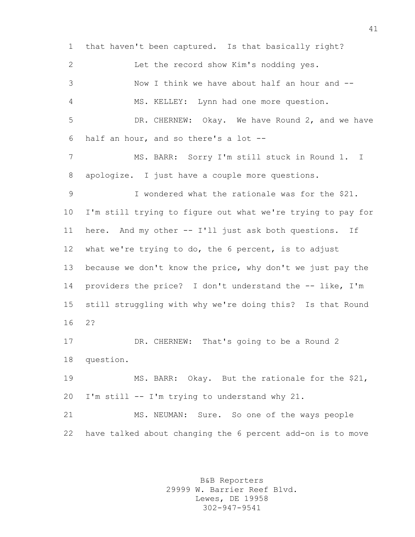that haven't been captured. Is that basically right? Let the record show Kim's nodding yes. Now I think we have about half an hour and -- MS. KELLEY: Lynn had one more question. DR. CHERNEW: Okay. We have Round 2, and we have half an hour, and so there's a lot -- MS. BARR: Sorry I'm still stuck in Round 1. I apologize. I just have a couple more questions. I wondered what the rationale was for the \$21. I'm still trying to figure out what we're trying to pay for here. And my other -- I'll just ask both questions. If what we're trying to do, the 6 percent, is to adjust because we don't know the price, why don't we just pay the providers the price? I don't understand the -- like, I'm still struggling with why we're doing this? Is that Round 2? DR. CHERNEW: That's going to be a Round 2 question. MS. BARR: Okay. But the rationale for the \$21, I'm still -- I'm trying to understand why 21. MS. NEUMAN: Sure. So one of the ways people have talked about changing the 6 percent add-on is to move

> B&B Reporters 29999 W. Barrier Reef Blvd. Lewes, DE 19958 302-947-9541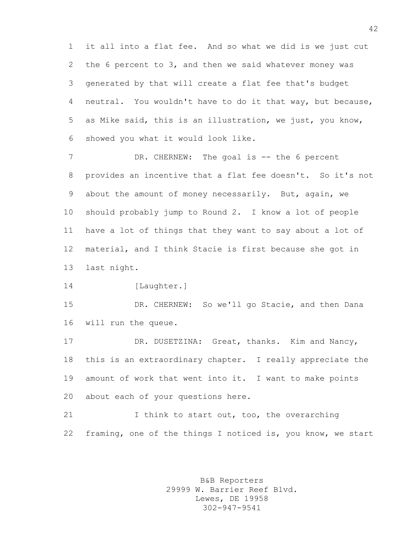it all into a flat fee. And so what we did is we just cut the 6 percent to 3, and then we said whatever money was generated by that will create a flat fee that's budget neutral. You wouldn't have to do it that way, but because, as Mike said, this is an illustration, we just, you know, showed you what it would look like.

7 DR. CHERNEW: The goal is -- the 6 percent provides an incentive that a flat fee doesn't. So it's not about the amount of money necessarily. But, again, we should probably jump to Round 2. I know a lot of people have a lot of things that they want to say about a lot of material, and I think Stacie is first because she got in last night.

14 [Laughter.]

 DR. CHERNEW: So we'll go Stacie, and then Dana will run the queue.

 DR. DUSETZINA: Great, thanks. Kim and Nancy, this is an extraordinary chapter. I really appreciate the amount of work that went into it. I want to make points about each of your questions here.

21 I think to start out, too, the overarching framing, one of the things I noticed is, you know, we start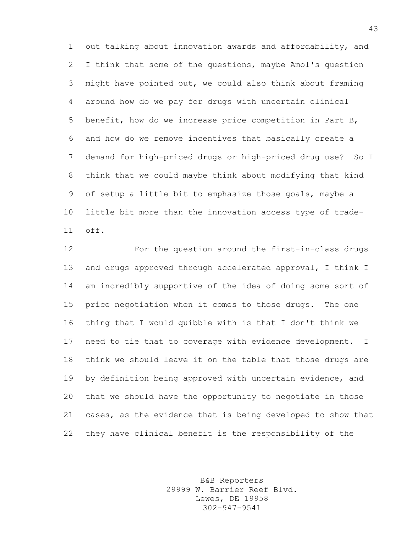out talking about innovation awards and affordability, and I think that some of the questions, maybe Amol's question might have pointed out, we could also think about framing around how do we pay for drugs with uncertain clinical benefit, how do we increase price competition in Part B, and how do we remove incentives that basically create a demand for high-priced drugs or high-priced drug use? So I think that we could maybe think about modifying that kind of setup a little bit to emphasize those goals, maybe a little bit more than the innovation access type of trade-off.

 For the question around the first-in-class drugs and drugs approved through accelerated approval, I think I am incredibly supportive of the idea of doing some sort of price negotiation when it comes to those drugs. The one thing that I would quibble with is that I don't think we need to tie that to coverage with evidence development. I think we should leave it on the table that those drugs are by definition being approved with uncertain evidence, and that we should have the opportunity to negotiate in those cases, as the evidence that is being developed to show that they have clinical benefit is the responsibility of the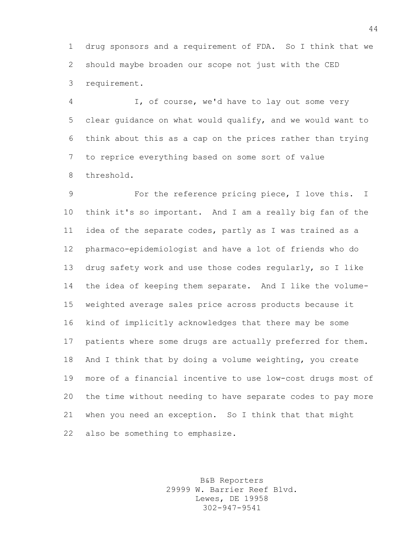drug sponsors and a requirement of FDA. So I think that we should maybe broaden our scope not just with the CED requirement.

 I, of course, we'd have to lay out some very clear guidance on what would qualify, and we would want to think about this as a cap on the prices rather than trying to reprice everything based on some sort of value threshold.

 For the reference pricing piece, I love this. I think it's so important. And I am a really big fan of the idea of the separate codes, partly as I was trained as a pharmaco-epidemiologist and have a lot of friends who do drug safety work and use those codes regularly, so I like the idea of keeping them separate. And I like the volume- weighted average sales price across products because it kind of implicitly acknowledges that there may be some patients where some drugs are actually preferred for them. And I think that by doing a volume weighting, you create more of a financial incentive to use low-cost drugs most of the time without needing to have separate codes to pay more when you need an exception. So I think that that might also be something to emphasize.

> B&B Reporters 29999 W. Barrier Reef Blvd. Lewes, DE 19958 302-947-9541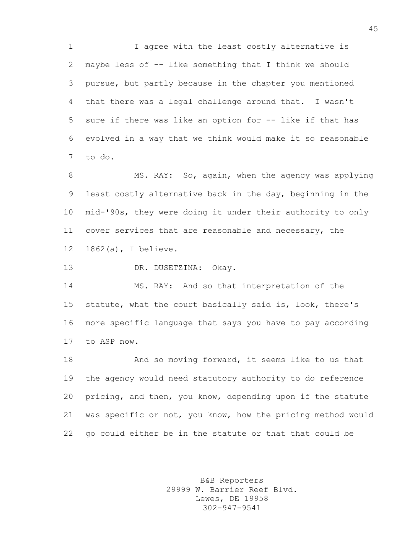I agree with the least costly alternative is maybe less of -- like something that I think we should pursue, but partly because in the chapter you mentioned that there was a legal challenge around that. I wasn't sure if there was like an option for -- like if that has evolved in a way that we think would make it so reasonable to do.

8 MS. RAY: So, again, when the agency was applying least costly alternative back in the day, beginning in the mid-'90s, they were doing it under their authority to only cover services that are reasonable and necessary, the 1862(a), I believe.

DR. DUSETZINA: Okay.

 MS. RAY: And so that interpretation of the statute, what the court basically said is, look, there's more specific language that says you have to pay according to ASP now.

 And so moving forward, it seems like to us that the agency would need statutory authority to do reference pricing, and then, you know, depending upon if the statute was specific or not, you know, how the pricing method would go could either be in the statute or that that could be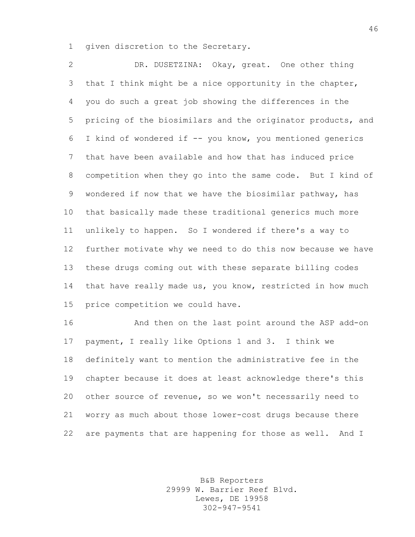given discretion to the Secretary.

 DR. DUSETZINA: Okay, great. One other thing that I think might be a nice opportunity in the chapter, you do such a great job showing the differences in the pricing of the biosimilars and the originator products, and I kind of wondered if -- you know, you mentioned generics that have been available and how that has induced price competition when they go into the same code. But I kind of wondered if now that we have the biosimilar pathway, has that basically made these traditional generics much more unlikely to happen. So I wondered if there's a way to further motivate why we need to do this now because we have these drugs coming out with these separate billing codes that have really made us, you know, restricted in how much price competition we could have.

 And then on the last point around the ASP add-on payment, I really like Options 1 and 3. I think we definitely want to mention the administrative fee in the chapter because it does at least acknowledge there's this other source of revenue, so we won't necessarily need to worry as much about those lower-cost drugs because there are payments that are happening for those as well. And I

> B&B Reporters 29999 W. Barrier Reef Blvd. Lewes, DE 19958 302-947-9541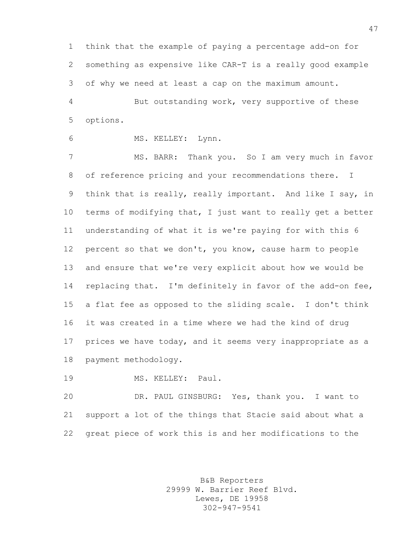think that the example of paying a percentage add-on for something as expensive like CAR-T is a really good example of why we need at least a cap on the maximum amount.

 But outstanding work, very supportive of these options.

MS. KELLEY: Lynn.

 MS. BARR: Thank you. So I am very much in favor of reference pricing and your recommendations there. I think that is really, really important. And like I say, in terms of modifying that, I just want to really get a better understanding of what it is we're paying for with this 6 percent so that we don't, you know, cause harm to people and ensure that we're very explicit about how we would be 14 replacing that. I'm definitely in favor of the add-on fee, a flat fee as opposed to the sliding scale. I don't think it was created in a time where we had the kind of drug prices we have today, and it seems very inappropriate as a payment methodology.

MS. KELLEY: Paul.

 DR. PAUL GINSBURG: Yes, thank you. I want to support a lot of the things that Stacie said about what a great piece of work this is and her modifications to the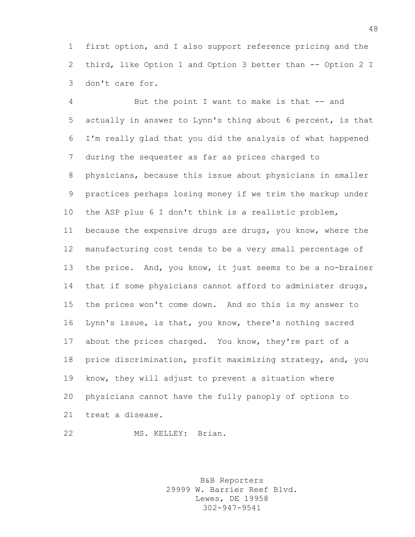first option, and I also support reference pricing and the third, like Option 1 and Option 3 better than -- Option 2 I don't care for.

 But the point I want to make is that -- and actually in answer to Lynn's thing about 6 percent, is that I'm really glad that you did the analysis of what happened during the sequester as far as prices charged to physicians, because this issue about physicians in smaller practices perhaps losing money if we trim the markup under the ASP plus 6 I don't think is a realistic problem, because the expensive drugs are drugs, you know, where the manufacturing cost tends to be a very small percentage of the price. And, you know, it just seems to be a no-brainer that if some physicians cannot afford to administer drugs, the prices won't come down. And so this is my answer to Lynn's issue, is that, you know, there's nothing sacred about the prices charged. You know, they're part of a price discrimination, profit maximizing strategy, and, you know, they will adjust to prevent a situation where physicians cannot have the fully panoply of options to treat a disease.

MS. KELLEY: Brian.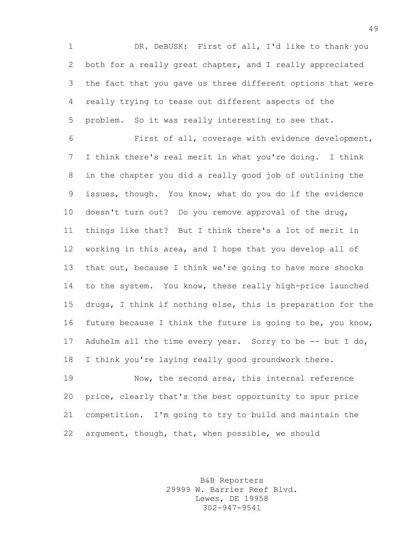DR. DeBUSK: First of all, I'd like to thank you both for a really great chapter, and I really appreciated the fact that you gave us three different options that were really trying to tease out different aspects of the problem. So it was really interesting to see that.

 First of all, coverage with evidence development, I think there's real merit in what you're doing. I think in the chapter you did a really good job of outlining the issues, though. You know, what do you do if the evidence doesn't turn out? Do you remove approval of the drug, things like that? But I think there's a lot of merit in working in this area, and I hope that you develop all of that out, because I think we're going to have more shocks to the system. You know, these really high-price launched drugs, I think if nothing else, this is preparation for the future because I think the future is going to be, you know, 17 Aduhelm all the time every year. Sorry to be -- but I do, I think you're laying really good groundwork there.

 Now, the second area, this internal reference price, clearly that's the best opportunity to spur price competition. I'm going to try to build and maintain the argument, though, that, when possible, we should

> B&B Reporters 29999 W. Barrier Reef Blvd. Lewes, DE 19958 302-947-9541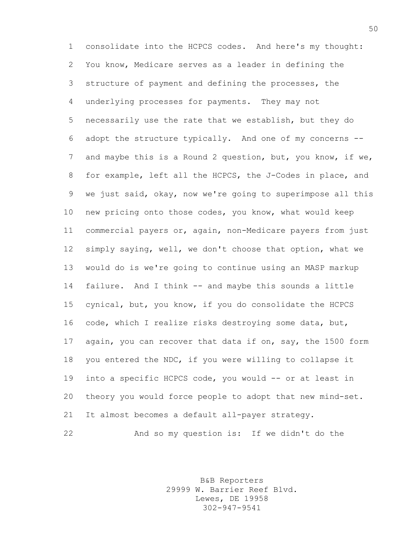consolidate into the HCPCS codes. And here's my thought: You know, Medicare serves as a leader in defining the structure of payment and defining the processes, the underlying processes for payments. They may not necessarily use the rate that we establish, but they do adopt the structure typically. And one of my concerns -- and maybe this is a Round 2 question, but, you know, if we, for example, left all the HCPCS, the J-Codes in place, and we just said, okay, now we're going to superimpose all this new pricing onto those codes, you know, what would keep commercial payers or, again, non-Medicare payers from just simply saying, well, we don't choose that option, what we would do is we're going to continue using an MASP markup failure. And I think -- and maybe this sounds a little cynical, but, you know, if you do consolidate the HCPCS code, which I realize risks destroying some data, but, again, you can recover that data if on, say, the 1500 form you entered the NDC, if you were willing to collapse it into a specific HCPCS code, you would -- or at least in theory you would force people to adopt that new mind-set. It almost becomes a default all-payer strategy. And so my question is: If we didn't do the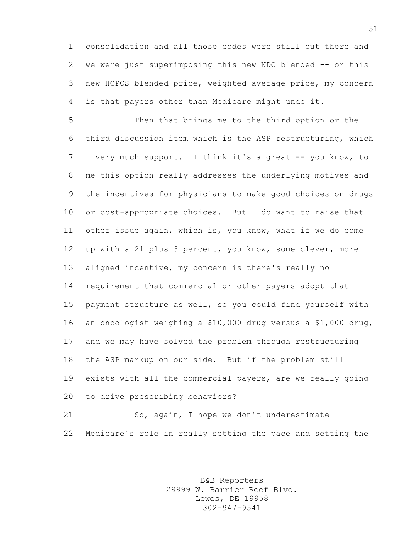consolidation and all those codes were still out there and we were just superimposing this new NDC blended -- or this new HCPCS blended price, weighted average price, my concern is that payers other than Medicare might undo it.

 Then that brings me to the third option or the third discussion item which is the ASP restructuring, which I very much support. I think it's a great -- you know, to me this option really addresses the underlying motives and the incentives for physicians to make good choices on drugs or cost-appropriate choices. But I do want to raise that other issue again, which is, you know, what if we do come up with a 21 plus 3 percent, you know, some clever, more aligned incentive, my concern is there's really no requirement that commercial or other payers adopt that payment structure as well, so you could find yourself with an oncologist weighing a \$10,000 drug versus a \$1,000 drug, and we may have solved the problem through restructuring the ASP markup on our side. But if the problem still exists with all the commercial payers, are we really going to drive prescribing behaviors?

 So, again, I hope we don't underestimate Medicare's role in really setting the pace and setting the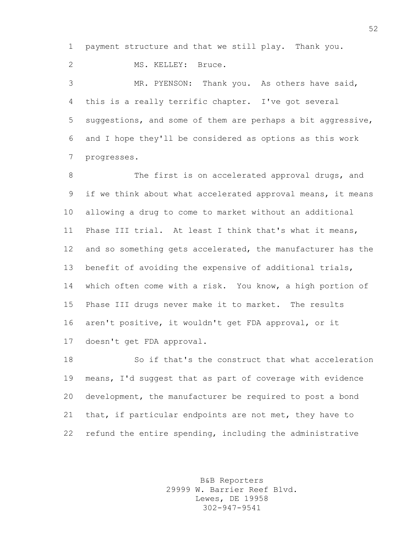payment structure and that we still play. Thank you.

2 MS. KELLEY: Bruce.

 MR. PYENSON: Thank you. As others have said, this is a really terrific chapter. I've got several suggestions, and some of them are perhaps a bit aggressive, and I hope they'll be considered as options as this work progresses.

8 The first is on accelerated approval drugs, and if we think about what accelerated approval means, it means allowing a drug to come to market without an additional Phase III trial. At least I think that's what it means, 12 and so something gets accelerated, the manufacturer has the benefit of avoiding the expensive of additional trials, which often come with a risk. You know, a high portion of Phase III drugs never make it to market. The results aren't positive, it wouldn't get FDA approval, or it doesn't get FDA approval.

 So if that's the construct that what acceleration means, I'd suggest that as part of coverage with evidence development, the manufacturer be required to post a bond that, if particular endpoints are not met, they have to refund the entire spending, including the administrative

> B&B Reporters 29999 W. Barrier Reef Blvd. Lewes, DE 19958 302-947-9541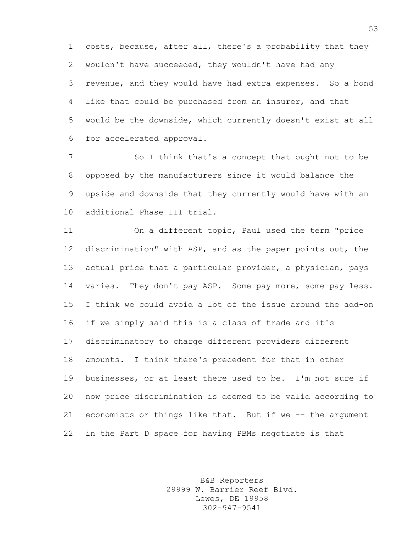costs, because, after all, there's a probability that they wouldn't have succeeded, they wouldn't have had any revenue, and they would have had extra expenses. So a bond like that could be purchased from an insurer, and that would be the downside, which currently doesn't exist at all for accelerated approval.

7 So I think that's a concept that ought not to be opposed by the manufacturers since it would balance the upside and downside that they currently would have with an additional Phase III trial.

 On a different topic, Paul used the term "price discrimination" with ASP, and as the paper points out, the actual price that a particular provider, a physician, pays 14 varies. They don't pay ASP. Some pay more, some pay less. I think we could avoid a lot of the issue around the add-on if we simply said this is a class of trade and it's discriminatory to charge different providers different amounts. I think there's precedent for that in other businesses, or at least there used to be. I'm not sure if now price discrimination is deemed to be valid according to economists or things like that. But if we -- the argument in the Part D space for having PBMs negotiate is that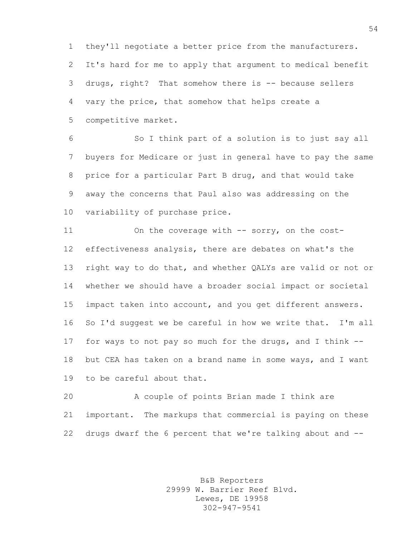they'll negotiate a better price from the manufacturers. It's hard for me to apply that argument to medical benefit drugs, right? That somehow there is -- because sellers vary the price, that somehow that helps create a competitive market.

 So I think part of a solution is to just say all buyers for Medicare or just in general have to pay the same price for a particular Part B drug, and that would take away the concerns that Paul also was addressing on the variability of purchase price.

11 On the coverage with -- sorry, on the cost- effectiveness analysis, there are debates on what's the right way to do that, and whether QALYs are valid or not or whether we should have a broader social impact or societal impact taken into account, and you get different answers. So I'd suggest we be careful in how we write that. I'm all for ways to not pay so much for the drugs, and I think -- but CEA has taken on a brand name in some ways, and I want to be careful about that.

 A couple of points Brian made I think are important. The markups that commercial is paying on these drugs dwarf the 6 percent that we're talking about and --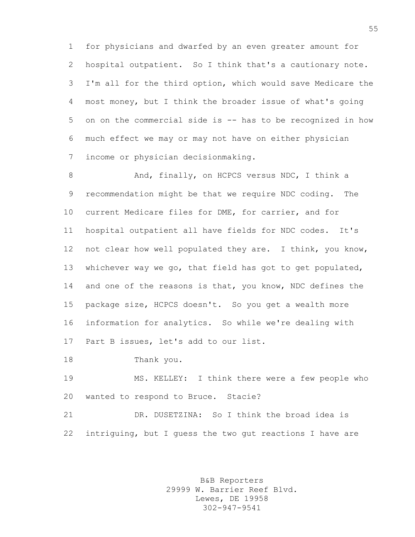for physicians and dwarfed by an even greater amount for hospital outpatient. So I think that's a cautionary note. I'm all for the third option, which would save Medicare the most money, but I think the broader issue of what's going on on the commercial side is -- has to be recognized in how much effect we may or may not have on either physician income or physician decisionmaking.

8 And, finally, on HCPCS versus NDC, I think a recommendation might be that we require NDC coding. The current Medicare files for DME, for carrier, and for hospital outpatient all have fields for NDC codes. It's not clear how well populated they are. I think, you know, whichever way we go, that field has got to get populated, 14 and one of the reasons is that, you know, NDC defines the package size, HCPCS doesn't. So you get a wealth more information for analytics. So while we're dealing with Part B issues, let's add to our list.

Thank you.

 MS. KELLEY: I think there were a few people who wanted to respond to Bruce. Stacie?

 DR. DUSETZINA: So I think the broad idea is intriguing, but I guess the two gut reactions I have are

> B&B Reporters 29999 W. Barrier Reef Blvd. Lewes, DE 19958 302-947-9541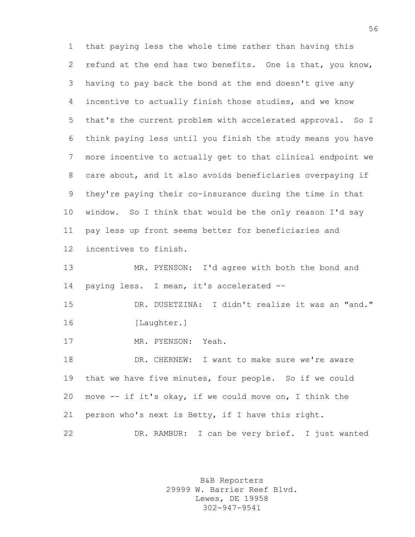that paying less the whole time rather than having this refund at the end has two benefits. One is that, you know, having to pay back the bond at the end doesn't give any incentive to actually finish those studies, and we know that's the current problem with accelerated approval. So I think paying less until you finish the study means you have more incentive to actually get to that clinical endpoint we care about, and it also avoids beneficiaries overpaying if they're paying their co-insurance during the time in that window. So I think that would be the only reason I'd say pay less up front seems better for beneficiaries and incentives to finish.

 MR. PYENSON: I'd agree with both the bond and paying less. I mean, it's accelerated --

 DR. DUSETZINA: I didn't realize it was an "and." 16 [Laughter.]

MR. PYENSON: Yeah.

 DR. CHERNEW: I want to make sure we're aware that we have five minutes, four people. So if we could move -- if it's okay, if we could move on, I think the person who's next is Betty, if I have this right.

DR. RAMBUR: I can be very brief. I just wanted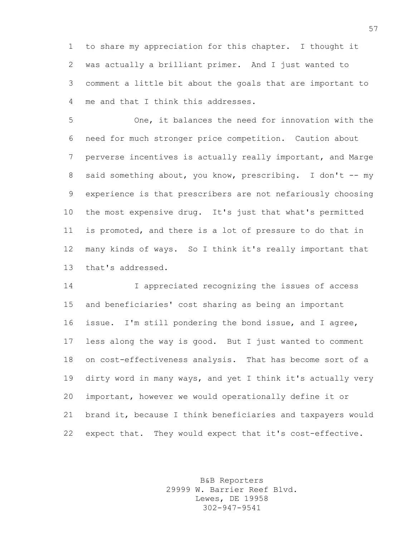to share my appreciation for this chapter. I thought it was actually a brilliant primer. And I just wanted to comment a little bit about the goals that are important to me and that I think this addresses.

 One, it balances the need for innovation with the need for much stronger price competition. Caution about perverse incentives is actually really important, and Marge 8 said something about, you know, prescribing. I don't -- my experience is that prescribers are not nefariously choosing the most expensive drug. It's just that what's permitted is promoted, and there is a lot of pressure to do that in many kinds of ways. So I think it's really important that that's addressed.

 I appreciated recognizing the issues of access and beneficiaries' cost sharing as being an important issue. I'm still pondering the bond issue, and I agree, less along the way is good. But I just wanted to comment on cost-effectiveness analysis. That has become sort of a dirty word in many ways, and yet I think it's actually very important, however we would operationally define it or brand it, because I think beneficiaries and taxpayers would expect that. They would expect that it's cost-effective.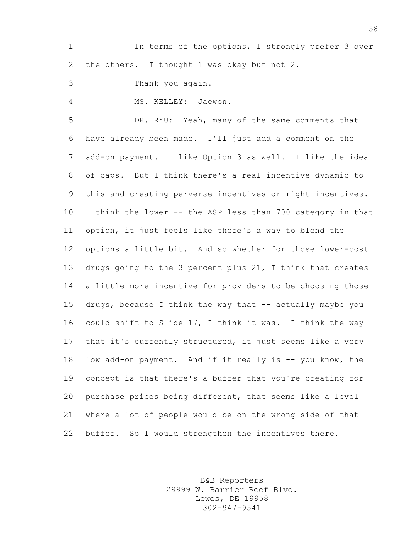1 In terms of the options, I strongly prefer 3 over the others. I thought 1 was okay but not 2.

Thank you again.

MS. KELLEY: Jaewon.

 DR. RYU: Yeah, many of the same comments that have already been made. I'll just add a comment on the add-on payment. I like Option 3 as well. I like the idea of caps. But I think there's a real incentive dynamic to this and creating perverse incentives or right incentives. I think the lower -- the ASP less than 700 category in that option, it just feels like there's a way to blend the options a little bit. And so whether for those lower-cost drugs going to the 3 percent plus 21, I think that creates a little more incentive for providers to be choosing those drugs, because I think the way that -- actually maybe you could shift to Slide 17, I think it was. I think the way that it's currently structured, it just seems like a very 18 low add-on payment. And if it really is -- you know, the concept is that there's a buffer that you're creating for purchase prices being different, that seems like a level where a lot of people would be on the wrong side of that buffer. So I would strengthen the incentives there.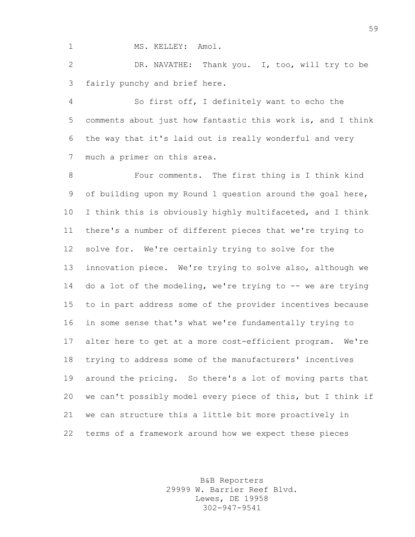1 MS. KELLEY: Amol.

 DR. NAVATHE: Thank you. I, too, will try to be fairly punchy and brief here.

 So first off, I definitely want to echo the comments about just how fantastic this work is, and I think the way that it's laid out is really wonderful and very much a primer on this area.

 Four comments. The first thing is I think kind of building upon my Round 1 question around the goal here, I think this is obviously highly multifaceted, and I think there's a number of different pieces that we're trying to solve for. We're certainly trying to solve for the innovation piece. We're trying to solve also, although we 14 do a lot of the modeling, we're trying to -- we are trying to in part address some of the provider incentives because in some sense that's what we're fundamentally trying to alter here to get at a more cost-efficient program. We're trying to address some of the manufacturers' incentives around the pricing. So there's a lot of moving parts that we can't possibly model every piece of this, but I think if we can structure this a little bit more proactively in terms of a framework around how we expect these pieces

> B&B Reporters 29999 W. Barrier Reef Blvd. Lewes, DE 19958 302-947-9541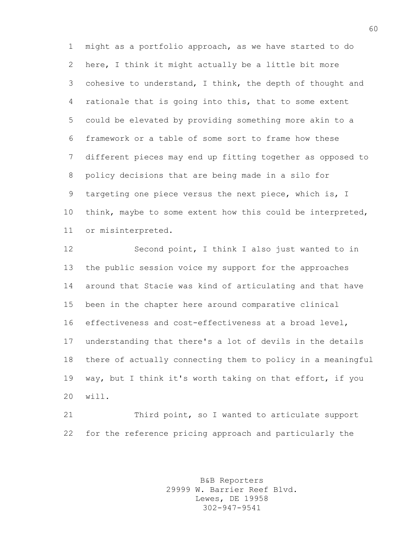might as a portfolio approach, as we have started to do here, I think it might actually be a little bit more cohesive to understand, I think, the depth of thought and rationale that is going into this, that to some extent could be elevated by providing something more akin to a framework or a table of some sort to frame how these different pieces may end up fitting together as opposed to policy decisions that are being made in a silo for targeting one piece versus the next piece, which is, I 10 think, maybe to some extent how this could be interpreted, or misinterpreted.

 Second point, I think I also just wanted to in the public session voice my support for the approaches around that Stacie was kind of articulating and that have been in the chapter here around comparative clinical effectiveness and cost-effectiveness at a broad level, understanding that there's a lot of devils in the details there of actually connecting them to policy in a meaningful way, but I think it's worth taking on that effort, if you will.

 Third point, so I wanted to articulate support for the reference pricing approach and particularly the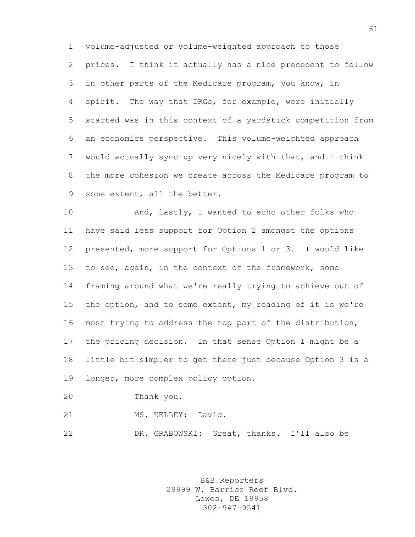volume-adjusted or volume-weighted approach to those prices. I think it actually has a nice precedent to follow in other parts of the Medicare program, you know, in spirit. The way that DRGs, for example, were initially started was in this context of a yardstick competition from an economics perspective. This volume-weighted approach would actually sync up very nicely with that, and I think the more cohesion we create across the Medicare program to some extent, all the better.

10 And, lastly, I wanted to echo other folks who have said less support for Option 2 amongst the options presented, more support for Options 1 or 3. I would like 13 to see, again, in the context of the framework, some framing around what we're really trying to achieve out of the option, and to some extent, my reading of it is we're most trying to address the top part of the distribution, the pricing decision. In that sense Option 1 might be a little bit simpler to get there just because Option 3 is a longer, more complex policy option.

Thank you.

MS. KELLEY: David.

DR. GRABOWSKI: Great, thanks. I'll also be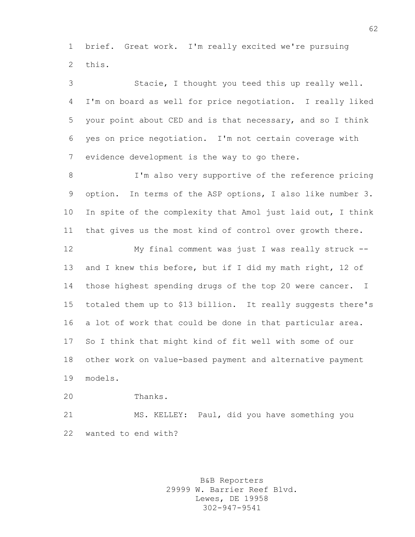brief. Great work. I'm really excited we're pursuing this.

 Stacie, I thought you teed this up really well. I'm on board as well for price negotiation. I really liked your point about CED and is that necessary, and so I think yes on price negotiation. I'm not certain coverage with evidence development is the way to go there.

 I'm also very supportive of the reference pricing option. In terms of the ASP options, I also like number 3. In spite of the complexity that Amol just laid out, I think that gives us the most kind of control over growth there.

 My final comment was just I was really struck -- 13 and I knew this before, but if I did my math right, 12 of those highest spending drugs of the top 20 were cancer. I totaled them up to \$13 billion. It really suggests there's a lot of work that could be done in that particular area. So I think that might kind of fit well with some of our other work on value-based payment and alternative payment models.

Thanks.

 MS. KELLEY: Paul, did you have something you wanted to end with?

> B&B Reporters 29999 W. Barrier Reef Blvd. Lewes, DE 19958 302-947-9541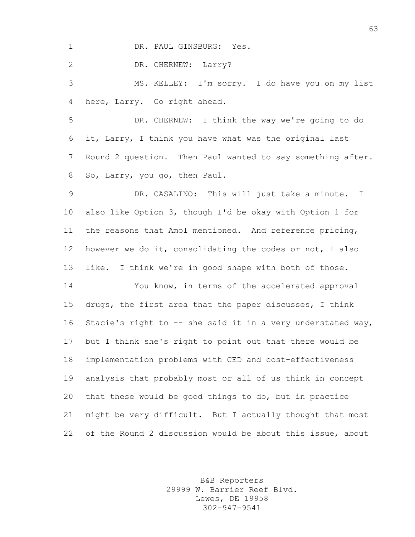1 DR. PAUL GINSBURG: Yes.

DR. CHERNEW: Larry?

 MS. KELLEY: I'm sorry. I do have you on my list here, Larry. Go right ahead.

 DR. CHERNEW: I think the way we're going to do it, Larry, I think you have what was the original last Round 2 question. Then Paul wanted to say something after. So, Larry, you go, then Paul.

 DR. CASALINO: This will just take a minute. I also like Option 3, though I'd be okay with Option 1 for the reasons that Amol mentioned. And reference pricing, however we do it, consolidating the codes or not, I also like. I think we're in good shape with both of those.

 You know, in terms of the accelerated approval drugs, the first area that the paper discusses, I think 16 Stacie's right to -- she said it in a very understated way, but I think she's right to point out that there would be implementation problems with CED and cost-effectiveness analysis that probably most or all of us think in concept that these would be good things to do, but in practice might be very difficult. But I actually thought that most of the Round 2 discussion would be about this issue, about

> B&B Reporters 29999 W. Barrier Reef Blvd. Lewes, DE 19958 302-947-9541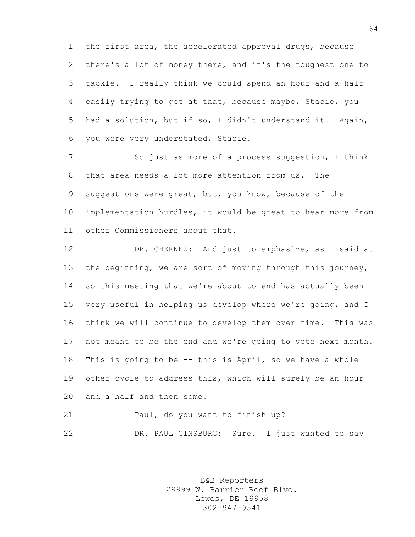the first area, the accelerated approval drugs, because there's a lot of money there, and it's the toughest one to tackle. I really think we could spend an hour and a half easily trying to get at that, because maybe, Stacie, you had a solution, but if so, I didn't understand it. Again, you were very understated, Stacie.

 So just as more of a process suggestion, I think that area needs a lot more attention from us. The suggestions were great, but, you know, because of the implementation hurdles, it would be great to hear more from other Commissioners about that.

 DR. CHERNEW: And just to emphasize, as I said at the beginning, we are sort of moving through this journey, so this meeting that we're about to end has actually been very useful in helping us develop where we're going, and I think we will continue to develop them over time. This was not meant to be the end and we're going to vote next month. This is going to be -- this is April, so we have a whole other cycle to address this, which will surely be an hour and a half and then some.

 Paul, do you want to finish up? DR. PAUL GINSBURG: Sure. I just wanted to say

> B&B Reporters 29999 W. Barrier Reef Blvd. Lewes, DE 19958 302-947-9541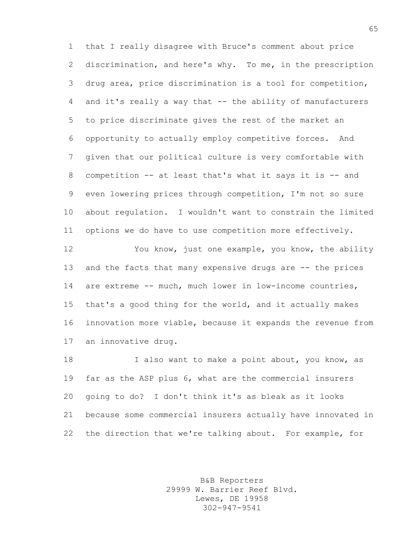that I really disagree with Bruce's comment about price discrimination, and here's why. To me, in the prescription drug area, price discrimination is a tool for competition, and it's really a way that -- the ability of manufacturers to price discriminate gives the rest of the market an opportunity to actually employ competitive forces. And given that our political culture is very comfortable with competition -- at least that's what it says it is -- and even lowering prices through competition, I'm not so sure about regulation. I wouldn't want to constrain the limited options we do have to use competition more effectively.

 You know, just one example, you know, the ability 13 and the facts that many expensive drugs are -- the prices are extreme -- much, much lower in low-income countries, that's a good thing for the world, and it actually makes innovation more viable, because it expands the revenue from an innovative drug.

18 I also want to make a point about, you know, as far as the ASP plus 6, what are the commercial insurers going to do? I don't think it's as bleak as it looks because some commercial insurers actually have innovated in the direction that we're talking about. For example, for

> B&B Reporters 29999 W. Barrier Reef Blvd. Lewes, DE 19958 302-947-9541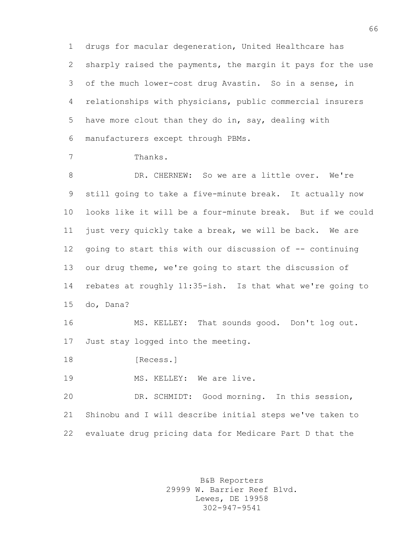drugs for macular degeneration, United Healthcare has sharply raised the payments, the margin it pays for the use of the much lower-cost drug Avastin. So in a sense, in relationships with physicians, public commercial insurers have more clout than they do in, say, dealing with manufacturers except through PBMs.

Thanks.

 DR. CHERNEW: So we are a little over. We're still going to take a five-minute break. It actually now looks like it will be a four-minute break. But if we could just very quickly take a break, we will be back. We are going to start this with our discussion of -- continuing our drug theme, we're going to start the discussion of rebates at roughly 11:35-ish. Is that what we're going to do, Dana?

 MS. KELLEY: That sounds good. Don't log out. Just stay logged into the meeting.

18 [Recess.]

MS. KELLEY: We are live.

 DR. SCHMIDT: Good morning. In this session, Shinobu and I will describe initial steps we've taken to evaluate drug pricing data for Medicare Part D that the

> B&B Reporters 29999 W. Barrier Reef Blvd. Lewes, DE 19958 302-947-9541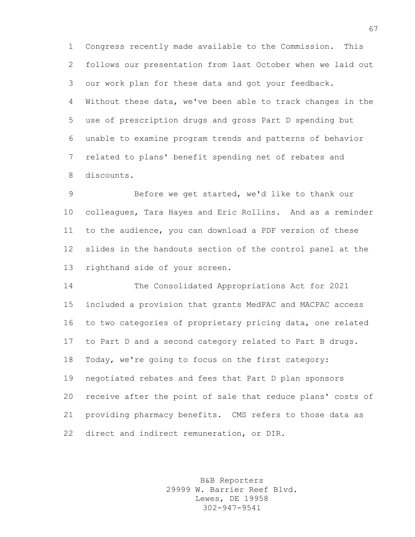Congress recently made available to the Commission. This follows our presentation from last October when we laid out our work plan for these data and got your feedback. Without these data, we've been able to track changes in the use of prescription drugs and gross Part D spending but unable to examine program trends and patterns of behavior related to plans' benefit spending net of rebates and discounts.

 Before we get started, we'd like to thank our colleagues, Tara Hayes and Eric Rollins. And as a reminder to the audience, you can download a PDF version of these slides in the handouts section of the control panel at the righthand side of your screen.

 The Consolidated Appropriations Act for 2021 included a provision that grants MedPAC and MACPAC access to two categories of proprietary pricing data, one related to Part D and a second category related to Part B drugs. Today, we're going to focus on the first category: negotiated rebates and fees that Part D plan sponsors receive after the point of sale that reduce plans' costs of providing pharmacy benefits. CMS refers to those data as direct and indirect remuneration, or DIR.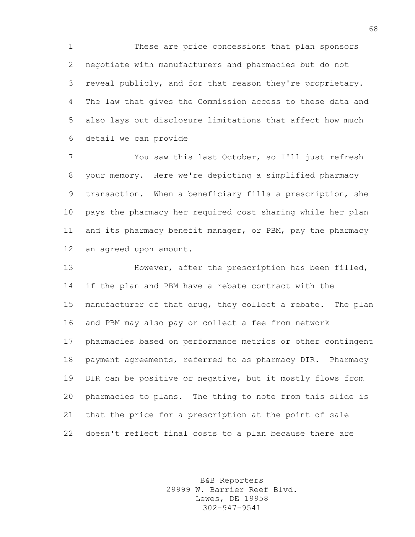These are price concessions that plan sponsors negotiate with manufacturers and pharmacies but do not reveal publicly, and for that reason they're proprietary. The law that gives the Commission access to these data and also lays out disclosure limitations that affect how much detail we can provide

 You saw this last October, so I'll just refresh your memory. Here we're depicting a simplified pharmacy transaction. When a beneficiary fills a prescription, she pays the pharmacy her required cost sharing while her plan 11 and its pharmacy benefit manager, or PBM, pay the pharmacy an agreed upon amount.

 However, after the prescription has been filled, if the plan and PBM have a rebate contract with the manufacturer of that drug, they collect a rebate. The plan and PBM may also pay or collect a fee from network pharmacies based on performance metrics or other contingent payment agreements, referred to as pharmacy DIR. Pharmacy DIR can be positive or negative, but it mostly flows from pharmacies to plans. The thing to note from this slide is that the price for a prescription at the point of sale doesn't reflect final costs to a plan because there are

> B&B Reporters 29999 W. Barrier Reef Blvd. Lewes, DE 19958 302-947-9541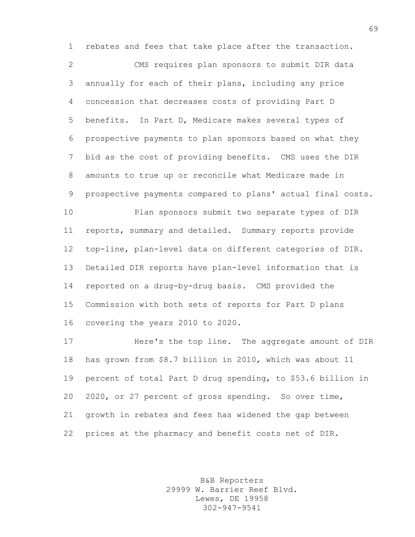rebates and fees that take place after the transaction.

 CMS requires plan sponsors to submit DIR data annually for each of their plans, including any price concession that decreases costs of providing Part D benefits. In Part D, Medicare makes several types of prospective payments to plan sponsors based on what they bid as the cost of providing benefits. CMS uses the DIR amounts to true up or reconcile what Medicare made in prospective payments compared to plans' actual final costs.

 Plan sponsors submit two separate types of DIR reports, summary and detailed. Summary reports provide top-line, plan-level data on different categories of DIR. Detailed DIR reports have plan-level information that is reported on a drug-by-drug basis. CMS provided the Commission with both sets of reports for Part D plans covering the years 2010 to 2020.

 Here's the top line. The aggregate amount of DIR has grown from \$8.7 billion in 2010, which was about 11 percent of total Part D drug spending, to \$53.6 billion in 2020, or 27 percent of gross spending. So over time, growth in rebates and fees has widened the gap between prices at the pharmacy and benefit costs net of DIR.

> B&B Reporters 29999 W. Barrier Reef Blvd. Lewes, DE 19958 302-947-9541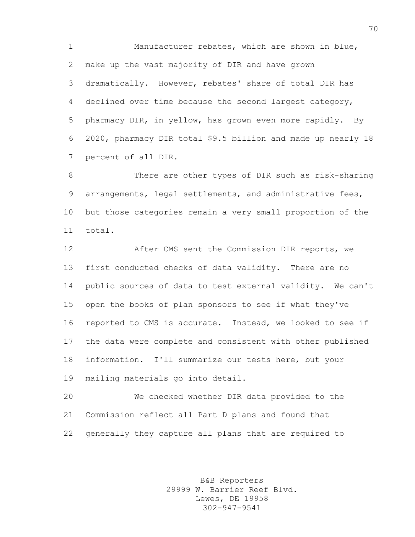Manufacturer rebates, which are shown in blue, make up the vast majority of DIR and have grown dramatically. However, rebates' share of total DIR has declined over time because the second largest category, pharmacy DIR, in yellow, has grown even more rapidly. By 2020, pharmacy DIR total \$9.5 billion and made up nearly 18 percent of all DIR.

 There are other types of DIR such as risk-sharing arrangements, legal settlements, and administrative fees, but those categories remain a very small proportion of the total.

**After CMS** sent the Commission DIR reports, we first conducted checks of data validity. There are no public sources of data to test external validity. We can't open the books of plan sponsors to see if what they've reported to CMS is accurate. Instead, we looked to see if the data were complete and consistent with other published information. I'll summarize our tests here, but your mailing materials go into detail.

 We checked whether DIR data provided to the Commission reflect all Part D plans and found that generally they capture all plans that are required to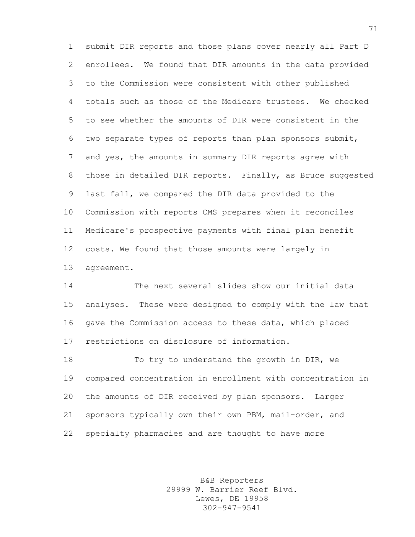submit DIR reports and those plans cover nearly all Part D enrollees. We found that DIR amounts in the data provided to the Commission were consistent with other published totals such as those of the Medicare trustees. We checked to see whether the amounts of DIR were consistent in the two separate types of reports than plan sponsors submit, and yes, the amounts in summary DIR reports agree with 8 those in detailed DIR reports. Finally, as Bruce suggested last fall, we compared the DIR data provided to the Commission with reports CMS prepares when it reconciles Medicare's prospective payments with final plan benefit costs. We found that those amounts were largely in agreement.

 The next several slides show our initial data analyses. These were designed to comply with the law that gave the Commission access to these data, which placed restrictions on disclosure of information.

18 To try to understand the growth in DIR, we compared concentration in enrollment with concentration in the amounts of DIR received by plan sponsors. Larger sponsors typically own their own PBM, mail-order, and specialty pharmacies and are thought to have more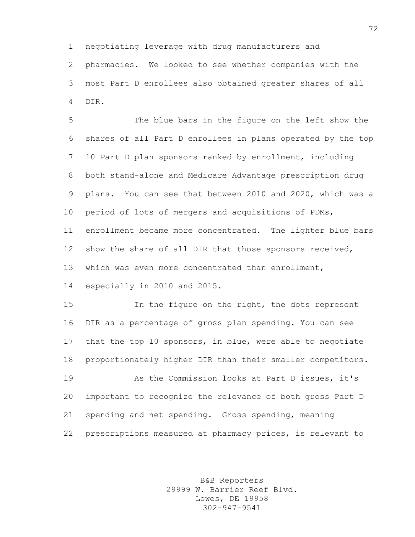negotiating leverage with drug manufacturers and

 pharmacies. We looked to see whether companies with the most Part D enrollees also obtained greater shares of all DIR.

 The blue bars in the figure on the left show the shares of all Part D enrollees in plans operated by the top 10 Part D plan sponsors ranked by enrollment, including both stand-alone and Medicare Advantage prescription drug plans. You can see that between 2010 and 2020, which was a period of lots of mergers and acquisitions of PDMs, enrollment became more concentrated. The lighter blue bars show the share of all DIR that those sponsors received, which was even more concentrated than enrollment, especially in 2010 and 2015.

 In the figure on the right, the dots represent DIR as a percentage of gross plan spending. You can see that the top 10 sponsors, in blue, were able to negotiate proportionately higher DIR than their smaller competitors.

 As the Commission looks at Part D issues, it's important to recognize the relevance of both gross Part D spending and net spending. Gross spending, meaning prescriptions measured at pharmacy prices, is relevant to

> B&B Reporters 29999 W. Barrier Reef Blvd. Lewes, DE 19958 302-947-9541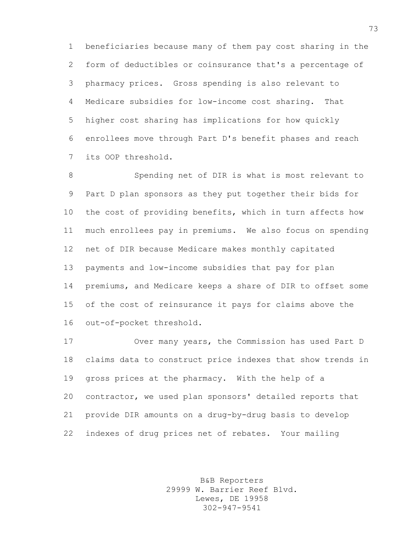beneficiaries because many of them pay cost sharing in the form of deductibles or coinsurance that's a percentage of pharmacy prices. Gross spending is also relevant to Medicare subsidies for low-income cost sharing. That higher cost sharing has implications for how quickly enrollees move through Part D's benefit phases and reach its OOP threshold.

 Spending net of DIR is what is most relevant to Part D plan sponsors as they put together their bids for the cost of providing benefits, which in turn affects how much enrollees pay in premiums. We also focus on spending net of DIR because Medicare makes monthly capitated payments and low-income subsidies that pay for plan premiums, and Medicare keeps a share of DIR to offset some of the cost of reinsurance it pays for claims above the out-of-pocket threshold.

 Over many years, the Commission has used Part D claims data to construct price indexes that show trends in gross prices at the pharmacy. With the help of a contractor, we used plan sponsors' detailed reports that provide DIR amounts on a drug-by-drug basis to develop indexes of drug prices net of rebates. Your mailing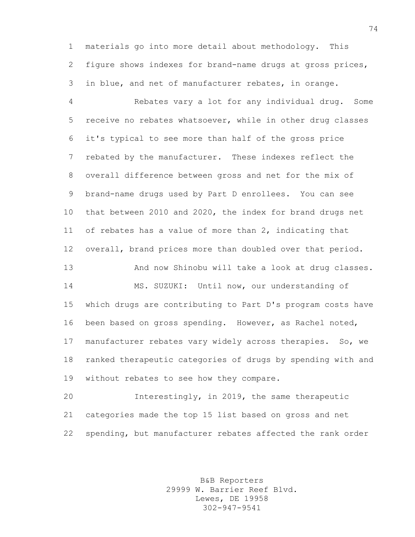materials go into more detail about methodology. This figure shows indexes for brand-name drugs at gross prices, in blue, and net of manufacturer rebates, in orange.

 Rebates vary a lot for any individual drug. Some receive no rebates whatsoever, while in other drug classes it's typical to see more than half of the gross price rebated by the manufacturer. These indexes reflect the overall difference between gross and net for the mix of brand-name drugs used by Part D enrollees. You can see that between 2010 and 2020, the index for brand drugs net of rebates has a value of more than 2, indicating that overall, brand prices more than doubled over that period. And now Shinobu will take a look at drug classes. MS. SUZUKI: Until now, our understanding of which drugs are contributing to Part D's program costs have

 been based on gross spending. However, as Rachel noted, manufacturer rebates vary widely across therapies. So, we ranked therapeutic categories of drugs by spending with and 19 without rebates to see how they compare.

 Interestingly, in 2019, the same therapeutic categories made the top 15 list based on gross and net spending, but manufacturer rebates affected the rank order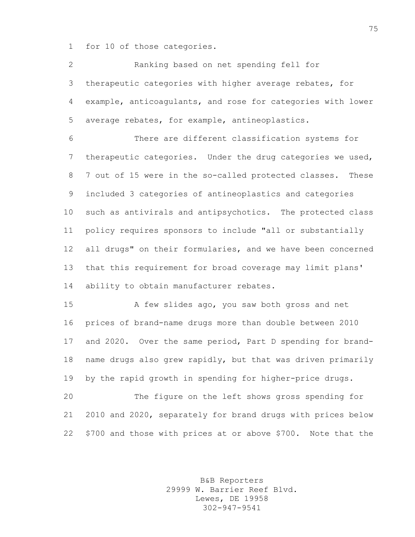for 10 of those categories.

 Ranking based on net spending fell for therapeutic categories with higher average rebates, for example, anticoagulants, and rose for categories with lower average rebates, for example, antineoplastics.

 There are different classification systems for therapeutic categories. Under the drug categories we used, 7 out of 15 were in the so-called protected classes. These included 3 categories of antineoplastics and categories such as antivirals and antipsychotics. The protected class policy requires sponsors to include "all or substantially all drugs" on their formularies, and we have been concerned that this requirement for broad coverage may limit plans' 14 ability to obtain manufacturer rebates.

 A few slides ago, you saw both gross and net prices of brand-name drugs more than double between 2010 and 2020. Over the same period, Part D spending for brand- name drugs also grew rapidly, but that was driven primarily by the rapid growth in spending for higher-price drugs.

 The figure on the left shows gross spending for 2010 and 2020, separately for brand drugs with prices below \$700 and those with prices at or above \$700. Note that the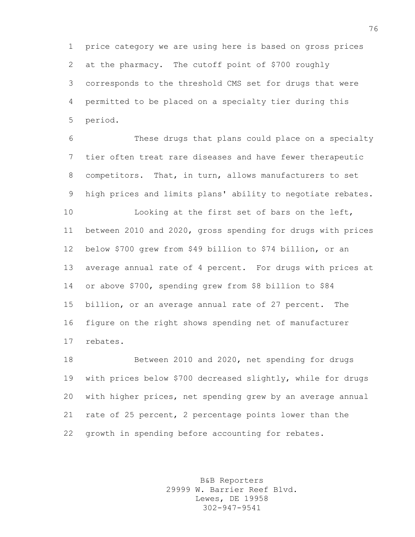price category we are using here is based on gross prices at the pharmacy. The cutoff point of \$700 roughly corresponds to the threshold CMS set for drugs that were permitted to be placed on a specialty tier during this period.

 These drugs that plans could place on a specialty tier often treat rare diseases and have fewer therapeutic competitors. That, in turn, allows manufacturers to set high prices and limits plans' ability to negotiate rebates. Looking at the first set of bars on the left, between 2010 and 2020, gross spending for drugs with prices below \$700 grew from \$49 billion to \$74 billion, or an average annual rate of 4 percent. For drugs with prices at or above \$700, spending grew from \$8 billion to \$84 billion, or an average annual rate of 27 percent. The figure on the right shows spending net of manufacturer rebates.

 Between 2010 and 2020, net spending for drugs with prices below \$700 decreased slightly, while for drugs with higher prices, net spending grew by an average annual rate of 25 percent, 2 percentage points lower than the growth in spending before accounting for rebates.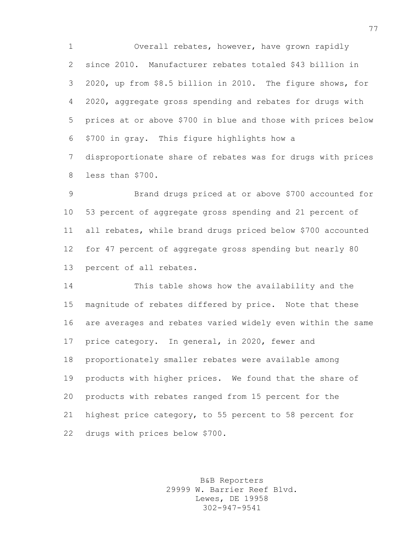Overall rebates, however, have grown rapidly since 2010. Manufacturer rebates totaled \$43 billion in 2020, up from \$8.5 billion in 2010. The figure shows, for 2020, aggregate gross spending and rebates for drugs with prices at or above \$700 in blue and those with prices below \$700 in gray. This figure highlights how a disproportionate share of rebates was for drugs with prices less than \$700.

 Brand drugs priced at or above \$700 accounted for 53 percent of aggregate gross spending and 21 percent of all rebates, while brand drugs priced below \$700 accounted for 47 percent of aggregate gross spending but nearly 80 percent of all rebates.

 This table shows how the availability and the magnitude of rebates differed by price. Note that these are averages and rebates varied widely even within the same price category. In general, in 2020, fewer and proportionately smaller rebates were available among products with higher prices. We found that the share of products with rebates ranged from 15 percent for the highest price category, to 55 percent to 58 percent for drugs with prices below \$700.

> B&B Reporters 29999 W. Barrier Reef Blvd. Lewes, DE 19958 302-947-9541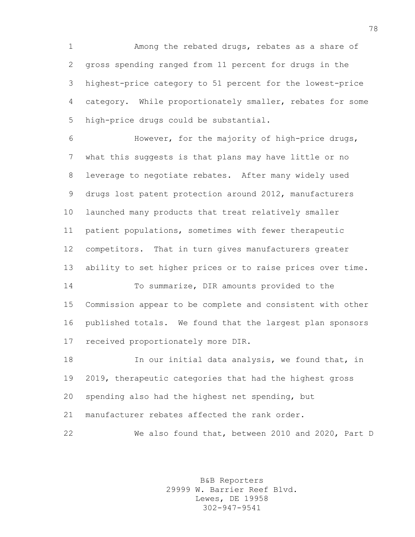Among the rebated drugs, rebates as a share of gross spending ranged from 11 percent for drugs in the highest-price category to 51 percent for the lowest-price category. While proportionately smaller, rebates for some high-price drugs could be substantial.

 However, for the majority of high-price drugs, what this suggests is that plans may have little or no leverage to negotiate rebates. After many widely used drugs lost patent protection around 2012, manufacturers launched many products that treat relatively smaller patient populations, sometimes with fewer therapeutic competitors. That in turn gives manufacturers greater ability to set higher prices or to raise prices over time.

 To summarize, DIR amounts provided to the Commission appear to be complete and consistent with other published totals. We found that the largest plan sponsors received proportionately more DIR.

**In our initial data analysis, we found that, in**  2019, therapeutic categories that had the highest gross spending also had the highest net spending, but manufacturer rebates affected the rank order.

We also found that, between 2010 and 2020, Part D

B&B Reporters 29999 W. Barrier Reef Blvd. Lewes, DE 19958 302-947-9541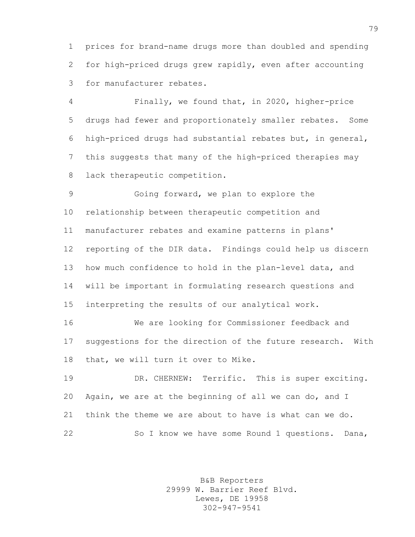prices for brand-name drugs more than doubled and spending for high-priced drugs grew rapidly, even after accounting for manufacturer rebates.

 Finally, we found that, in 2020, higher-price drugs had fewer and proportionately smaller rebates. Some high-priced drugs had substantial rebates but, in general, this suggests that many of the high-priced therapies may lack therapeutic competition.

 Going forward, we plan to explore the relationship between therapeutic competition and manufacturer rebates and examine patterns in plans' reporting of the DIR data. Findings could help us discern how much confidence to hold in the plan-level data, and will be important in formulating research questions and interpreting the results of our analytical work.

 We are looking for Commissioner feedback and suggestions for the direction of the future research. With that, we will turn it over to Mike.

19 DR. CHERNEW: Terrific. This is super exciting. Again, we are at the beginning of all we can do, and I think the theme we are about to have is what can we do. So I know we have some Round 1 questions. Dana,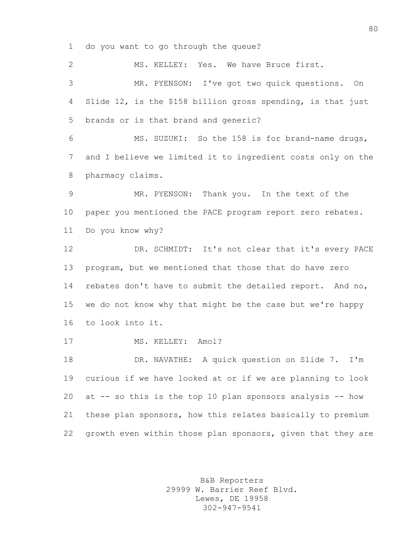do you want to go through the queue?

 MS. KELLEY: Yes. We have Bruce first. MR. PYENSON: I've got two quick questions. On Slide 12, is the \$158 billion gross spending, is that just brands or is that brand and generic? MS. SUZUKI: So the 158 is for brand-name drugs, and I believe we limited it to ingredient costs only on the pharmacy claims. MR. PYENSON: Thank you. In the text of the paper you mentioned the PACE program report zero rebates. Do you know why? DR. SCHMIDT: It's not clear that it's every PACE program, but we mentioned that those that do have zero rebates don't have to submit the detailed report. And no, we do not know why that might be the case but we're happy to look into it. 17 MS. KELLEY: Amol? DR. NAVATHE: A quick question on Slide 7. I'm curious if we have looked at or if we are planning to look at -- so this is the top 10 plan sponsors analysis -- how these plan sponsors, how this relates basically to premium growth even within those plan sponsors, given that they are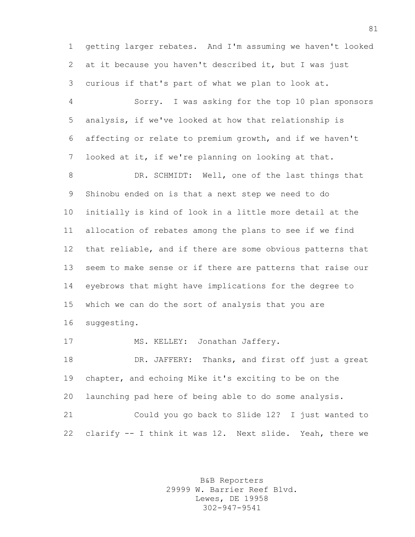getting larger rebates. And I'm assuming we haven't looked at it because you haven't described it, but I was just curious if that's part of what we plan to look at.

 Sorry. I was asking for the top 10 plan sponsors analysis, if we've looked at how that relationship is affecting or relate to premium growth, and if we haven't looked at it, if we're planning on looking at that.

8 DR. SCHMIDT: Well, one of the last things that Shinobu ended on is that a next step we need to do initially is kind of look in a little more detail at the allocation of rebates among the plans to see if we find that reliable, and if there are some obvious patterns that seem to make sense or if there are patterns that raise our eyebrows that might have implications for the degree to which we can do the sort of analysis that you are suggesting.

17 MS. KELLEY: Jonathan Jaffery.

18 DR. JAFFERY: Thanks, and first off just a great chapter, and echoing Mike it's exciting to be on the launching pad here of being able to do some analysis. Could you go back to Slide 12? I just wanted to

clarify -- I think it was 12. Next slide. Yeah, there we

B&B Reporters 29999 W. Barrier Reef Blvd. Lewes, DE 19958 302-947-9541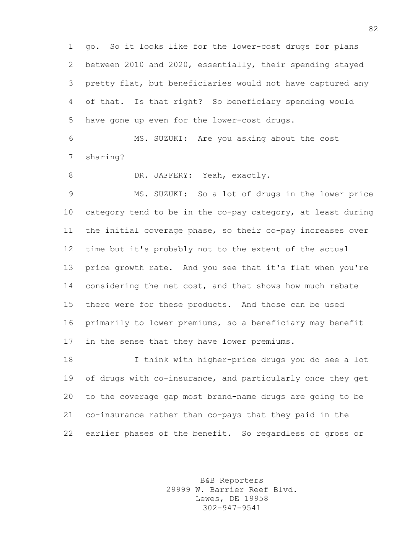go. So it looks like for the lower-cost drugs for plans between 2010 and 2020, essentially, their spending stayed pretty flat, but beneficiaries would not have captured any of that. Is that right? So beneficiary spending would have gone up even for the lower-cost drugs.

 MS. SUZUKI: Are you asking about the cost sharing?

8 DR. JAFFERY: Yeah, exactly.

 MS. SUZUKI: So a lot of drugs in the lower price category tend to be in the co-pay category, at least during the initial coverage phase, so their co-pay increases over time but it's probably not to the extent of the actual price growth rate. And you see that it's flat when you're considering the net cost, and that shows how much rebate there were for these products. And those can be used primarily to lower premiums, so a beneficiary may benefit in the sense that they have lower premiums.

 I think with higher-price drugs you do see a lot of drugs with co-insurance, and particularly once they get to the coverage gap most brand-name drugs are going to be co-insurance rather than co-pays that they paid in the earlier phases of the benefit. So regardless of gross or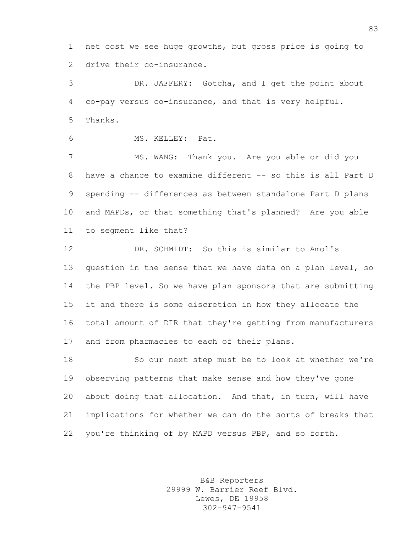net cost we see huge growths, but gross price is going to drive their co-insurance.

 DR. JAFFERY: Gotcha, and I get the point about co-pay versus co-insurance, and that is very helpful. Thanks.

MS. KELLEY: Pat.

 MS. WANG: Thank you. Are you able or did you have a chance to examine different -- so this is all Part D spending -- differences as between standalone Part D plans and MAPDs, or that something that's planned? Are you able to segment like that?

 DR. SCHMIDT: So this is similar to Amol's 13 question in the sense that we have data on a plan level, so the PBP level. So we have plan sponsors that are submitting it and there is some discretion in how they allocate the total amount of DIR that they're getting from manufacturers and from pharmacies to each of their plans.

 So our next step must be to look at whether we're observing patterns that make sense and how they've gone about doing that allocation. And that, in turn, will have implications for whether we can do the sorts of breaks that you're thinking of by MAPD versus PBP, and so forth.

> B&B Reporters 29999 W. Barrier Reef Blvd. Lewes, DE 19958 302-947-9541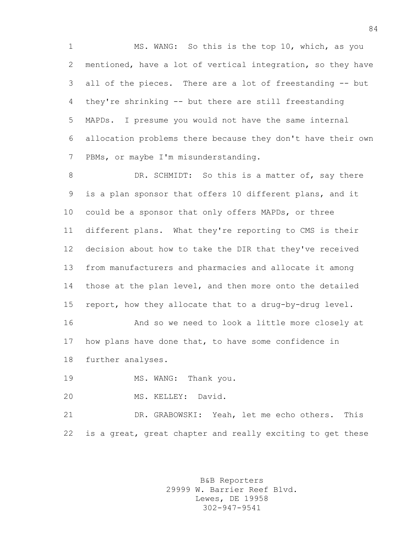MS. WANG: So this is the top 10, which, as you mentioned, have a lot of vertical integration, so they have all of the pieces. There are a lot of freestanding -- but they're shrinking -- but there are still freestanding MAPDs. I presume you would not have the same internal allocation problems there because they don't have their own PBMs, or maybe I'm misunderstanding.

8 DR. SCHMIDT: So this is a matter of, say there is a plan sponsor that offers 10 different plans, and it could be a sponsor that only offers MAPDs, or three different plans. What they're reporting to CMS is their decision about how to take the DIR that they've received from manufacturers and pharmacies and allocate it among those at the plan level, and then more onto the detailed report, how they allocate that to a drug-by-drug level.

 And so we need to look a little more closely at how plans have done that, to have some confidence in further analyses.

19 MS. WANG: Thank you.

MS. KELLEY: David.

 DR. GRABOWSKI: Yeah, let me echo others. This is a great, great chapter and really exciting to get these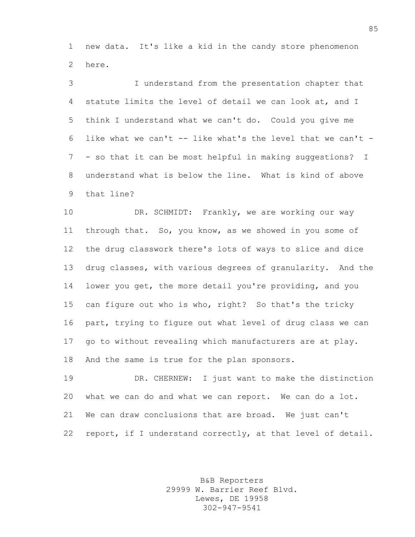new data. It's like a kid in the candy store phenomenon here.

 I understand from the presentation chapter that statute limits the level of detail we can look at, and I think I understand what we can't do. Could you give me 6 like what we can't  $-$  like what's the level that we can't  $-$  - so that it can be most helpful in making suggestions? I understand what is below the line. What is kind of above that line?

10 DR. SCHMIDT: Frankly, we are working our way through that. So, you know, as we showed in you some of the drug classwork there's lots of ways to slice and dice drug classes, with various degrees of granularity. And the lower you get, the more detail you're providing, and you can figure out who is who, right? So that's the tricky part, trying to figure out what level of drug class we can go to without revealing which manufacturers are at play. And the same is true for the plan sponsors.

 DR. CHERNEW: I just want to make the distinction what we can do and what we can report. We can do a lot. We can draw conclusions that are broad. We just can't report, if I understand correctly, at that level of detail.

> B&B Reporters 29999 W. Barrier Reef Blvd. Lewes, DE 19958 302-947-9541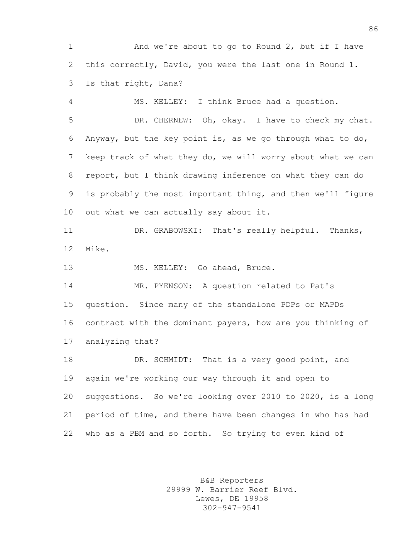And we're about to go to Round 2, but if I have this correctly, David, you were the last one in Round 1. Is that right, Dana?

 MS. KELLEY: I think Bruce had a question. DR. CHERNEW: Oh, okay. I have to check my chat. Anyway, but the key point is, as we go through what to do, keep track of what they do, we will worry about what we can report, but I think drawing inference on what they can do is probably the most important thing, and then we'll figure out what we can actually say about it.

 DR. GRABOWSKI: That's really helpful. Thanks, Mike.

MS. KELLEY: Go ahead, Bruce.

 MR. PYENSON: A question related to Pat's question. Since many of the standalone PDPs or MAPDs contract with the dominant payers, how are you thinking of analyzing that?

 DR. SCHMIDT: That is a very good point, and again we're working our way through it and open to suggestions. So we're looking over 2010 to 2020, is a long period of time, and there have been changes in who has had who as a PBM and so forth. So trying to even kind of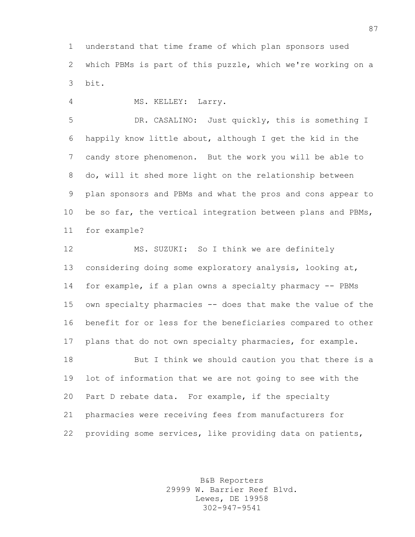understand that time frame of which plan sponsors used which PBMs is part of this puzzle, which we're working on a bit.

MS. KELLEY: Larry.

 DR. CASALINO: Just quickly, this is something I happily know little about, although I get the kid in the candy store phenomenon. But the work you will be able to do, will it shed more light on the relationship between plan sponsors and PBMs and what the pros and cons appear to 10 be so far, the vertical integration between plans and PBMs, for example?

 MS. SUZUKI: So I think we are definitely considering doing some exploratory analysis, looking at, for example, if a plan owns a specialty pharmacy -- PBMs own specialty pharmacies -- does that make the value of the benefit for or less for the beneficiaries compared to other plans that do not own specialty pharmacies, for example. But I think we should caution you that there is a lot of information that we are not going to see with the Part D rebate data. For example, if the specialty pharmacies were receiving fees from manufacturers for

providing some services, like providing data on patients,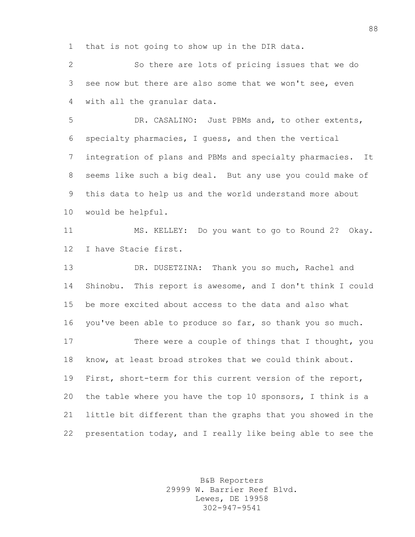that is not going to show up in the DIR data.

 So there are lots of pricing issues that we do see now but there are also some that we won't see, even with all the granular data.

 DR. CASALINO: Just PBMs and, to other extents, specialty pharmacies, I guess, and then the vertical integration of plans and PBMs and specialty pharmacies. It seems like such a big deal. But any use you could make of this data to help us and the world understand more about would be helpful.

 MS. KELLEY: Do you want to go to Round 2? Okay. I have Stacie first.

 DR. DUSETZINA: Thank you so much, Rachel and Shinobu. This report is awesome, and I don't think I could be more excited about access to the data and also what you've been able to produce so far, so thank you so much. There were a couple of things that I thought, you know, at least broad strokes that we could think about. First, short-term for this current version of the report, the table where you have the top 10 sponsors, I think is a little bit different than the graphs that you showed in the presentation today, and I really like being able to see the

> B&B Reporters 29999 W. Barrier Reef Blvd. Lewes, DE 19958 302-947-9541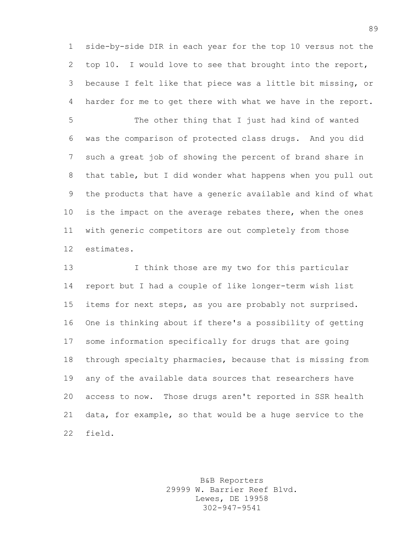side-by-side DIR in each year for the top 10 versus not the top 10. I would love to see that brought into the report, because I felt like that piece was a little bit missing, or harder for me to get there with what we have in the report.

 The other thing that I just had kind of wanted was the comparison of protected class drugs. And you did such a great job of showing the percent of brand share in that table, but I did wonder what happens when you pull out the products that have a generic available and kind of what 10 is the impact on the average rebates there, when the ones with generic competitors are out completely from those estimates.

 I think those are my two for this particular report but I had a couple of like longer-term wish list items for next steps, as you are probably not surprised. One is thinking about if there's a possibility of getting some information specifically for drugs that are going through specialty pharmacies, because that is missing from any of the available data sources that researchers have access to now. Those drugs aren't reported in SSR health data, for example, so that would be a huge service to the field.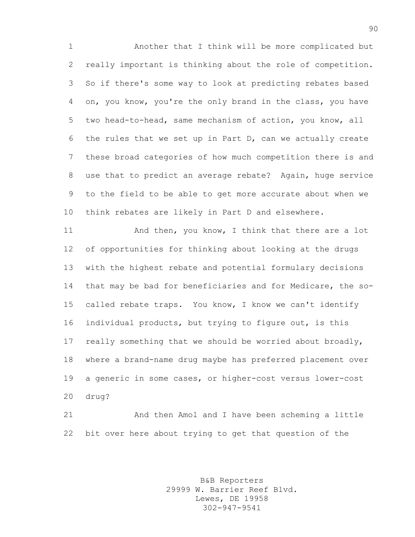Another that I think will be more complicated but really important is thinking about the role of competition. So if there's some way to look at predicting rebates based on, you know, you're the only brand in the class, you have two head-to-head, same mechanism of action, you know, all the rules that we set up in Part D, can we actually create these broad categories of how much competition there is and use that to predict an average rebate? Again, huge service to the field to be able to get more accurate about when we think rebates are likely in Part D and elsewhere.

11 And then, you know, I think that there are a lot of opportunities for thinking about looking at the drugs with the highest rebate and potential formulary decisions that may be bad for beneficiaries and for Medicare, the so- called rebate traps. You know, I know we can't identify individual products, but trying to figure out, is this really something that we should be worried about broadly, where a brand-name drug maybe has preferred placement over a generic in some cases, or higher-cost versus lower-cost drug?

 And then Amol and I have been scheming a little bit over here about trying to get that question of the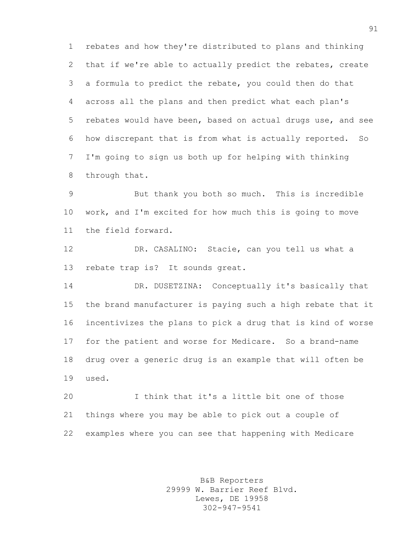rebates and how they're distributed to plans and thinking that if we're able to actually predict the rebates, create a formula to predict the rebate, you could then do that across all the plans and then predict what each plan's rebates would have been, based on actual drugs use, and see how discrepant that is from what is actually reported. So I'm going to sign us both up for helping with thinking through that.

 But thank you both so much. This is incredible work, and I'm excited for how much this is going to move the field forward.

 DR. CASALINO: Stacie, can you tell us what a rebate trap is? It sounds great.

 DR. DUSETZINA: Conceptually it's basically that the brand manufacturer is paying such a high rebate that it incentivizes the plans to pick a drug that is kind of worse for the patient and worse for Medicare. So a brand-name drug over a generic drug is an example that will often be used.

 I think that it's a little bit one of those things where you may be able to pick out a couple of examples where you can see that happening with Medicare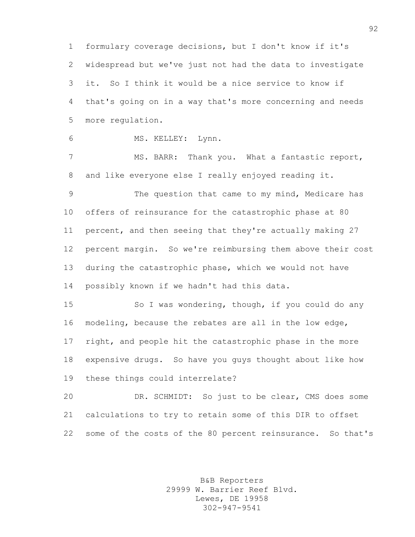formulary coverage decisions, but I don't know if it's widespread but we've just not had the data to investigate it. So I think it would be a nice service to know if that's going on in a way that's more concerning and needs more regulation.

MS. KELLEY: Lynn.

7 MS. BARR: Thank you. What a fantastic report, and like everyone else I really enjoyed reading it.

 The question that came to my mind, Medicare has offers of reinsurance for the catastrophic phase at 80 percent, and then seeing that they're actually making 27 percent margin. So we're reimbursing them above their cost during the catastrophic phase, which we would not have possibly known if we hadn't had this data.

 So I was wondering, though, if you could do any modeling, because the rebates are all in the low edge, right, and people hit the catastrophic phase in the more expensive drugs. So have you guys thought about like how these things could interrelate?

 DR. SCHMIDT: So just to be clear, CMS does some calculations to try to retain some of this DIR to offset some of the costs of the 80 percent reinsurance. So that's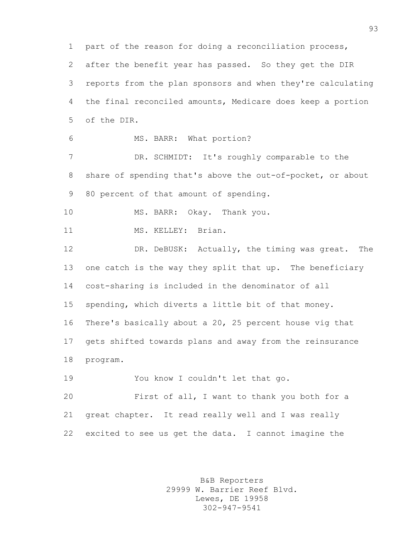part of the reason for doing a reconciliation process, after the benefit year has passed. So they get the DIR reports from the plan sponsors and when they're calculating the final reconciled amounts, Medicare does keep a portion of the DIR. MS. BARR: What portion? DR. SCHMIDT: It's roughly comparable to the share of spending that's above the out-of-pocket, or about 80 percent of that amount of spending. 10 MS. BARR: Okay. Thank you. 11 MS. KELLEY: Brian. DR. DeBUSK: Actually, the timing was great. The one catch is the way they split that up. The beneficiary cost-sharing is included in the denominator of all spending, which diverts a little bit of that money. There's basically about a 20, 25 percent house vig that gets shifted towards plans and away from the reinsurance program. You know I couldn't let that go. First of all, I want to thank you both for a great chapter. It read really well and I was really excited to see us get the data. I cannot imagine the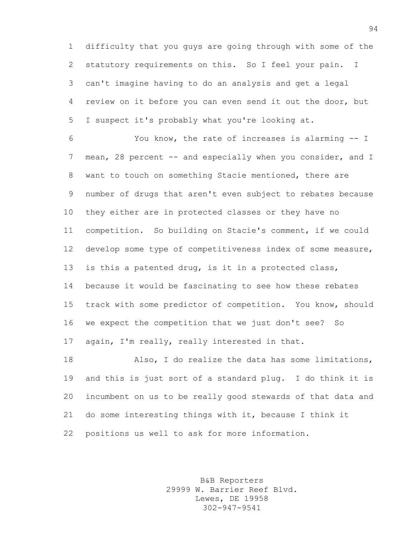difficulty that you guys are going through with some of the statutory requirements on this. So I feel your pain. I can't imagine having to do an analysis and get a legal review on it before you can even send it out the door, but I suspect it's probably what you're looking at.

 You know, the rate of increases is alarming -- I 7 mean, 28 percent -- and especially when you consider, and I want to touch on something Stacie mentioned, there are number of drugs that aren't even subject to rebates because they either are in protected classes or they have no competition. So building on Stacie's comment, if we could develop some type of competitiveness index of some measure, is this a patented drug, is it in a protected class, because it would be fascinating to see how these rebates track with some predictor of competition. You know, should we expect the competition that we just don't see? So again, I'm really, really interested in that.

 Also, I do realize the data has some limitations, and this is just sort of a standard plug. I do think it is incumbent on us to be really good stewards of that data and do some interesting things with it, because I think it positions us well to ask for more information.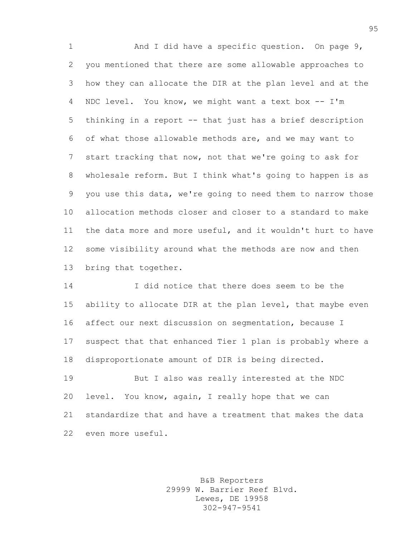1 And I did have a specific question. On page 9, you mentioned that there are some allowable approaches to how they can allocate the DIR at the plan level and at the NDC level. You know, we might want a text box -- I'm thinking in a report -- that just has a brief description of what those allowable methods are, and we may want to start tracking that now, not that we're going to ask for wholesale reform. But I think what's going to happen is as you use this data, we're going to need them to narrow those allocation methods closer and closer to a standard to make the data more and more useful, and it wouldn't hurt to have some visibility around what the methods are now and then bring that together.

 I did notice that there does seem to be the ability to allocate DIR at the plan level, that maybe even affect our next discussion on segmentation, because I suspect that that enhanced Tier 1 plan is probably where a disproportionate amount of DIR is being directed.

 But I also was really interested at the NDC level. You know, again, I really hope that we can standardize that and have a treatment that makes the data even more useful.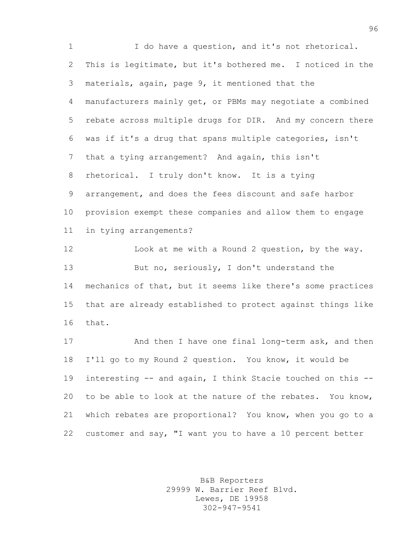1 I do have a question, and it's not rhetorical. This is legitimate, but it's bothered me. I noticed in the materials, again, page 9, it mentioned that the manufacturers mainly get, or PBMs may negotiate a combined rebate across multiple drugs for DIR. And my concern there was if it's a drug that spans multiple categories, isn't that a tying arrangement? And again, this isn't rhetorical. I truly don't know. It is a tying arrangement, and does the fees discount and safe harbor provision exempt these companies and allow them to engage in tying arrangements? Look at me with a Round 2 question, by the way. 13 But no, seriously, I don't understand the mechanics of that, but it seems like there's some practices that are already established to protect against things like

that.

17 And then I have one final long-term ask, and then I'll go to my Round 2 question. You know, it would be interesting -- and again, I think Stacie touched on this -- to be able to look at the nature of the rebates. You know, which rebates are proportional? You know, when you go to a customer and say, "I want you to have a 10 percent better

> B&B Reporters 29999 W. Barrier Reef Blvd. Lewes, DE 19958 302-947-9541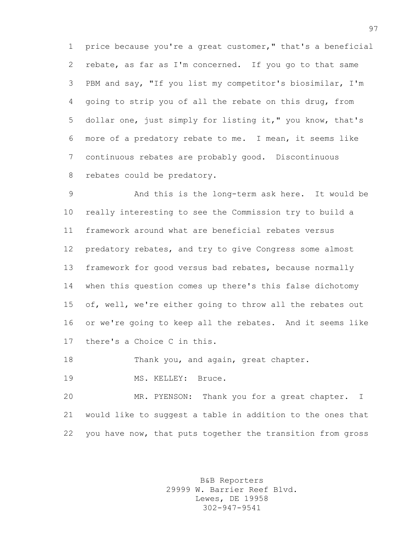price because you're a great customer," that's a beneficial rebate, as far as I'm concerned. If you go to that same PBM and say, "If you list my competitor's biosimilar, I'm going to strip you of all the rebate on this drug, from dollar one, just simply for listing it," you know, that's more of a predatory rebate to me. I mean, it seems like continuous rebates are probably good. Discontinuous rebates could be predatory.

 And this is the long-term ask here. It would be really interesting to see the Commission try to build a framework around what are beneficial rebates versus predatory rebates, and try to give Congress some almost framework for good versus bad rebates, because normally when this question comes up there's this false dichotomy of, well, we're either going to throw all the rebates out or we're going to keep all the rebates. And it seems like there's a Choice C in this.

18 Thank you, and again, great chapter.

19 MS. KELLEY: Bruce.

 MR. PYENSON: Thank you for a great chapter. I would like to suggest a table in addition to the ones that you have now, that puts together the transition from gross

> B&B Reporters 29999 W. Barrier Reef Blvd. Lewes, DE 19958 302-947-9541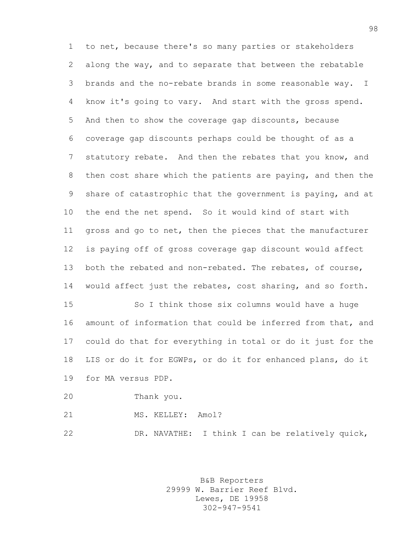to net, because there's so many parties or stakeholders along the way, and to separate that between the rebatable brands and the no-rebate brands in some reasonable way. I know it's going to vary. And start with the gross spend. And then to show the coverage gap discounts, because coverage gap discounts perhaps could be thought of as a statutory rebate. And then the rebates that you know, and then cost share which the patients are paying, and then the share of catastrophic that the government is paying, and at the end the net spend. So it would kind of start with gross and go to net, then the pieces that the manufacturer is paying off of gross coverage gap discount would affect both the rebated and non-rebated. The rebates, of course, would affect just the rebates, cost sharing, and so forth. So I think those six columns would have a huge

 amount of information that could be inferred from that, and could do that for everything in total or do it just for the LIS or do it for EGWPs, or do it for enhanced plans, do it for MA versus PDP.

- Thank you.
- 21 MS. KELLEY: Amol?

DR. NAVATHE: I think I can be relatively quick,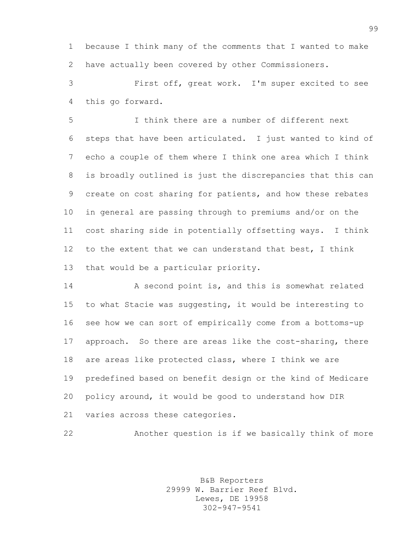because I think many of the comments that I wanted to make have actually been covered by other Commissioners.

 First off, great work. I'm super excited to see this go forward.

 I think there are a number of different next steps that have been articulated. I just wanted to kind of echo a couple of them where I think one area which I think is broadly outlined is just the discrepancies that this can create on cost sharing for patients, and how these rebates in general are passing through to premiums and/or on the cost sharing side in potentially offsetting ways. I think to the extent that we can understand that best, I think that would be a particular priority.

 A second point is, and this is somewhat related to what Stacie was suggesting, it would be interesting to see how we can sort of empirically come from a bottoms-up approach. So there are areas like the cost-sharing, there are areas like protected class, where I think we are predefined based on benefit design or the kind of Medicare policy around, it would be good to understand how DIR varies across these categories.

Another question is if we basically think of more

B&B Reporters 29999 W. Barrier Reef Blvd. Lewes, DE 19958 302-947-9541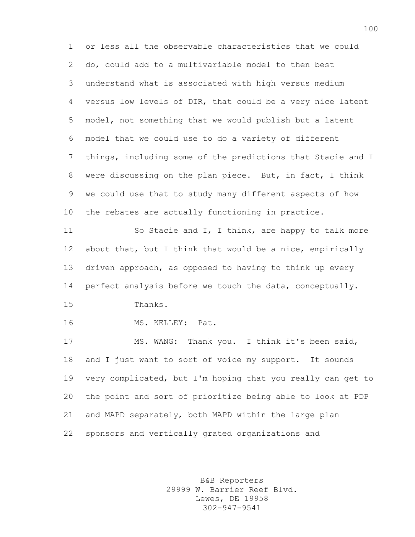or less all the observable characteristics that we could do, could add to a multivariable model to then best understand what is associated with high versus medium versus low levels of DIR, that could be a very nice latent model, not something that we would publish but a latent model that we could use to do a variety of different things, including some of the predictions that Stacie and I were discussing on the plan piece. But, in fact, I think we could use that to study many different aspects of how the rebates are actually functioning in practice. 11 So Stacie and I, I think, are happy to talk more about that, but I think that would be a nice, empirically driven approach, as opposed to having to think up every perfect analysis before we touch the data, conceptually. Thanks. MS. KELLEY: Pat. MS. WANG: Thank you. I think it's been said, and I just want to sort of voice my support. It sounds very complicated, but I'm hoping that you really can get to the point and sort of prioritize being able to look at PDP and MAPD separately, both MAPD within the large plan sponsors and vertically grated organizations and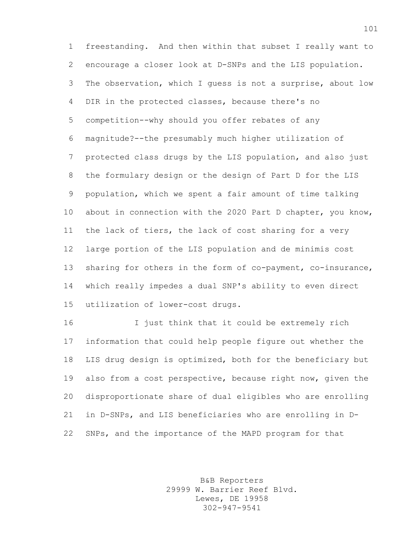freestanding. And then within that subset I really want to encourage a closer look at D-SNPs and the LIS population. The observation, which I guess is not a surprise, about low DIR in the protected classes, because there's no competition--why should you offer rebates of any magnitude?--the presumably much higher utilization of protected class drugs by the LIS population, and also just the formulary design or the design of Part D for the LIS population, which we spent a fair amount of time talking about in connection with the 2020 Part D chapter, you know, the lack of tiers, the lack of cost sharing for a very large portion of the LIS population and de minimis cost 13 sharing for others in the form of co-payment, co-insurance, which really impedes a dual SNP's ability to even direct utilization of lower-cost drugs.

 I just think that it could be extremely rich information that could help people figure out whether the LIS drug design is optimized, both for the beneficiary but also from a cost perspective, because right now, given the disproportionate share of dual eligibles who are enrolling in D-SNPs, and LIS beneficiaries who are enrolling in D-SNPs, and the importance of the MAPD program for that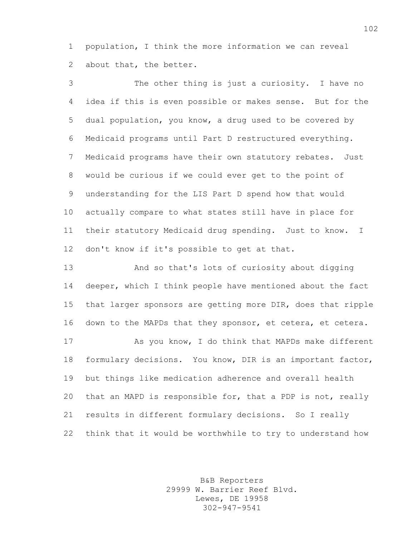population, I think the more information we can reveal about that, the better.

 The other thing is just a curiosity. I have no idea if this is even possible or makes sense. But for the dual population, you know, a drug used to be covered by Medicaid programs until Part D restructured everything. Medicaid programs have their own statutory rebates. Just would be curious if we could ever get to the point of understanding for the LIS Part D spend how that would actually compare to what states still have in place for their statutory Medicaid drug spending. Just to know. I don't know if it's possible to get at that.

 And so that's lots of curiosity about digging deeper, which I think people have mentioned about the fact that larger sponsors are getting more DIR, does that ripple down to the MAPDs that they sponsor, et cetera, et cetera.

 As you know, I do think that MAPDs make different formulary decisions. You know, DIR is an important factor, but things like medication adherence and overall health that an MAPD is responsible for, that a PDP is not, really results in different formulary decisions. So I really think that it would be worthwhile to try to understand how

> B&B Reporters 29999 W. Barrier Reef Blvd. Lewes, DE 19958 302-947-9541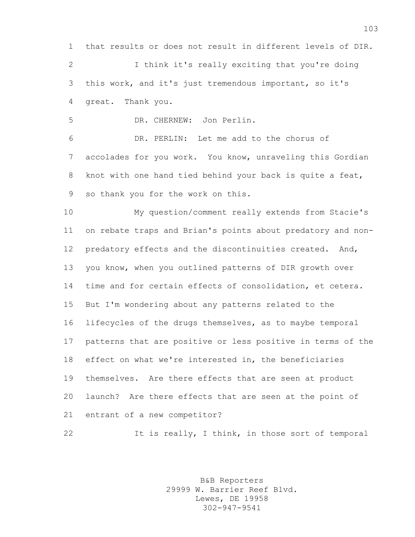that results or does not result in different levels of DIR. I think it's really exciting that you're doing

 this work, and it's just tremendous important, so it's great. Thank you.

DR. CHERNEW: Jon Perlin.

 DR. PERLIN: Let me add to the chorus of accolades for you work. You know, unraveling this Gordian knot with one hand tied behind your back is quite a feat, so thank you for the work on this.

 My question/comment really extends from Stacie's on rebate traps and Brian's points about predatory and non- predatory effects and the discontinuities created. And, you know, when you outlined patterns of DIR growth over time and for certain effects of consolidation, et cetera. But I'm wondering about any patterns related to the lifecycles of the drugs themselves, as to maybe temporal patterns that are positive or less positive in terms of the effect on what we're interested in, the beneficiaries themselves. Are there effects that are seen at product launch? Are there effects that are seen at the point of entrant of a new competitor?

22 It is really, I think, in those sort of temporal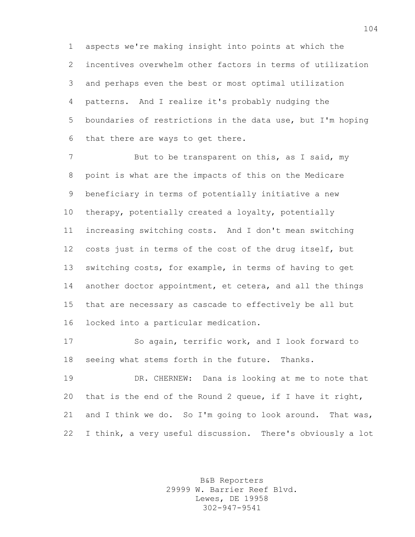aspects we're making insight into points at which the incentives overwhelm other factors in terms of utilization and perhaps even the best or most optimal utilization patterns. And I realize it's probably nudging the boundaries of restrictions in the data use, but I'm hoping that there are ways to get there.

7 But to be transparent on this, as I said, my point is what are the impacts of this on the Medicare beneficiary in terms of potentially initiative a new therapy, potentially created a loyalty, potentially increasing switching costs. And I don't mean switching costs just in terms of the cost of the drug itself, but switching costs, for example, in terms of having to get 14 another doctor appointment, et cetera, and all the things that are necessary as cascade to effectively be all but locked into a particular medication.

 So again, terrific work, and I look forward to seeing what stems forth in the future. Thanks.

 DR. CHERNEW: Dana is looking at me to note that that is the end of the Round 2 queue, if I have it right, 21 and I think we do. So I'm going to look around. That was, I think, a very useful discussion. There's obviously a lot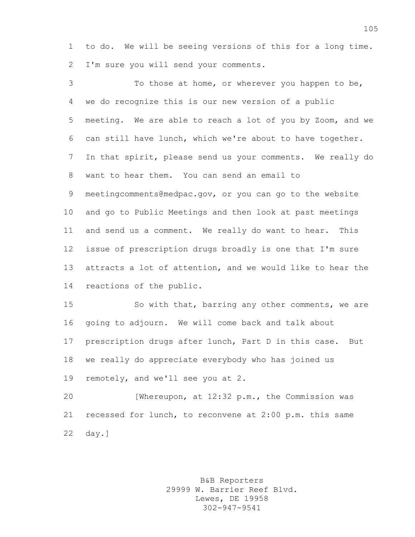to do. We will be seeing versions of this for a long time. I'm sure you will send your comments.

 To those at home, or wherever you happen to be, we do recognize this is our new version of a public meeting. We are able to reach a lot of you by Zoom, and we can still have lunch, which we're about to have together. In that spirit, please send us your comments. We really do want to hear them. You can send an email to meetingcomments@medpac.gov, or you can go to the website and go to Public Meetings and then look at past meetings and send us a comment. We really do want to hear. This issue of prescription drugs broadly is one that I'm sure attracts a lot of attention, and we would like to hear the reactions of the public.

 So with that, barring any other comments, we are going to adjourn. We will come back and talk about prescription drugs after lunch, Part D in this case. But we really do appreciate everybody who has joined us remotely, and we'll see you at 2.

 [Whereupon, at 12:32 p.m., the Commission was recessed for lunch, to reconvene at 2:00 p.m. this same day.]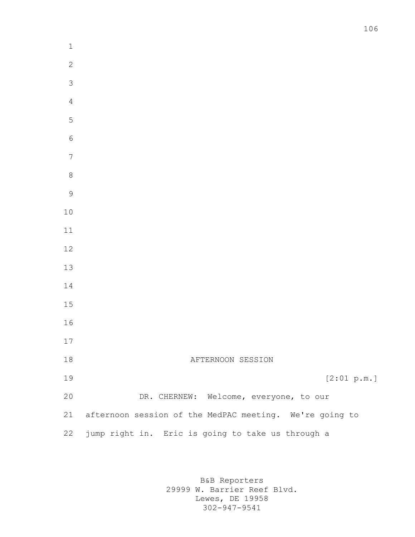| $\mathbf 1$    |                                                         |
|----------------|---------------------------------------------------------|
| $\sqrt{2}$     |                                                         |
| $\overline{3}$ |                                                         |
| $\overline{4}$ |                                                         |
| 5              |                                                         |
| $\sqrt{6}$     |                                                         |
| $\frac{1}{2}$  |                                                         |
| 8              |                                                         |
| $\mathcal{G}$  |                                                         |
| $10$           |                                                         |
| $11\,$         |                                                         |
| $12\,$         |                                                         |
| $13\,$         |                                                         |
| $1\,4$         |                                                         |
| $15\,$         |                                                         |
| 16             |                                                         |
| 17             |                                                         |
| $1\,8$         | AFTERNOON SESSION                                       |
| 19             | [2:01 p.m.]                                             |
| 20             | DR. CHERNEW: Welcome, everyone, to our                  |
| 21             | afternoon session of the MedPAC meeting. We're going to |
| 22             | jump right in. Eric is going to take us through a       |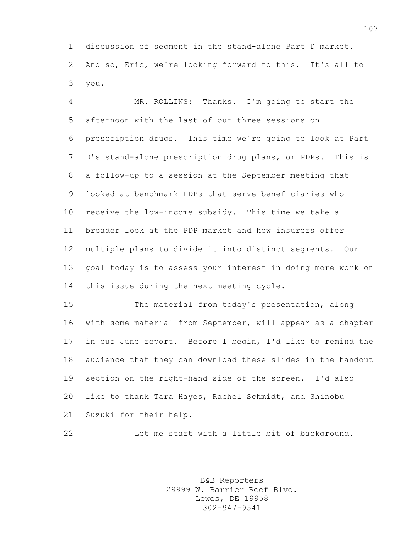discussion of segment in the stand-alone Part D market. And so, Eric, we're looking forward to this. It's all to you.

 MR. ROLLINS: Thanks. I'm going to start the afternoon with the last of our three sessions on prescription drugs. This time we're going to look at Part D's stand-alone prescription drug plans, or PDPs. This is a follow-up to a session at the September meeting that looked at benchmark PDPs that serve beneficiaries who receive the low-income subsidy. This time we take a broader look at the PDP market and how insurers offer multiple plans to divide it into distinct segments. Our goal today is to assess your interest in doing more work on this issue during the next meeting cycle.

 The material from today's presentation, along with some material from September, will appear as a chapter in our June report. Before I begin, I'd like to remind the audience that they can download these slides in the handout section on the right-hand side of the screen. I'd also like to thank Tara Hayes, Rachel Schmidt, and Shinobu Suzuki for their help.

Let me start with a little bit of background.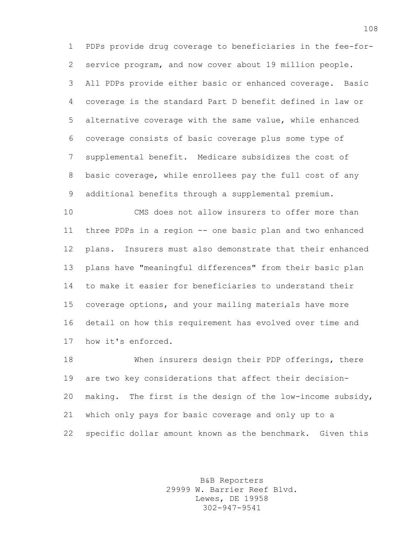PDPs provide drug coverage to beneficiaries in the fee-for- service program, and now cover about 19 million people. All PDPs provide either basic or enhanced coverage. Basic coverage is the standard Part D benefit defined in law or alternative coverage with the same value, while enhanced coverage consists of basic coverage plus some type of supplemental benefit. Medicare subsidizes the cost of basic coverage, while enrollees pay the full cost of any additional benefits through a supplemental premium.

 CMS does not allow insurers to offer more than three PDPs in a region -- one basic plan and two enhanced plans. Insurers must also demonstrate that their enhanced plans have "meaningful differences" from their basic plan to make it easier for beneficiaries to understand their coverage options, and your mailing materials have more detail on how this requirement has evolved over time and how it's enforced.

 When insurers design their PDP offerings, there are two key considerations that affect their decision- making. The first is the design of the low-income subsidy, which only pays for basic coverage and only up to a specific dollar amount known as the benchmark. Given this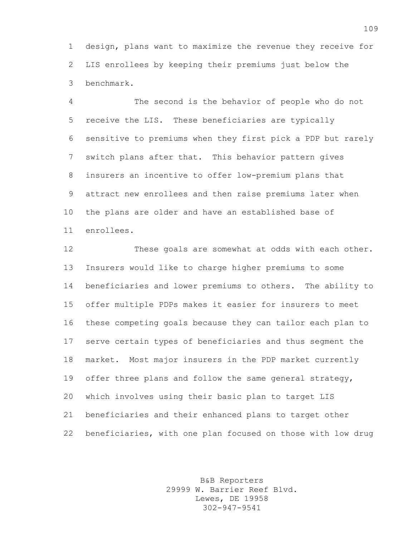design, plans want to maximize the revenue they receive for LIS enrollees by keeping their premiums just below the benchmark.

 The second is the behavior of people who do not receive the LIS. These beneficiaries are typically sensitive to premiums when they first pick a PDP but rarely switch plans after that. This behavior pattern gives insurers an incentive to offer low-premium plans that attract new enrollees and then raise premiums later when the plans are older and have an established base of enrollees.

 These goals are somewhat at odds with each other. Insurers would like to charge higher premiums to some beneficiaries and lower premiums to others. The ability to offer multiple PDPs makes it easier for insurers to meet these competing goals because they can tailor each plan to serve certain types of beneficiaries and thus segment the market. Most major insurers in the PDP market currently offer three plans and follow the same general strategy, which involves using their basic plan to target LIS beneficiaries and their enhanced plans to target other beneficiaries, with one plan focused on those with low drug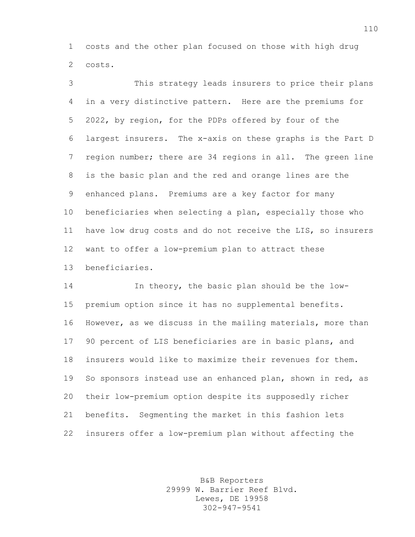costs and the other plan focused on those with high drug costs.

 This strategy leads insurers to price their plans in a very distinctive pattern. Here are the premiums for 2022, by region, for the PDPs offered by four of the largest insurers. The x-axis on these graphs is the Part D region number; there are 34 regions in all. The green line is the basic plan and the red and orange lines are the enhanced plans. Premiums are a key factor for many beneficiaries when selecting a plan, especially those who have low drug costs and do not receive the LIS, so insurers want to offer a low-premium plan to attract these beneficiaries.

 In theory, the basic plan should be the low- premium option since it has no supplemental benefits. However, as we discuss in the mailing materials, more than 90 percent of LIS beneficiaries are in basic plans, and insurers would like to maximize their revenues for them. 19 So sponsors instead use an enhanced plan, shown in red, as their low-premium option despite its supposedly richer benefits. Segmenting the market in this fashion lets insurers offer a low-premium plan without affecting the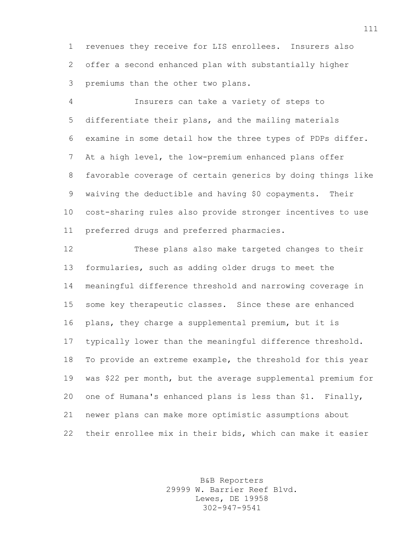revenues they receive for LIS enrollees. Insurers also offer a second enhanced plan with substantially higher premiums than the other two plans.

 Insurers can take a variety of steps to differentiate their plans, and the mailing materials examine in some detail how the three types of PDPs differ. At a high level, the low-premium enhanced plans offer favorable coverage of certain generics by doing things like waiving the deductible and having \$0 copayments. Their cost-sharing rules also provide stronger incentives to use preferred drugs and preferred pharmacies.

 These plans also make targeted changes to their formularies, such as adding older drugs to meet the meaningful difference threshold and narrowing coverage in some key therapeutic classes. Since these are enhanced plans, they charge a supplemental premium, but it is typically lower than the meaningful difference threshold. To provide an extreme example, the threshold for this year was \$22 per month, but the average supplemental premium for one of Humana's enhanced plans is less than \$1. Finally, newer plans can make more optimistic assumptions about their enrollee mix in their bids, which can make it easier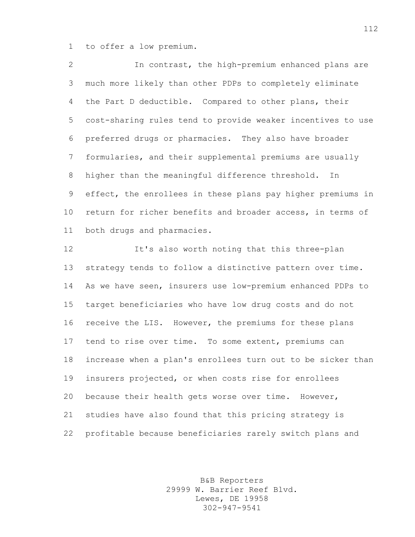to offer a low premium.

 In contrast, the high-premium enhanced plans are much more likely than other PDPs to completely eliminate the Part D deductible. Compared to other plans, their cost-sharing rules tend to provide weaker incentives to use preferred drugs or pharmacies. They also have broader formularies, and their supplemental premiums are usually higher than the meaningful difference threshold. In effect, the enrollees in these plans pay higher premiums in return for richer benefits and broader access, in terms of both drugs and pharmacies.

 It's also worth noting that this three-plan strategy tends to follow a distinctive pattern over time. As we have seen, insurers use low-premium enhanced PDPs to target beneficiaries who have low drug costs and do not receive the LIS. However, the premiums for these plans tend to rise over time. To some extent, premiums can increase when a plan's enrollees turn out to be sicker than insurers projected, or when costs rise for enrollees because their health gets worse over time. However, studies have also found that this pricing strategy is profitable because beneficiaries rarely switch plans and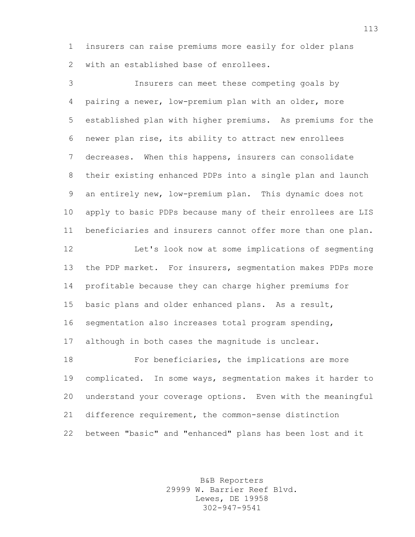insurers can raise premiums more easily for older plans with an established base of enrollees.

 Insurers can meet these competing goals by pairing a newer, low-premium plan with an older, more established plan with higher premiums. As premiums for the newer plan rise, its ability to attract new enrollees decreases. When this happens, insurers can consolidate their existing enhanced PDPs into a single plan and launch an entirely new, low-premium plan. This dynamic does not apply to basic PDPs because many of their enrollees are LIS beneficiaries and insurers cannot offer more than one plan. Let's look now at some implications of segmenting the PDP market. For insurers, segmentation makes PDPs more profitable because they can charge higher premiums for basic plans and older enhanced plans. As a result, segmentation also increases total program spending, although in both cases the magnitude is unclear. For beneficiaries, the implications are more complicated. In some ways, segmentation makes it harder to understand your coverage options. Even with the meaningful difference requirement, the common-sense distinction

between "basic" and "enhanced" plans has been lost and it

B&B Reporters 29999 W. Barrier Reef Blvd. Lewes, DE 19958 302-947-9541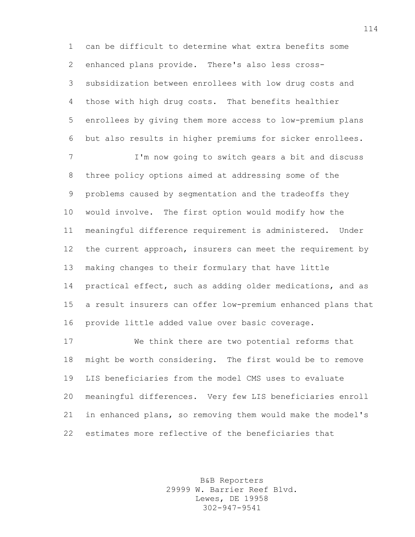can be difficult to determine what extra benefits some enhanced plans provide. There's also less cross- subsidization between enrollees with low drug costs and those with high drug costs. That benefits healthier enrollees by giving them more access to low-premium plans but also results in higher premiums for sicker enrollees.

 I'm now going to switch gears a bit and discuss three policy options aimed at addressing some of the problems caused by segmentation and the tradeoffs they would involve. The first option would modify how the meaningful difference requirement is administered. Under the current approach, insurers can meet the requirement by making changes to their formulary that have little practical effect, such as adding older medications, and as a result insurers can offer low-premium enhanced plans that provide little added value over basic coverage.

 We think there are two potential reforms that might be worth considering. The first would be to remove LIS beneficiaries from the model CMS uses to evaluate meaningful differences. Very few LIS beneficiaries enroll in enhanced plans, so removing them would make the model's estimates more reflective of the beneficiaries that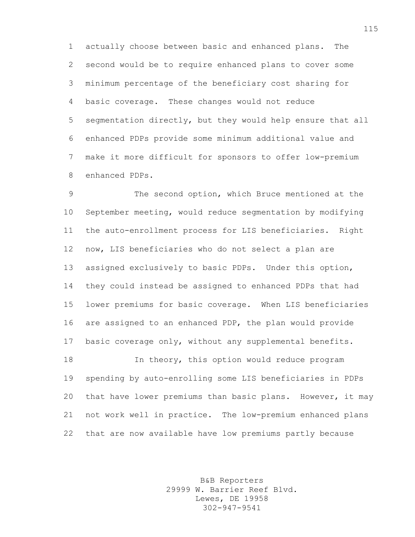actually choose between basic and enhanced plans. The second would be to require enhanced plans to cover some minimum percentage of the beneficiary cost sharing for basic coverage. These changes would not reduce segmentation directly, but they would help ensure that all enhanced PDPs provide some minimum additional value and make it more difficult for sponsors to offer low-premium enhanced PDPs.

 The second option, which Bruce mentioned at the September meeting, would reduce segmentation by modifying the auto-enrollment process for LIS beneficiaries. Right now, LIS beneficiaries who do not select a plan are assigned exclusively to basic PDPs. Under this option, they could instead be assigned to enhanced PDPs that had lower premiums for basic coverage. When LIS beneficiaries are assigned to an enhanced PDP, the plan would provide basic coverage only, without any supplemental benefits. In theory, this option would reduce program spending by auto-enrolling some LIS beneficiaries in PDPs that have lower premiums than basic plans. However, it may

 not work well in practice. The low-premium enhanced plans that are now available have low premiums partly because

> B&B Reporters 29999 W. Barrier Reef Blvd. Lewes, DE 19958 302-947-9541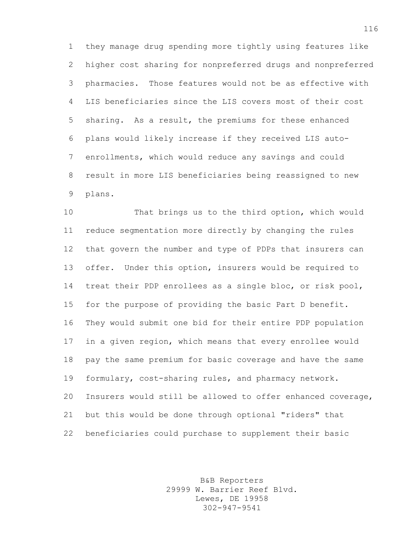they manage drug spending more tightly using features like higher cost sharing for nonpreferred drugs and nonpreferred pharmacies. Those features would not be as effective with LIS beneficiaries since the LIS covers most of their cost sharing. As a result, the premiums for these enhanced plans would likely increase if they received LIS auto- enrollments, which would reduce any savings and could result in more LIS beneficiaries being reassigned to new plans.

 That brings us to the third option, which would reduce segmentation more directly by changing the rules that govern the number and type of PDPs that insurers can offer. Under this option, insurers would be required to treat their PDP enrollees as a single bloc, or risk pool, for the purpose of providing the basic Part D benefit. They would submit one bid for their entire PDP population in a given region, which means that every enrollee would pay the same premium for basic coverage and have the same formulary, cost-sharing rules, and pharmacy network. Insurers would still be allowed to offer enhanced coverage, but this would be done through optional "riders" that beneficiaries could purchase to supplement their basic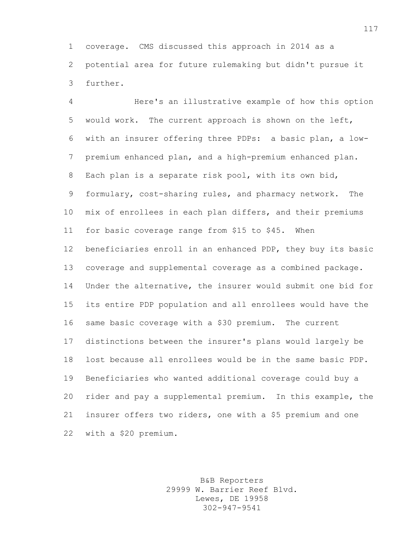coverage. CMS discussed this approach in 2014 as a potential area for future rulemaking but didn't pursue it further.

 Here's an illustrative example of how this option would work. The current approach is shown on the left, with an insurer offering three PDPs: a basic plan, a low- premium enhanced plan, and a high-premium enhanced plan. Each plan is a separate risk pool, with its own bid, formulary, cost-sharing rules, and pharmacy network. The mix of enrollees in each plan differs, and their premiums for basic coverage range from \$15 to \$45. When beneficiaries enroll in an enhanced PDP, they buy its basic coverage and supplemental coverage as a combined package. Under the alternative, the insurer would submit one bid for its entire PDP population and all enrollees would have the same basic coverage with a \$30 premium. The current distinctions between the insurer's plans would largely be lost because all enrollees would be in the same basic PDP. Beneficiaries who wanted additional coverage could buy a rider and pay a supplemental premium. In this example, the insurer offers two riders, one with a \$5 premium and one with a \$20 premium.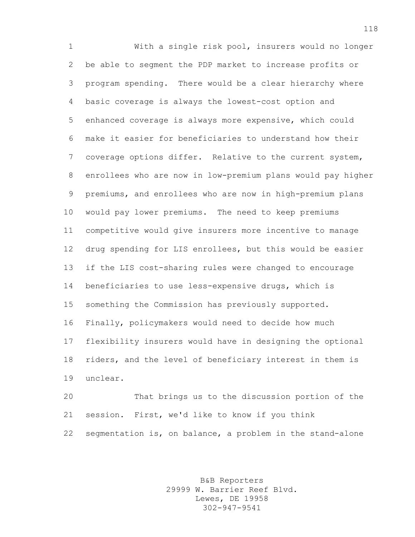With a single risk pool, insurers would no longer be able to segment the PDP market to increase profits or program spending. There would be a clear hierarchy where basic coverage is always the lowest-cost option and enhanced coverage is always more expensive, which could make it easier for beneficiaries to understand how their coverage options differ. Relative to the current system, enrollees who are now in low-premium plans would pay higher premiums, and enrollees who are now in high-premium plans would pay lower premiums. The need to keep premiums competitive would give insurers more incentive to manage drug spending for LIS enrollees, but this would be easier if the LIS cost-sharing rules were changed to encourage beneficiaries to use less-expensive drugs, which is something the Commission has previously supported. Finally, policymakers would need to decide how much flexibility insurers would have in designing the optional riders, and the level of beneficiary interest in them is unclear.

 That brings us to the discussion portion of the session. First, we'd like to know if you think segmentation is, on balance, a problem in the stand-alone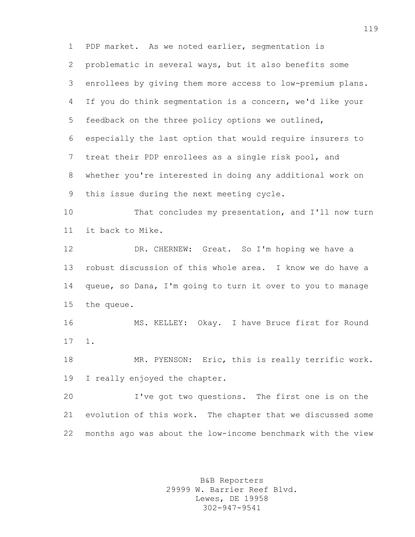PDP market. As we noted earlier, segmentation is problematic in several ways, but it also benefits some enrollees by giving them more access to low-premium plans. If you do think segmentation is a concern, we'd like your feedback on the three policy options we outlined, especially the last option that would require insurers to treat their PDP enrollees as a single risk pool, and whether you're interested in doing any additional work on this issue during the next meeting cycle. That concludes my presentation, and I'll now turn it back to Mike. DR. CHERNEW: Great. So I'm hoping we have a

 robust discussion of this whole area. I know we do have a queue, so Dana, I'm going to turn it over to you to manage the queue.

 MS. KELLEY: Okay. I have Bruce first for Round 1.

 MR. PYENSON: Eric, this is really terrific work. I really enjoyed the chapter.

 I've got two questions. The first one is on the evolution of this work. The chapter that we discussed some months ago was about the low-income benchmark with the view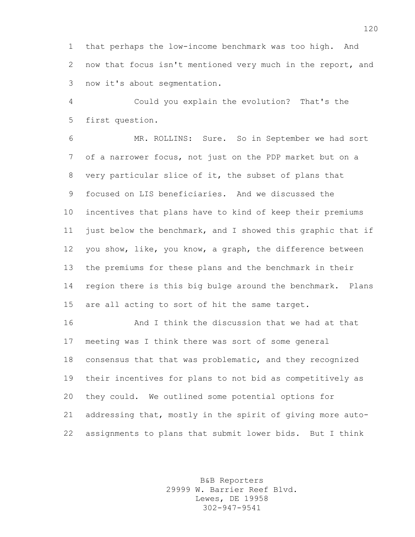that perhaps the low-income benchmark was too high. And now that focus isn't mentioned very much in the report, and now it's about segmentation.

 Could you explain the evolution? That's the first question.

 MR. ROLLINS: Sure. So in September we had sort of a narrower focus, not just on the PDP market but on a very particular slice of it, the subset of plans that focused on LIS beneficiaries. And we discussed the incentives that plans have to kind of keep their premiums just below the benchmark, and I showed this graphic that if you show, like, you know, a graph, the difference between the premiums for these plans and the benchmark in their region there is this big bulge around the benchmark. Plans are all acting to sort of hit the same target.

 And I think the discussion that we had at that meeting was I think there was sort of some general consensus that that was problematic, and they recognized their incentives for plans to not bid as competitively as they could. We outlined some potential options for addressing that, mostly in the spirit of giving more auto-assignments to plans that submit lower bids. But I think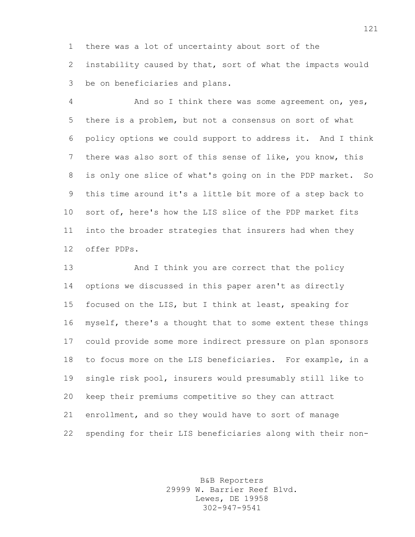there was a lot of uncertainty about sort of the instability caused by that, sort of what the impacts would be on beneficiaries and plans.

 And so I think there was some agreement on, yes, there is a problem, but not a consensus on sort of what policy options we could support to address it. And I think there was also sort of this sense of like, you know, this is only one slice of what's going on in the PDP market. So this time around it's a little bit more of a step back to sort of, here's how the LIS slice of the PDP market fits into the broader strategies that insurers had when they offer PDPs.

13 And I think you are correct that the policy options we discussed in this paper aren't as directly focused on the LIS, but I think at least, speaking for myself, there's a thought that to some extent these things could provide some more indirect pressure on plan sponsors to focus more on the LIS beneficiaries. For example, in a single risk pool, insurers would presumably still like to keep their premiums competitive so they can attract enrollment, and so they would have to sort of manage spending for their LIS beneficiaries along with their non-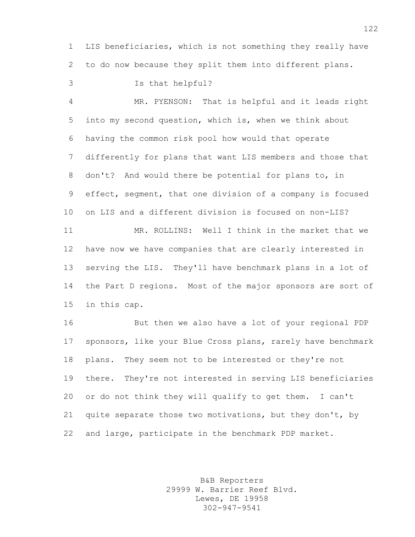LIS beneficiaries, which is not something they really have to do now because they split them into different plans.

Is that helpful?

 MR. PYENSON: That is helpful and it leads right into my second question, which is, when we think about having the common risk pool how would that operate differently for plans that want LIS members and those that don't? And would there be potential for plans to, in effect, segment, that one division of a company is focused on LIS and a different division is focused on non-LIS? MR. ROLLINS: Well I think in the market that we have now we have companies that are clearly interested in serving the LIS. They'll have benchmark plans in a lot of the Part D regions. Most of the major sponsors are sort of in this cap.

 But then we also have a lot of your regional PDP sponsors, like your Blue Cross plans, rarely have benchmark plans. They seem not to be interested or they're not there. They're not interested in serving LIS beneficiaries or do not think they will qualify to get them. I can't quite separate those two motivations, but they don't, by and large, participate in the benchmark PDP market.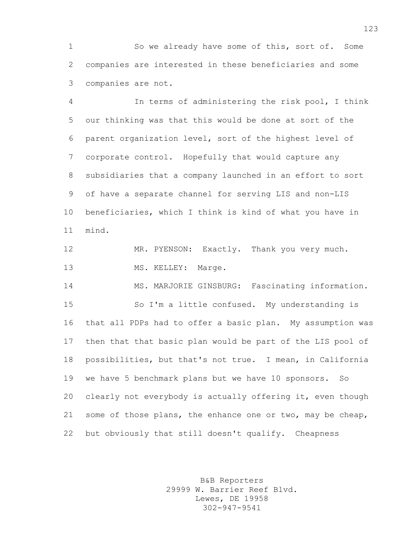So we already have some of this, sort of. Some companies are interested in these beneficiaries and some companies are not.

 In terms of administering the risk pool, I think our thinking was that this would be done at sort of the parent organization level, sort of the highest level of corporate control. Hopefully that would capture any subsidiaries that a company launched in an effort to sort of have a separate channel for serving LIS and non-LIS beneficiaries, which I think is kind of what you have in mind.

12 MR. PYENSON: Exactly. Thank you very much. 13 MS. KELLEY: Marge.

MS. MARJORIE GINSBURG: Fascinating information.

 So I'm a little confused. My understanding is that all PDPs had to offer a basic plan. My assumption was then that that basic plan would be part of the LIS pool of possibilities, but that's not true. I mean, in California we have 5 benchmark plans but we have 10 sponsors. So clearly not everybody is actually offering it, even though some of those plans, the enhance one or two, may be cheap, but obviously that still doesn't qualify. Cheapness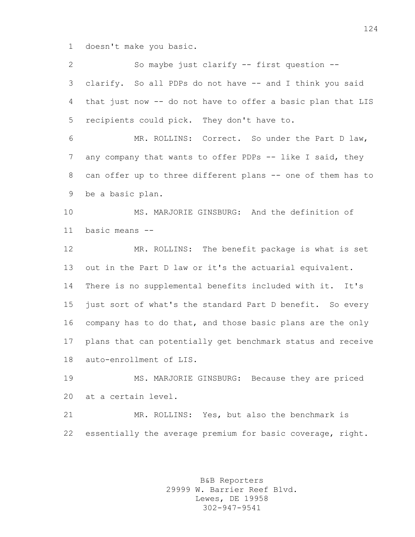doesn't make you basic.

 So maybe just clarify -- first question -- clarify. So all PDPs do not have -- and I think you said that just now -- do not have to offer a basic plan that LIS recipients could pick. They don't have to. MR. ROLLINS: Correct. So under the Part D law, 7 any company that wants to offer PDPs -- like I said, they can offer up to three different plans -- one of them has to be a basic plan. MS. MARJORIE GINSBURG: And the definition of basic means -- MR. ROLLINS: The benefit package is what is set out in the Part D law or it's the actuarial equivalent. There is no supplemental benefits included with it. It's just sort of what's the standard Part D benefit. So every company has to do that, and those basic plans are the only plans that can potentially get benchmark status and receive auto-enrollment of LIS. MS. MARJORIE GINSBURG: Because they are priced at a certain level. MR. ROLLINS: Yes, but also the benchmark is essentially the average premium for basic coverage, right.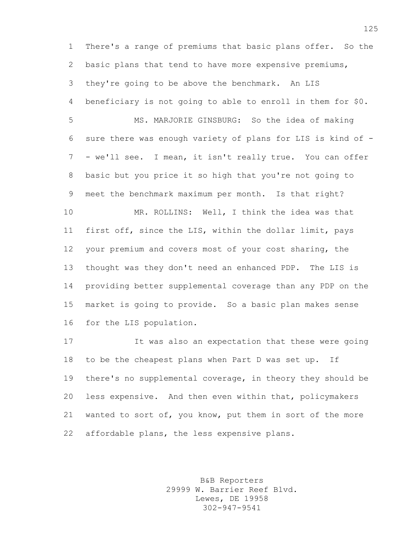There's a range of premiums that basic plans offer. So the basic plans that tend to have more expensive premiums, they're going to be above the benchmark. An LIS beneficiary is not going to able to enroll in them for \$0.

 MS. MARJORIE GINSBURG: So the idea of making sure there was enough variety of plans for LIS is kind of - - we'll see. I mean, it isn't really true. You can offer basic but you price it so high that you're not going to meet the benchmark maximum per month. Is that right? MR. ROLLINS: Well, I think the idea was that first off, since the LIS, within the dollar limit, pays your premium and covers most of your cost sharing, the thought was they don't need an enhanced PDP. The LIS is providing better supplemental coverage than any PDP on the market is going to provide. So a basic plan makes sense for the LIS population.

 It was also an expectation that these were going to be the cheapest plans when Part D was set up. If there's no supplemental coverage, in theory they should be less expensive. And then even within that, policymakers wanted to sort of, you know, put them in sort of the more affordable plans, the less expensive plans.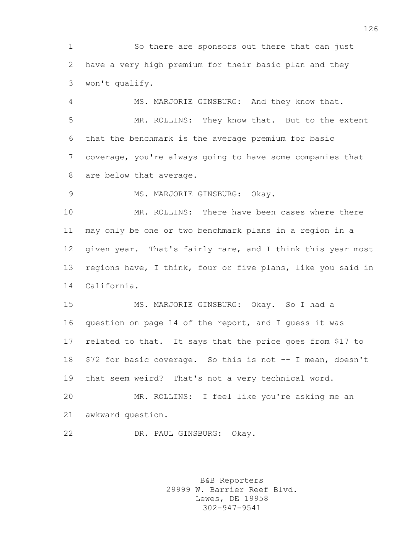So there are sponsors out there that can just have a very high premium for their basic plan and they won't qualify.

 MS. MARJORIE GINSBURG: And they know that. MR. ROLLINS: They know that. But to the extent that the benchmark is the average premium for basic coverage, you're always going to have some companies that are below that average.

9 MS. MARJORIE GINSBURG: Okay.

 MR. ROLLINS: There have been cases where there may only be one or two benchmark plans in a region in a given year. That's fairly rare, and I think this year most regions have, I think, four or five plans, like you said in California.

 MS. MARJORIE GINSBURG: Okay. So I had a question on page 14 of the report, and I guess it was related to that. It says that the price goes from \$17 to \$72 for basic coverage. So this is not -- I mean, doesn't that seem weird? That's not a very technical word.

 MR. ROLLINS: I feel like you're asking me an awkward question.

DR. PAUL GINSBURG: Okay.

B&B Reporters 29999 W. Barrier Reef Blvd. Lewes, DE 19958 302-947-9541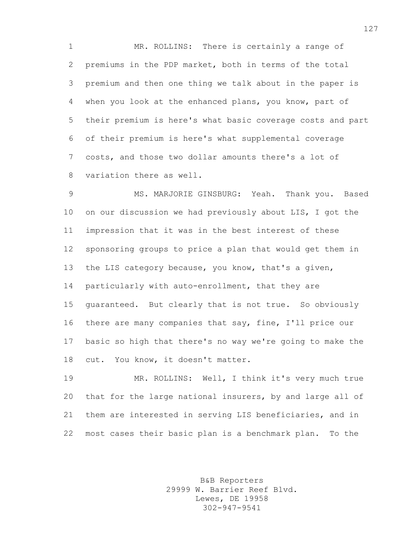MR. ROLLINS: There is certainly a range of premiums in the PDP market, both in terms of the total premium and then one thing we talk about in the paper is when you look at the enhanced plans, you know, part of their premium is here's what basic coverage costs and part of their premium is here's what supplemental coverage costs, and those two dollar amounts there's a lot of variation there as well.

 MS. MARJORIE GINSBURG: Yeah. Thank you. Based on our discussion we had previously about LIS, I got the impression that it was in the best interest of these sponsoring groups to price a plan that would get them in the LIS category because, you know, that's a given, particularly with auto-enrollment, that they are guaranteed. But clearly that is not true. So obviously there are many companies that say, fine, I'll price our basic so high that there's no way we're going to make the cut. You know, it doesn't matter.

 MR. ROLLINS: Well, I think it's very much true that for the large national insurers, by and large all of them are interested in serving LIS beneficiaries, and in most cases their basic plan is a benchmark plan. To the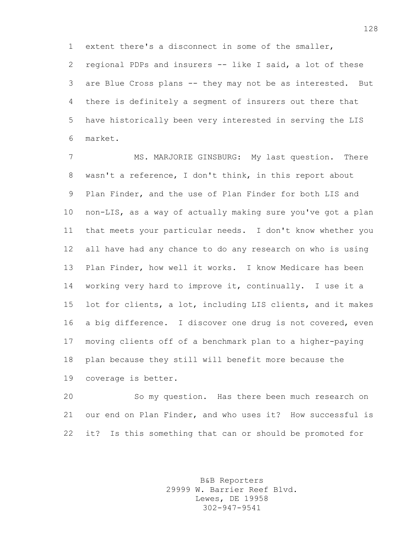extent there's a disconnect in some of the smaller, regional PDPs and insurers -- like I said, a lot of these are Blue Cross plans -- they may not be as interested. But there is definitely a segment of insurers out there that have historically been very interested in serving the LIS market.

7 MS. MARJORIE GINSBURG: My last question. There wasn't a reference, I don't think, in this report about Plan Finder, and the use of Plan Finder for both LIS and non-LIS, as a way of actually making sure you've got a plan that meets your particular needs. I don't know whether you all have had any chance to do any research on who is using Plan Finder, how well it works. I know Medicare has been working very hard to improve it, continually. I use it a lot for clients, a lot, including LIS clients, and it makes a big difference. I discover one drug is not covered, even moving clients off of a benchmark plan to a higher-paying plan because they still will benefit more because the coverage is better.

 So my question. Has there been much research on our end on Plan Finder, and who uses it? How successful is it? Is this something that can or should be promoted for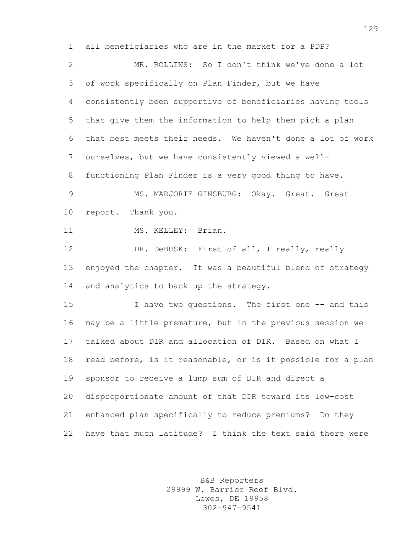all beneficiaries who are in the market for a PDP? MR. ROLLINS: So I don't think we've done a lot of work specifically on Plan Finder, but we have consistently been supportive of beneficiaries having tools that give them the information to help them pick a plan that best meets their needs. We haven't done a lot of work ourselves, but we have consistently viewed a well- functioning Plan Finder is a very good thing to have. 9 MS. MARJORIE GINSBURG: Okay. Great. Great report. Thank you. 11 MS. KELLEY: Brian. 12 DR. DeBUSK: First of all, I really, really enjoyed the chapter. It was a beautiful blend of strategy and analytics to back up the strategy. I have two questions. The first one -- and this may be a little premature, but in the previous session we talked about DIR and allocation of DIR. Based on what I read before, is it reasonable, or is it possible for a plan sponsor to receive a lump sum of DIR and direct a disproportionate amount of that DIR toward its low-cost enhanced plan specifically to reduce premiums? Do they have that much latitude? I think the text said there were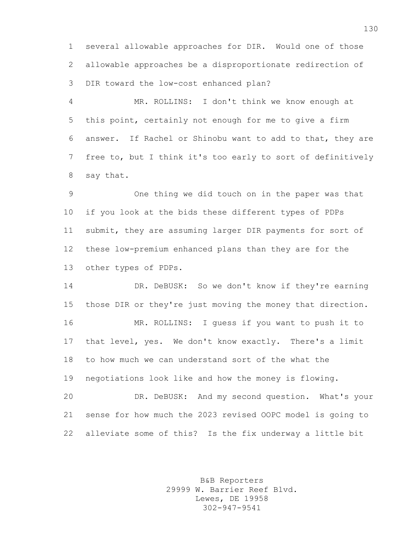several allowable approaches for DIR. Would one of those allowable approaches be a disproportionate redirection of DIR toward the low-cost enhanced plan?

 MR. ROLLINS: I don't think we know enough at this point, certainly not enough for me to give a firm answer. If Rachel or Shinobu want to add to that, they are free to, but I think it's too early to sort of definitively say that.

 One thing we did touch on in the paper was that if you look at the bids these different types of PDPs submit, they are assuming larger DIR payments for sort of these low-premium enhanced plans than they are for the other types of PDPs.

 DR. DeBUSK: So we don't know if they're earning those DIR or they're just moving the money that direction. MR. ROLLINS: I guess if you want to push it to that level, yes. We don't know exactly. There's a limit to how much we can understand sort of the what the negotiations look like and how the money is flowing. DR. DeBUSK: And my second question. What's your sense for how much the 2023 revised OOPC model is going to

alleviate some of this? Is the fix underway a little bit

B&B Reporters 29999 W. Barrier Reef Blvd. Lewes, DE 19958 302-947-9541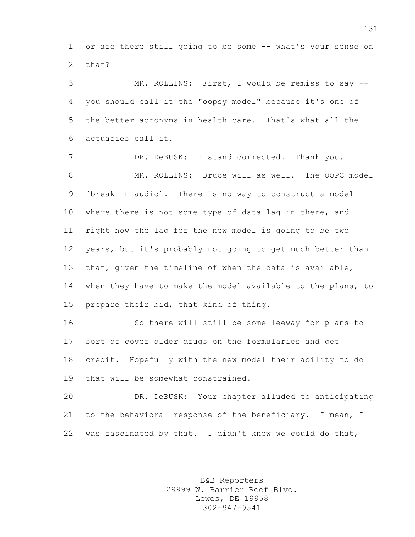or are there still going to be some -- what's your sense on that?

 MR. ROLLINS: First, I would be remiss to say -- you should call it the "oopsy model" because it's one of the better acronyms in health care. That's what all the actuaries call it.

7 DR. DeBUSK: I stand corrected. Thank you. 8 MR. ROLLINS: Bruce will as well. The OOPC model [break in audio]. There is no way to construct a model where there is not some type of data lag in there, and right now the lag for the new model is going to be two years, but it's probably not going to get much better than that, given the timeline of when the data is available, when they have to make the model available to the plans, to prepare their bid, that kind of thing.

 So there will still be some leeway for plans to sort of cover older drugs on the formularies and get credit. Hopefully with the new model their ability to do that will be somewhat constrained.

 DR. DeBUSK: Your chapter alluded to anticipating to the behavioral response of the beneficiary. I mean, I was fascinated by that. I didn't know we could do that,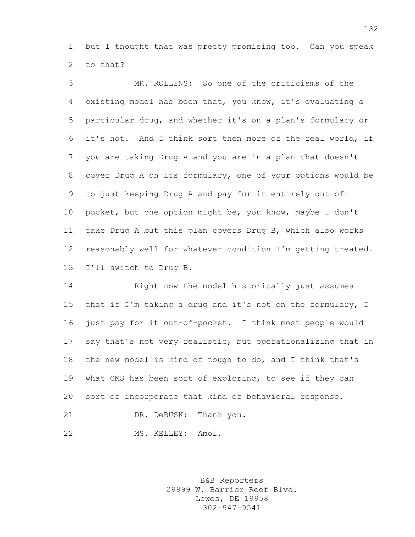but I thought that was pretty promising too. Can you speak to that?

 MR. ROLLINS: So one of the criticisms of the existing model has been that, you know, it's evaluating a particular drug, and whether it's on a plan's formulary or it's not. And I think sort then more of the real world, if you are taking Drug A and you are in a plan that doesn't cover Drug A on its formulary, one of your options would be to just keeping Drug A and pay for it entirely out-of- pocket, but one option might be, you know, maybe I don't take Drug A but this plan covers Drug B, which also works reasonably well for whatever condition I'm getting treated. I'll switch to Drug B.

 Right now the model historically just assumes that if I'm taking a drug and it's not on the formulary, I just pay for it out-of-pocket. I think most people would say that's not very realistic, but operationalizing that in the new model is kind of tough to do, and I think that's what CMS has been sort of exploring, to see if they can sort of incorporate that kind of behavioral response. 21 DR. DeBUSK: Thank you.

22 MS. KELLEY: Amol.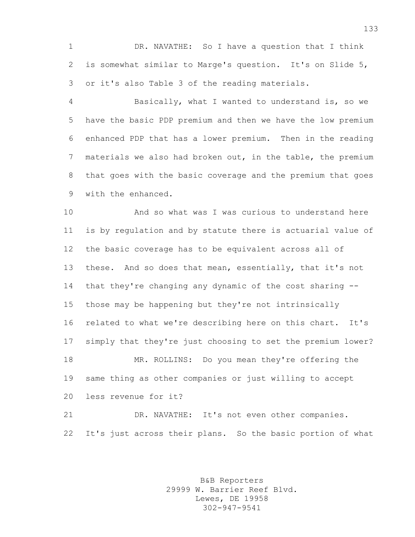DR. NAVATHE: So I have a question that I think is somewhat similar to Marge's question. It's on Slide 5, or it's also Table 3 of the reading materials.

 Basically, what I wanted to understand is, so we have the basic PDP premium and then we have the low premium enhanced PDP that has a lower premium. Then in the reading materials we also had broken out, in the table, the premium that goes with the basic coverage and the premium that goes with the enhanced.

 And so what was I was curious to understand here is by regulation and by statute there is actuarial value of the basic coverage has to be equivalent across all of these. And so does that mean, essentially, that it's not that they're changing any dynamic of the cost sharing -- those may be happening but they're not intrinsically related to what we're describing here on this chart. It's simply that they're just choosing to set the premium lower? MR. ROLLINS: Do you mean they're offering the same thing as other companies or just willing to accept less revenue for it?

 DR. NAVATHE: It's not even other companies. It's just across their plans. So the basic portion of what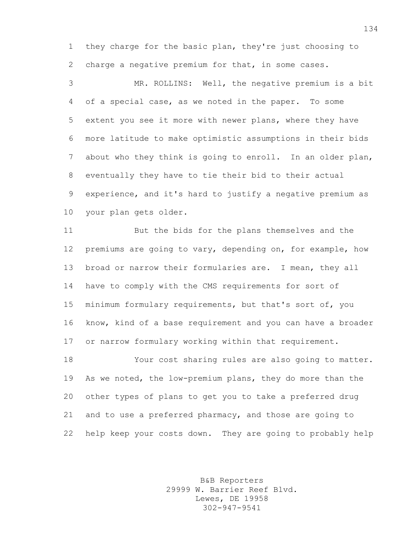they charge for the basic plan, they're just choosing to charge a negative premium for that, in some cases.

 MR. ROLLINS: Well, the negative premium is a bit of a special case, as we noted in the paper. To some extent you see it more with newer plans, where they have more latitude to make optimistic assumptions in their bids about who they think is going to enroll. In an older plan, eventually they have to tie their bid to their actual experience, and it's hard to justify a negative premium as your plan gets older.

 But the bids for the plans themselves and the premiums are going to vary, depending on, for example, how broad or narrow their formularies are. I mean, they all have to comply with the CMS requirements for sort of minimum formulary requirements, but that's sort of, you know, kind of a base requirement and you can have a broader or narrow formulary working within that requirement.

 Your cost sharing rules are also going to matter. As we noted, the low-premium plans, they do more than the other types of plans to get you to take a preferred drug and to use a preferred pharmacy, and those are going to help keep your costs down. They are going to probably help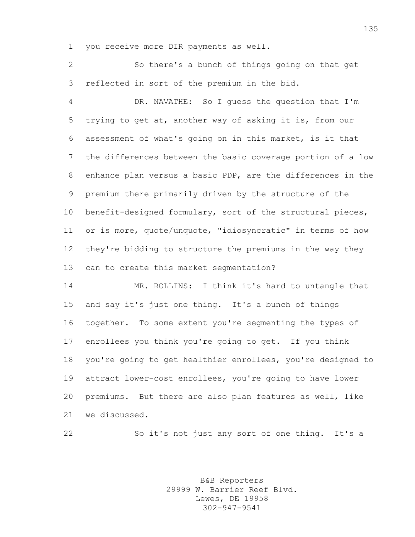you receive more DIR payments as well.

 So there's a bunch of things going on that get reflected in sort of the premium in the bid.

 DR. NAVATHE: So I guess the question that I'm trying to get at, another way of asking it is, from our assessment of what's going on in this market, is it that the differences between the basic coverage portion of a low enhance plan versus a basic PDP, are the differences in the premium there primarily driven by the structure of the benefit-designed formulary, sort of the structural pieces, or is more, quote/unquote, "idiosyncratic" in terms of how they're bidding to structure the premiums in the way they can to create this market segmentation?

 MR. ROLLINS: I think it's hard to untangle that and say it's just one thing. It's a bunch of things together. To some extent you're segmenting the types of enrollees you think you're going to get. If you think you're going to get healthier enrollees, you're designed to attract lower-cost enrollees, you're going to have lower premiums. But there are also plan features as well, like we discussed.

So it's not just any sort of one thing. It's a

B&B Reporters 29999 W. Barrier Reef Blvd. Lewes, DE 19958 302-947-9541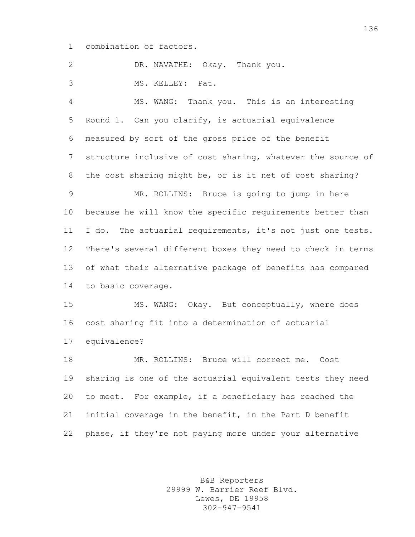combination of factors.

DR. NAVATHE: Okay. Thank you.

MS. KELLEY: Pat.

 MS. WANG: Thank you. This is an interesting Round 1. Can you clarify, is actuarial equivalence measured by sort of the gross price of the benefit structure inclusive of cost sharing, whatever the source of the cost sharing might be, or is it net of cost sharing? MR. ROLLINS: Bruce is going to jump in here because he will know the specific requirements better than I do. The actuarial requirements, it's not just one tests. There's several different boxes they need to check in terms of what their alternative package of benefits has compared to basic coverage. MS. WANG: Okay. But conceptually, where does cost sharing fit into a determination of actuarial equivalence? MR. ROLLINS: Bruce will correct me. Cost sharing is one of the actuarial equivalent tests they need

 to meet. For example, if a beneficiary has reached the initial coverage in the benefit, in the Part D benefit phase, if they're not paying more under your alternative

> B&B Reporters 29999 W. Barrier Reef Blvd. Lewes, DE 19958 302-947-9541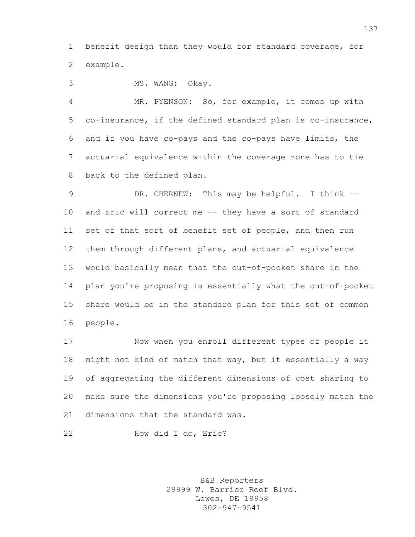benefit design than they would for standard coverage, for example.

MS. WANG: Okay.

 MR. PYENSON: So, for example, it comes up with co-insurance, if the defined standard plan is co-insurance, and if you have co-pays and the co-pays have limits, the actuarial equivalence within the coverage zone has to tie back to the defined plan.

 DR. CHERNEW: This may be helpful. I think -- and Eric will correct me -- they have a sort of standard set of that sort of benefit set of people, and then run them through different plans, and actuarial equivalence would basically mean that the out-of-pocket share in the plan you're proposing is essentially what the out-of-pocket share would be in the standard plan for this set of common people.

 Now when you enroll different types of people it might not kind of match that way, but it essentially a way of aggregating the different dimensions of cost sharing to make sure the dimensions you're proposing loosely match the dimensions that the standard was.

How did I do, Eric?

B&B Reporters 29999 W. Barrier Reef Blvd. Lewes, DE 19958 302-947-9541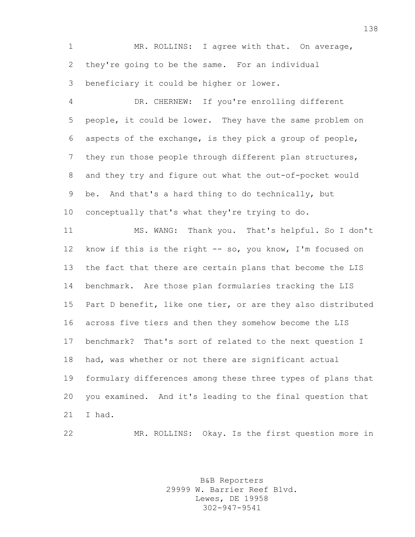1 MR. ROLLINS: I agree with that. On average, they're going to be the same. For an individual beneficiary it could be higher or lower.

 DR. CHERNEW: If you're enrolling different people, it could be lower. They have the same problem on aspects of the exchange, is they pick a group of people, they run those people through different plan structures, and they try and figure out what the out-of-pocket would be. And that's a hard thing to do technically, but

 conceptually that's what they're trying to do. MS. WANG: Thank you. That's helpful. So I don't

 know if this is the right -- so, you know, I'm focused on the fact that there are certain plans that become the LIS benchmark. Are those plan formularies tracking the LIS Part D benefit, like one tier, or are they also distributed across five tiers and then they somehow become the LIS benchmark? That's sort of related to the next question I had, was whether or not there are significant actual formulary differences among these three types of plans that you examined. And it's leading to the final question that I had.

MR. ROLLINS: Okay. Is the first question more in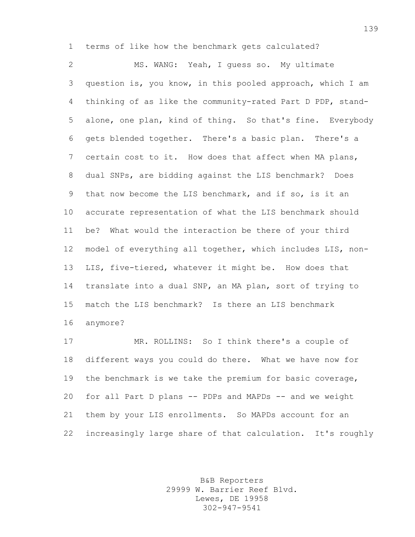terms of like how the benchmark gets calculated?

 MS. WANG: Yeah, I guess so. My ultimate question is, you know, in this pooled approach, which I am thinking of as like the community-rated Part D PDP, stand- alone, one plan, kind of thing. So that's fine. Everybody gets blended together. There's a basic plan. There's a certain cost to it. How does that affect when MA plans, dual SNPs, are bidding against the LIS benchmark? Does that now become the LIS benchmark, and if so, is it an accurate representation of what the LIS benchmark should be? What would the interaction be there of your third model of everything all together, which includes LIS, non- LIS, five-tiered, whatever it might be. How does that translate into a dual SNP, an MA plan, sort of trying to match the LIS benchmark? Is there an LIS benchmark anymore?

 MR. ROLLINS: So I think there's a couple of different ways you could do there. What we have now for the benchmark is we take the premium for basic coverage, for all Part D plans -- PDPs and MAPDs -- and we weight them by your LIS enrollments. So MAPDs account for an increasingly large share of that calculation. It's roughly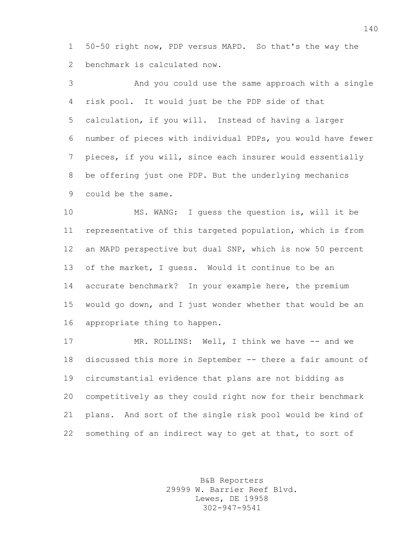50-50 right now, PDP versus MAPD. So that's the way the benchmark is calculated now.

 And you could use the same approach with a single risk pool. It would just be the PDP side of that calculation, if you will. Instead of having a larger number of pieces with individual PDPs, you would have fewer pieces, if you will, since each insurer would essentially be offering just one PDP. But the underlying mechanics could be the same.

 MS. WANG: I guess the question is, will it be representative of this targeted population, which is from an MAPD perspective but dual SNP, which is now 50 percent of the market, I guess. Would it continue to be an 14 accurate benchmark? In your example here, the premium would go down, and I just wonder whether that would be an appropriate thing to happen.

17 MR. ROLLINS: Well, I think we have -- and we discussed this more in September -- there a fair amount of circumstantial evidence that plans are not bidding as competitively as they could right now for their benchmark plans. And sort of the single risk pool would be kind of something of an indirect way to get at that, to sort of

> B&B Reporters 29999 W. Barrier Reef Blvd. Lewes, DE 19958 302-947-9541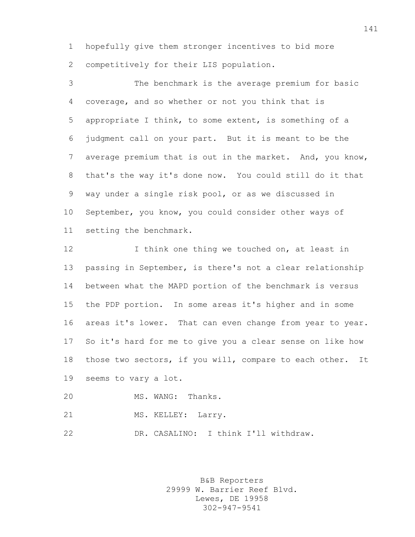hopefully give them stronger incentives to bid more competitively for their LIS population.

 The benchmark is the average premium for basic coverage, and so whether or not you think that is appropriate I think, to some extent, is something of a judgment call on your part. But it is meant to be the average premium that is out in the market. And, you know, that's the way it's done now. You could still do it that way under a single risk pool, or as we discussed in September, you know, you could consider other ways of setting the benchmark.

12 12 I think one thing we touched on, at least in passing in September, is there's not a clear relationship between what the MAPD portion of the benchmark is versus the PDP portion. In some areas it's higher and in some 16 areas it's lower. That can even change from year to year. So it's hard for me to give you a clear sense on like how those two sectors, if you will, compare to each other. It seems to vary a lot.

MS. WANG: Thanks.

21 MS. KELLEY: Larry.

DR. CASALINO: I think I'll withdraw.

B&B Reporters 29999 W. Barrier Reef Blvd. Lewes, DE 19958 302-947-9541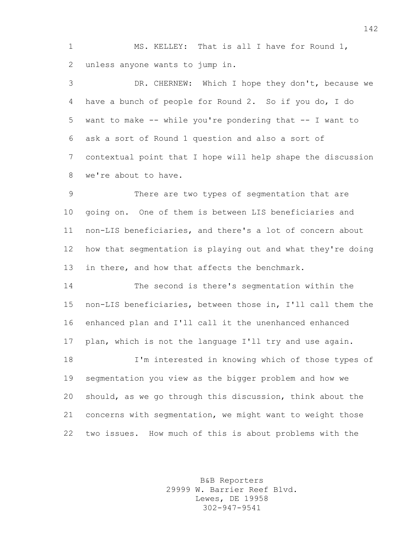MS. KELLEY: That is all I have for Round 1, unless anyone wants to jump in.

 DR. CHERNEW: Which I hope they don't, because we have a bunch of people for Round 2. So if you do, I do want to make -- while you're pondering that -- I want to ask a sort of Round 1 question and also a sort of contextual point that I hope will help shape the discussion we're about to have.

 There are two types of segmentation that are going on. One of them is between LIS beneficiaries and non-LIS beneficiaries, and there's a lot of concern about how that segmentation is playing out and what they're doing 13 in there, and how that affects the benchmark.

 The second is there's segmentation within the non-LIS beneficiaries, between those in, I'll call them the enhanced plan and I'll call it the unenhanced enhanced plan, which is not the language I'll try and use again.

 I'm interested in knowing which of those types of segmentation you view as the bigger problem and how we should, as we go through this discussion, think about the concerns with segmentation, we might want to weight those two issues. How much of this is about problems with the

> B&B Reporters 29999 W. Barrier Reef Blvd. Lewes, DE 19958 302-947-9541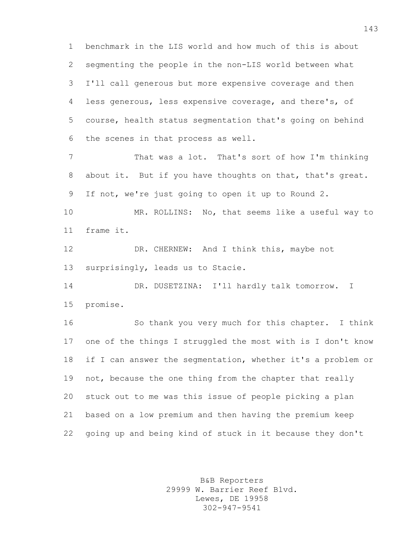benchmark in the LIS world and how much of this is about segmenting the people in the non-LIS world between what I'll call generous but more expensive coverage and then less generous, less expensive coverage, and there's, of course, health status segmentation that's going on behind the scenes in that process as well.

 That was a lot. That's sort of how I'm thinking about it. But if you have thoughts on that, that's great. If not, we're just going to open it up to Round 2.

 MR. ROLLINS: No, that seems like a useful way to frame it.

12 DR. CHERNEW: And I think this, maybe not surprisingly, leads us to Stacie.

 DR. DUSETZINA: I'll hardly talk tomorrow. I promise.

 So thank you very much for this chapter. I think one of the things I struggled the most with is I don't know if I can answer the segmentation, whether it's a problem or not, because the one thing from the chapter that really stuck out to me was this issue of people picking a plan based on a low premium and then having the premium keep going up and being kind of stuck in it because they don't

> B&B Reporters 29999 W. Barrier Reef Blvd. Lewes, DE 19958 302-947-9541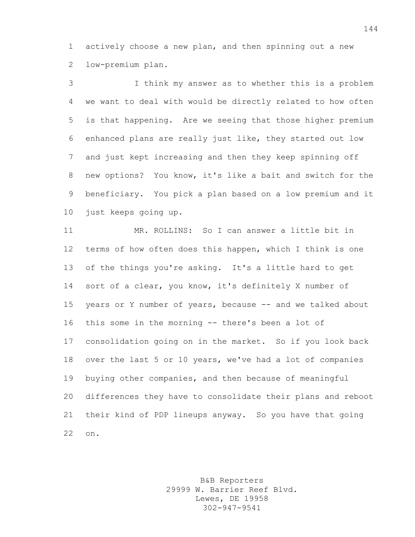actively choose a new plan, and then spinning out a new low-premium plan.

 I think my answer as to whether this is a problem we want to deal with would be directly related to how often is that happening. Are we seeing that those higher premium enhanced plans are really just like, they started out low and just kept increasing and then they keep spinning off new options? You know, it's like a bait and switch for the beneficiary. You pick a plan based on a low premium and it just keeps going up.

 MR. ROLLINS: So I can answer a little bit in terms of how often does this happen, which I think is one of the things you're asking. It's a little hard to get sort of a clear, you know, it's definitely X number of years or Y number of years, because -- and we talked about this some in the morning -- there's been a lot of consolidation going on in the market. So if you look back over the last 5 or 10 years, we've had a lot of companies buying other companies, and then because of meaningful differences they have to consolidate their plans and reboot their kind of PDP lineups anyway. So you have that going on.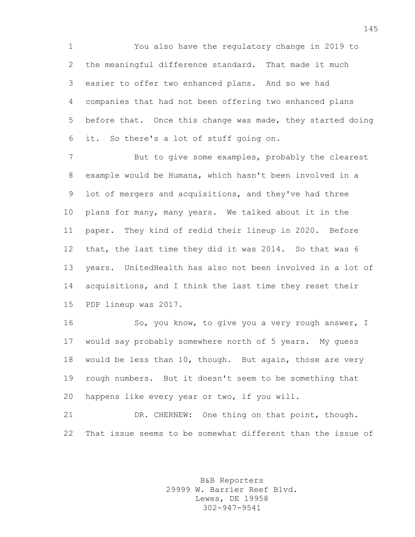You also have the regulatory change in 2019 to the meaningful difference standard. That made it much easier to offer two enhanced plans. And so we had companies that had not been offering two enhanced plans before that. Once this change was made, they started doing it. So there's a lot of stuff going on.

 But to give some examples, probably the clearest example would be Humana, which hasn't been involved in a lot of mergers and acquisitions, and they've had three plans for many, many years. We talked about it in the paper. They kind of redid their lineup in 2020. Before that, the last time they did it was 2014. So that was 6 years. UnitedHealth has also not been involved in a lot of acquisitions, and I think the last time they reset their PDP lineup was 2017.

16 So, you know, to give you a very rough answer, I would say probably somewhere north of 5 years. My guess would be less than 10, though. But again, those are very rough numbers. But it doesn't seem to be something that happens like every year or two, if you will.

21 DR. CHERNEW: One thing on that point, though. That issue seems to be somewhat different than the issue of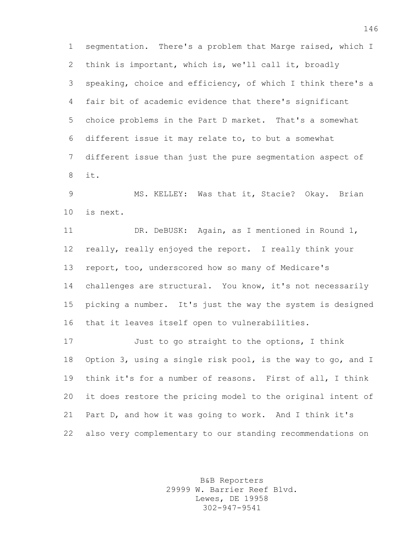segmentation. There's a problem that Marge raised, which I think is important, which is, we'll call it, broadly speaking, choice and efficiency, of which I think there's a fair bit of academic evidence that there's significant choice problems in the Part D market. That's a somewhat different issue it may relate to, to but a somewhat different issue than just the pure segmentation aspect of it.

 MS. KELLEY: Was that it, Stacie? Okay. Brian is next.

 DR. DeBUSK: Again, as I mentioned in Round 1, really, really enjoyed the report. I really think your report, too, underscored how so many of Medicare's challenges are structural. You know, it's not necessarily picking a number. It's just the way the system is designed that it leaves itself open to vulnerabilities.

 Just to go straight to the options, I think Option 3, using a single risk pool, is the way to go, and I think it's for a number of reasons. First of all, I think it does restore the pricing model to the original intent of Part D, and how it was going to work. And I think it's also very complementary to our standing recommendations on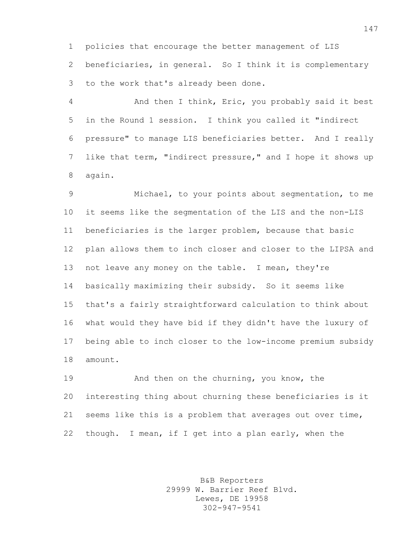policies that encourage the better management of LIS beneficiaries, in general. So I think it is complementary to the work that's already been done.

 And then I think, Eric, you probably said it best in the Round 1 session. I think you called it "indirect pressure" to manage LIS beneficiaries better. And I really like that term, "indirect pressure," and I hope it shows up again.

 Michael, to your points about segmentation, to me it seems like the segmentation of the LIS and the non-LIS beneficiaries is the larger problem, because that basic plan allows them to inch closer and closer to the LIPSA and 13 not leave any money on the table. I mean, they're basically maximizing their subsidy. So it seems like that's a fairly straightforward calculation to think about what would they have bid if they didn't have the luxury of being able to inch closer to the low-income premium subsidy amount.

 And then on the churning, you know, the interesting thing about churning these beneficiaries is it seems like this is a problem that averages out over time, though. I mean, if I get into a plan early, when the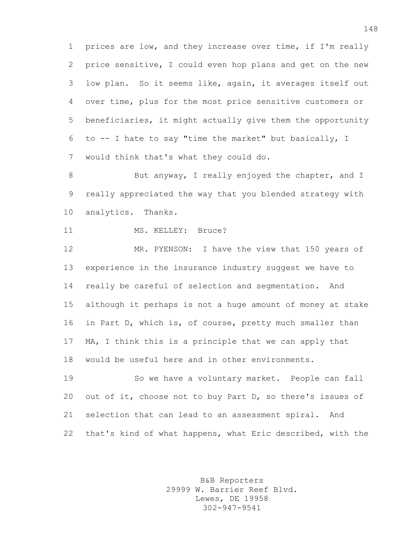prices are low, and they increase over time, if I'm really price sensitive, I could even hop plans and get on the new low plan. So it seems like, again, it averages itself out over time, plus for the most price sensitive customers or beneficiaries, it might actually give them the opportunity to -- I hate to say "time the market" but basically, I would think that's what they could do.

8 But anyway, I really enjoyed the chapter, and I really appreciated the way that you blended strategy with analytics. Thanks.

11 MS. KELLEY: Bruce?

 MR. PYENSON: I have the view that 150 years of experience in the insurance industry suggest we have to really be careful of selection and segmentation. And although it perhaps is not a huge amount of money at stake in Part D, which is, of course, pretty much smaller than MA, I think this is a principle that we can apply that would be useful here and in other environments.

 So we have a voluntary market. People can fall out of it, choose not to buy Part D, so there's issues of selection that can lead to an assessment spiral. And that's kind of what happens, what Eric described, with the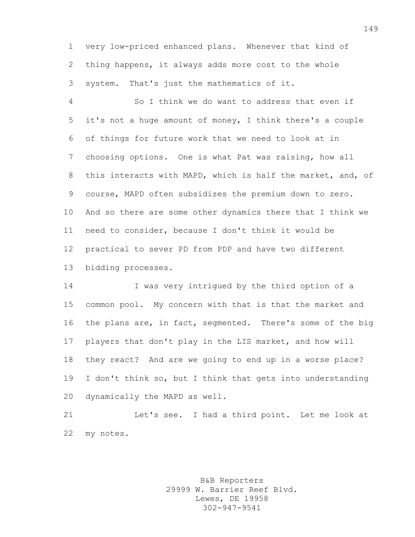very low-priced enhanced plans. Whenever that kind of thing happens, it always adds more cost to the whole system. That's just the mathematics of it.

 So I think we do want to address that even if it's not a huge amount of money, I think there's a couple of things for future work that we need to look at in choosing options. One is what Pat was raising, how all this interacts with MAPD, which is half the market, and, of course, MAPD often subsidizes the premium down to zero. And so there are some other dynamics there that I think we need to consider, because I don't think it would be practical to sever PD from PDP and have two different bidding processes.

 I was very intrigued by the third option of a common pool. My concern with that is that the market and the plans are, in fact, segmented. There's some of the big players that don't play in the LIS market, and how will they react? And are we going to end up in a worse place? I don't think so, but I think that gets into understanding dynamically the MAPD as well.

 Let's see. I had a third point. Let me look at my notes.

> B&B Reporters 29999 W. Barrier Reef Blvd. Lewes, DE 19958 302-947-9541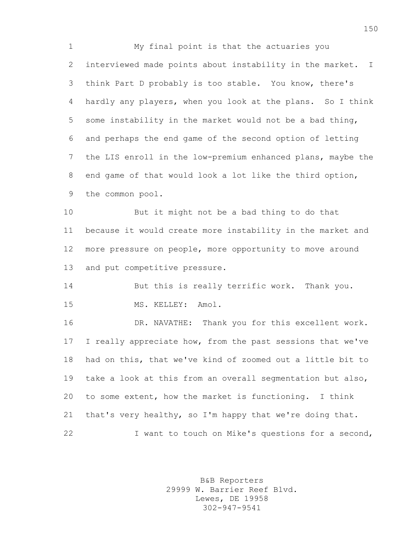My final point is that the actuaries you interviewed made points about instability in the market. I think Part D probably is too stable. You know, there's hardly any players, when you look at the plans. So I think some instability in the market would not be a bad thing, and perhaps the end game of the second option of letting the LIS enroll in the low-premium enhanced plans, maybe the end game of that would look a lot like the third option, the common pool.

 But it might not be a bad thing to do that because it would create more instability in the market and more pressure on people, more opportunity to move around and put competitive pressure.

14 But this is really terrific work. Thank you. 15 MS. KELLEY: Amol.

 DR. NAVATHE: Thank you for this excellent work. I really appreciate how, from the past sessions that we've had on this, that we've kind of zoomed out a little bit to take a look at this from an overall segmentation but also, to some extent, how the market is functioning. I think that's very healthy, so I'm happy that we're doing that. I want to touch on Mike's questions for a second,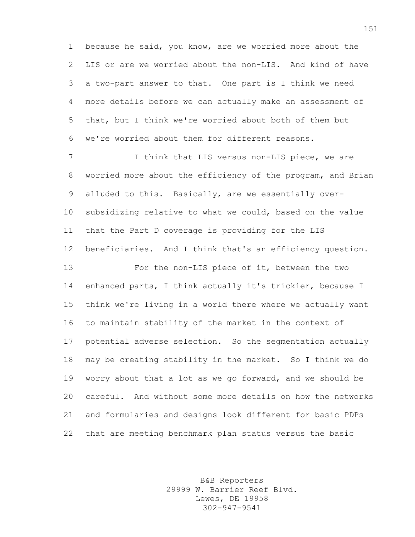because he said, you know, are we worried more about the LIS or are we worried about the non-LIS. And kind of have a two-part answer to that. One part is I think we need more details before we can actually make an assessment of that, but I think we're worried about both of them but we're worried about them for different reasons.

7 I think that LIS versus non-LIS piece, we are worried more about the efficiency of the program, and Brian alluded to this. Basically, are we essentially over- subsidizing relative to what we could, based on the value that the Part D coverage is providing for the LIS beneficiaries. And I think that's an efficiency question.

 For the non-LIS piece of it, between the two enhanced parts, I think actually it's trickier, because I think we're living in a world there where we actually want to maintain stability of the market in the context of potential adverse selection. So the segmentation actually may be creating stability in the market. So I think we do worry about that a lot as we go forward, and we should be careful. And without some more details on how the networks and formularies and designs look different for basic PDPs that are meeting benchmark plan status versus the basic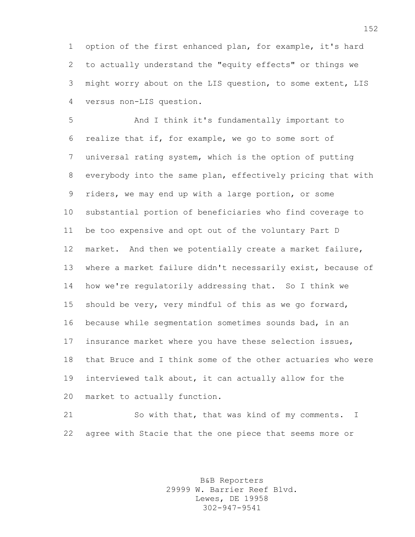option of the first enhanced plan, for example, it's hard to actually understand the "equity effects" or things we might worry about on the LIS question, to some extent, LIS versus non-LIS question.

 And I think it's fundamentally important to realize that if, for example, we go to some sort of universal rating system, which is the option of putting everybody into the same plan, effectively pricing that with riders, we may end up with a large portion, or some substantial portion of beneficiaries who find coverage to be too expensive and opt out of the voluntary Part D market. And then we potentially create a market failure, where a market failure didn't necessarily exist, because of how we're regulatorily addressing that. So I think we should be very, very mindful of this as we go forward, because while segmentation sometimes sounds bad, in an insurance market where you have these selection issues, that Bruce and I think some of the other actuaries who were interviewed talk about, it can actually allow for the market to actually function.

 So with that, that was kind of my comments. I agree with Stacie that the one piece that seems more or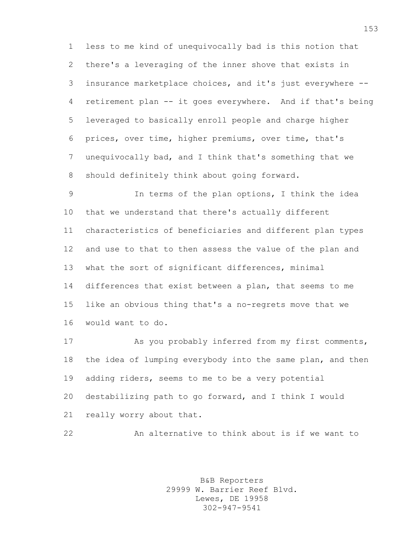less to me kind of unequivocally bad is this notion that there's a leveraging of the inner shove that exists in insurance marketplace choices, and it's just everywhere -- retirement plan -- it goes everywhere. And if that's being leveraged to basically enroll people and charge higher prices, over time, higher premiums, over time, that's unequivocally bad, and I think that's something that we should definitely think about going forward.

 In terms of the plan options, I think the idea that we understand that there's actually different characteristics of beneficiaries and different plan types and use to that to then assess the value of the plan and what the sort of significant differences, minimal differences that exist between a plan, that seems to me like an obvious thing that's a no-regrets move that we would want to do.

 As you probably inferred from my first comments, 18 the idea of lumping everybody into the same plan, and then adding riders, seems to me to be a very potential destabilizing path to go forward, and I think I would really worry about that.

An alternative to think about is if we want to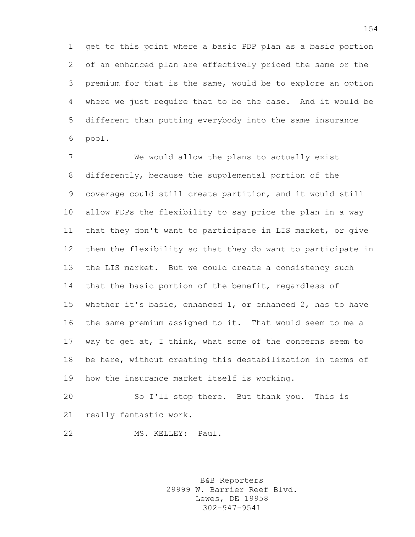get to this point where a basic PDP plan as a basic portion of an enhanced plan are effectively priced the same or the premium for that is the same, would be to explore an option where we just require that to be the case. And it would be different than putting everybody into the same insurance pool.

 We would allow the plans to actually exist differently, because the supplemental portion of the coverage could still create partition, and it would still allow PDPs the flexibility to say price the plan in a way that they don't want to participate in LIS market, or give them the flexibility so that they do want to participate in the LIS market. But we could create a consistency such that the basic portion of the benefit, regardless of whether it's basic, enhanced 1, or enhanced 2, has to have the same premium assigned to it. That would seem to me a way to get at, I think, what some of the concerns seem to be here, without creating this destabilization in terms of how the insurance market itself is working.

 So I'll stop there. But thank you. This is really fantastic work.

MS. KELLEY: Paul.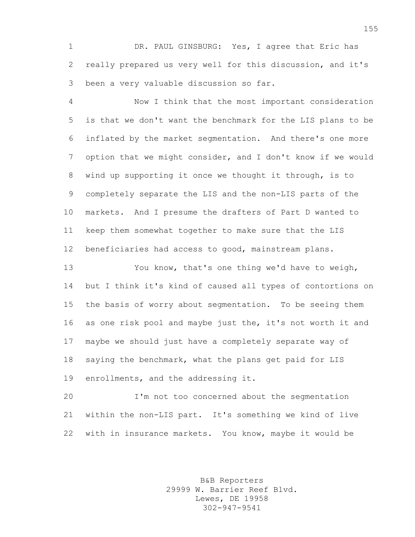DR. PAUL GINSBURG: Yes, I agree that Eric has really prepared us very well for this discussion, and it's been a very valuable discussion so far.

 Now I think that the most important consideration is that we don't want the benchmark for the LIS plans to be inflated by the market segmentation. And there's one more option that we might consider, and I don't know if we would wind up supporting it once we thought it through, is to completely separate the LIS and the non-LIS parts of the markets. And I presume the drafters of Part D wanted to keep them somewhat together to make sure that the LIS beneficiaries had access to good, mainstream plans.

 You know, that's one thing we'd have to weigh, but I think it's kind of caused all types of contortions on the basis of worry about segmentation. To be seeing them as one risk pool and maybe just the, it's not worth it and maybe we should just have a completely separate way of saying the benchmark, what the plans get paid for LIS enrollments, and the addressing it.

 I'm not too concerned about the segmentation within the non-LIS part. It's something we kind of live with in insurance markets. You know, maybe it would be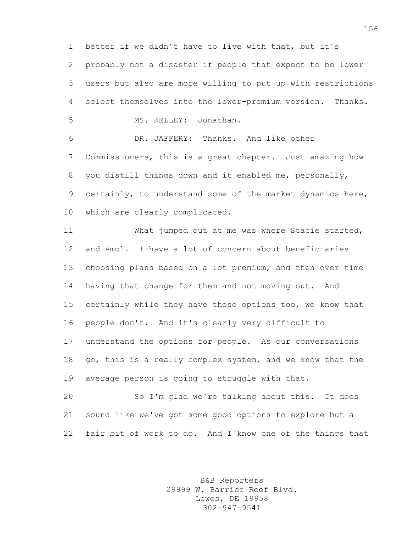better if we didn't have to live with that, but it's probably not a disaster if people that expect to be lower users but also are more willing to put up with restrictions select themselves into the lower-premium version. Thanks.

MS. KELLEY: Jonathan.

 DR. JAFFERY: Thanks. And like other Commissioners, this is a great chapter. Just amazing how you distill things down and it enabled me, personally, certainly, to understand some of the market dynamics here, which are clearly complicated.

 What jumped out at me was where Stacie started, and Amol. I have a lot of concern about beneficiaries choosing plans based on a lot premium, and then over time having that change for them and not moving out. And certainly while they have these options too, we know that people don't. And it's clearly very difficult to understand the options for people. As our conversations go, this is a really complex system, and we know that the average person is going to struggle with that.

 So I'm glad we're talking about this. It does sound like we've got some good options to explore but a fair bit of work to do. And I know one of the things that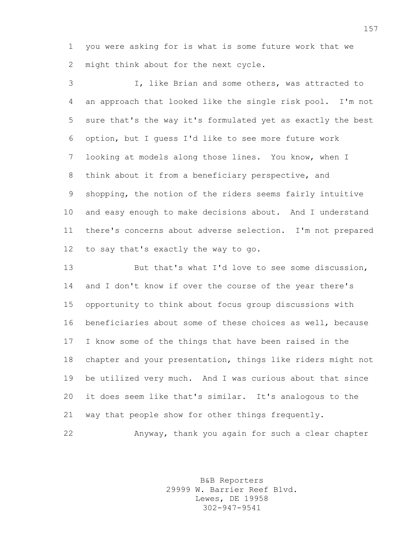you were asking for is what is some future work that we might think about for the next cycle.

 I, like Brian and some others, was attracted to an approach that looked like the single risk pool. I'm not sure that's the way it's formulated yet as exactly the best option, but I guess I'd like to see more future work looking at models along those lines. You know, when I think about it from a beneficiary perspective, and shopping, the notion of the riders seems fairly intuitive and easy enough to make decisions about. And I understand there's concerns about adverse selection. I'm not prepared to say that's exactly the way to go.

 But that's what I'd love to see some discussion, and I don't know if over the course of the year there's opportunity to think about focus group discussions with beneficiaries about some of these choices as well, because I know some of the things that have been raised in the chapter and your presentation, things like riders might not be utilized very much. And I was curious about that since it does seem like that's similar. It's analogous to the way that people show for other things frequently.

Anyway, thank you again for such a clear chapter

B&B Reporters 29999 W. Barrier Reef Blvd. Lewes, DE 19958 302-947-9541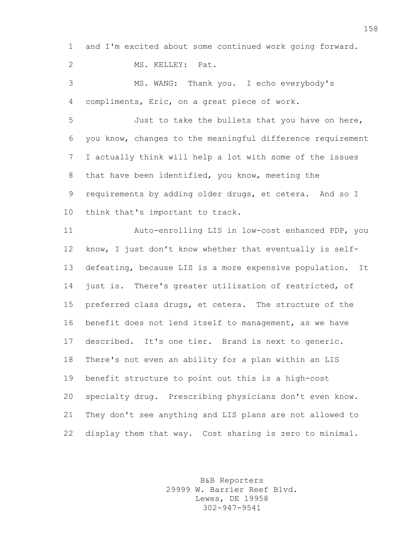and I'm excited about some continued work going forward.

MS. KELLEY: Pat.

 MS. WANG: Thank you. I echo everybody's compliments, Eric, on a great piece of work.

 Just to take the bullets that you have on here, you know, changes to the meaningful difference requirement I actually think will help a lot with some of the issues that have been identified, you know, meeting the requirements by adding older drugs, et cetera. And so I think that's important to track.

 Auto-enrolling LIS in low-cost enhanced PDP, you know, I just don't know whether that eventually is self- defeating, because LIS is a more expensive population. It just is. There's greater utilization of restricted, of preferred class drugs, et cetera. The structure of the benefit does not lend itself to management, as we have described. It's one tier. Brand is next to generic. There's not even an ability for a plan within an LIS benefit structure to point out this is a high-cost specialty drug. Prescribing physicians don't even know. They don't see anything and LIS plans are not allowed to display them that way. Cost sharing is zero to minimal.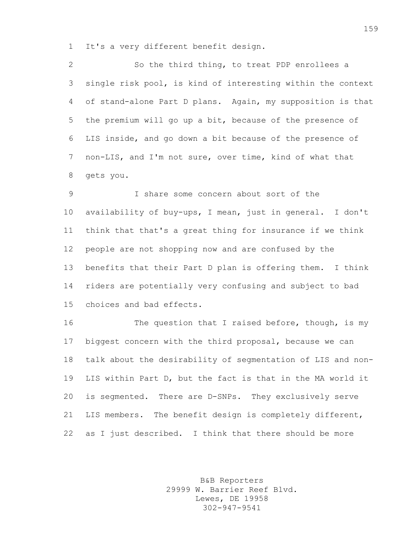It's a very different benefit design.

 So the third thing, to treat PDP enrollees a single risk pool, is kind of interesting within the context of stand-alone Part D plans. Again, my supposition is that the premium will go up a bit, because of the presence of LIS inside, and go down a bit because of the presence of non-LIS, and I'm not sure, over time, kind of what that gets you.

 I share some concern about sort of the availability of buy-ups, I mean, just in general. I don't think that that's a great thing for insurance if we think people are not shopping now and are confused by the benefits that their Part D plan is offering them. I think riders are potentially very confusing and subject to bad choices and bad effects.

16 The question that I raised before, though, is my biggest concern with the third proposal, because we can talk about the desirability of segmentation of LIS and non- LIS within Part D, but the fact is that in the MA world it is segmented. There are D-SNPs. They exclusively serve LIS members. The benefit design is completely different, as I just described. I think that there should be more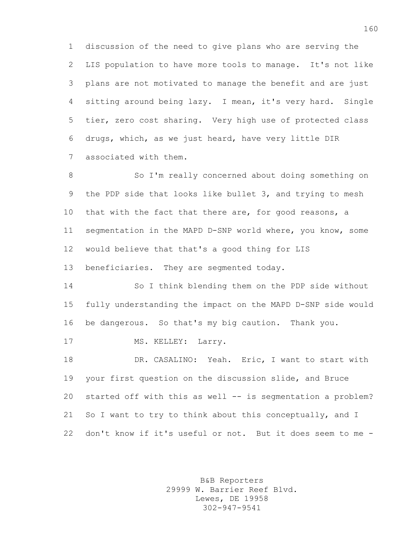discussion of the need to give plans who are serving the LIS population to have more tools to manage. It's not like plans are not motivated to manage the benefit and are just sitting around being lazy. I mean, it's very hard. Single tier, zero cost sharing. Very high use of protected class drugs, which, as we just heard, have very little DIR associated with them.

8 So I'm really concerned about doing something on the PDP side that looks like bullet 3, and trying to mesh 10 that with the fact that there are, for good reasons, a segmentation in the MAPD D-SNP world where, you know, some would believe that that's a good thing for LIS beneficiaries. They are segmented today.

 So I think blending them on the PDP side without fully understanding the impact on the MAPD D-SNP side would be dangerous. So that's my big caution. Thank you.

17 MS. KELLEY: Larry.

 DR. CASALINO: Yeah. Eric, I want to start with your first question on the discussion slide, and Bruce started off with this as well -- is segmentation a problem? So I want to try to think about this conceptually, and I don't know if it's useful or not. But it does seem to me -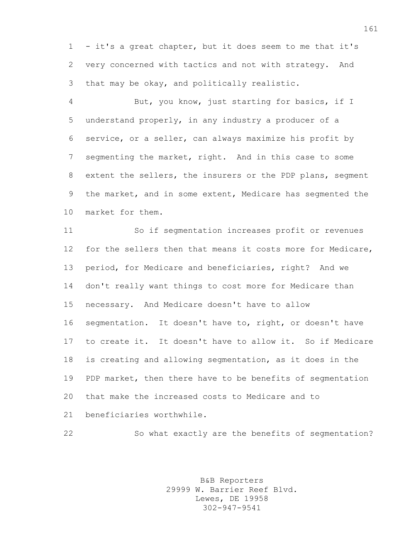- it's a great chapter, but it does seem to me that it's very concerned with tactics and not with strategy. And that may be okay, and politically realistic.

 But, you know, just starting for basics, if I understand properly, in any industry a producer of a service, or a seller, can always maximize his profit by segmenting the market, right. And in this case to some extent the sellers, the insurers or the PDP plans, segment the market, and in some extent, Medicare has segmented the market for them.

 So if segmentation increases profit or revenues for the sellers then that means it costs more for Medicare, period, for Medicare and beneficiaries, right? And we don't really want things to cost more for Medicare than necessary. And Medicare doesn't have to allow segmentation. It doesn't have to, right, or doesn't have to create it. It doesn't have to allow it. So if Medicare is creating and allowing segmentation, as it does in the PDP market, then there have to be benefits of segmentation that make the increased costs to Medicare and to beneficiaries worthwhile.

So what exactly are the benefits of segmentation?

B&B Reporters 29999 W. Barrier Reef Blvd. Lewes, DE 19958 302-947-9541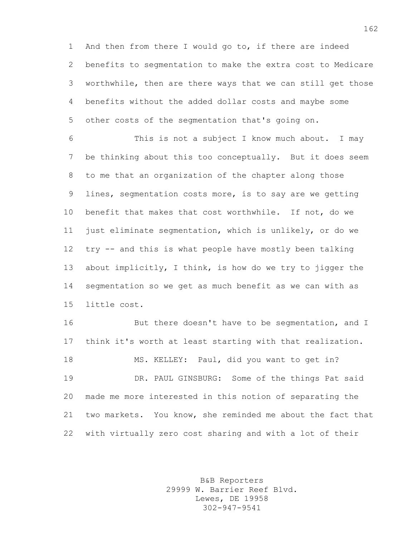And then from there I would go to, if there are indeed benefits to segmentation to make the extra cost to Medicare worthwhile, then are there ways that we can still get those benefits without the added dollar costs and maybe some other costs of the segmentation that's going on.

 This is not a subject I know much about. I may be thinking about this too conceptually. But it does seem to me that an organization of the chapter along those lines, segmentation costs more, is to say are we getting benefit that makes that cost worthwhile. If not, do we just eliminate segmentation, which is unlikely, or do we try -- and this is what people have mostly been talking about implicitly, I think, is how do we try to jigger the segmentation so we get as much benefit as we can with as little cost.

16 But there doesn't have to be seqmentation, and I think it's worth at least starting with that realization. MS. KELLEY: Paul, did you want to get in? DR. PAUL GINSBURG: Some of the things Pat said made me more interested in this notion of separating the two markets. You know, she reminded me about the fact that with virtually zero cost sharing and with a lot of their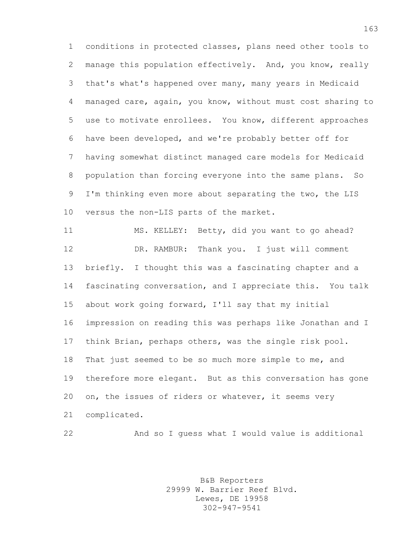conditions in protected classes, plans need other tools to manage this population effectively. And, you know, really that's what's happened over many, many years in Medicaid managed care, again, you know, without must cost sharing to use to motivate enrollees. You know, different approaches have been developed, and we're probably better off for having somewhat distinct managed care models for Medicaid population than forcing everyone into the same plans. So I'm thinking even more about separating the two, the LIS versus the non-LIS parts of the market.

 MS. KELLEY: Betty, did you want to go ahead? DR. RAMBUR: Thank you. I just will comment briefly. I thought this was a fascinating chapter and a fascinating conversation, and I appreciate this. You talk about work going forward, I'll say that my initial impression on reading this was perhaps like Jonathan and I think Brian, perhaps others, was the single risk pool. That just seemed to be so much more simple to me, and therefore more elegant. But as this conversation has gone on, the issues of riders or whatever, it seems very complicated.

And so I guess what I would value is additional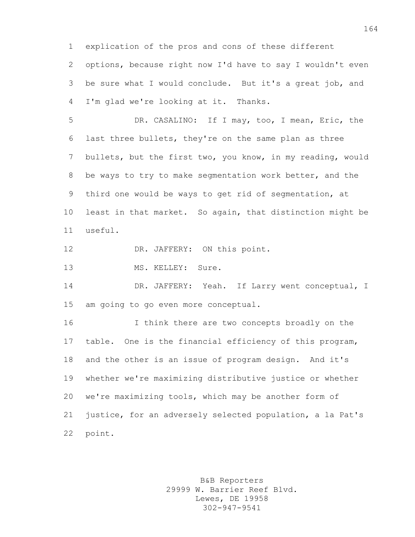explication of the pros and cons of these different options, because right now I'd have to say I wouldn't even be sure what I would conclude. But it's a great job, and I'm glad we're looking at it. Thanks.

 DR. CASALINO: If I may, too, I mean, Eric, the last three bullets, they're on the same plan as three bullets, but the first two, you know, in my reading, would be ways to try to make segmentation work better, and the third one would be ways to get rid of segmentation, at least in that market. So again, that distinction might be useful.

12 DR. JAFFERY: ON this point.

13 MS. KELLEY: Sure.

 DR. JAFFERY: Yeah. If Larry went conceptual, I am going to go even more conceptual.

 I think there are two concepts broadly on the table. One is the financial efficiency of this program, and the other is an issue of program design. And it's whether we're maximizing distributive justice or whether we're maximizing tools, which may be another form of justice, for an adversely selected population, a la Pat's point.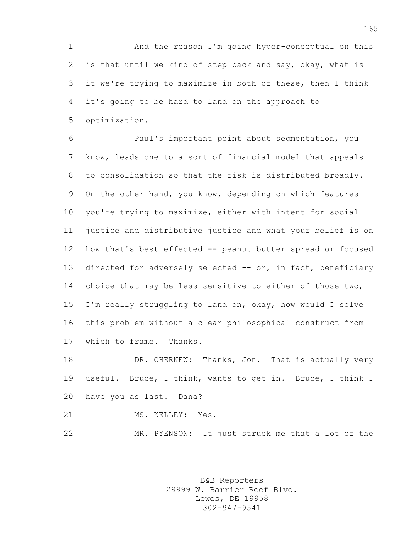And the reason I'm going hyper-conceptual on this is that until we kind of step back and say, okay, what is it we're trying to maximize in both of these, then I think it's going to be hard to land on the approach to optimization.

 Paul's important point about segmentation, you know, leads one to a sort of financial model that appeals to consolidation so that the risk is distributed broadly. On the other hand, you know, depending on which features you're trying to maximize, either with intent for social justice and distributive justice and what your belief is on how that's best effected -- peanut butter spread or focused 13 directed for adversely selected -- or, in fact, beneficiary 14 choice that may be less sensitive to either of those two, I'm really struggling to land on, okay, how would I solve this problem without a clear philosophical construct from which to frame. Thanks.

18 DR. CHERNEW: Thanks, Jon. That is actually very useful. Bruce, I think, wants to get in. Bruce, I think I have you as last. Dana?

21 MS. KELLEY: Yes.

MR. PYENSON: It just struck me that a lot of the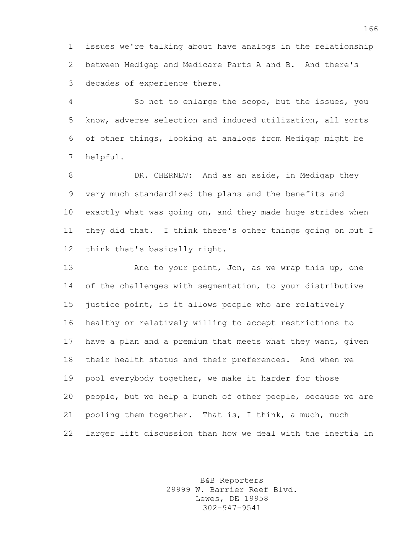issues we're talking about have analogs in the relationship between Medigap and Medicare Parts A and B. And there's decades of experience there.

 So not to enlarge the scope, but the issues, you know, adverse selection and induced utilization, all sorts of other things, looking at analogs from Medigap might be helpful.

8 DR. CHERNEW: And as an aside, in Medigap they very much standardized the plans and the benefits and exactly what was going on, and they made huge strides when they did that. I think there's other things going on but I think that's basically right.

13 And to your point, Jon, as we wrap this up, one 14 of the challenges with segmentation, to your distributive justice point, is it allows people who are relatively healthy or relatively willing to accept restrictions to have a plan and a premium that meets what they want, given their health status and their preferences. And when we pool everybody together, we make it harder for those people, but we help a bunch of other people, because we are pooling them together. That is, I think, a much, much larger lift discussion than how we deal with the inertia in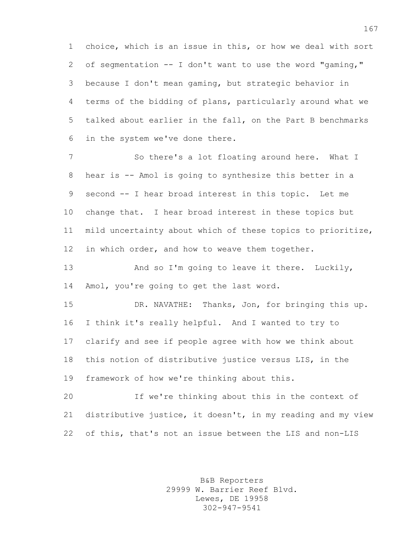choice, which is an issue in this, or how we deal with sort of segmentation -- I don't want to use the word "gaming," because I don't mean gaming, but strategic behavior in terms of the bidding of plans, particularly around what we talked about earlier in the fall, on the Part B benchmarks in the system we've done there.

 So there's a lot floating around here. What I hear is -- Amol is going to synthesize this better in a second -- I hear broad interest in this topic. Let me change that. I hear broad interest in these topics but mild uncertainty about which of these topics to prioritize, 12 in which order, and how to weave them together.

 And so I'm going to leave it there. Luckily, Amol, you're going to get the last word.

 DR. NAVATHE: Thanks, Jon, for bringing this up. I think it's really helpful. And I wanted to try to clarify and see if people agree with how we think about this notion of distributive justice versus LIS, in the framework of how we're thinking about this.

 If we're thinking about this in the context of distributive justice, it doesn't, in my reading and my view of this, that's not an issue between the LIS and non-LIS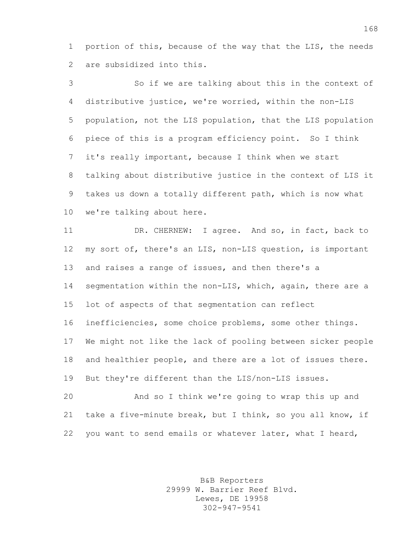portion of this, because of the way that the LIS, the needs are subsidized into this.

 So if we are talking about this in the context of distributive justice, we're worried, within the non-LIS population, not the LIS population, that the LIS population piece of this is a program efficiency point. So I think it's really important, because I think when we start talking about distributive justice in the context of LIS it takes us down a totally different path, which is now what we're talking about here.

 DR. CHERNEW: I agree. And so, in fact, back to my sort of, there's an LIS, non-LIS question, is important 13 and raises a range of issues, and then there's a 14 segmentation within the non-LIS, which, again, there are a lot of aspects of that segmentation can reflect inefficiencies, some choice problems, some other things. We might not like the lack of pooling between sicker people and healthier people, and there are a lot of issues there. But they're different than the LIS/non-LIS issues.

 And so I think we're going to wrap this up and take a five-minute break, but I think, so you all know, if you want to send emails or whatever later, what I heard,

> B&B Reporters 29999 W. Barrier Reef Blvd. Lewes, DE 19958 302-947-9541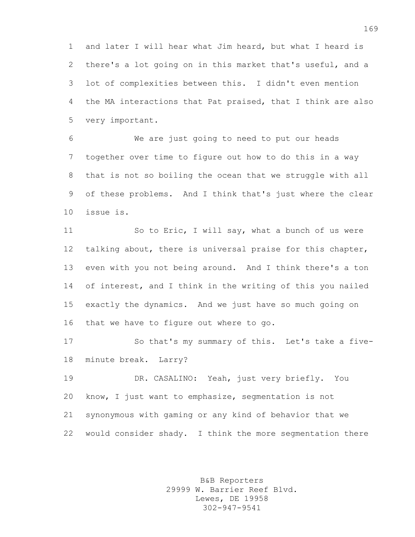and later I will hear what Jim heard, but what I heard is there's a lot going on in this market that's useful, and a lot of complexities between this. I didn't even mention the MA interactions that Pat praised, that I think are also very important.

 We are just going to need to put our heads together over time to figure out how to do this in a way that is not so boiling the ocean that we struggle with all of these problems. And I think that's just where the clear issue is.

 So to Eric, I will say, what a bunch of us were talking about, there is universal praise for this chapter, even with you not being around. And I think there's a ton 14 of interest, and I think in the writing of this you nailed exactly the dynamics. And we just have so much going on that we have to figure out where to go.

 So that's my summary of this. Let's take a five-minute break. Larry?

 DR. CASALINO: Yeah, just very briefly. You know, I just want to emphasize, segmentation is not synonymous with gaming or any kind of behavior that we would consider shady. I think the more segmentation there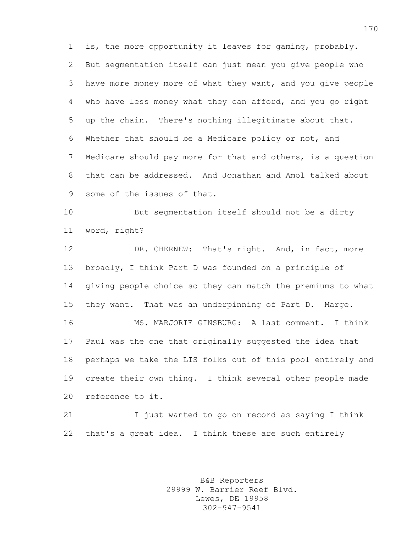is, the more opportunity it leaves for gaming, probably. But segmentation itself can just mean you give people who have more money more of what they want, and you give people who have less money what they can afford, and you go right up the chain. There's nothing illegitimate about that. Whether that should be a Medicare policy or not, and Medicare should pay more for that and others, is a question that can be addressed. And Jonathan and Amol talked about some of the issues of that.

 But segmentation itself should not be a dirty word, right?

 DR. CHERNEW: That's right. And, in fact, more broadly, I think Part D was founded on a principle of giving people choice so they can match the premiums to what they want. That was an underpinning of Part D. Marge.

 MS. MARJORIE GINSBURG: A last comment. I think Paul was the one that originally suggested the idea that perhaps we take the LIS folks out of this pool entirely and create their own thing. I think several other people made reference to it.

 I just wanted to go on record as saying I think that's a great idea. I think these are such entirely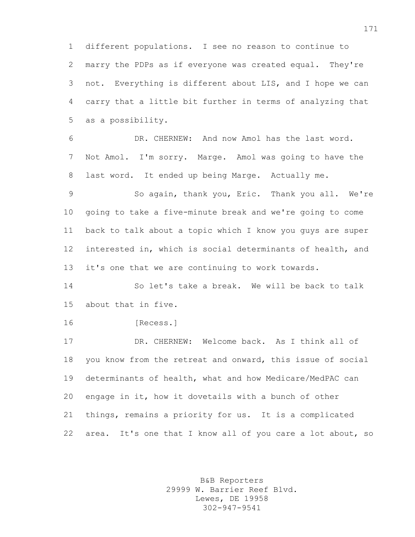different populations. I see no reason to continue to marry the PDPs as if everyone was created equal. They're not. Everything is different about LIS, and I hope we can carry that a little bit further in terms of analyzing that as a possibility.

 DR. CHERNEW: And now Amol has the last word. Not Amol. I'm sorry. Marge. Amol was going to have the last word. It ended up being Marge. Actually me.

 So again, thank you, Eric. Thank you all. We're going to take a five-minute break and we're going to come back to talk about a topic which I know you guys are super interested in, which is social determinants of health, and it's one that we are continuing to work towards.

 So let's take a break. We will be back to talk about that in five.

[Recess.]

 DR. CHERNEW: Welcome back. As I think all of you know from the retreat and onward, this issue of social determinants of health, what and how Medicare/MedPAC can engage in it, how it dovetails with a bunch of other things, remains a priority for us. It is a complicated 22 area. It's one that I know all of you care a lot about, so

> B&B Reporters 29999 W. Barrier Reef Blvd. Lewes, DE 19958 302-947-9541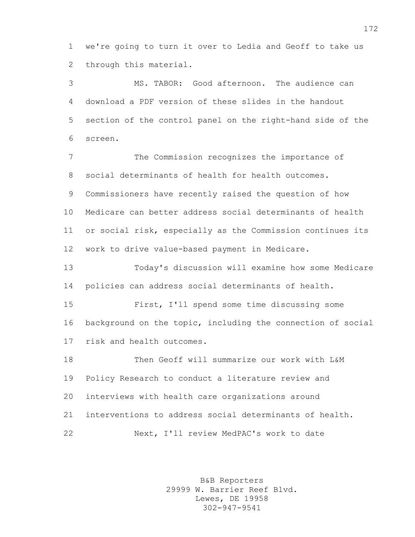we're going to turn it over to Ledia and Geoff to take us through this material.

 MS. TABOR: Good afternoon. The audience can download a PDF version of these slides in the handout section of the control panel on the right-hand side of the screen.

 The Commission recognizes the importance of social determinants of health for health outcomes. Commissioners have recently raised the question of how Medicare can better address social determinants of health or social risk, especially as the Commission continues its work to drive value-based payment in Medicare.

 Today's discussion will examine how some Medicare policies can address social determinants of health.

 First, I'll spend some time discussing some background on the topic, including the connection of social risk and health outcomes.

 Then Geoff will summarize our work with L&M Policy Research to conduct a literature review and interviews with health care organizations around interventions to address social determinants of health. Next, I'll review MedPAC's work to date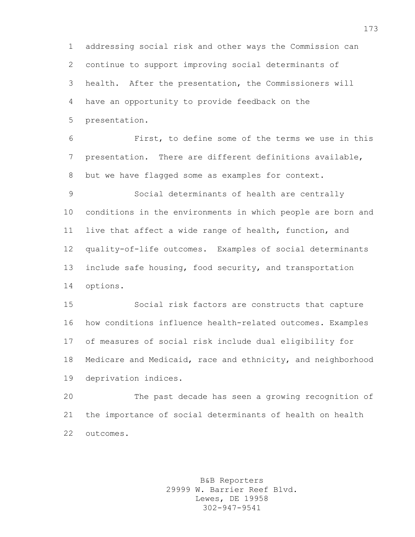addressing social risk and other ways the Commission can continue to support improving social determinants of health. After the presentation, the Commissioners will have an opportunity to provide feedback on the presentation.

 First, to define some of the terms we use in this presentation. There are different definitions available, but we have flagged some as examples for context.

 Social determinants of health are centrally conditions in the environments in which people are born and live that affect a wide range of health, function, and quality-of-life outcomes. Examples of social determinants include safe housing, food security, and transportation options.

 Social risk factors are constructs that capture how conditions influence health-related outcomes. Examples of measures of social risk include dual eligibility for Medicare and Medicaid, race and ethnicity, and neighborhood deprivation indices.

 The past decade has seen a growing recognition of the importance of social determinants of health on health outcomes.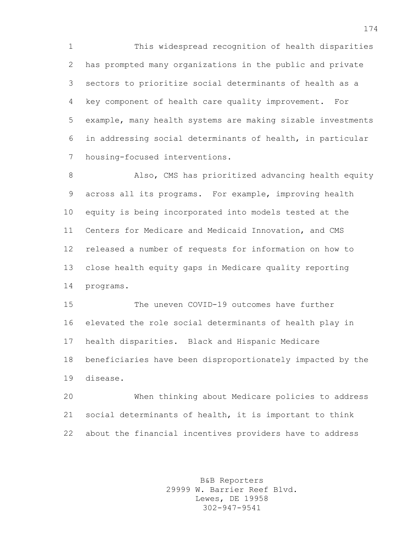This widespread recognition of health disparities has prompted many organizations in the public and private sectors to prioritize social determinants of health as a key component of health care quality improvement. For example, many health systems are making sizable investments in addressing social determinants of health, in particular housing-focused interventions.

8 Also, CMS has prioritized advancing health equity across all its programs. For example, improving health equity is being incorporated into models tested at the Centers for Medicare and Medicaid Innovation, and CMS released a number of requests for information on how to close health equity gaps in Medicare quality reporting programs.

 The uneven COVID-19 outcomes have further elevated the role social determinants of health play in health disparities. Black and Hispanic Medicare beneficiaries have been disproportionately impacted by the disease.

 When thinking about Medicare policies to address social determinants of health, it is important to think about the financial incentives providers have to address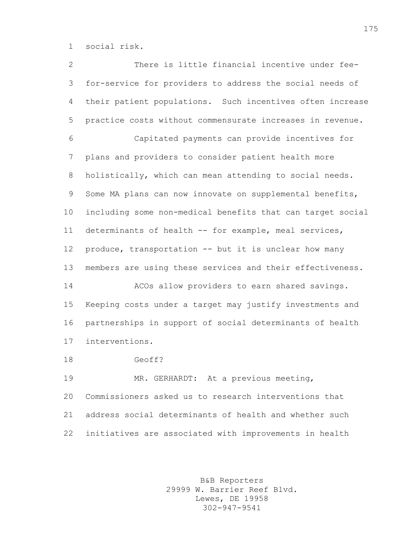social risk.

 There is little financial incentive under fee- for-service for providers to address the social needs of their patient populations. Such incentives often increase practice costs without commensurate increases in revenue. Capitated payments can provide incentives for plans and providers to consider patient health more holistically, which can mean attending to social needs. Some MA plans can now innovate on supplemental benefits, including some non-medical benefits that can target social determinants of health -- for example, meal services, produce, transportation -- but it is unclear how many members are using these services and their effectiveness. ACOs allow providers to earn shared savings. Keeping costs under a target may justify investments and partnerships in support of social determinants of health interventions. Geoff? MR. GERHARDT: At a previous meeting, Commissioners asked us to research interventions that address social determinants of health and whether such initiatives are associated with improvements in health

> B&B Reporters 29999 W. Barrier Reef Blvd. Lewes, DE 19958 302-947-9541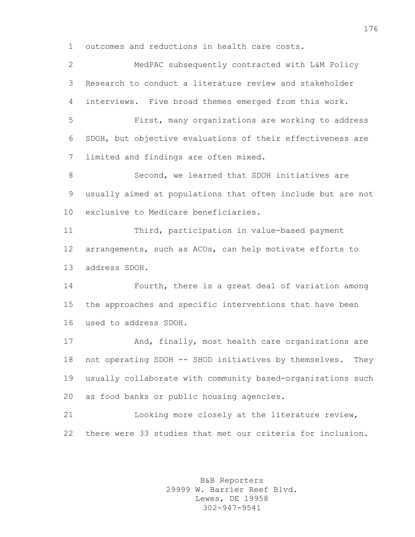outcomes and reductions in health care costs.

 MedPAC subsequently contracted with L&M Policy Research to conduct a literature review and stakeholder interviews. Five broad themes emerged from this work. First, many organizations are working to address SDOH, but objective evaluations of their effectiveness are limited and findings are often mixed. Second, we learned that SDOH initiatives are usually aimed at populations that often include but are not exclusive to Medicare beneficiaries. Third, participation in value-based payment arrangements, such as ACOs, can help motivate efforts to address SDOH. Fourth, there is a great deal of variation among the approaches and specific interventions that have been used to address SDOH. And, finally, most health care organizations are not operating SDOH -- SHOD initiatives by themselves. They usually collaborate with community based-organizations such as food banks or public housing agencies. Looking more closely at the literature review, there were 33 studies that met our criteria for inclusion.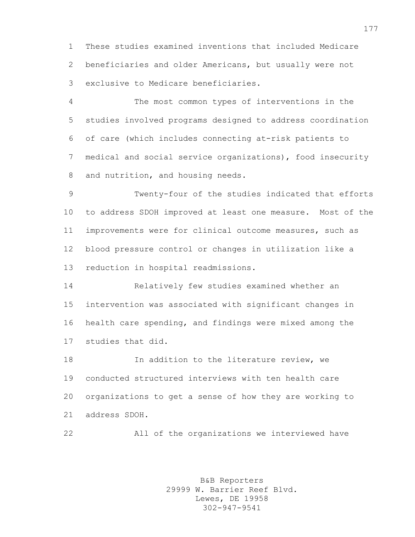These studies examined inventions that included Medicare beneficiaries and older Americans, but usually were not exclusive to Medicare beneficiaries.

 The most common types of interventions in the studies involved programs designed to address coordination of care (which includes connecting at-risk patients to medical and social service organizations), food insecurity and nutrition, and housing needs.

 Twenty-four of the studies indicated that efforts to address SDOH improved at least one measure. Most of the improvements were for clinical outcome measures, such as blood pressure control or changes in utilization like a reduction in hospital readmissions.

 Relatively few studies examined whether an intervention was associated with significant changes in health care spending, and findings were mixed among the studies that did.

**In addition to the literature review, we**  conducted structured interviews with ten health care organizations to get a sense of how they are working to address SDOH.

All of the organizations we interviewed have

B&B Reporters 29999 W. Barrier Reef Blvd. Lewes, DE 19958 302-947-9541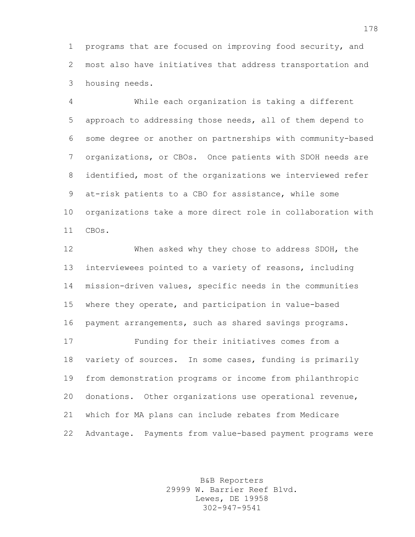programs that are focused on improving food security, and most also have initiatives that address transportation and housing needs.

 While each organization is taking a different approach to addressing those needs, all of them depend to some degree or another on partnerships with community-based organizations, or CBOs. Once patients with SDOH needs are identified, most of the organizations we interviewed refer at-risk patients to a CBO for assistance, while some organizations take a more direct role in collaboration with CBOs.

 When asked why they chose to address SDOH, the interviewees pointed to a variety of reasons, including mission-driven values, specific needs in the communities where they operate, and participation in value-based payment arrangements, such as shared savings programs. Funding for their initiatives comes from a variety of sources. In some cases, funding is primarily from demonstration programs or income from philanthropic donations. Other organizations use operational revenue, which for MA plans can include rebates from Medicare Advantage. Payments from value-based payment programs were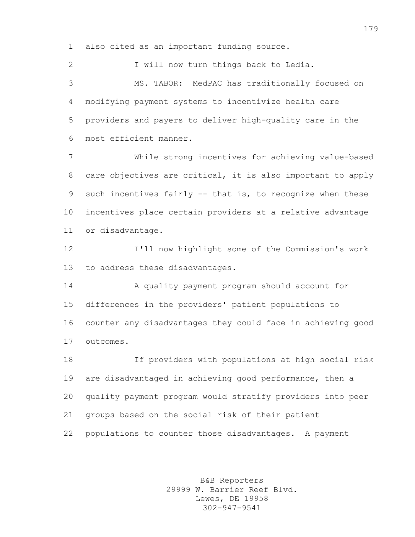also cited as an important funding source.

 I will now turn things back to Ledia. MS. TABOR: MedPAC has traditionally focused on modifying payment systems to incentivize health care providers and payers to deliver high-quality care in the most efficient manner.

 While strong incentives for achieving value-based care objectives are critical, it is also important to apply such incentives fairly -- that is, to recognize when these incentives place certain providers at a relative advantage or disadvantage.

 I'll now highlight some of the Commission's work to address these disadvantages.

 A quality payment program should account for differences in the providers' patient populations to counter any disadvantages they could face in achieving good outcomes.

 If providers with populations at high social risk are disadvantaged in achieving good performance, then a quality payment program would stratify providers into peer groups based on the social risk of their patient populations to counter those disadvantages. A payment

> B&B Reporters 29999 W. Barrier Reef Blvd. Lewes, DE 19958 302-947-9541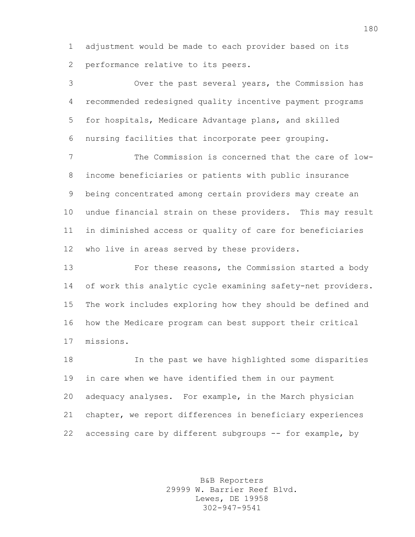adjustment would be made to each provider based on its performance relative to its peers.

 Over the past several years, the Commission has recommended redesigned quality incentive payment programs for hospitals, Medicare Advantage plans, and skilled nursing facilities that incorporate peer grouping.

 The Commission is concerned that the care of low- income beneficiaries or patients with public insurance being concentrated among certain providers may create an undue financial strain on these providers. This may result in diminished access or quality of care for beneficiaries who live in areas served by these providers.

 For these reasons, the Commission started a body 14 of work this analytic cycle examining safety-net providers. The work includes exploring how they should be defined and how the Medicare program can best support their critical missions.

 In the past we have highlighted some disparities in care when we have identified them in our payment adequacy analyses. For example, in the March physician chapter, we report differences in beneficiary experiences accessing care by different subgroups -- for example, by

> B&B Reporters 29999 W. Barrier Reef Blvd. Lewes, DE 19958 302-947-9541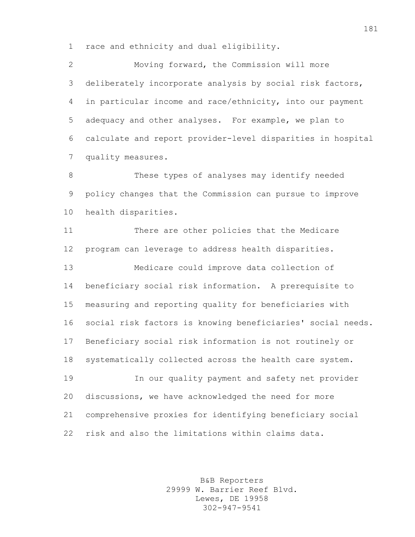race and ethnicity and dual eligibility.

 Moving forward, the Commission will more deliberately incorporate analysis by social risk factors, in particular income and race/ethnicity, into our payment adequacy and other analyses. For example, we plan to calculate and report provider-level disparities in hospital quality measures.

 These types of analyses may identify needed policy changes that the Commission can pursue to improve health disparities.

 There are other policies that the Medicare program can leverage to address health disparities. Medicare could improve data collection of beneficiary social risk information. A prerequisite to measuring and reporting quality for beneficiaries with social risk factors is knowing beneficiaries' social needs. Beneficiary social risk information is not routinely or systematically collected across the health care system. In our quality payment and safety net provider discussions, we have acknowledged the need for more comprehensive proxies for identifying beneficiary social risk and also the limitations within claims data.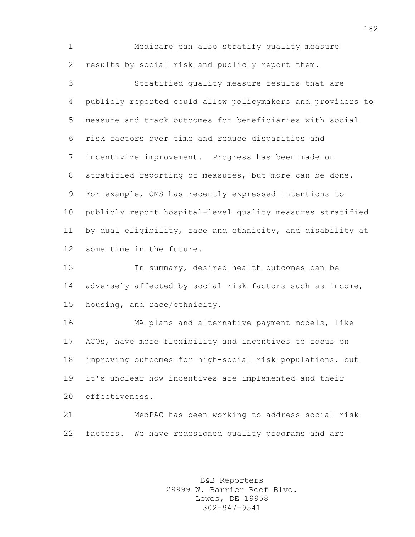Medicare can also stratify quality measure results by social risk and publicly report them.

 Stratified quality measure results that are publicly reported could allow policymakers and providers to measure and track outcomes for beneficiaries with social risk factors over time and reduce disparities and incentivize improvement. Progress has been made on stratified reporting of measures, but more can be done. For example, CMS has recently expressed intentions to publicly report hospital-level quality measures stratified by dual eligibility, race and ethnicity, and disability at some time in the future.

 In summary, desired health outcomes can be 14 adversely affected by social risk factors such as income, housing, and race/ethnicity.

 MA plans and alternative payment models, like ACOs, have more flexibility and incentives to focus on improving outcomes for high-social risk populations, but it's unclear how incentives are implemented and their effectiveness.

 MedPAC has been working to address social risk factors. We have redesigned quality programs and are

> B&B Reporters 29999 W. Barrier Reef Blvd. Lewes, DE 19958 302-947-9541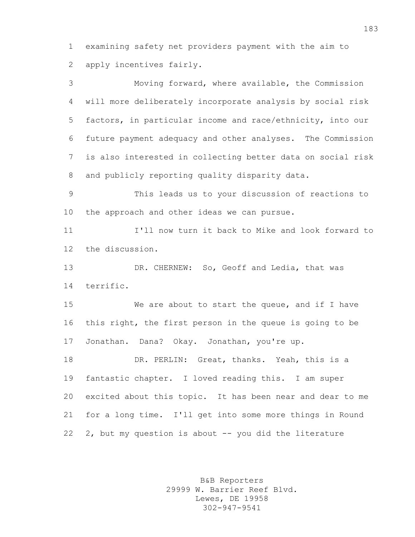examining safety net providers payment with the aim to apply incentives fairly.

 Moving forward, where available, the Commission will more deliberately incorporate analysis by social risk factors, in particular income and race/ethnicity, into our future payment adequacy and other analyses. The Commission is also interested in collecting better data on social risk and publicly reporting quality disparity data.

 This leads us to your discussion of reactions to the approach and other ideas we can pursue.

 I'll now turn it back to Mike and look forward to the discussion.

 DR. CHERNEW: So, Geoff and Ledia, that was terrific.

 We are about to start the queue, and if I have this right, the first person in the queue is going to be Jonathan. Dana? Okay. Jonathan, you're up.

 DR. PERLIN: Great, thanks. Yeah, this is a fantastic chapter. I loved reading this. I am super excited about this topic. It has been near and dear to me for a long time. I'll get into some more things in Round 2, but my question is about -- you did the literature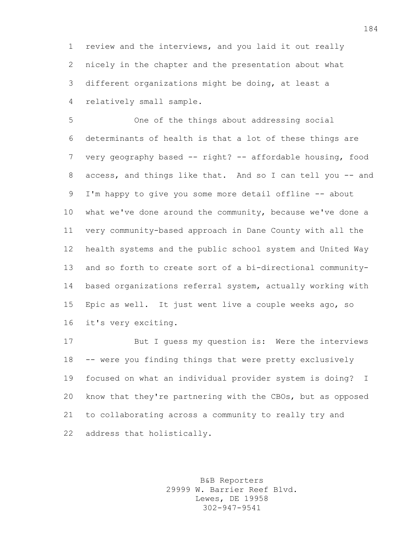review and the interviews, and you laid it out really nicely in the chapter and the presentation about what different organizations might be doing, at least a relatively small sample.

 One of the things about addressing social determinants of health is that a lot of these things are very geography based -- right? -- affordable housing, food 8 access, and things like that. And so I can tell you -- and 9 I'm happy to give you some more detail offline -- about what we've done around the community, because we've done a very community-based approach in Dane County with all the health systems and the public school system and United Way and so forth to create sort of a bi-directional community- based organizations referral system, actually working with Epic as well. It just went live a couple weeks ago, so it's very exciting.

 But I guess my question is: Were the interviews -- were you finding things that were pretty exclusively focused on what an individual provider system is doing? I know that they're partnering with the CBOs, but as opposed to collaborating across a community to really try and address that holistically.

> B&B Reporters 29999 W. Barrier Reef Blvd. Lewes, DE 19958 302-947-9541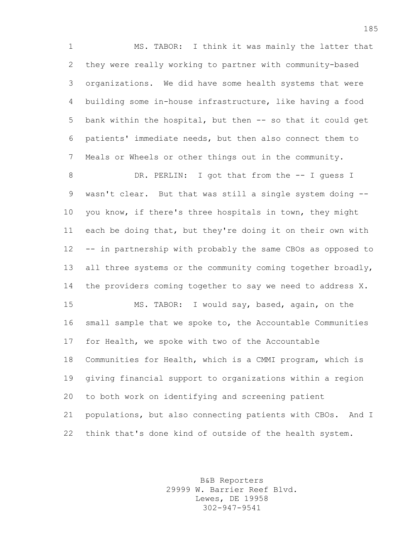MS. TABOR: I think it was mainly the latter that they were really working to partner with community-based organizations. We did have some health systems that were building some in-house infrastructure, like having a food bank within the hospital, but then -- so that it could get patients' immediate needs, but then also connect them to Meals or Wheels or other things out in the community.

8 DR. PERLIN: I got that from the -- I guess I wasn't clear. But that was still a single system doing -- you know, if there's three hospitals in town, they might each be doing that, but they're doing it on their own with -- in partnership with probably the same CBOs as opposed to 13 all three systems or the community coming together broadly, the providers coming together to say we need to address X. MS. TABOR: I would say, based, again, on the small sample that we spoke to, the Accountable Communities for Health, we spoke with two of the Accountable Communities for Health, which is a CMMI program, which is giving financial support to organizations within a region to both work on identifying and screening patient populations, but also connecting patients with CBOs. And I think that's done kind of outside of the health system.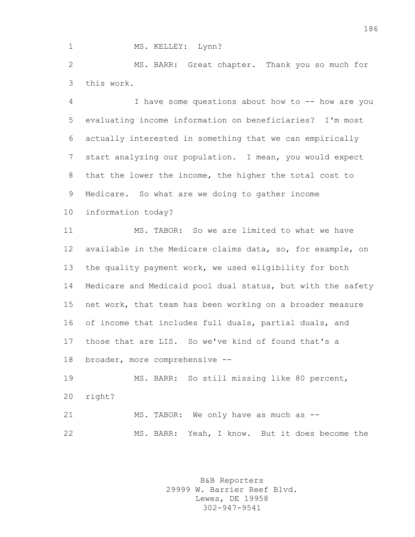## 1 MS. KELLEY: Lynn?

 MS. BARR: Great chapter. Thank you so much for this work.

 I have some questions about how to -- how are you evaluating income information on beneficiaries? I'm most actually interested in something that we can empirically start analyzing our population. I mean, you would expect that the lower the income, the higher the total cost to Medicare. So what are we doing to gather income

information today?

 MS. TABOR: So we are limited to what we have available in the Medicare claims data, so, for example, on the quality payment work, we used eligibility for both Medicare and Medicaid pool dual status, but with the safety net work, that team has been working on a broader measure of income that includes full duals, partial duals, and those that are LIS. So we've kind of found that's a broader, more comprehensive --

 MS. BARR: So still missing like 80 percent, right? 21 MS. TABOR: We only have as much as --

MS. BARR: Yeah, I know. But it does become the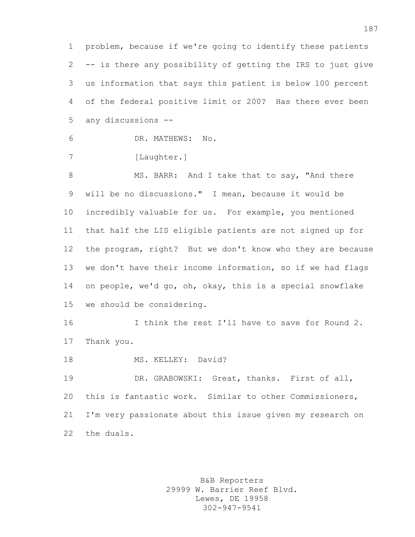problem, because if we're going to identify these patients -- is there any possibility of getting the IRS to just give us information that says this patient is below 100 percent of the federal positive limit or 200? Has there ever been any discussions --

DR. MATHEWS: No.

7 [Laughter.]

8 MS. BARR: And I take that to say, "And there will be no discussions." I mean, because it would be incredibly valuable for us. For example, you mentioned that half the LIS eligible patients are not signed up for the program, right? But we don't know who they are because we don't have their income information, so if we had flags on people, we'd go, oh, okay, this is a special snowflake we should be considering.

16 16 I think the rest I'll have to save for Round 2. Thank you.

18 MS. KELLEY: David?

 DR. GRABOWSKI: Great, thanks. First of all, this is fantastic work. Similar to other Commissioners, I'm very passionate about this issue given my research on the duals.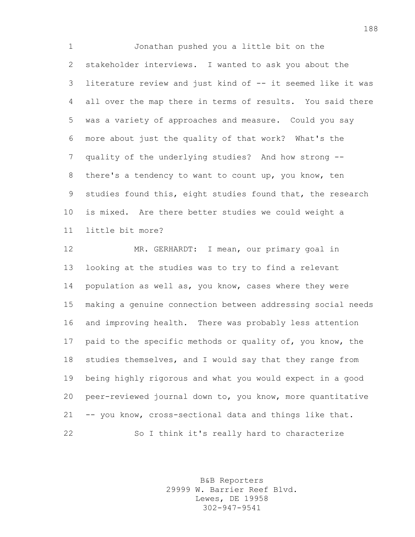Jonathan pushed you a little bit on the stakeholder interviews. I wanted to ask you about the literature review and just kind of -- it seemed like it was all over the map there in terms of results. You said there was a variety of approaches and measure. Could you say more about just the quality of that work? What's the quality of the underlying studies? And how strong -- there's a tendency to want to count up, you know, ten studies found this, eight studies found that, the research is mixed. Are there better studies we could weight a little bit more?

 MR. GERHARDT: I mean, our primary goal in looking at the studies was to try to find a relevant 14 population as well as, you know, cases where they were making a genuine connection between addressing social needs and improving health. There was probably less attention paid to the specific methods or quality of, you know, the studies themselves, and I would say that they range from being highly rigorous and what you would expect in a good peer-reviewed journal down to, you know, more quantitative -- you know, cross-sectional data and things like that. So I think it's really hard to characterize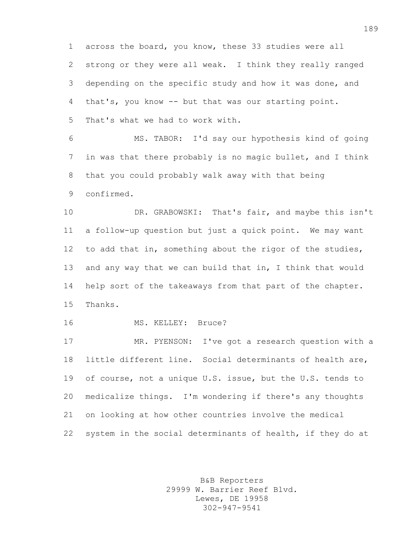across the board, you know, these 33 studies were all strong or they were all weak. I think they really ranged depending on the specific study and how it was done, and that's, you know -- but that was our starting point. That's what we had to work with.

 MS. TABOR: I'd say our hypothesis kind of going in was that there probably is no magic bullet, and I think that you could probably walk away with that being confirmed.

 DR. GRABOWSKI: That's fair, and maybe this isn't a follow-up question but just a quick point. We may want to add that in, something about the rigor of the studies, 13 and any way that we can build that in, I think that would help sort of the takeaways from that part of the chapter. Thanks.

16 MS. KELLEY: Bruce?

 MR. PYENSON: I've got a research question with a little different line. Social determinants of health are, of course, not a unique U.S. issue, but the U.S. tends to medicalize things. I'm wondering if there's any thoughts on looking at how other countries involve the medical system in the social determinants of health, if they do at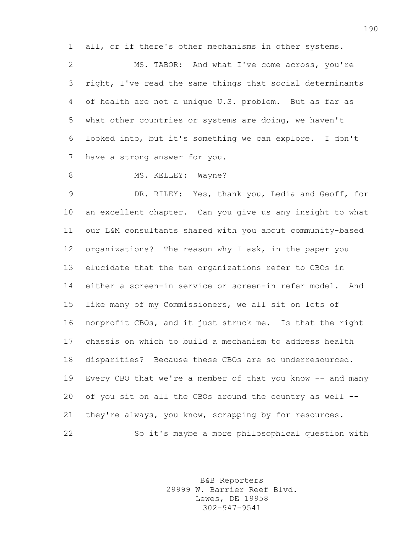all, or if there's other mechanisms in other systems.

 MS. TABOR: And what I've come across, you're right, I've read the same things that social determinants of health are not a unique U.S. problem. But as far as what other countries or systems are doing, we haven't looked into, but it's something we can explore. I don't have a strong answer for you.

8 MS. KELLEY: Wayne?

 DR. RILEY: Yes, thank you, Ledia and Geoff, for an excellent chapter. Can you give us any insight to what our L&M consultants shared with you about community-based organizations? The reason why I ask, in the paper you elucidate that the ten organizations refer to CBOs in either a screen-in service or screen-in refer model. And like many of my Commissioners, we all sit on lots of nonprofit CBOs, and it just struck me. Is that the right chassis on which to build a mechanism to address health disparities? Because these CBOs are so underresourced. Every CBO that we're a member of that you know -- and many of you sit on all the CBOs around the country as well -- 21 they're always, you know, scrapping by for resources. So it's maybe a more philosophical question with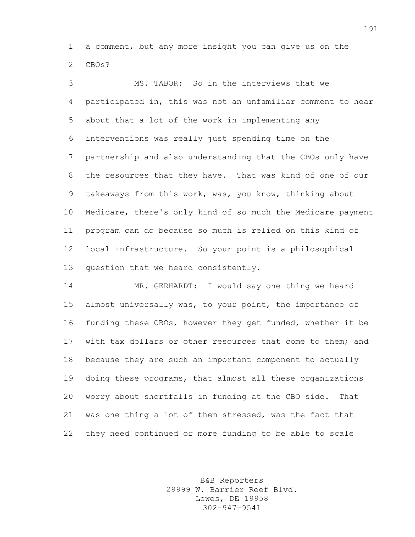a comment, but any more insight you can give us on the CBOs?

 MS. TABOR: So in the interviews that we participated in, this was not an unfamiliar comment to hear about that a lot of the work in implementing any interventions was really just spending time on the partnership and also understanding that the CBOs only have the resources that they have. That was kind of one of our takeaways from this work, was, you know, thinking about Medicare, there's only kind of so much the Medicare payment program can do because so much is relied on this kind of local infrastructure. So your point is a philosophical question that we heard consistently.

 MR. GERHARDT: I would say one thing we heard almost universally was, to your point, the importance of funding these CBOs, however they get funded, whether it be with tax dollars or other resources that come to them; and because they are such an important component to actually doing these programs, that almost all these organizations worry about shortfalls in funding at the CBO side. That was one thing a lot of them stressed, was the fact that they need continued or more funding to be able to scale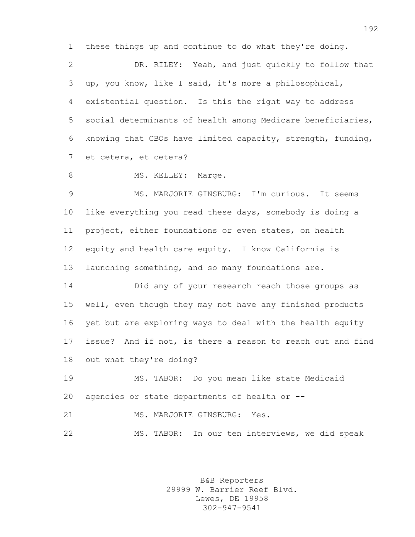these things up and continue to do what they're doing.

 DR. RILEY: Yeah, and just quickly to follow that up, you know, like I said, it's more a philosophical, existential question. Is this the right way to address social determinants of health among Medicare beneficiaries, knowing that CBOs have limited capacity, strength, funding, et cetera, et cetera?

8 MS. KELLEY: Marge.

 MS. MARJORIE GINSBURG: I'm curious. It seems like everything you read these days, somebody is doing a project, either foundations or even states, on health equity and health care equity. I know California is launching something, and so many foundations are.

 Did any of your research reach those groups as well, even though they may not have any finished products yet but are exploring ways to deal with the health equity issue? And if not, is there a reason to reach out and find out what they're doing?

 MS. TABOR: Do you mean like state Medicaid agencies or state departments of health or --

21 MS. MARJORIE GINSBURG: Yes.

MS. TABOR: In our ten interviews, we did speak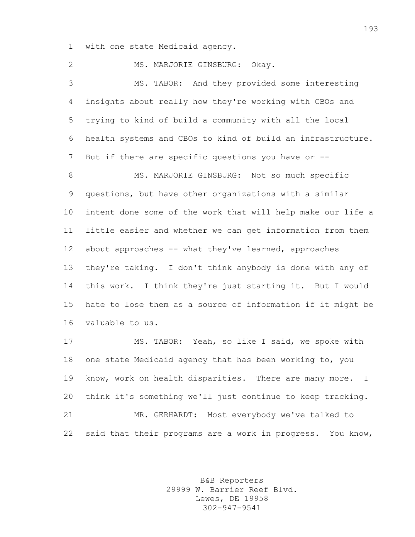with one state Medicaid agency.

2 MS. MARJORIE GINSBURG: Okav. MS. TABOR: And they provided some interesting insights about really how they're working with CBOs and trying to kind of build a community with all the local health systems and CBOs to kind of build an infrastructure. 7 But if there are specific questions you have or --8 MS. MARJORIE GINSBURG: Not so much specific questions, but have other organizations with a similar intent done some of the work that will help make our life a little easier and whether we can get information from them about approaches -- what they've learned, approaches they're taking. I don't think anybody is done with any of this work. I think they're just starting it. But I would hate to lose them as a source of information if it might be valuable to us. MS. TABOR: Yeah, so like I said, we spoke with

 one state Medicaid agency that has been working to, you know, work on health disparities. There are many more. I think it's something we'll just continue to keep tracking. MR. GERHARDT: Most everybody we've talked to said that their programs are a work in progress. You know,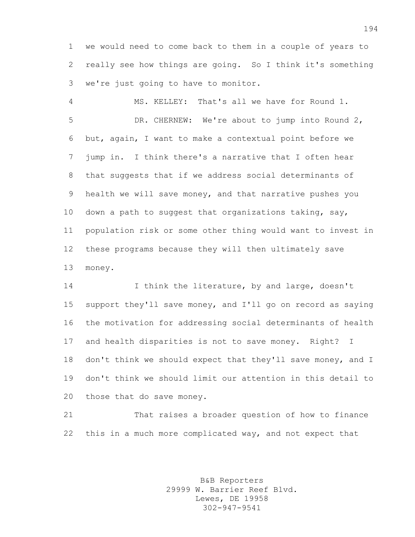we would need to come back to them in a couple of years to really see how things are going. So I think it's something we're just going to have to monitor.

 MS. KELLEY: That's all we have for Round 1. DR. CHERNEW: We're about to jump into Round 2, but, again, I want to make a contextual point before we jump in. I think there's a narrative that I often hear that suggests that if we address social determinants of health we will save money, and that narrative pushes you 10 down a path to suggest that organizations taking, say, population risk or some other thing would want to invest in these programs because they will then ultimately save money.

14 I think the literature, by and large, doesn't support they'll save money, and I'll go on record as saying the motivation for addressing social determinants of health and health disparities is not to save money. Right? I don't think we should expect that they'll save money, and I don't think we should limit our attention in this detail to those that do save money.

 That raises a broader question of how to finance this in a much more complicated way, and not expect that

> B&B Reporters 29999 W. Barrier Reef Blvd. Lewes, DE 19958 302-947-9541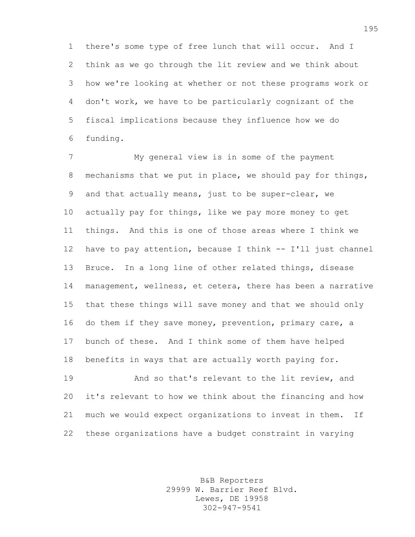there's some type of free lunch that will occur. And I think as we go through the lit review and we think about how we're looking at whether or not these programs work or don't work, we have to be particularly cognizant of the fiscal implications because they influence how we do funding.

 My general view is in some of the payment mechanisms that we put in place, we should pay for things, and that actually means, just to be super-clear, we actually pay for things, like we pay more money to get things. And this is one of those areas where I think we have to pay attention, because I think -- I'll just channel Bruce. In a long line of other related things, disease management, wellness, et cetera, there has been a narrative that these things will save money and that we should only do them if they save money, prevention, primary care, a bunch of these. And I think some of them have helped benefits in ways that are actually worth paying for.

**And so that's relevant to the lit review, and**  it's relevant to how we think about the financing and how much we would expect organizations to invest in them. If these organizations have a budget constraint in varying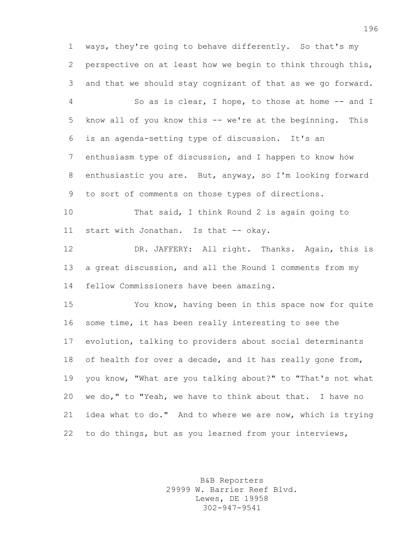ways, they're going to behave differently. So that's my perspective on at least how we begin to think through this, and that we should stay cognizant of that as we go forward.

 So as is clear, I hope, to those at home -- and I know all of you know this -- we're at the beginning. This is an agenda-setting type of discussion. It's an enthusiasm type of discussion, and I happen to know how enthusiastic you are. But, anyway, so I'm looking forward to sort of comments on those types of directions.

 That said, I think Round 2 is again going to 11 start with Jonathan. Is that -- okay.

 DR. JAFFERY: All right. Thanks. Again, this is a great discussion, and all the Round 1 comments from my fellow Commissioners have been amazing.

 You know, having been in this space now for quite some time, it has been really interesting to see the evolution, talking to providers about social determinants 18 of health for over a decade, and it has really gone from, you know, "What are you talking about?" to "That's not what we do," to "Yeah, we have to think about that. I have no idea what to do." And to where we are now, which is trying to do things, but as you learned from your interviews,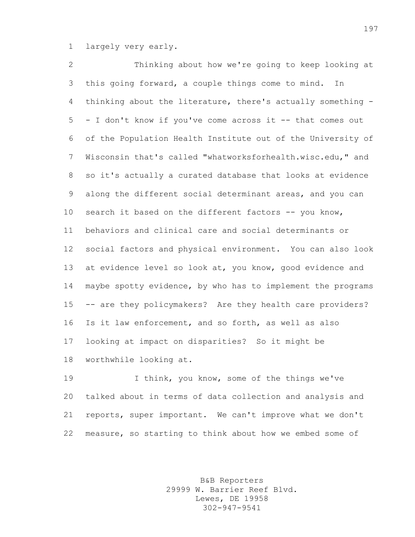largely very early.

 Thinking about how we're going to keep looking at this going forward, a couple things come to mind. In thinking about the literature, there's actually something - - I don't know if you've come across it -- that comes out of the Population Health Institute out of the University of Wisconsin that's called "whatworksforhealth.wisc.edu," and so it's actually a curated database that looks at evidence along the different social determinant areas, and you can 10 search it based on the different factors -- you know, behaviors and clinical care and social determinants or social factors and physical environment. You can also look at evidence level so look at, you know, good evidence and maybe spotty evidence, by who has to implement the programs -- are they policymakers? Are they health care providers? Is it law enforcement, and so forth, as well as also looking at impact on disparities? So it might be worthwhile looking at.

 I think, you know, some of the things we've talked about in terms of data collection and analysis and reports, super important. We can't improve what we don't measure, so starting to think about how we embed some of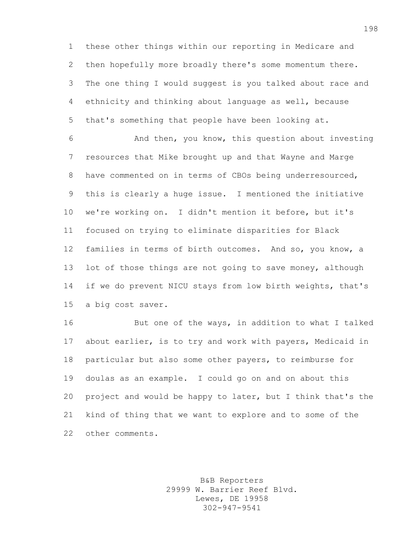these other things within our reporting in Medicare and then hopefully more broadly there's some momentum there. The one thing I would suggest is you talked about race and ethnicity and thinking about language as well, because that's something that people have been looking at.

 And then, you know, this question about investing resources that Mike brought up and that Wayne and Marge have commented on in terms of CBOs being underresourced, this is clearly a huge issue. I mentioned the initiative we're working on. I didn't mention it before, but it's focused on trying to eliminate disparities for Black families in terms of birth outcomes. And so, you know, a 13 lot of those things are not going to save money, although if we do prevent NICU stays from low birth weights, that's a big cost saver.

 But one of the ways, in addition to what I talked about earlier, is to try and work with payers, Medicaid in particular but also some other payers, to reimburse for doulas as an example. I could go on and on about this project and would be happy to later, but I think that's the kind of thing that we want to explore and to some of the other comments.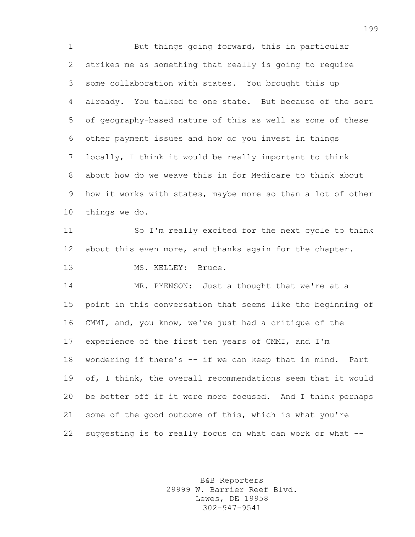But things going forward, this in particular strikes me as something that really is going to require some collaboration with states. You brought this up already. You talked to one state. But because of the sort of geography-based nature of this as well as some of these other payment issues and how do you invest in things locally, I think it would be really important to think about how do we weave this in for Medicare to think about how it works with states, maybe more so than a lot of other things we do. So I'm really excited for the next cycle to think

 about this even more, and thanks again for the chapter. 13 MS. KELLEY: Bruce.

 MR. PYENSON: Just a thought that we're at a point in this conversation that seems like the beginning of CMMI, and, you know, we've just had a critique of the experience of the first ten years of CMMI, and I'm wondering if there's -- if we can keep that in mind. Part of, I think, the overall recommendations seem that it would be better off if it were more focused. And I think perhaps some of the good outcome of this, which is what you're suggesting is to really focus on what can work or what --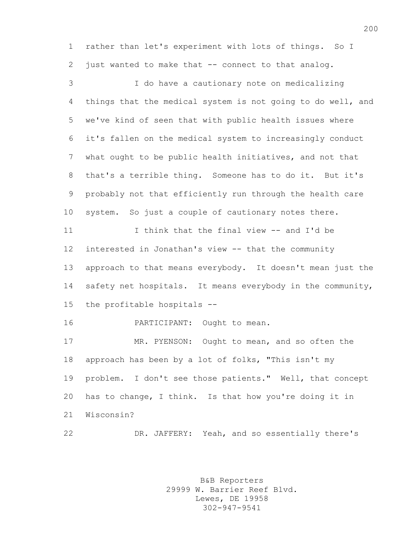rather than let's experiment with lots of things. So I just wanted to make that -- connect to that analog.

 I do have a cautionary note on medicalizing things that the medical system is not going to do well, and we've kind of seen that with public health issues where it's fallen on the medical system to increasingly conduct what ought to be public health initiatives, and not that that's a terrible thing. Someone has to do it. But it's probably not that efficiently run through the health care system. So just a couple of cautionary notes there. I think that the final view -- and I'd be interested in Jonathan's view -- that the community approach to that means everybody. It doesn't mean just the 14 safety net hospitals. It means everybody in the community, the profitable hospitals --

PARTICIPANT: Ought to mean.

 MR. PYENSON: Ought to mean, and so often the approach has been by a lot of folks, "This isn't my problem. I don't see those patients." Well, that concept has to change, I think. Is that how you're doing it in Wisconsin?

DR. JAFFERY: Yeah, and so essentially there's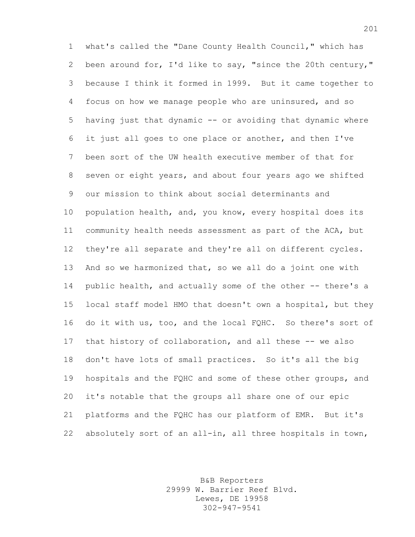what's called the "Dane County Health Council," which has been around for, I'd like to say, "since the 20th century," because I think it formed in 1999. But it came together to focus on how we manage people who are uninsured, and so having just that dynamic -- or avoiding that dynamic where it just all goes to one place or another, and then I've been sort of the UW health executive member of that for seven or eight years, and about four years ago we shifted our mission to think about social determinants and population health, and, you know, every hospital does its community health needs assessment as part of the ACA, but they're all separate and they're all on different cycles. And so we harmonized that, so we all do a joint one with public health, and actually some of the other -- there's a local staff model HMO that doesn't own a hospital, but they do it with us, too, and the local FQHC. So there's sort of that history of collaboration, and all these -- we also don't have lots of small practices. So it's all the big hospitals and the FQHC and some of these other groups, and it's notable that the groups all share one of our epic platforms and the FQHC has our platform of EMR. But it's absolutely sort of an all-in, all three hospitals in town,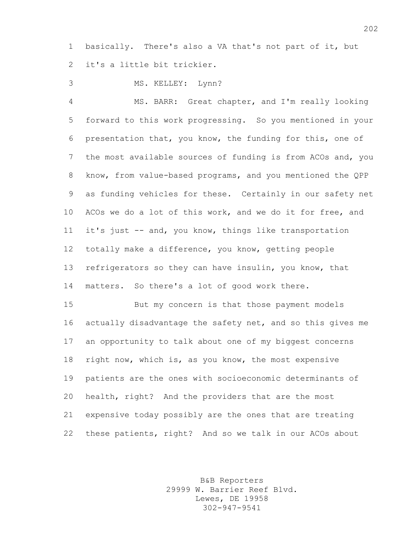basically. There's also a VA that's not part of it, but it's a little bit trickier.

MS. KELLEY: Lynn?

 MS. BARR: Great chapter, and I'm really looking forward to this work progressing. So you mentioned in your presentation that, you know, the funding for this, one of the most available sources of funding is from ACOs and, you know, from value-based programs, and you mentioned the QPP as funding vehicles for these. Certainly in our safety net ACOs we do a lot of this work, and we do it for free, and it's just -- and, you know, things like transportation totally make a difference, you know, getting people refrigerators so they can have insulin, you know, that matters. So there's a lot of good work there.

 But my concern is that those payment models actually disadvantage the safety net, and so this gives me an opportunity to talk about one of my biggest concerns right now, which is, as you know, the most expensive patients are the ones with socioeconomic determinants of health, right? And the providers that are the most expensive today possibly are the ones that are treating these patients, right? And so we talk in our ACOs about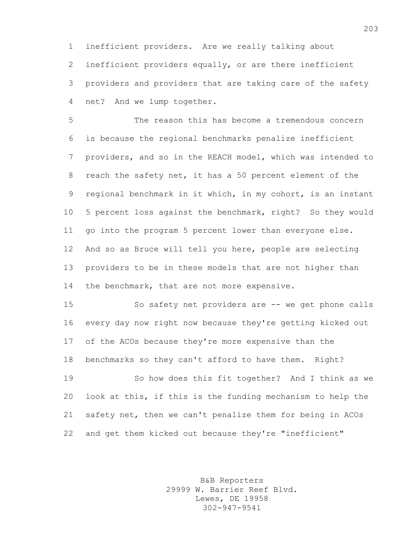inefficient providers. Are we really talking about inefficient providers equally, or are there inefficient providers and providers that are taking care of the safety net? And we lump together.

 The reason this has become a tremendous concern is because the regional benchmarks penalize inefficient providers, and so in the REACH model, which was intended to reach the safety net, it has a 50 percent element of the regional benchmark in it which, in my cohort, is an instant 5 percent loss against the benchmark, right? So they would go into the program 5 percent lower than everyone else. And so as Bruce will tell you here, people are selecting providers to be in these models that are not higher than 14 the benchmark, that are not more expensive.

 So safety net providers are -- we get phone calls every day now right now because they're getting kicked out of the ACOs because they're more expensive than the benchmarks so they can't afford to have them. Right?

 So how does this fit together? And I think as we look at this, if this is the funding mechanism to help the safety net, then we can't penalize them for being in ACOs and get them kicked out because they're "inefficient"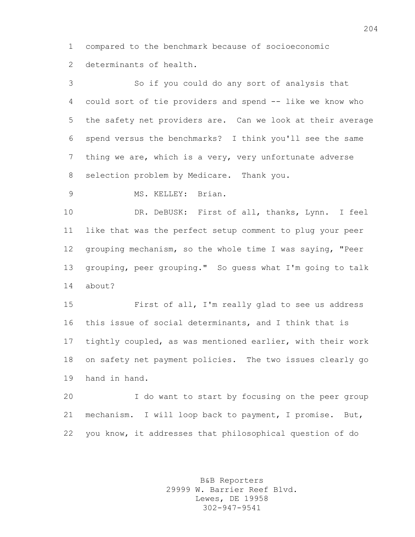compared to the benchmark because of socioeconomic determinants of health.

 So if you could do any sort of analysis that could sort of tie providers and spend -- like we know who the safety net providers are. Can we look at their average spend versus the benchmarks? I think you'll see the same thing we are, which is a very, very unfortunate adverse selection problem by Medicare. Thank you.

MS. KELLEY: Brian.

 DR. DeBUSK: First of all, thanks, Lynn. I feel like that was the perfect setup comment to plug your peer grouping mechanism, so the whole time I was saying, "Peer grouping, peer grouping." So guess what I'm going to talk about?

 First of all, I'm really glad to see us address this issue of social determinants, and I think that is tightly coupled, as was mentioned earlier, with their work on safety net payment policies. The two issues clearly go hand in hand.

 I do want to start by focusing on the peer group mechanism. I will loop back to payment, I promise. But, you know, it addresses that philosophical question of do

> B&B Reporters 29999 W. Barrier Reef Blvd. Lewes, DE 19958 302-947-9541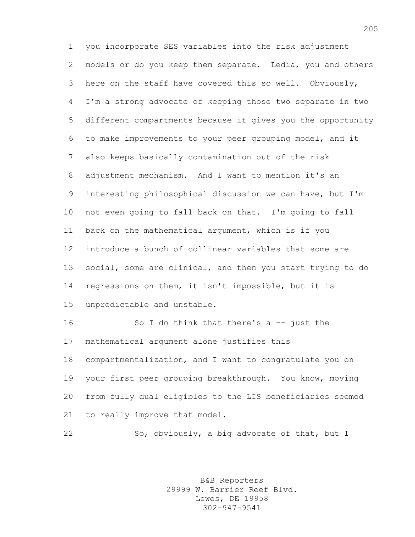you incorporate SES variables into the risk adjustment models or do you keep them separate. Ledia, you and others here on the staff have covered this so well. Obviously, I'm a strong advocate of keeping those two separate in two different compartments because it gives you the opportunity to make improvements to your peer grouping model, and it also keeps basically contamination out of the risk adjustment mechanism. And I want to mention it's an interesting philosophical discussion we can have, but I'm not even going to fall back on that. I'm going to fall back on the mathematical argument, which is if you introduce a bunch of collinear variables that some are social, some are clinical, and then you start trying to do regressions on them, it isn't impossible, but it is unpredictable and unstable. So I do think that there's a -- just the

 mathematical argument alone justifies this compartmentalization, and I want to congratulate you on your first peer grouping breakthrough. You know, moving from fully dual eligibles to the LIS beneficiaries seemed to really improve that model.

So, obviously, a big advocate of that, but I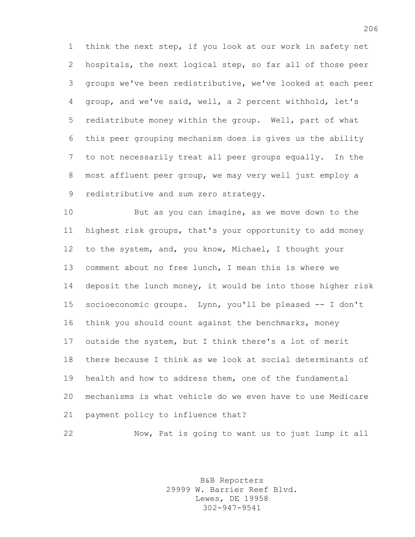think the next step, if you look at our work in safety net hospitals, the next logical step, so far all of those peer groups we've been redistributive, we've looked at each peer group, and we've said, well, a 2 percent withhold, let's redistribute money within the group. Well, part of what this peer grouping mechanism does is gives us the ability to not necessarily treat all peer groups equally. In the most affluent peer group, we may very well just employ a redistributive and sum zero strategy.

 But as you can imagine, as we move down to the highest risk groups, that's your opportunity to add money to the system, and, you know, Michael, I thought your comment about no free lunch, I mean this is where we deposit the lunch money, it would be into those higher risk socioeconomic groups. Lynn, you'll be pleased -- I don't think you should count against the benchmarks, money outside the system, but I think there's a lot of merit there because I think as we look at social determinants of health and how to address them, one of the fundamental mechanisms is what vehicle do we even have to use Medicare payment policy to influence that?

Now, Pat is going to want us to just lump it all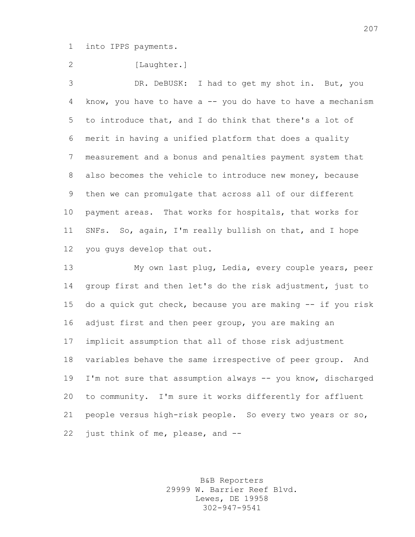into IPPS payments.

2 [Laughter.]

 DR. DeBUSK: I had to get my shot in. But, you 4 know, you have to have a -- you do have to have a mechanism to introduce that, and I do think that there's a lot of merit in having a unified platform that does a quality measurement and a bonus and penalties payment system that also becomes the vehicle to introduce new money, because then we can promulgate that across all of our different payment areas. That works for hospitals, that works for SNFs. So, again, I'm really bullish on that, and I hope you guys develop that out.

 My own last plug, Ledia, every couple years, peer group first and then let's do the risk adjustment, just to do a quick gut check, because you are making -- if you risk adjust first and then peer group, you are making an implicit assumption that all of those risk adjustment variables behave the same irrespective of peer group. And I'm not sure that assumption always -- you know, discharged to community. I'm sure it works differently for affluent people versus high-risk people. So every two years or so, 22 just think of me, please, and --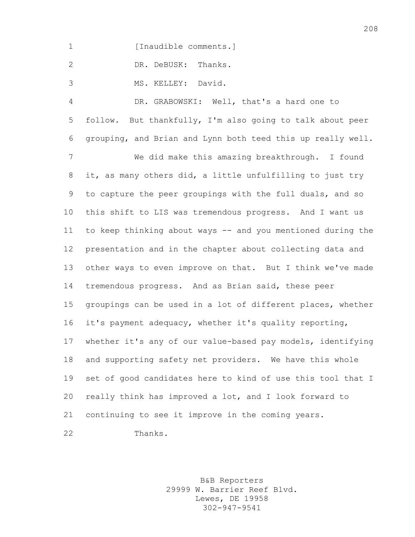1 [Inaudible comments.]

DR. DeBUSK: Thanks.

MS. KELLEY: David.

 DR. GRABOWSKI: Well, that's a hard one to follow. But thankfully, I'm also going to talk about peer grouping, and Brian and Lynn both teed this up really well. We did make this amazing breakthrough. I found it, as many others did, a little unfulfilling to just try to capture the peer groupings with the full duals, and so this shift to LIS was tremendous progress. And I want us to keep thinking about ways -- and you mentioned during the presentation and in the chapter about collecting data and other ways to even improve on that. But I think we've made tremendous progress. And as Brian said, these peer groupings can be used in a lot of different places, whether it's payment adequacy, whether it's quality reporting, whether it's any of our value-based pay models, identifying and supporting safety net providers. We have this whole set of good candidates here to kind of use this tool that I really think has improved a lot, and I look forward to continuing to see it improve in the coming years. Thanks.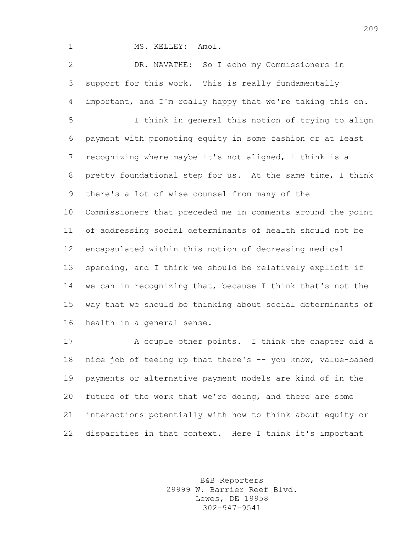1 MS. KELLEY: Amol.

 DR. NAVATHE: So I echo my Commissioners in support for this work. This is really fundamentally important, and I'm really happy that we're taking this on.

 I think in general this notion of trying to align payment with promoting equity in some fashion or at least recognizing where maybe it's not aligned, I think is a pretty foundational step for us. At the same time, I think there's a lot of wise counsel from many of the Commissioners that preceded me in comments around the point of addressing social determinants of health should not be encapsulated within this notion of decreasing medical spending, and I think we should be relatively explicit if we can in recognizing that, because I think that's not the way that we should be thinking about social determinants of health in a general sense.

 A couple other points. I think the chapter did a nice job of teeing up that there's -- you know, value-based payments or alternative payment models are kind of in the future of the work that we're doing, and there are some interactions potentially with how to think about equity or disparities in that context. Here I think it's important

> B&B Reporters 29999 W. Barrier Reef Blvd. Lewes, DE 19958 302-947-9541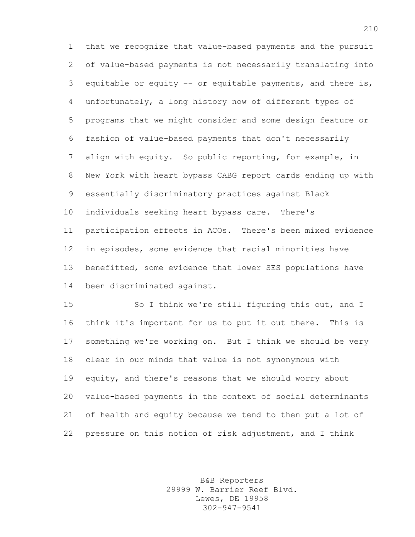that we recognize that value-based payments and the pursuit of value-based payments is not necessarily translating into equitable or equity -- or equitable payments, and there is, unfortunately, a long history now of different types of programs that we might consider and some design feature or fashion of value-based payments that don't necessarily align with equity. So public reporting, for example, in New York with heart bypass CABG report cards ending up with essentially discriminatory practices against Black individuals seeking heart bypass care. There's participation effects in ACOs. There's been mixed evidence in episodes, some evidence that racial minorities have benefitted, some evidence that lower SES populations have been discriminated against.

 So I think we're still figuring this out, and I think it's important for us to put it out there. This is something we're working on. But I think we should be very clear in our minds that value is not synonymous with equity, and there's reasons that we should worry about value-based payments in the context of social determinants of health and equity because we tend to then put a lot of pressure on this notion of risk adjustment, and I think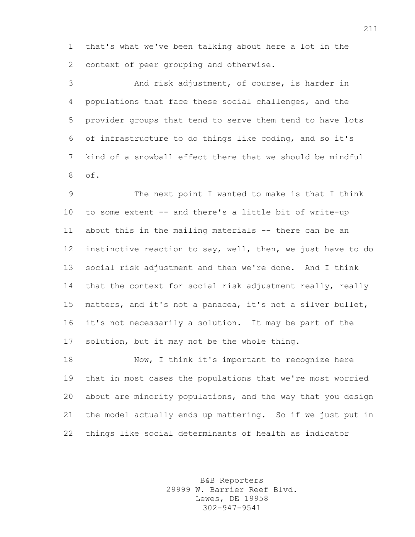that's what we've been talking about here a lot in the context of peer grouping and otherwise.

 And risk adjustment, of course, is harder in populations that face these social challenges, and the provider groups that tend to serve them tend to have lots of infrastructure to do things like coding, and so it's kind of a snowball effect there that we should be mindful of.

 The next point I wanted to make is that I think to some extent -- and there's a little bit of write-up about this in the mailing materials -- there can be an instinctive reaction to say, well, then, we just have to do social risk adjustment and then we're done. And I think 14 that the context for social risk adjustment really, really matters, and it's not a panacea, it's not a silver bullet, it's not necessarily a solution. It may be part of the solution, but it may not be the whole thing.

18 Now, I think it's important to recognize here that in most cases the populations that we're most worried about are minority populations, and the way that you design the model actually ends up mattering. So if we just put in things like social determinants of health as indicator

> B&B Reporters 29999 W. Barrier Reef Blvd. Lewes, DE 19958 302-947-9541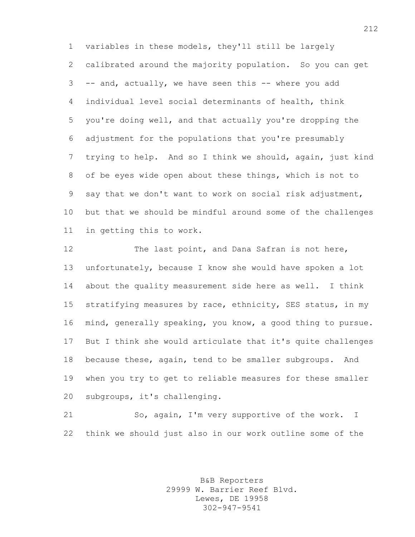variables in these models, they'll still be largely calibrated around the majority population. So you can get -- and, actually, we have seen this -- where you add individual level social determinants of health, think you're doing well, and that actually you're dropping the adjustment for the populations that you're presumably trying to help. And so I think we should, again, just kind of be eyes wide open about these things, which is not to say that we don't want to work on social risk adjustment, but that we should be mindful around some of the challenges in getting this to work.

12 The last point, and Dana Safran is not here, unfortunately, because I know she would have spoken a lot about the quality measurement side here as well. I think stratifying measures by race, ethnicity, SES status, in my mind, generally speaking, you know, a good thing to pursue. But I think she would articulate that it's quite challenges because these, again, tend to be smaller subgroups. And when you try to get to reliable measures for these smaller subgroups, it's challenging.

 So, again, I'm very supportive of the work. I think we should just also in our work outline some of the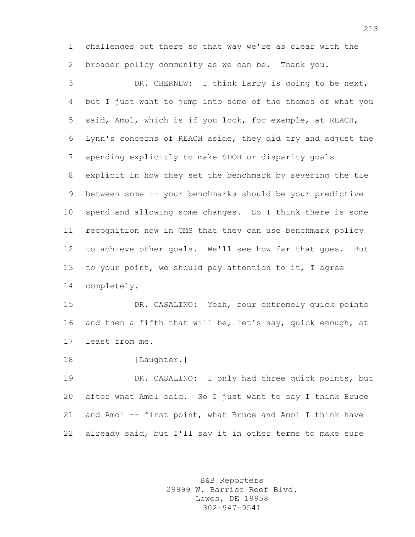challenges out there so that way we're as clear with the broader policy community as we can be. Thank you.

 DR. CHERNEW: I think Larry is going to be next, but I just want to jump into some of the themes of what you said, Amol, which is if you look, for example, at REACH, Lynn's concerns of REACH aside, they did try and adjust the spending explicitly to make SDOH or disparity goals explicit in how they set the benchmark by severing the tie between some -- your benchmarks should be your predictive spend and allowing some changes. So I think there is some recognition now in CMS that they can use benchmark policy to achieve other goals. We'll see how far that goes. But to your point, we should pay attention to it, I agree completely.

 DR. CASALINO: Yeah, four extremely quick points and then a fifth that will be, let's say, quick enough, at least from me.

18 [Laughter.]

 DR. CASALINO: I only had three quick points, but after what Amol said. So I just want to say I think Bruce and Amol -- first point, what Bruce and Amol I think have already said, but I'll say it in other terms to make sure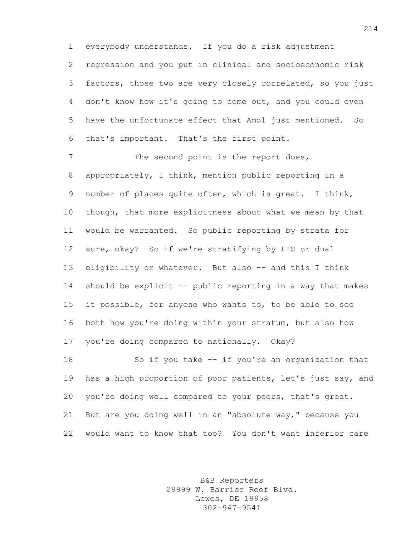everybody understands. If you do a risk adjustment regression and you put in clinical and socioeconomic risk factors, those two are very closely correlated, so you just don't know how it's going to come out, and you could even have the unfortunate effect that Amol just mentioned. So that's important. That's the first point.

7 The second point is the report does, appropriately, I think, mention public reporting in a number of places quite often, which is great. I think, though, that more explicitness about what we mean by that would be warranted. So public reporting by strata for sure, okay? So if we're stratifying by LIS or dual 13 eligibility or whatever. But also -- and this I think should be explicit -- public reporting in a way that makes it possible, for anyone who wants to, to be able to see both how you're doing within your stratum, but also how you're doing compared to nationally. Okay?

 So if you take -- if you're an organization that has a high proportion of poor patients, let's just say, and you're doing well compared to your peers, that's great. But are you doing well in an "absolute way," because you would want to know that too? You don't want inferior care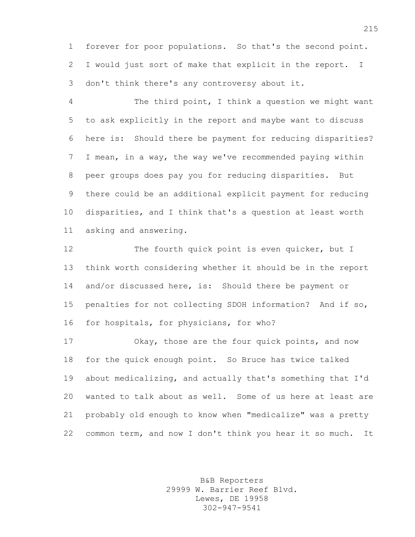forever for poor populations. So that's the second point. I would just sort of make that explicit in the report. I don't think there's any controversy about it.

 The third point, I think a question we might want to ask explicitly in the report and maybe want to discuss here is: Should there be payment for reducing disparities? I mean, in a way, the way we've recommended paying within peer groups does pay you for reducing disparities. But there could be an additional explicit payment for reducing disparities, and I think that's a question at least worth asking and answering.

12 The fourth quick point is even quicker, but I think worth considering whether it should be in the report 14 and/or discussed here, is: Should there be payment or penalties for not collecting SDOH information? And if so, for hospitals, for physicians, for who?

 Okay, those are the four quick points, and now for the quick enough point. So Bruce has twice talked about medicalizing, and actually that's something that I'd wanted to talk about as well. Some of us here at least are probably old enough to know when "medicalize" was a pretty common term, and now I don't think you hear it so much. It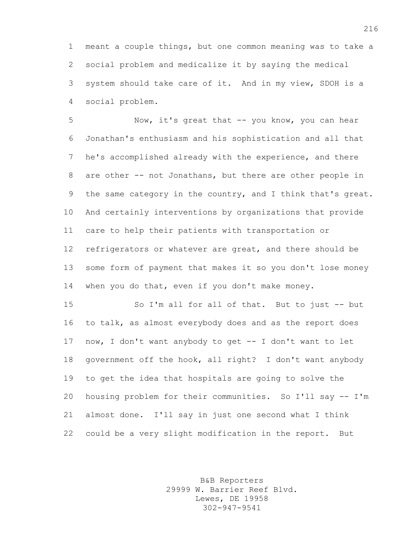meant a couple things, but one common meaning was to take a social problem and medicalize it by saying the medical system should take care of it. And in my view, SDOH is a social problem.

 Now, it's great that -- you know, you can hear Jonathan's enthusiasm and his sophistication and all that he's accomplished already with the experience, and there are other -- not Jonathans, but there are other people in 9 the same category in the country, and I think that's great. And certainly interventions by organizations that provide care to help their patients with transportation or refrigerators or whatever are great, and there should be some form of payment that makes it so you don't lose money 14 when you do that, even if you don't make money.

 So I'm all for all of that. But to just -- but to talk, as almost everybody does and as the report does now, I don't want anybody to get -- I don't want to let government off the hook, all right? I don't want anybody to get the idea that hospitals are going to solve the housing problem for their communities. So I'll say -- I'm almost done. I'll say in just one second what I think could be a very slight modification in the report. But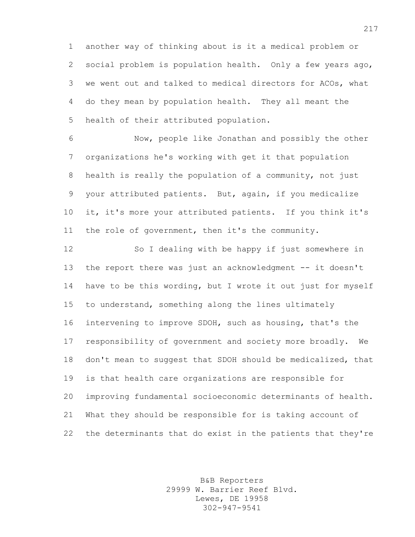another way of thinking about is it a medical problem or social problem is population health. Only a few years ago, we went out and talked to medical directors for ACOs, what do they mean by population health. They all meant the health of their attributed population.

 Now, people like Jonathan and possibly the other organizations he's working with get it that population health is really the population of a community, not just your attributed patients. But, again, if you medicalize it, it's more your attributed patients. If you think it's the role of government, then it's the community.

 So I dealing with be happy if just somewhere in 13 the report there was just an acknowledgment -- it doesn't have to be this wording, but I wrote it out just for myself to understand, something along the lines ultimately intervening to improve SDOH, such as housing, that's the responsibility of government and society more broadly. We don't mean to suggest that SDOH should be medicalized, that is that health care organizations are responsible for improving fundamental socioeconomic determinants of health. What they should be responsible for is taking account of the determinants that do exist in the patients that they're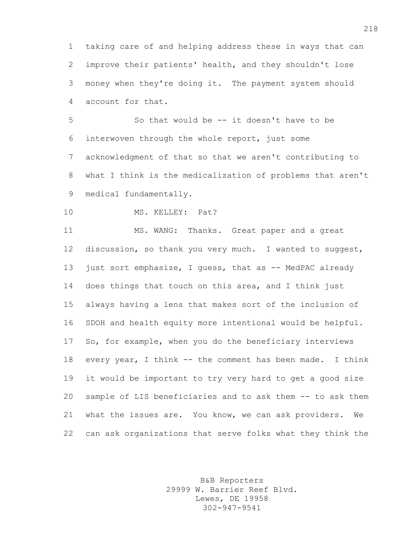taking care of and helping address these in ways that can improve their patients' health, and they shouldn't lose money when they're doing it. The payment system should account for that.

 So that would be -- it doesn't have to be interwoven through the whole report, just some acknowledgment of that so that we aren't contributing to what I think is the medicalization of problems that aren't medical fundamentally.

10 MS. KELLEY: Pat?

 MS. WANG: Thanks. Great paper and a great discussion, so thank you very much. I wanted to suggest, 13 just sort emphasize, I quess, that as -- MedPAC already does things that touch on this area, and I think just always having a lens that makes sort of the inclusion of SDOH and health equity more intentional would be helpful. So, for example, when you do the beneficiary interviews 18 every year, I think -- the comment has been made. I think it would be important to try very hard to get a good size sample of LIS beneficiaries and to ask them -- to ask them what the issues are. You know, we can ask providers. We can ask organizations that serve folks what they think the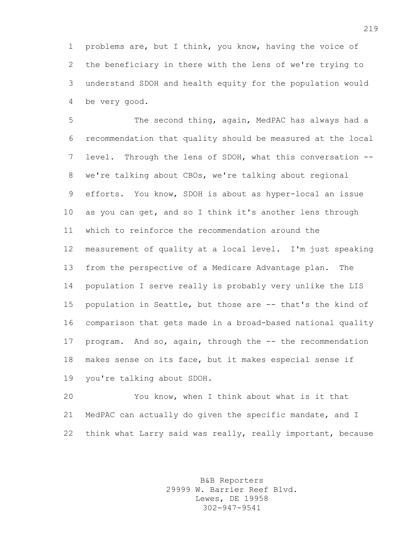problems are, but I think, you know, having the voice of the beneficiary in there with the lens of we're trying to understand SDOH and health equity for the population would be very good.

 The second thing, again, MedPAC has always had a recommendation that quality should be measured at the local level. Through the lens of SDOH, what this conversation -- we're talking about CBOs, we're talking about regional efforts. You know, SDOH is about as hyper-local an issue as you can get, and so I think it's another lens through which to reinforce the recommendation around the measurement of quality at a local level. I'm just speaking from the perspective of a Medicare Advantage plan. The population I serve really is probably very unlike the LIS population in Seattle, but those are -- that's the kind of comparison that gets made in a broad-based national quality program. And so, again, through the -- the recommendation makes sense on its face, but it makes especial sense if you're talking about SDOH.

 You know, when I think about what is it that MedPAC can actually do given the specific mandate, and I think what Larry said was really, really important, because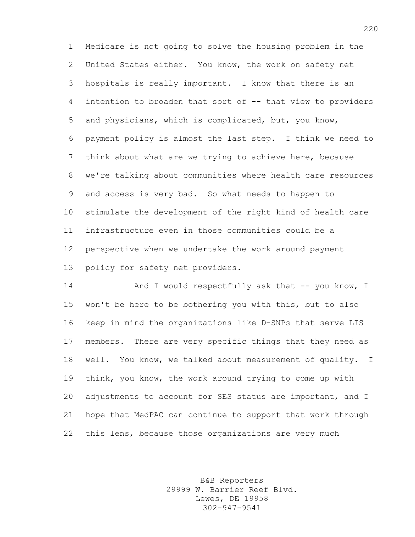Medicare is not going to solve the housing problem in the United States either. You know, the work on safety net hospitals is really important. I know that there is an intention to broaden that sort of -- that view to providers and physicians, which is complicated, but, you know, payment policy is almost the last step. I think we need to think about what are we trying to achieve here, because we're talking about communities where health care resources and access is very bad. So what needs to happen to stimulate the development of the right kind of health care infrastructure even in those communities could be a perspective when we undertake the work around payment policy for safety net providers.

14 And I would respectfully ask that -- you know, I won't be here to be bothering you with this, but to also keep in mind the organizations like D-SNPs that serve LIS members. There are very specific things that they need as well. You know, we talked about measurement of quality. I think, you know, the work around trying to come up with 20 adjustments to account for SES status are important, and I hope that MedPAC can continue to support that work through this lens, because those organizations are very much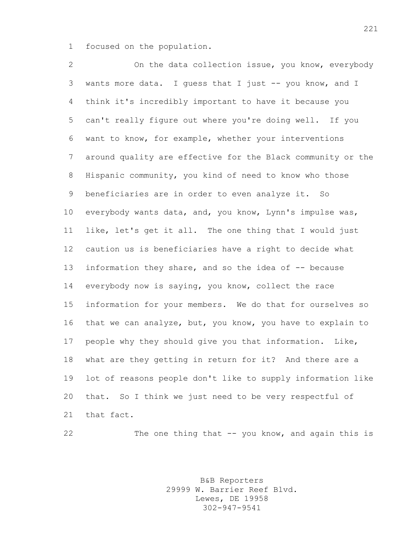focused on the population.

 On the data collection issue, you know, everybody wants more data. I guess that I just -- you know, and I think it's incredibly important to have it because you can't really figure out where you're doing well. If you want to know, for example, whether your interventions around quality are effective for the Black community or the Hispanic community, you kind of need to know who those beneficiaries are in order to even analyze it. So everybody wants data, and, you know, Lynn's impulse was, like, let's get it all. The one thing that I would just caution us is beneficiaries have a right to decide what information they share, and so the idea of -- because everybody now is saying, you know, collect the race information for your members. We do that for ourselves so that we can analyze, but, you know, you have to explain to people why they should give you that information. Like, what are they getting in return for it? And there are a lot of reasons people don't like to supply information like that. So I think we just need to be very respectful of that fact.

The one thing that -- you know, and again this is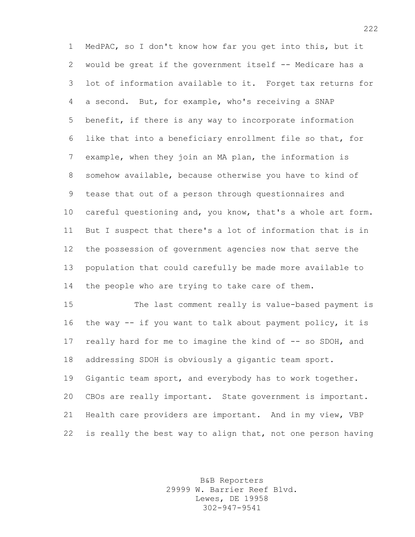MedPAC, so I don't know how far you get into this, but it would be great if the government itself -- Medicare has a lot of information available to it. Forget tax returns for a second. But, for example, who's receiving a SNAP benefit, if there is any way to incorporate information like that into a beneficiary enrollment file so that, for example, when they join an MA plan, the information is somehow available, because otherwise you have to kind of tease that out of a person through questionnaires and careful questioning and, you know, that's a whole art form. But I suspect that there's a lot of information that is in the possession of government agencies now that serve the population that could carefully be made more available to the people who are trying to take care of them.

 The last comment really is value-based payment is the way -- if you want to talk about payment policy, it is really hard for me to imagine the kind of -- so SDOH, and addressing SDOH is obviously a gigantic team sport. Gigantic team sport, and everybody has to work together. CBOs are really important. State government is important. Health care providers are important. And in my view, VBP is really the best way to align that, not one person having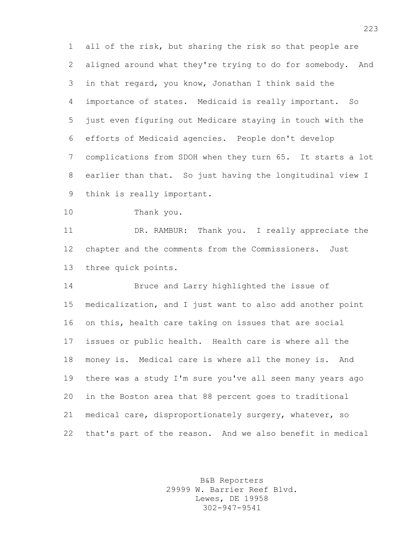all of the risk, but sharing the risk so that people are aligned around what they're trying to do for somebody. And in that regard, you know, Jonathan I think said the importance of states. Medicaid is really important. So just even figuring out Medicare staying in touch with the efforts of Medicaid agencies. People don't develop complications from SDOH when they turn 65. It starts a lot earlier than that. So just having the longitudinal view I think is really important.

Thank you.

 DR. RAMBUR: Thank you. I really appreciate the chapter and the comments from the Commissioners. Just three quick points.

 Bruce and Larry highlighted the issue of medicalization, and I just want to also add another point on this, health care taking on issues that are social issues or public health. Health care is where all the money is. Medical care is where all the money is. And there was a study I'm sure you've all seen many years ago in the Boston area that 88 percent goes to traditional medical care, disproportionately surgery, whatever, so that's part of the reason. And we also benefit in medical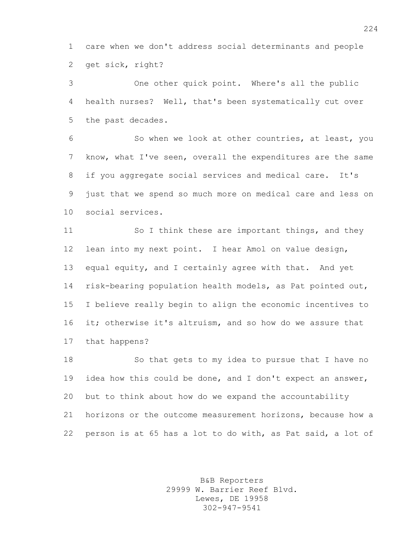care when we don't address social determinants and people get sick, right?

 One other quick point. Where's all the public health nurses? Well, that's been systematically cut over the past decades.

 So when we look at other countries, at least, you know, what I've seen, overall the expenditures are the same if you aggregate social services and medical care. It's just that we spend so much more on medical care and less on social services.

11 So I think these are important things, and they lean into my next point. I hear Amol on value design, equal equity, and I certainly agree with that. And yet risk-bearing population health models, as Pat pointed out, I believe really begin to align the economic incentives to it; otherwise it's altruism, and so how do we assure that that happens?

 So that gets to my idea to pursue that I have no 19 idea how this could be done, and I don't expect an answer, but to think about how do we expand the accountability horizons or the outcome measurement horizons, because how a person is at 65 has a lot to do with, as Pat said, a lot of

> B&B Reporters 29999 W. Barrier Reef Blvd. Lewes, DE 19958 302-947-9541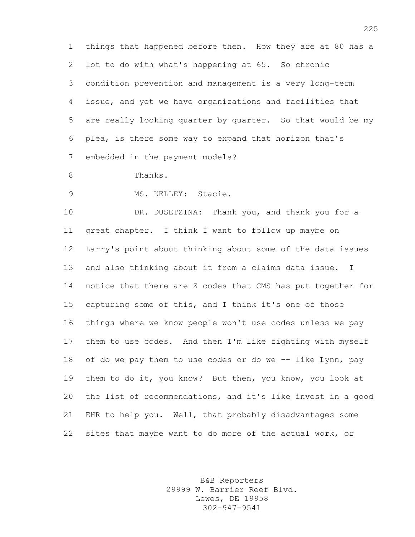things that happened before then. How they are at 80 has a lot to do with what's happening at 65. So chronic condition prevention and management is a very long-term issue, and yet we have organizations and facilities that are really looking quarter by quarter. So that would be my plea, is there some way to expand that horizon that's embedded in the payment models?

Thanks.

MS. KELLEY: Stacie.

10 DR. DUSETZINA: Thank you, and thank you for a great chapter. I think I want to follow up maybe on Larry's point about thinking about some of the data issues and also thinking about it from a claims data issue. I notice that there are Z codes that CMS has put together for capturing some of this, and I think it's one of those things where we know people won't use codes unless we pay them to use codes. And then I'm like fighting with myself 18 of do we pay them to use codes or do we -- like Lynn, pay them to do it, you know? But then, you know, you look at the list of recommendations, and it's like invest in a good EHR to help you. Well, that probably disadvantages some sites that maybe want to do more of the actual work, or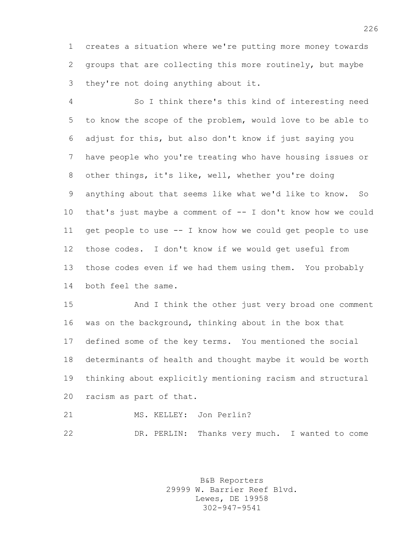creates a situation where we're putting more money towards groups that are collecting this more routinely, but maybe they're not doing anything about it.

 So I think there's this kind of interesting need to know the scope of the problem, would love to be able to adjust for this, but also don't know if just saying you have people who you're treating who have housing issues or other things, it's like, well, whether you're doing anything about that seems like what we'd like to know. So that's just maybe a comment of -- I don't know how we could get people to use -- I know how we could get people to use those codes. I don't know if we would get useful from those codes even if we had them using them. You probably both feel the same.

 And I think the other just very broad one comment was on the background, thinking about in the box that defined some of the key terms. You mentioned the social determinants of health and thought maybe it would be worth thinking about explicitly mentioning racism and structural racism as part of that.

MS. KELLEY: Jon Perlin?

DR. PERLIN: Thanks very much. I wanted to come

B&B Reporters 29999 W. Barrier Reef Blvd. Lewes, DE 19958 302-947-9541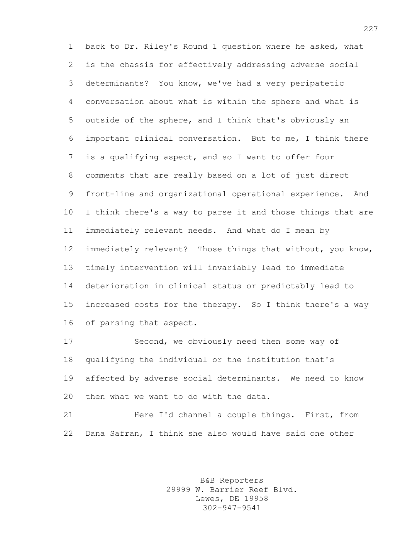back to Dr. Riley's Round 1 question where he asked, what is the chassis for effectively addressing adverse social determinants? You know, we've had a very peripatetic conversation about what is within the sphere and what is outside of the sphere, and I think that's obviously an important clinical conversation. But to me, I think there is a qualifying aspect, and so I want to offer four comments that are really based on a lot of just direct front-line and organizational operational experience. And I think there's a way to parse it and those things that are immediately relevant needs. And what do I mean by immediately relevant? Those things that without, you know, timely intervention will invariably lead to immediate deterioration in clinical status or predictably lead to increased costs for the therapy. So I think there's a way of parsing that aspect.

 Second, we obviously need then some way of qualifying the individual or the institution that's affected by adverse social determinants. We need to know then what we want to do with the data.

21 Here I'd channel a couple things. First, from Dana Safran, I think she also would have said one other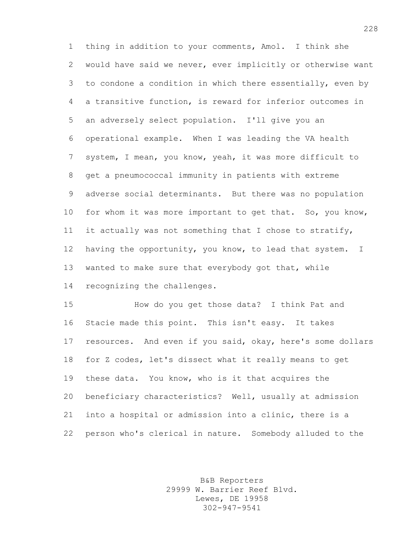thing in addition to your comments, Amol. I think she would have said we never, ever implicitly or otherwise want to condone a condition in which there essentially, even by a transitive function, is reward for inferior outcomes in an adversely select population. I'll give you an operational example. When I was leading the VA health system, I mean, you know, yeah, it was more difficult to get a pneumococcal immunity in patients with extreme adverse social determinants. But there was no population 10 for whom it was more important to get that. So, you know, it actually was not something that I chose to stratify, having the opportunity, you know, to lead that system. I wanted to make sure that everybody got that, while recognizing the challenges.

 How do you get those data? I think Pat and Stacie made this point. This isn't easy. It takes resources. And even if you said, okay, here's some dollars for Z codes, let's dissect what it really means to get these data. You know, who is it that acquires the beneficiary characteristics? Well, usually at admission into a hospital or admission into a clinic, there is a person who's clerical in nature. Somebody alluded to the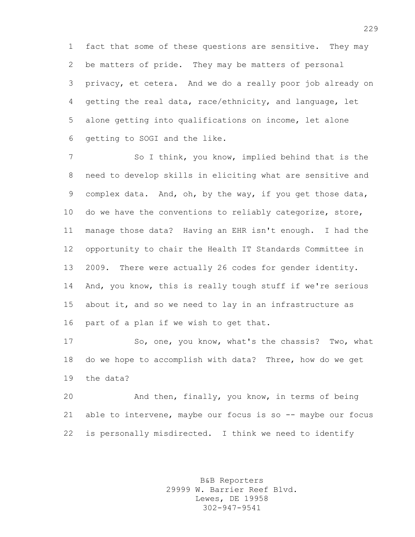fact that some of these questions are sensitive. They may be matters of pride. They may be matters of personal privacy, et cetera. And we do a really poor job already on getting the real data, race/ethnicity, and language, let alone getting into qualifications on income, let alone getting to SOGI and the like.

 So I think, you know, implied behind that is the need to develop skills in eliciting what are sensitive and complex data. And, oh, by the way, if you get those data, 10 do we have the conventions to reliably categorize, store, manage those data? Having an EHR isn't enough. I had the opportunity to chair the Health IT Standards Committee in 2009. There were actually 26 codes for gender identity. And, you know, this is really tough stuff if we're serious about it, and so we need to lay in an infrastructure as part of a plan if we wish to get that.

 So, one, you know, what's the chassis? Two, what do we hope to accomplish with data? Three, how do we get the data?

 And then, finally, you know, in terms of being able to intervene, maybe our focus is so -- maybe our focus is personally misdirected. I think we need to identify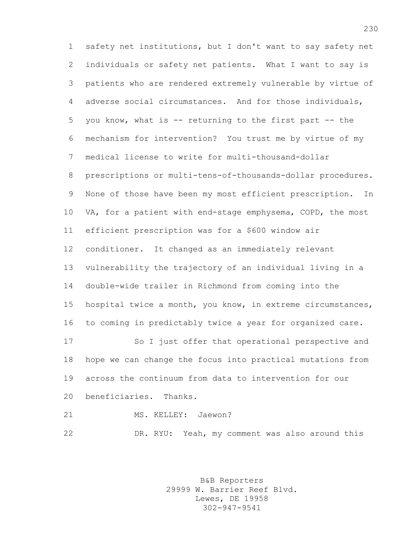safety net institutions, but I don't want to say safety net individuals or safety net patients. What I want to say is patients who are rendered extremely vulnerable by virtue of adverse social circumstances. And for those individuals, you know, what is -- returning to the first part -- the mechanism for intervention? You trust me by virtue of my medical license to write for multi-thousand-dollar prescriptions or multi-tens-of-thousands-dollar procedures. None of those have been my most efficient prescription. In VA, for a patient with end-stage emphysema, COPD, the most efficient prescription was for a \$600 window air conditioner. It changed as an immediately relevant vulnerability the trajectory of an individual living in a double-wide trailer in Richmond from coming into the hospital twice a month, you know, in extreme circumstances, to coming in predictably twice a year for organized care. So I just offer that operational perspective and hope we can change the focus into practical mutations from across the continuum from data to intervention for our beneficiaries. Thanks. 21 MS. KELLEY: Jaewon?

> B&B Reporters 29999 W. Barrier Reef Blvd. Lewes, DE 19958 302-947-9541

DR. RYU: Yeah, my comment was also around this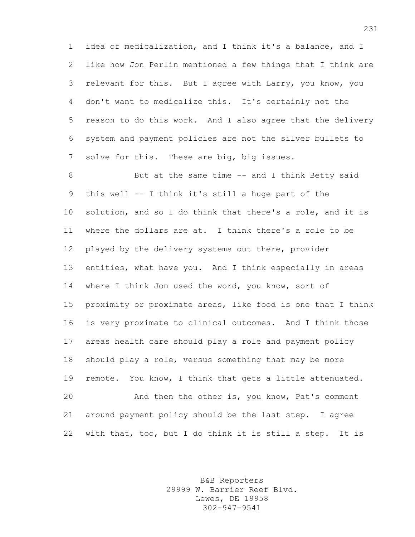idea of medicalization, and I think it's a balance, and I like how Jon Perlin mentioned a few things that I think are relevant for this. But I agree with Larry, you know, you don't want to medicalize this. It's certainly not the reason to do this work. And I also agree that the delivery system and payment policies are not the silver bullets to solve for this. These are big, big issues.

8 But at the same time -- and I think Betty said this well -- I think it's still a huge part of the solution, and so I do think that there's a role, and it is where the dollars are at. I think there's a role to be played by the delivery systems out there, provider entities, what have you. And I think especially in areas where I think Jon used the word, you know, sort of proximity or proximate areas, like food is one that I think is very proximate to clinical outcomes. And I think those areas health care should play a role and payment policy should play a role, versus something that may be more remote. You know, I think that gets a little attenuated. And then the other is, you know, Pat's comment around payment policy should be the last step. I agree with that, too, but I do think it is still a step. It is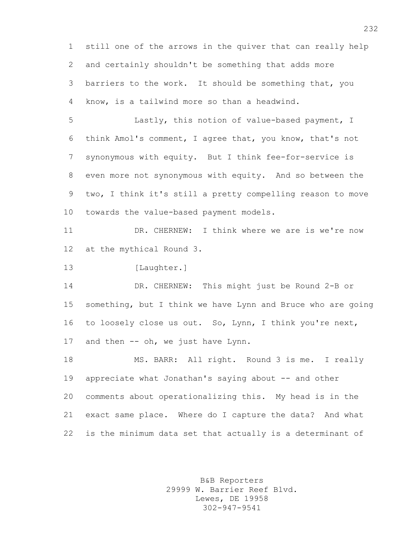still one of the arrows in the quiver that can really help and certainly shouldn't be something that adds more barriers to the work. It should be something that, you know, is a tailwind more so than a headwind.

 Lastly, this notion of value-based payment, I think Amol's comment, I agree that, you know, that's not synonymous with equity. But I think fee-for-service is even more not synonymous with equity. And so between the two, I think it's still a pretty compelling reason to move towards the value-based payment models.

 DR. CHERNEW: I think where we are is we're now at the mythical Round 3.

13 [Laughter.]

 DR. CHERNEW: This might just be Round 2-B or something, but I think we have Lynn and Bruce who are going to loosely close us out. So, Lynn, I think you're next, 17 and then -- oh, we just have Lynn.

 MS. BARR: All right. Round 3 is me. I really 19 appreciate what Jonathan's saying about -- and other comments about operationalizing this. My head is in the exact same place. Where do I capture the data? And what is the minimum data set that actually is a determinant of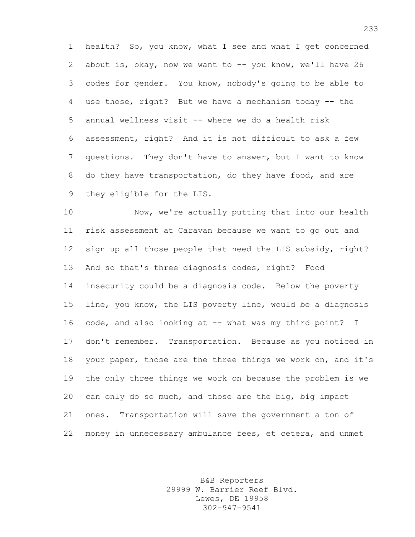health? So, you know, what I see and what I get concerned about is, okay, now we want to -- you know, we'll have 26 codes for gender. You know, nobody's going to be able to use those, right? But we have a mechanism today -- the annual wellness visit -- where we do a health risk assessment, right? And it is not difficult to ask a few questions. They don't have to answer, but I want to know do they have transportation, do they have food, and are they eligible for the LIS.

 Now, we're actually putting that into our health risk assessment at Caravan because we want to go out and sign up all those people that need the LIS subsidy, right? And so that's three diagnosis codes, right? Food insecurity could be a diagnosis code. Below the poverty line, you know, the LIS poverty line, would be a diagnosis code, and also looking at -- what was my third point? I don't remember. Transportation. Because as you noticed in your paper, those are the three things we work on, and it's the only three things we work on because the problem is we can only do so much, and those are the big, big impact ones. Transportation will save the government a ton of money in unnecessary ambulance fees, et cetera, and unmet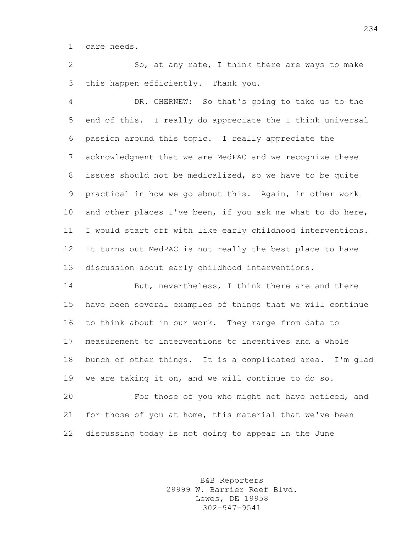care needs.

 So, at any rate, I think there are ways to make this happen efficiently. Thank you.

 DR. CHERNEW: So that's going to take us to the end of this. I really do appreciate the I think universal passion around this topic. I really appreciate the acknowledgment that we are MedPAC and we recognize these issues should not be medicalized, so we have to be quite practical in how we go about this. Again, in other work 10 and other places I've been, if you ask me what to do here, I would start off with like early childhood interventions. It turns out MedPAC is not really the best place to have discussion about early childhood interventions.

14 But, nevertheless, I think there are and there have been several examples of things that we will continue to think about in our work. They range from data to measurement to interventions to incentives and a whole bunch of other things. It is a complicated area. I'm glad we are taking it on, and we will continue to do so.

 For those of you who might not have noticed, and for those of you at home, this material that we've been discussing today is not going to appear in the June

> B&B Reporters 29999 W. Barrier Reef Blvd. Lewes, DE 19958 302-947-9541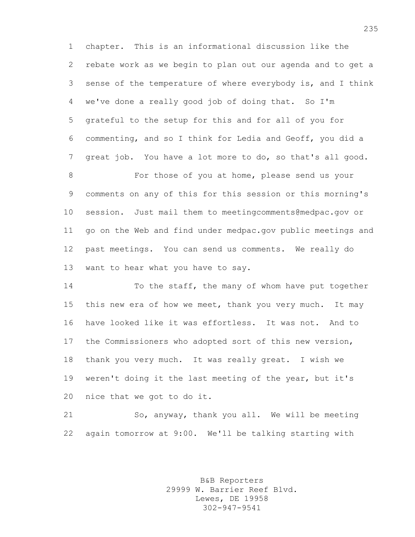chapter. This is an informational discussion like the rebate work as we begin to plan out our agenda and to get a sense of the temperature of where everybody is, and I think we've done a really good job of doing that. So I'm grateful to the setup for this and for all of you for commenting, and so I think for Ledia and Geoff, you did a great job. You have a lot more to do, so that's all good.

 For those of you at home, please send us your comments on any of this for this session or this morning's session. Just mail them to meetingcomments@medpac.gov or go on the Web and find under medpac.gov public meetings and past meetings. You can send us comments. We really do want to hear what you have to say.

14 To the staff, the many of whom have put together this new era of how we meet, thank you very much. It may have looked like it was effortless. It was not. And to the Commissioners who adopted sort of this new version, thank you very much. It was really great. I wish we weren't doing it the last meeting of the year, but it's nice that we got to do it.

 So, anyway, thank you all. We will be meeting again tomorrow at 9:00. We'll be talking starting with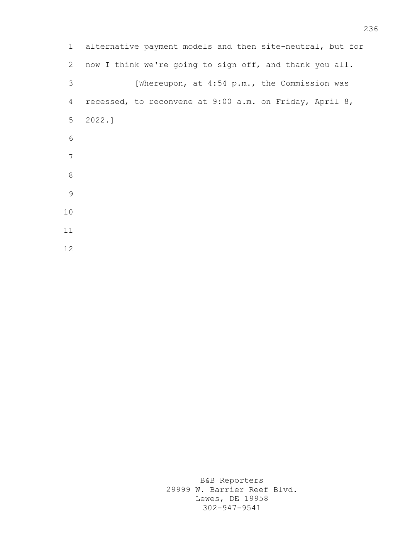| $\mathbf{1}$   | alternative payment models and then site-neutral, but for |
|----------------|-----------------------------------------------------------|
| $\mathbf{2}$   | now I think we're going to sign off, and thank you all.   |
| 3              | [Whereupon, at 4:54 p.m., the Commission was              |
| 4              | recessed, to reconvene at 9:00 a.m. on Friday, April 8,   |
| 5 <sup>5</sup> | 2022.1                                                    |
| 6              |                                                           |
| 7              |                                                           |
| 8              |                                                           |
| 9              |                                                           |
| 10             |                                                           |
| 11             |                                                           |
| 12             |                                                           |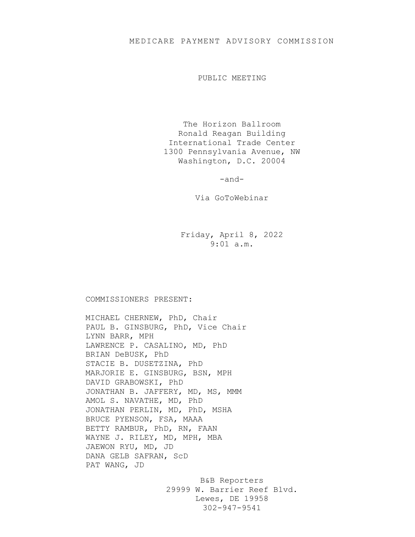## MEDICARE PAYMENT ADVISORY COMMISSION

PUBLIC MEETING

The Horizon Ballroom Ronald Reagan Building International Trade Center 1300 Pennsylvania Avenue, NW Washington, D.C. 20004

-and-

Via GoToWebinar

Friday, April 8, 2022 9:01 a.m.

## COMMISSIONERS PRESENT:

MICHAEL CHERNEW, PhD, Chair PAUL B. GINSBURG, PhD, Vice Chair LYNN BARR, MPH LAWRENCE P. CASALINO, MD, PhD BRIAN DeBUSK, PhD STACIE B. DUSETZINA, PhD MARJORIE E. GINSBURG, BSN, MPH DAVID GRABOWSKI, PhD JONATHAN B. JAFFERY, MD, MS, MMM AMOL S. NAVATHE, MD, PhD JONATHAN PERLIN, MD, PhD, MSHA BRUCE PYENSON, FSA, MAAA BETTY RAMBUR, PhD, RN, FAAN WAYNE J. RILEY, MD, MPH, MBA JAEWON RYU, MD, JD DANA GELB SAFRAN, ScD PAT WANG, JD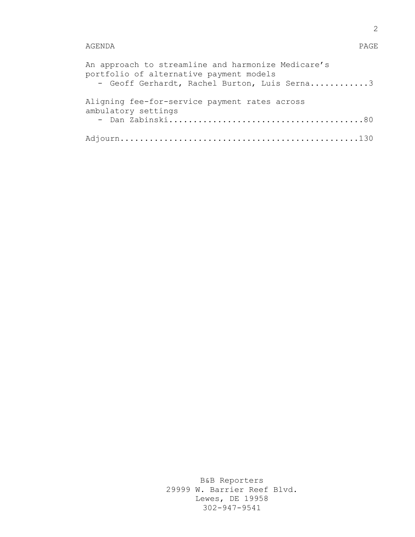## AGENDA PAGE

| An approach to streamline and harmonize Medicare's<br>portfolio of alternative payment models<br>- Geoff Gerhardt, Rachel Burton, Luis Serna3 |
|-----------------------------------------------------------------------------------------------------------------------------------------------|
| Aligning fee-for-service payment rates across<br>ambulatory settings                                                                          |
|                                                                                                                                               |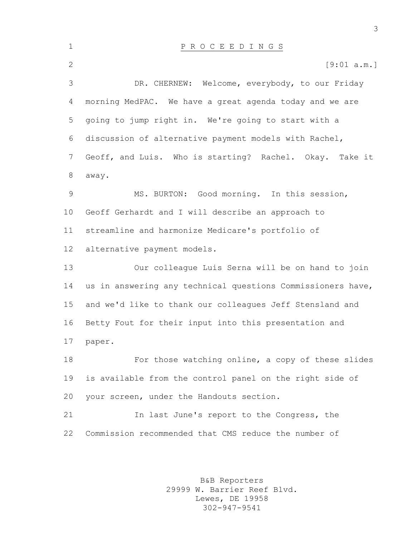P R O C E E D I N G S 2 [9:01 a.m.] DR. CHERNEW: Welcome, everybody, to our Friday morning MedPAC. We have a great agenda today and we are going to jump right in. We're going to start with a discussion of alternative payment models with Rachel, Geoff, and Luis. Who is starting? Rachel. Okay. Take it away. MS. BURTON: Good morning. In this session, Geoff Gerhardt and I will describe an approach to streamline and harmonize Medicare's portfolio of alternative payment models. Our colleague Luis Serna will be on hand to join us in answering any technical questions Commissioners have, and we'd like to thank our colleagues Jeff Stensland and Betty Fout for their input into this presentation and paper. For those watching online, a copy of these slides is available from the control panel on the right side of your screen, under the Handouts section. In last June's report to the Congress, the Commission recommended that CMS reduce the number of

> B&B Reporters 29999 W. Barrier Reef Blvd. Lewes, DE 19958 302-947-9541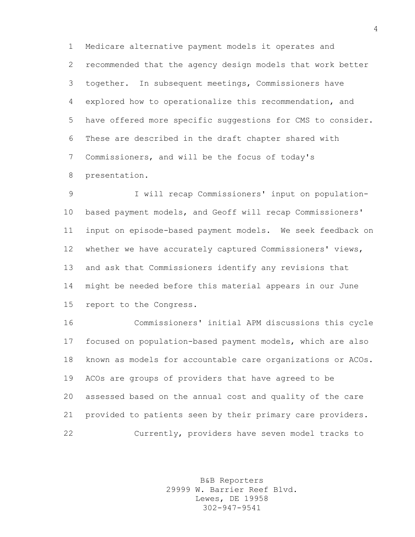Medicare alternative payment models it operates and recommended that the agency design models that work better together. In subsequent meetings, Commissioners have explored how to operationalize this recommendation, and have offered more specific suggestions for CMS to consider. These are described in the draft chapter shared with Commissioners, and will be the focus of today's presentation.

 I will recap Commissioners' input on population- based payment models, and Geoff will recap Commissioners' input on episode-based payment models. We seek feedback on whether we have accurately captured Commissioners' views, and ask that Commissioners identify any revisions that might be needed before this material appears in our June report to the Congress.

 Commissioners' initial APM discussions this cycle focused on population-based payment models, which are also known as models for accountable care organizations or ACOs. ACOs are groups of providers that have agreed to be assessed based on the annual cost and quality of the care provided to patients seen by their primary care providers. Currently, providers have seven model tracks to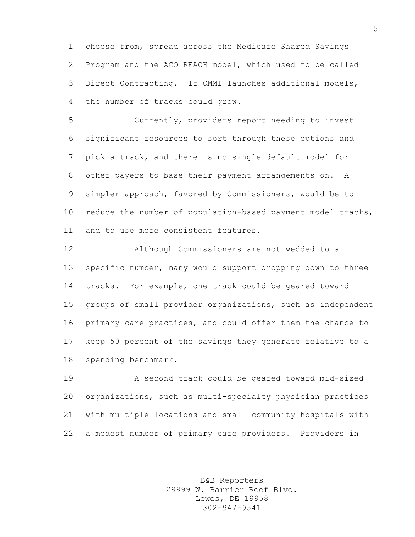choose from, spread across the Medicare Shared Savings Program and the ACO REACH model, which used to be called Direct Contracting. If CMMI launches additional models, the number of tracks could grow.

 Currently, providers report needing to invest significant resources to sort through these options and pick a track, and there is no single default model for other payers to base their payment arrangements on. A simpler approach, favored by Commissioners, would be to reduce the number of population-based payment model tracks, and to use more consistent features.

 Although Commissioners are not wedded to a specific number, many would support dropping down to three tracks. For example, one track could be geared toward groups of small provider organizations, such as independent primary care practices, and could offer them the chance to keep 50 percent of the savings they generate relative to a spending benchmark.

 A second track could be geared toward mid-sized organizations, such as multi-specialty physician practices with multiple locations and small community hospitals with a modest number of primary care providers. Providers in

> B&B Reporters 29999 W. Barrier Reef Blvd. Lewes, DE 19958 302-947-9541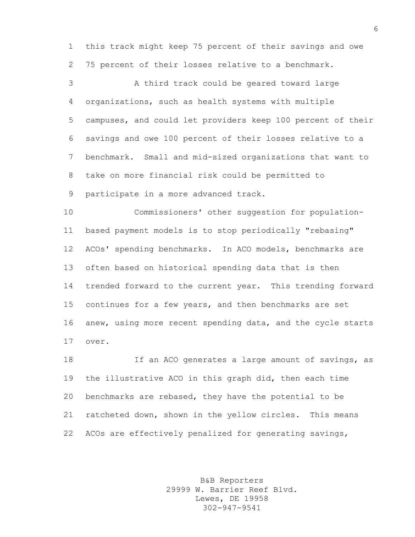this track might keep 75 percent of their savings and owe 75 percent of their losses relative to a benchmark.

 A third track could be geared toward large organizations, such as health systems with multiple campuses, and could let providers keep 100 percent of their savings and owe 100 percent of their losses relative to a benchmark. Small and mid-sized organizations that want to take on more financial risk could be permitted to participate in a more advanced track.

 Commissioners' other suggestion for population- based payment models is to stop periodically "rebasing" ACOs' spending benchmarks. In ACO models, benchmarks are often based on historical spending data that is then trended forward to the current year. This trending forward continues for a few years, and then benchmarks are set anew, using more recent spending data, and the cycle starts over.

18 18 If an ACO generates a large amount of savings, as the illustrative ACO in this graph did, then each time benchmarks are rebased, they have the potential to be ratcheted down, shown in the yellow circles. This means ACOs are effectively penalized for generating savings,

> B&B Reporters 29999 W. Barrier Reef Blvd. Lewes, DE 19958 302-947-9541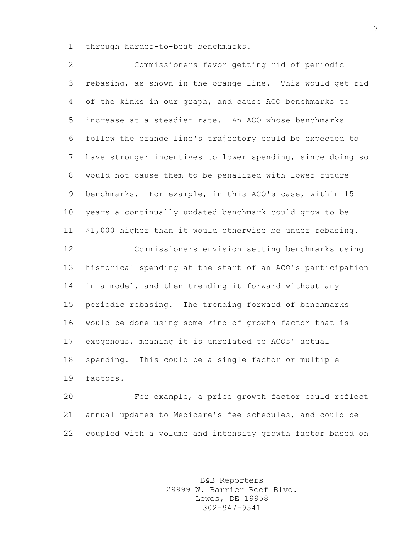through harder-to-beat benchmarks.

 Commissioners favor getting rid of periodic rebasing, as shown in the orange line. This would get rid of the kinks in our graph, and cause ACO benchmarks to increase at a steadier rate. An ACO whose benchmarks follow the orange line's trajectory could be expected to have stronger incentives to lower spending, since doing so would not cause them to be penalized with lower future benchmarks. For example, in this ACO's case, within 15 years a continually updated benchmark could grow to be \$1,000 higher than it would otherwise be under rebasing. Commissioners envision setting benchmarks using historical spending at the start of an ACO's participation in a model, and then trending it forward without any periodic rebasing. The trending forward of benchmarks would be done using some kind of growth factor that is exogenous, meaning it is unrelated to ACOs' actual spending. This could be a single factor or multiple factors.

 For example, a price growth factor could reflect annual updates to Medicare's fee schedules, and could be coupled with a volume and intensity growth factor based on

> B&B Reporters 29999 W. Barrier Reef Blvd. Lewes, DE 19958 302-947-9541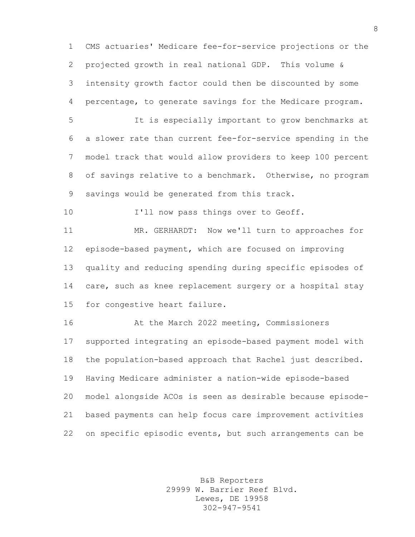CMS actuaries' Medicare fee-for-service projections or the projected growth in real national GDP. This volume & intensity growth factor could then be discounted by some percentage, to generate savings for the Medicare program.

 It is especially important to grow benchmarks at a slower rate than current fee-for-service spending in the model track that would allow providers to keep 100 percent of savings relative to a benchmark. Otherwise, no program savings would be generated from this track.

10 I'll now pass things over to Geoff.

 MR. GERHARDT: Now we'll turn to approaches for episode-based payment, which are focused on improving quality and reducing spending during specific episodes of 14 care, such as knee replacement surgery or a hospital stay for congestive heart failure.

 At the March 2022 meeting, Commissioners supported integrating an episode-based payment model with the population-based approach that Rachel just described. Having Medicare administer a nation-wide episode-based model alongside ACOs is seen as desirable because episode- based payments can help focus care improvement activities on specific episodic events, but such arrangements can be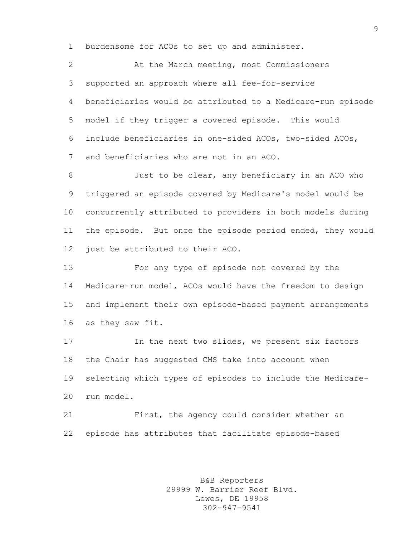burdensome for ACOs to set up and administer.

 At the March meeting, most Commissioners supported an approach where all fee-for-service beneficiaries would be attributed to a Medicare-run episode model if they trigger a covered episode. This would include beneficiaries in one-sided ACOs, two-sided ACOs, and beneficiaries who are not in an ACO.

 Just to be clear, any beneficiary in an ACO who triggered an episode covered by Medicare's model would be concurrently attributed to providers in both models during the episode. But once the episode period ended, they would just be attributed to their ACO.

 For any type of episode not covered by the Medicare-run model, ACOs would have the freedom to design and implement their own episode-based payment arrangements as they saw fit.

 In the next two slides, we present six factors the Chair has suggested CMS take into account when selecting which types of episodes to include the Medicare-run model.

 First, the agency could consider whether an episode has attributes that facilitate episode-based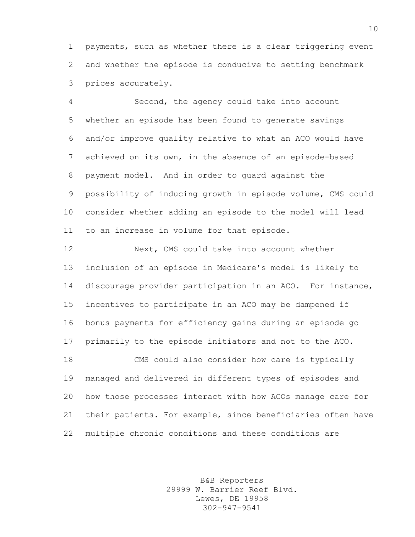payments, such as whether there is a clear triggering event and whether the episode is conducive to setting benchmark prices accurately.

 Second, the agency could take into account whether an episode has been found to generate savings and/or improve quality relative to what an ACO would have achieved on its own, in the absence of an episode-based payment model. And in order to guard against the possibility of inducing growth in episode volume, CMS could consider whether adding an episode to the model will lead to an increase in volume for that episode.

 Next, CMS could take into account whether inclusion of an episode in Medicare's model is likely to discourage provider participation in an ACO. For instance, incentives to participate in an ACO may be dampened if bonus payments for efficiency gains during an episode go primarily to the episode initiators and not to the ACO. CMS could also consider how care is typically managed and delivered in different types of episodes and how those processes interact with how ACOs manage care for their patients. For example, since beneficiaries often have multiple chronic conditions and these conditions are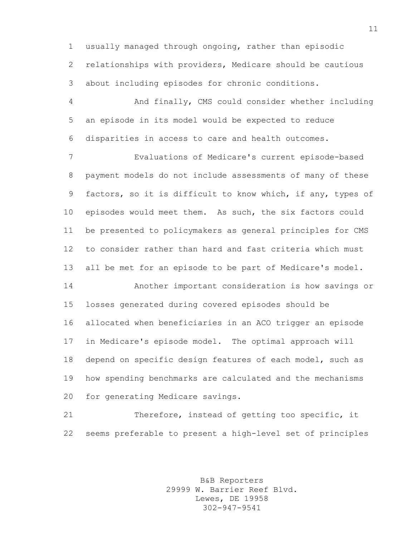usually managed through ongoing, rather than episodic relationships with providers, Medicare should be cautious about including episodes for chronic conditions.

 And finally, CMS could consider whether including an episode in its model would be expected to reduce disparities in access to care and health outcomes.

 Evaluations of Medicare's current episode-based payment models do not include assessments of many of these factors, so it is difficult to know which, if any, types of episodes would meet them. As such, the six factors could be presented to policymakers as general principles for CMS to consider rather than hard and fast criteria which must all be met for an episode to be part of Medicare's model.

 Another important consideration is how savings or losses generated during covered episodes should be allocated when beneficiaries in an ACO trigger an episode in Medicare's episode model. The optimal approach will depend on specific design features of each model, such as how spending benchmarks are calculated and the mechanisms for generating Medicare savings.

 Therefore, instead of getting too specific, it seems preferable to present a high-level set of principles

> B&B Reporters 29999 W. Barrier Reef Blvd. Lewes, DE 19958 302-947-9541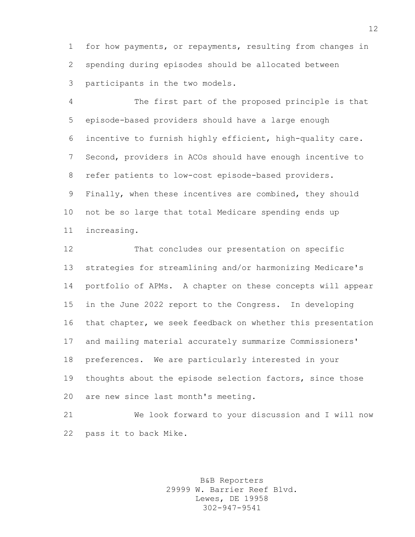for how payments, or repayments, resulting from changes in spending during episodes should be allocated between participants in the two models.

 The first part of the proposed principle is that episode-based providers should have a large enough incentive to furnish highly efficient, high-quality care. Second, providers in ACOs should have enough incentive to refer patients to low-cost episode-based providers. Finally, when these incentives are combined, they should not be so large that total Medicare spending ends up increasing.

 That concludes our presentation on specific strategies for streamlining and/or harmonizing Medicare's portfolio of APMs. A chapter on these concepts will appear in the June 2022 report to the Congress. In developing that chapter, we seek feedback on whether this presentation and mailing material accurately summarize Commissioners' preferences. We are particularly interested in your thoughts about the episode selection factors, since those are new since last month's meeting.

 We look forward to your discussion and I will now pass it to back Mike.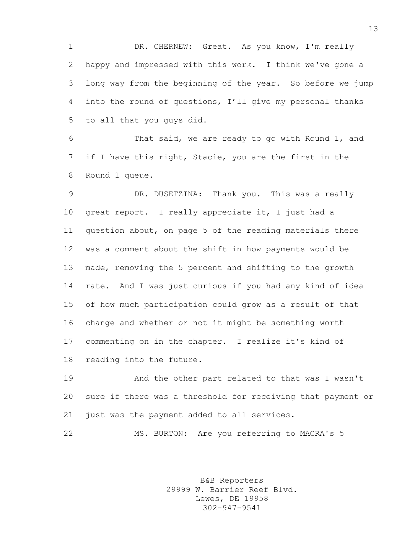1 DR. CHERNEW: Great. As you know, I'm really happy and impressed with this work. I think we've gone a long way from the beginning of the year. So before we jump into the round of questions, I'll give my personal thanks to all that you guys did.

 That said, we are ready to go with Round 1, and if I have this right, Stacie, you are the first in the Round 1 queue.

 DR. DUSETZINA: Thank you. This was a really great report. I really appreciate it, I just had a question about, on page 5 of the reading materials there was a comment about the shift in how payments would be made, removing the 5 percent and shifting to the growth rate. And I was just curious if you had any kind of idea of how much participation could grow as a result of that change and whether or not it might be something worth commenting on in the chapter. I realize it's kind of reading into the future.

 And the other part related to that was I wasn't sure if there was a threshold for receiving that payment or just was the payment added to all services.

MS. BURTON: Are you referring to MACRA's 5

B&B Reporters 29999 W. Barrier Reef Blvd. Lewes, DE 19958 302-947-9541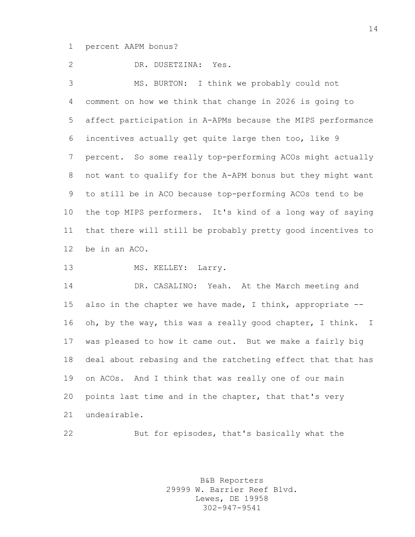## percent AAPM bonus?

 DR. DUSETZINA: Yes. MS. BURTON: I think we probably could not comment on how we think that change in 2026 is going to affect participation in A-APMs because the MIPS performance incentives actually get quite large then too, like 9 percent. So some really top-performing ACOs might actually not want to qualify for the A-APM bonus but they might want to still be in ACO because top-performing ACOs tend to be the top MIPS performers. It's kind of a long way of saying that there will still be probably pretty good incentives to be in an ACO.

13 MS. KELLEY: Larry.

 DR. CASALINO: Yeah. At the March meeting and also in the chapter we have made, I think, appropriate -- oh, by the way, this was a really good chapter, I think. I was pleased to how it came out. But we make a fairly big deal about rebasing and the ratcheting effect that that has on ACOs. And I think that was really one of our main points last time and in the chapter, that that's very undesirable.

But for episodes, that's basically what the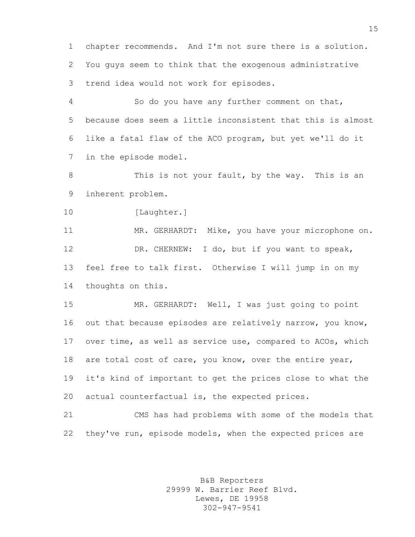chapter recommends. And I'm not sure there is a solution. You guys seem to think that the exogenous administrative trend idea would not work for episodes.

 So do you have any further comment on that, because does seem a little inconsistent that this is almost like a fatal flaw of the ACO program, but yet we'll do it in the episode model.

8 This is not your fault, by the way. This is an inherent problem.

10 [Laughter.]

 MR. GERHARDT: Mike, you have your microphone on. DR. CHERNEW: I do, but if you want to speak, feel free to talk first. Otherwise I will jump in on my thoughts on this.

 MR. GERHARDT: Well, I was just going to point 16 out that because episodes are relatively narrow, you know, over time, as well as service use, compared to ACOs, which are total cost of care, you know, over the entire year, it's kind of important to get the prices close to what the actual counterfactual is, the expected prices.

 CMS has had problems with some of the models that they've run, episode models, when the expected prices are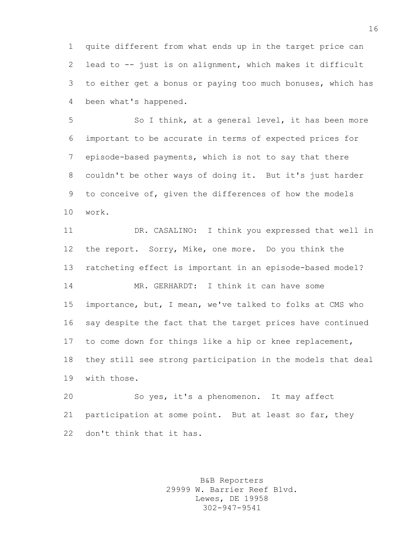quite different from what ends up in the target price can lead to -- just is on alignment, which makes it difficult to either get a bonus or paying too much bonuses, which has been what's happened.

5 So I think, at a general level, it has been more important to be accurate in terms of expected prices for episode-based payments, which is not to say that there couldn't be other ways of doing it. But it's just harder to conceive of, given the differences of how the models work.

 DR. CASALINO: I think you expressed that well in the report. Sorry, Mike, one more. Do you think the ratcheting effect is important in an episode-based model? MR. GERHARDT: I think it can have some importance, but, I mean, we've talked to folks at CMS who say despite the fact that the target prices have continued to come down for things like a hip or knee replacement, they still see strong participation in the models that deal with those.

 So yes, it's a phenomenon. It may affect participation at some point. But at least so far, they don't think that it has.

> B&B Reporters 29999 W. Barrier Reef Blvd. Lewes, DE 19958 302-947-9541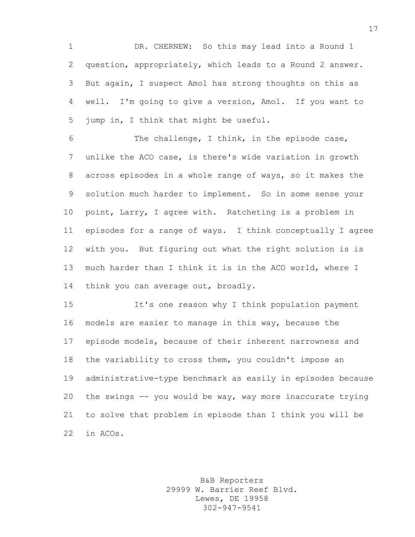DR. CHERNEW: So this may lead into a Round 1 question, appropriately, which leads to a Round 2 answer. But again, I suspect Amol has strong thoughts on this as well. I'm going to give a version, Amol. If you want to jump in, I think that might be useful.

 The challenge, I think, in the episode case, unlike the ACO case, is there's wide variation in growth across episodes in a whole range of ways, so it makes the solution much harder to implement. So in some sense your point, Larry, I agree with. Ratcheting is a problem in episodes for a range of ways. I think conceptually I agree with you. But figuring out what the right solution is is much harder than I think it is in the ACO world, where I 14 think you can average out, broadly.

 It's one reason why I think population payment models are easier to manage in this way, because the episode models, because of their inherent narrowness and the variability to cross them, you couldn't impose an administrative-type benchmark as easily in episodes because the swings -- you would be way, way more inaccurate trying to solve that problem in episode than I think you will be in ACOs.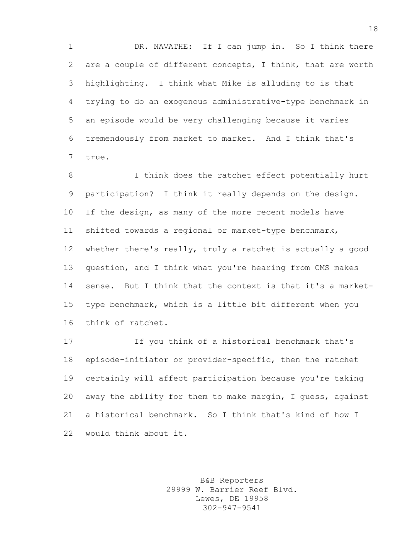1 DR. NAVATHE: If I can jump in. So I think there are a couple of different concepts, I think, that are worth highlighting. I think what Mike is alluding to is that trying to do an exogenous administrative-type benchmark in an episode would be very challenging because it varies tremendously from market to market. And I think that's true.

8 I think does the ratchet effect potentially hurt participation? I think it really depends on the design. 10 If the design, as many of the more recent models have shifted towards a regional or market-type benchmark, whether there's really, truly a ratchet is actually a good question, and I think what you're hearing from CMS makes sense. But I think that the context is that it's a market- type benchmark, which is a little bit different when you think of ratchet.

 If you think of a historical benchmark that's episode-initiator or provider-specific, then the ratchet certainly will affect participation because you're taking away the ability for them to make margin, I guess, against a historical benchmark. So I think that's kind of how I would think about it.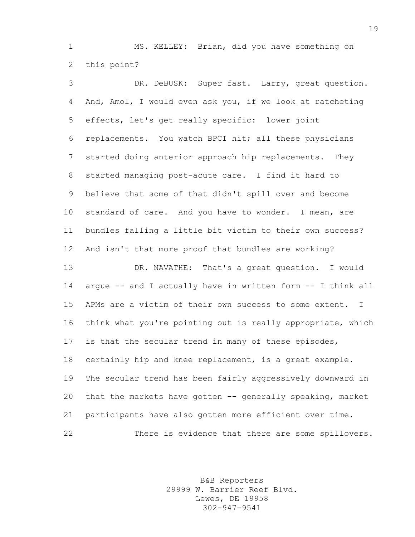MS. KELLEY: Brian, did you have something on this point?

 DR. DeBUSK: Super fast. Larry, great question. And, Amol, I would even ask you, if we look at ratcheting effects, let's get really specific: lower joint replacements. You watch BPCI hit; all these physicians started doing anterior approach hip replacements. They started managing post-acute care. I find it hard to believe that some of that didn't spill over and become 10 standard of care. And you have to wonder. I mean, are bundles falling a little bit victim to their own success? And isn't that more proof that bundles are working? DR. NAVATHE: That's a great question. I would argue -- and I actually have in written form -- I think all APMs are a victim of their own success to some extent. I think what you're pointing out is really appropriate, which is that the secular trend in many of these episodes, certainly hip and knee replacement, is a great example. The secular trend has been fairly aggressively downward in that the markets have gotten -- generally speaking, market participants have also gotten more efficient over time. There is evidence that there are some spillovers.

> B&B Reporters 29999 W. Barrier Reef Blvd. Lewes, DE 19958 302-947-9541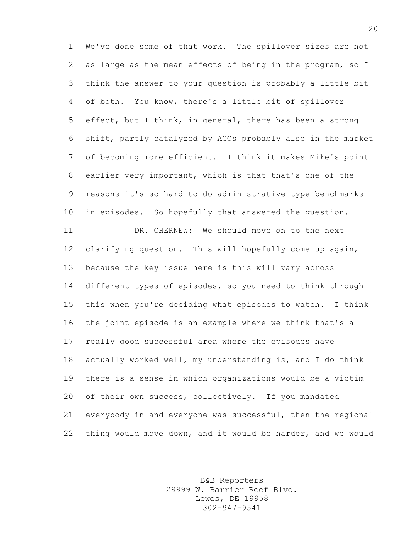We've done some of that work. The spillover sizes are not as large as the mean effects of being in the program, so I think the answer to your question is probably a little bit of both. You know, there's a little bit of spillover effect, but I think, in general, there has been a strong shift, partly catalyzed by ACOs probably also in the market of becoming more efficient. I think it makes Mike's point earlier very important, which is that that's one of the reasons it's so hard to do administrative type benchmarks in episodes. So hopefully that answered the question. DR. CHERNEW: We should move on to the next clarifying question. This will hopefully come up again, because the key issue here is this will vary across different types of episodes, so you need to think through this when you're deciding what episodes to watch. I think the joint episode is an example where we think that's a really good successful area where the episodes have actually worked well, my understanding is, and I do think there is a sense in which organizations would be a victim of their own success, collectively. If you mandated everybody in and everyone was successful, then the regional thing would move down, and it would be harder, and we would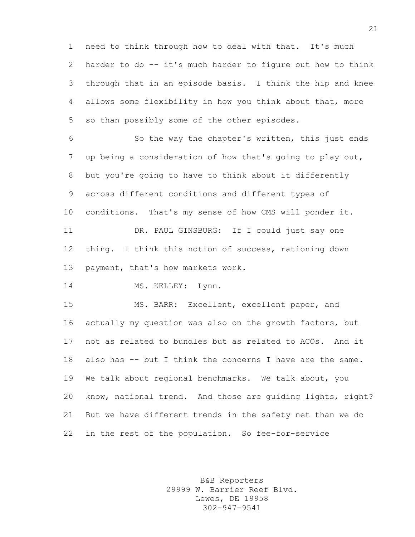need to think through how to deal with that. It's much harder to do -- it's much harder to figure out how to think through that in an episode basis. I think the hip and knee allows some flexibility in how you think about that, more so than possibly some of the other episodes.

 So the way the chapter's written, this just ends up being a consideration of how that's going to play out, but you're going to have to think about it differently across different conditions and different types of conditions. That's my sense of how CMS will ponder it. DR. PAUL GINSBURG: If I could just say one thing. I think this notion of success, rationing down 13 payment, that's how markets work.

14 MS. KELLEY: Lynn.

 MS. BARR: Excellent, excellent paper, and actually my question was also on the growth factors, but not as related to bundles but as related to ACOs. And it 18 also has -- but I think the concerns I have are the same. We talk about regional benchmarks. We talk about, you know, national trend. And those are guiding lights, right? But we have different trends in the safety net than we do in the rest of the population. So fee-for-service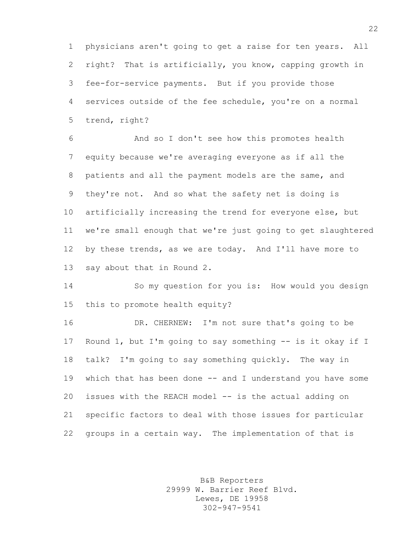physicians aren't going to get a raise for ten years. All right? That is artificially, you know, capping growth in fee-for-service payments. But if you provide those services outside of the fee schedule, you're on a normal trend, right?

 And so I don't see how this promotes health equity because we're averaging everyone as if all the patients and all the payment models are the same, and they're not. And so what the safety net is doing is artificially increasing the trend for everyone else, but we're small enough that we're just going to get slaughtered by these trends, as we are today. And I'll have more to say about that in Round 2.

 So my question for you is: How would you design this to promote health equity?

 DR. CHERNEW: I'm not sure that's going to be 17 Round 1, but I'm going to say something -- is it okay if I talk? I'm going to say something quickly. The way in which that has been done -- and I understand you have some issues with the REACH model -- is the actual adding on specific factors to deal with those issues for particular groups in a certain way. The implementation of that is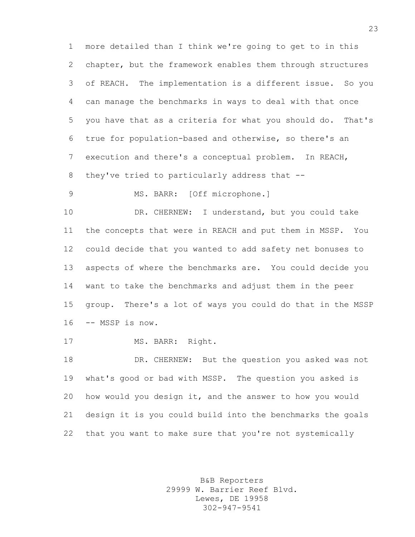more detailed than I think we're going to get to in this chapter, but the framework enables them through structures of REACH. The implementation is a different issue. So you can manage the benchmarks in ways to deal with that once you have that as a criteria for what you should do. That's true for population-based and otherwise, so there's an execution and there's a conceptual problem. In REACH, they've tried to particularly address that --

MS. BARR: [Off microphone.]

 DR. CHERNEW: I understand, but you could take the concepts that were in REACH and put them in MSSP. You could decide that you wanted to add safety net bonuses to aspects of where the benchmarks are. You could decide you want to take the benchmarks and adjust them in the peer group. There's a lot of ways you could do that in the MSSP -- MSSP is now.

17 MS. BARR: Right.

 DR. CHERNEW: But the question you asked was not what's good or bad with MSSP. The question you asked is how would you design it, and the answer to how you would design it is you could build into the benchmarks the goals that you want to make sure that you're not systemically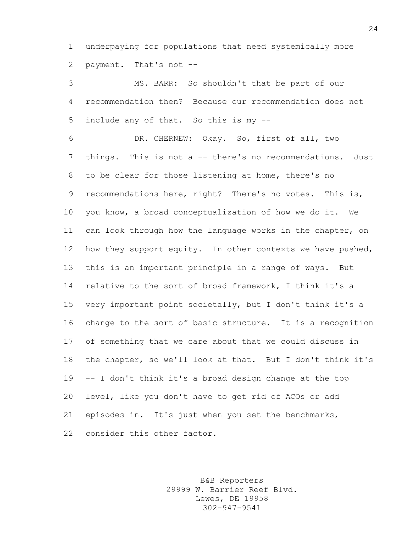underpaying for populations that need systemically more payment. That's not --

 MS. BARR: So shouldn't that be part of our recommendation then? Because our recommendation does not include any of that. So this is my --

 DR. CHERNEW: Okay. So, first of all, two things. This is not a -- there's no recommendations. Just to be clear for those listening at home, there's no recommendations here, right? There's no votes. This is, you know, a broad conceptualization of how we do it. We can look through how the language works in the chapter, on 12 how they support equity. In other contexts we have pushed, this is an important principle in a range of ways. But relative to the sort of broad framework, I think it's a very important point societally, but I don't think it's a change to the sort of basic structure. It is a recognition of something that we care about that we could discuss in the chapter, so we'll look at that. But I don't think it's -- I don't think it's a broad design change at the top level, like you don't have to get rid of ACOs or add episodes in. It's just when you set the benchmarks, 22 consider this other factor.

> B&B Reporters 29999 W. Barrier Reef Blvd. Lewes, DE 19958 302-947-9541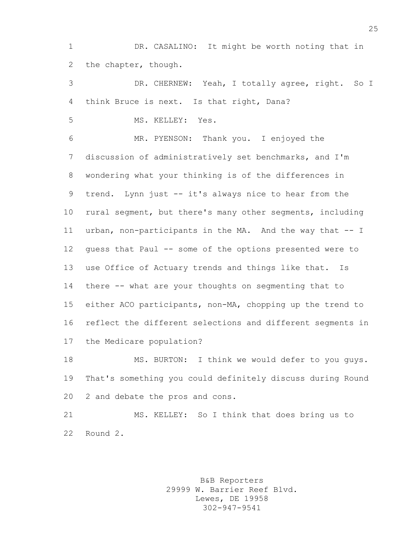DR. CASALINO: It might be worth noting that in the chapter, though.

 DR. CHERNEW: Yeah, I totally agree, right. So I think Bruce is next. Is that right, Dana?

MS. KELLEY: Yes.

 MR. PYENSON: Thank you. I enjoyed the discussion of administratively set benchmarks, and I'm wondering what your thinking is of the differences in trend. Lynn just -- it's always nice to hear from the rural segment, but there's many other segments, including urban, non-participants in the MA. And the way that -- I guess that Paul -- some of the options presented were to use Office of Actuary trends and things like that. Is there -- what are your thoughts on segmenting that to either ACO participants, non-MA, chopping up the trend to reflect the different selections and different segments in the Medicare population?

 MS. BURTON: I think we would defer to you guys. That's something you could definitely discuss during Round 2 and debate the pros and cons.

 MS. KELLEY: So I think that does bring us to Round 2.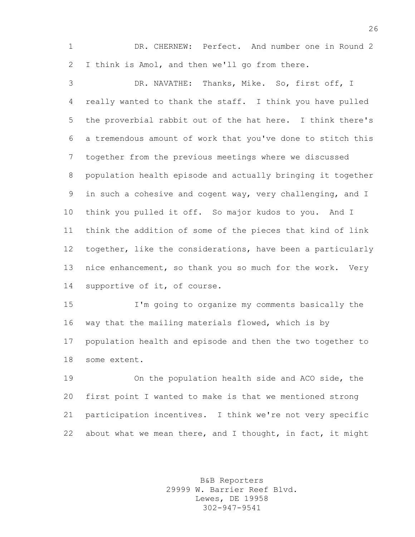DR. CHERNEW: Perfect. And number one in Round 2 I think is Amol, and then we'll go from there.

 DR. NAVATHE: Thanks, Mike. So, first off, I really wanted to thank the staff. I think you have pulled the proverbial rabbit out of the hat here. I think there's a tremendous amount of work that you've done to stitch this together from the previous meetings where we discussed population health episode and actually bringing it together in such a cohesive and cogent way, very challenging, and I think you pulled it off. So major kudos to you. And I think the addition of some of the pieces that kind of link together, like the considerations, have been a particularly 13 nice enhancement, so thank you so much for the work. Very supportive of it, of course.

 I'm going to organize my comments basically the way that the mailing materials flowed, which is by population health and episode and then the two together to some extent.

 On the population health side and ACO side, the first point I wanted to make is that we mentioned strong participation incentives. I think we're not very specific 22 about what we mean there, and I thought, in fact, it might

> B&B Reporters 29999 W. Barrier Reef Blvd. Lewes, DE 19958 302-947-9541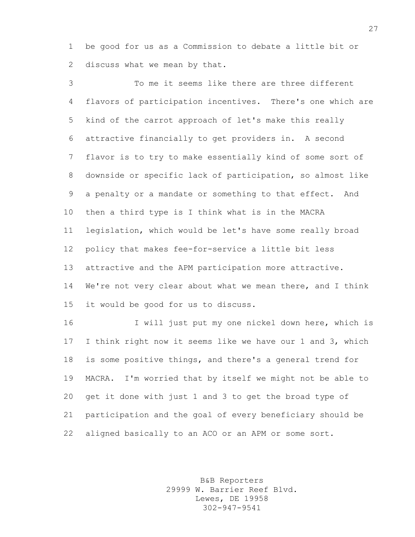be good for us as a Commission to debate a little bit or discuss what we mean by that.

 To me it seems like there are three different flavors of participation incentives. There's one which are kind of the carrot approach of let's make this really attractive financially to get providers in. A second flavor is to try to make essentially kind of some sort of downside or specific lack of participation, so almost like a penalty or a mandate or something to that effect. And then a third type is I think what is in the MACRA legislation, which would be let's have some really broad policy that makes fee-for-service a little bit less attractive and the APM participation more attractive. 14 We're not very clear about what we mean there, and I think it would be good for us to discuss.

16 I will just put my one nickel down here, which is I think right now it seems like we have our 1 and 3, which is some positive things, and there's a general trend for MACRA. I'm worried that by itself we might not be able to get it done with just 1 and 3 to get the broad type of participation and the goal of every beneficiary should be aligned basically to an ACO or an APM or some sort.

> B&B Reporters 29999 W. Barrier Reef Blvd. Lewes, DE 19958 302-947-9541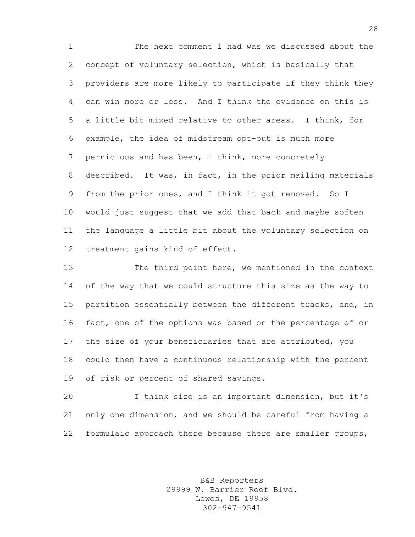The next comment I had was we discussed about the concept of voluntary selection, which is basically that providers are more likely to participate if they think they can win more or less. And I think the evidence on this is a little bit mixed relative to other areas. I think, for example, the idea of midstream opt-out is much more pernicious and has been, I think, more concretely described. It was, in fact, in the prior mailing materials from the prior ones, and I think it got removed. So I would just suggest that we add that back and maybe soften the language a little bit about the voluntary selection on treatment gains kind of effect.

 The third point here, we mentioned in the context of the way that we could structure this size as the way to partition essentially between the different tracks, and, in fact, one of the options was based on the percentage of or the size of your beneficiaries that are attributed, you could then have a continuous relationship with the percent of risk or percent of shared savings.

 I think size is an important dimension, but it's only one dimension, and we should be careful from having a formulaic approach there because there are smaller groups,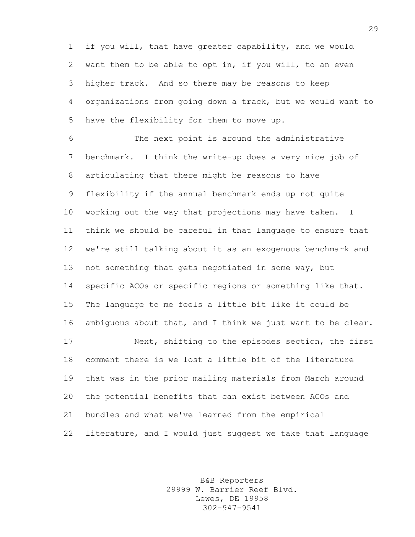if you will, that have greater capability, and we would want them to be able to opt in, if you will, to an even higher track. And so there may be reasons to keep organizations from going down a track, but we would want to have the flexibility for them to move up.

 The next point is around the administrative benchmark. I think the write-up does a very nice job of articulating that there might be reasons to have flexibility if the annual benchmark ends up not quite working out the way that projections may have taken. I think we should be careful in that language to ensure that we're still talking about it as an exogenous benchmark and not something that gets negotiated in some way, but specific ACOs or specific regions or something like that. The language to me feels a little bit like it could be ambiguous about that, and I think we just want to be clear. Next, shifting to the episodes section, the first comment there is we lost a little bit of the literature that was in the prior mailing materials from March around the potential benefits that can exist between ACOs and bundles and what we've learned from the empirical literature, and I would just suggest we take that language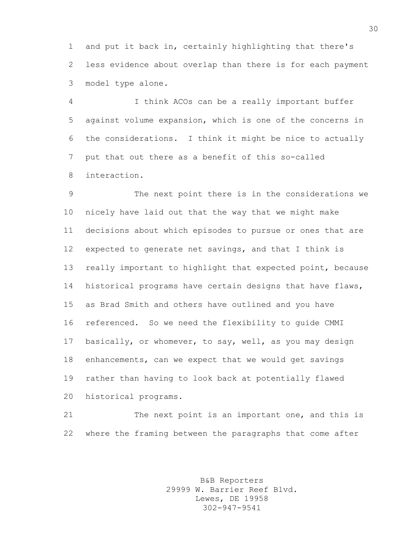and put it back in, certainly highlighting that there's less evidence about overlap than there is for each payment model type alone.

 I think ACOs can be a really important buffer against volume expansion, which is one of the concerns in the considerations. I think it might be nice to actually put that out there as a benefit of this so-called interaction.

 The next point there is in the considerations we nicely have laid out that the way that we might make decisions about which episodes to pursue or ones that are expected to generate net savings, and that I think is really important to highlight that expected point, because historical programs have certain designs that have flaws, as Brad Smith and others have outlined and you have referenced. So we need the flexibility to guide CMMI basically, or whomever, to say, well, as you may design enhancements, can we expect that we would get savings rather than having to look back at potentially flawed historical programs.

21 The next point is an important one, and this is where the framing between the paragraphs that come after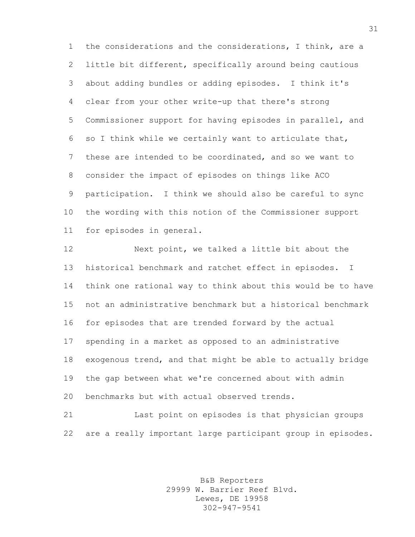the considerations and the considerations, I think, are a little bit different, specifically around being cautious about adding bundles or adding episodes. I think it's clear from your other write-up that there's strong Commissioner support for having episodes in parallel, and so I think while we certainly want to articulate that, these are intended to be coordinated, and so we want to consider the impact of episodes on things like ACO participation. I think we should also be careful to sync the wording with this notion of the Commissioner support for episodes in general.

 Next point, we talked a little bit about the historical benchmark and ratchet effect in episodes. I think one rational way to think about this would be to have not an administrative benchmark but a historical benchmark for episodes that are trended forward by the actual spending in a market as opposed to an administrative exogenous trend, and that might be able to actually bridge the gap between what we're concerned about with admin benchmarks but with actual observed trends.

 Last point on episodes is that physician groups are a really important large participant group in episodes.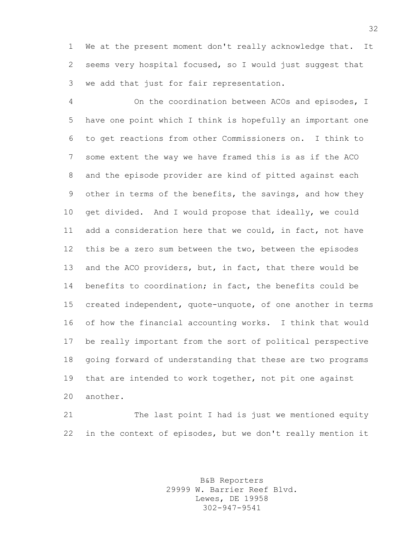We at the present moment don't really acknowledge that. It seems very hospital focused, so I would just suggest that we add that just for fair representation.

 On the coordination between ACOs and episodes, I have one point which I think is hopefully an important one to get reactions from other Commissioners on. I think to some extent the way we have framed this is as if the ACO and the episode provider are kind of pitted against each other in terms of the benefits, the savings, and how they get divided. And I would propose that ideally, we could add a consideration here that we could, in fact, not have this be a zero sum between the two, between the episodes and the ACO providers, but, in fact, that there would be benefits to coordination; in fact, the benefits could be created independent, quote-unquote, of one another in terms of how the financial accounting works. I think that would be really important from the sort of political perspective going forward of understanding that these are two programs that are intended to work together, not pit one against another.

 The last point I had is just we mentioned equity in the context of episodes, but we don't really mention it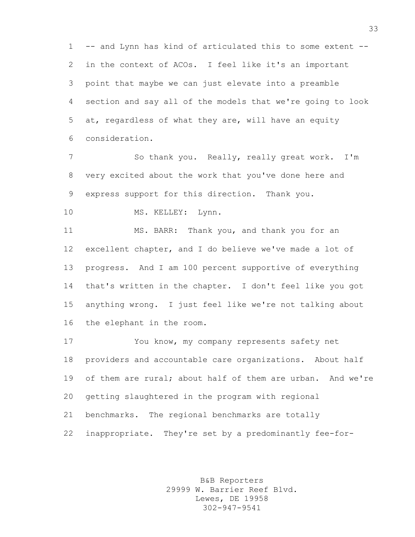-- and Lynn has kind of articulated this to some extent -- in the context of ACOs. I feel like it's an important point that maybe we can just elevate into a preamble section and say all of the models that we're going to look at, regardless of what they are, will have an equity consideration.

 So thank you. Really, really great work. I'm very excited about the work that you've done here and express support for this direction. Thank you.

10 MS. KELLEY: Lynn.

 MS. BARR: Thank you, and thank you for an excellent chapter, and I do believe we've made a lot of progress. And I am 100 percent supportive of everything that's written in the chapter. I don't feel like you got anything wrong. I just feel like we're not talking about the elephant in the room.

 You know, my company represents safety net providers and accountable care organizations. About half 19 of them are rural; about half of them are urban. And we're getting slaughtered in the program with regional benchmarks. The regional benchmarks are totally inappropriate. They're set by a predominantly fee-for-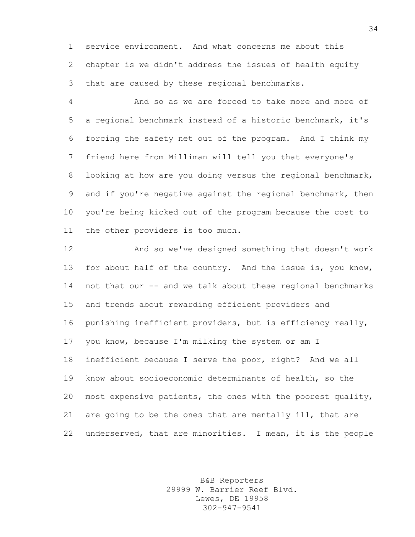service environment. And what concerns me about this chapter is we didn't address the issues of health equity that are caused by these regional benchmarks.

 And so as we are forced to take more and more of a regional benchmark instead of a historic benchmark, it's forcing the safety net out of the program. And I think my friend here from Milliman will tell you that everyone's 8 looking at how are you doing versus the regional benchmark, and if you're negative against the regional benchmark, then you're being kicked out of the program because the cost to the other providers is too much.

 And so we've designed something that doesn't work 13 for about half of the country. And the issue is, you know, not that our -- and we talk about these regional benchmarks and trends about rewarding efficient providers and punishing inefficient providers, but is efficiency really, you know, because I'm milking the system or am I inefficient because I serve the poor, right? And we all know about socioeconomic determinants of health, so the most expensive patients, the ones with the poorest quality, are going to be the ones that are mentally ill, that are underserved, that are minorities. I mean, it is the people

> B&B Reporters 29999 W. Barrier Reef Blvd. Lewes, DE 19958 302-947-9541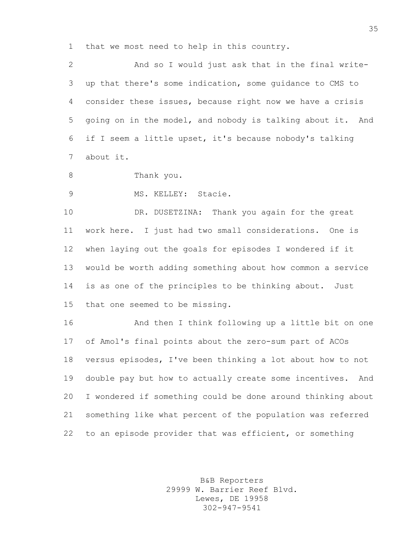that we most need to help in this country.

 And so I would just ask that in the final write- up that there's some indication, some guidance to CMS to consider these issues, because right now we have a crisis going on in the model, and nobody is talking about it. And if I seem a little upset, it's because nobody's talking about it.

8 Thank you.

MS. KELLEY: Stacie.

 DR. DUSETZINA: Thank you again for the great work here. I just had two small considerations. One is when laying out the goals for episodes I wondered if it would be worth adding something about how common a service is as one of the principles to be thinking about. Just that one seemed to be missing.

 And then I think following up a little bit on one of Amol's final points about the zero-sum part of ACOs versus episodes, I've been thinking a lot about how to not double pay but how to actually create some incentives. And I wondered if something could be done around thinking about something like what percent of the population was referred to an episode provider that was efficient, or something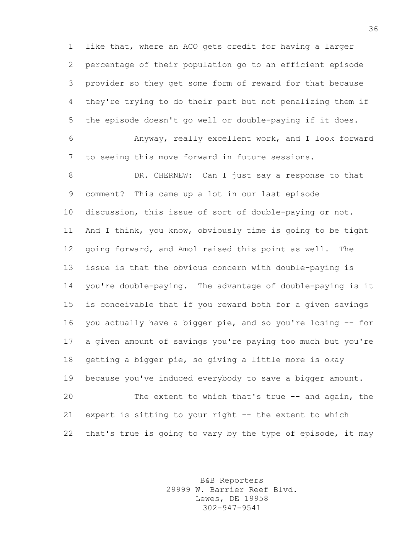like that, where an ACO gets credit for having a larger percentage of their population go to an efficient episode provider so they get some form of reward for that because they're trying to do their part but not penalizing them if the episode doesn't go well or double-paying if it does.

 Anyway, really excellent work, and I look forward to seeing this move forward in future sessions.

8 DR. CHERNEW: Can I just say a response to that comment? This came up a lot in our last episode discussion, this issue of sort of double-paying or not. And I think, you know, obviously time is going to be tight going forward, and Amol raised this point as well. The issue is that the obvious concern with double-paying is you're double-paying. The advantage of double-paying is it is conceivable that if you reward both for a given savings you actually have a bigger pie, and so you're losing -- for a given amount of savings you're paying too much but you're getting a bigger pie, so giving a little more is okay because you've induced everybody to save a bigger amount. The extent to which that's true -- and again, the expert is sitting to your right -- the extent to which that's true is going to vary by the type of episode, it may

> B&B Reporters 29999 W. Barrier Reef Blvd. Lewes, DE 19958 302-947-9541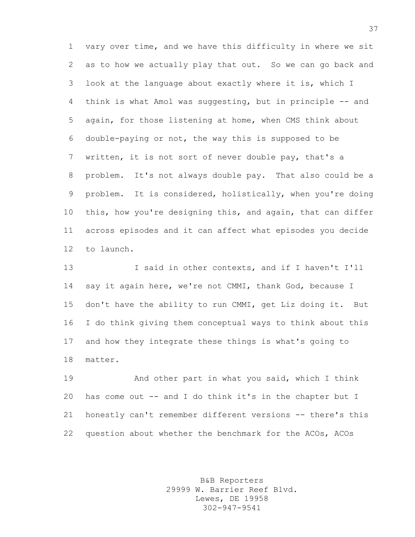vary over time, and we have this difficulty in where we sit as to how we actually play that out. So we can go back and look at the language about exactly where it is, which I think is what Amol was suggesting, but in principle -- and again, for those listening at home, when CMS think about double-paying or not, the way this is supposed to be written, it is not sort of never double pay, that's a problem. It's not always double pay. That also could be a problem. It is considered, holistically, when you're doing this, how you're designing this, and again, that can differ across episodes and it can affect what episodes you decide to launch.

 I said in other contexts, and if I haven't I'll say it again here, we're not CMMI, thank God, because I don't have the ability to run CMMI, get Liz doing it. But I do think giving them conceptual ways to think about this and how they integrate these things is what's going to matter.

 And other part in what you said, which I think has come out -- and I do think it's in the chapter but I honestly can't remember different versions -- there's this question about whether the benchmark for the ACOs, ACOs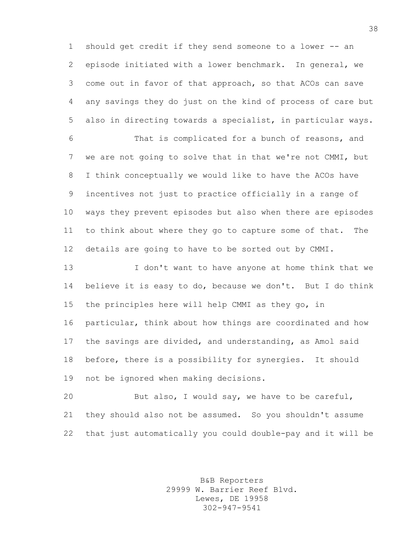should get credit if they send someone to a lower -- an episode initiated with a lower benchmark. In general, we come out in favor of that approach, so that ACOs can save any savings they do just on the kind of process of care but also in directing towards a specialist, in particular ways.

 That is complicated for a bunch of reasons, and we are not going to solve that in that we're not CMMI, but I think conceptually we would like to have the ACOs have incentives not just to practice officially in a range of ways they prevent episodes but also when there are episodes to think about where they go to capture some of that. The details are going to have to be sorted out by CMMI.

 I don't want to have anyone at home think that we believe it is easy to do, because we don't. But I do think the principles here will help CMMI as they go, in particular, think about how things are coordinated and how the savings are divided, and understanding, as Amol said before, there is a possibility for synergies. It should not be ignored when making decisions.

 But also, I would say, we have to be careful, they should also not be assumed. So you shouldn't assume that just automatically you could double-pay and it will be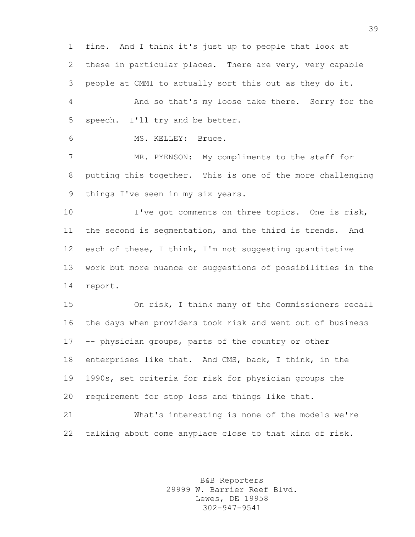fine. And I think it's just up to people that look at these in particular places. There are very, very capable people at CMMI to actually sort this out as they do it.

 And so that's my loose take there. Sorry for the speech. I'll try and be better.

MS. KELLEY: Bruce.

7 MR. PYENSON: My compliments to the staff for putting this together. This is one of the more challenging things I've seen in my six years.

10 I've got comments on three topics. One is risk, the second is segmentation, and the third is trends. And each of these, I think, I'm not suggesting quantitative work but more nuance or suggestions of possibilities in the report.

 On risk, I think many of the Commissioners recall the days when providers took risk and went out of business -- physician groups, parts of the country or other enterprises like that. And CMS, back, I think, in the 1990s, set criteria for risk for physician groups the requirement for stop loss and things like that.

 What's interesting is none of the models we're talking about come anyplace close to that kind of risk.

> B&B Reporters 29999 W. Barrier Reef Blvd. Lewes, DE 19958 302-947-9541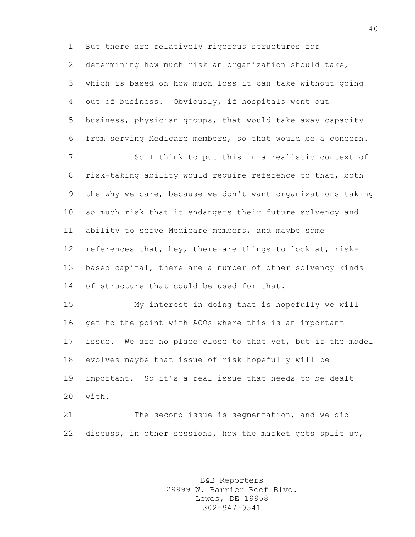But there are relatively rigorous structures for determining how much risk an organization should take, which is based on how much loss it can take without going out of business. Obviously, if hospitals went out business, physician groups, that would take away capacity from serving Medicare members, so that would be a concern. So I think to put this in a realistic context of risk-taking ability would require reference to that, both the why we care, because we don't want organizations taking so much risk that it endangers their future solvency and ability to serve Medicare members, and maybe some references that, hey, there are things to look at, risk-13 based capital, there are a number of other solvency kinds 14 of structure that could be used for that. My interest in doing that is hopefully we will get to the point with ACOs where this is an important issue. We are no place close to that yet, but if the model evolves maybe that issue of risk hopefully will be important. So it's a real issue that needs to be dealt with. The second issue is segmentation, and we did

discuss, in other sessions, how the market gets split up,

B&B Reporters 29999 W. Barrier Reef Blvd. Lewes, DE 19958 302-947-9541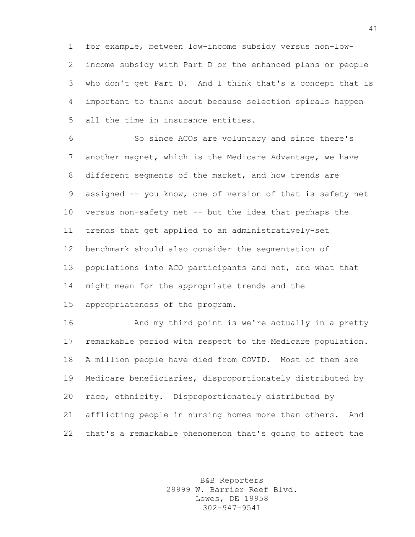for example, between low-income subsidy versus non-low- income subsidy with Part D or the enhanced plans or people who don't get Part D. And I think that's a concept that is important to think about because selection spirals happen all the time in insurance entities.

 So since ACOs are voluntary and since there's another magnet, which is the Medicare Advantage, we have different segments of the market, and how trends are 9 assigned -- you know, one of version of that is safety net versus non-safety net -- but the idea that perhaps the trends that get applied to an administratively-set benchmark should also consider the segmentation of populations into ACO participants and not, and what that might mean for the appropriate trends and the appropriateness of the program.

**And my third point is we're actually in a pretty**  remarkable period with respect to the Medicare population. A million people have died from COVID. Most of them are Medicare beneficiaries, disproportionately distributed by race, ethnicity. Disproportionately distributed by afflicting people in nursing homes more than others. And that's a remarkable phenomenon that's going to affect the

> B&B Reporters 29999 W. Barrier Reef Blvd. Lewes, DE 19958 302-947-9541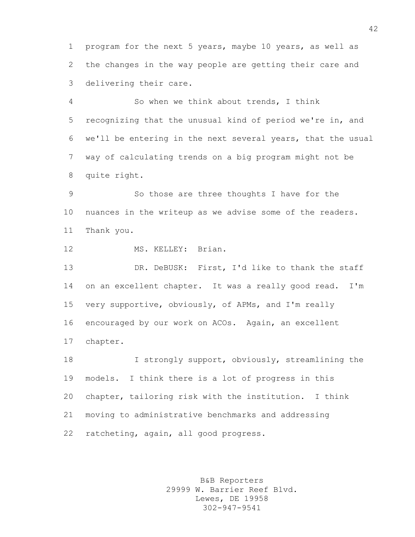program for the next 5 years, maybe 10 years, as well as the changes in the way people are getting their care and delivering their care.

 So when we think about trends, I think recognizing that the unusual kind of period we're in, and we'll be entering in the next several years, that the usual way of calculating trends on a big program might not be quite right.

 So those are three thoughts I have for the nuances in the writeup as we advise some of the readers. Thank you.

12 MS. KELLEY: Brian.

13 DR. DeBUSK: First, I'd like to thank the staff on an excellent chapter. It was a really good read. I'm very supportive, obviously, of APMs, and I'm really encouraged by our work on ACOs. Again, an excellent chapter.

 I strongly support, obviously, streamlining the models. I think there is a lot of progress in this chapter, tailoring risk with the institution. I think moving to administrative benchmarks and addressing ratcheting, again, all good progress.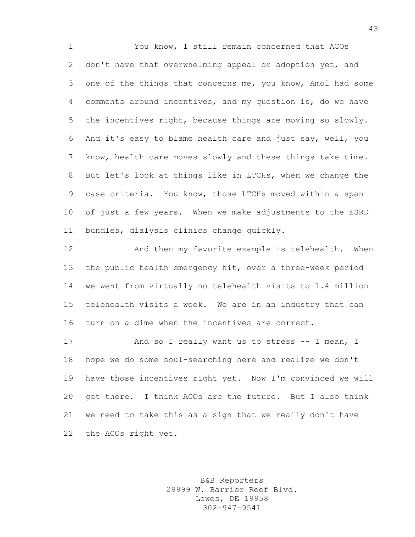You know, I still remain concerned that ACOs don't have that overwhelming appeal or adoption yet, and one of the things that concerns me, you know, Amol had some comments around incentives, and my question is, do we have the incentives right, because things are moving so slowly. And it's easy to blame health care and just say, well, you know, health care moves slowly and these things take time. But let's look at things like in LTCHs, when we change the case criteria. You know, those LTCHs moved within a span of just a few years. When we make adjustments to the ESRD bundles, dialysis clinics change quickly.

 And then my favorite example is telehealth. When the public health emergency hit, over a three-week period we went from virtually no telehealth visits to 1.4 million telehealth visits a week. We are in an industry that can turn on a dime when the incentives are correct.

17 And so I really want us to stress -- I mean, I hope we do some soul-searching here and realize we don't have those incentives right yet. Now I'm convinced we will get there. I think ACOs are the future. But I also think we need to take this as a sign that we really don't have the ACOs right yet.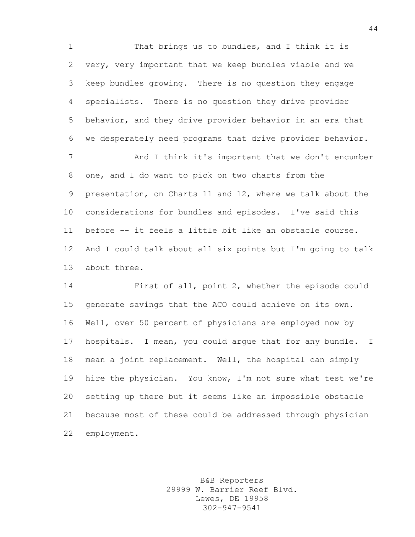That brings us to bundles, and I think it is very, very important that we keep bundles viable and we keep bundles growing. There is no question they engage specialists. There is no question they drive provider behavior, and they drive provider behavior in an era that we desperately need programs that drive provider behavior.

7 And I think it's important that we don't encumber one, and I do want to pick on two charts from the presentation, on Charts 11 and 12, where we talk about the considerations for bundles and episodes. I've said this before -- it feels a little bit like an obstacle course. And I could talk about all six points but I'm going to talk about three.

 First of all, point 2, whether the episode could generate savings that the ACO could achieve on its own. Well, over 50 percent of physicians are employed now by hospitals. I mean, you could argue that for any bundle. I mean a joint replacement. Well, the hospital can simply hire the physician. You know, I'm not sure what test we're setting up there but it seems like an impossible obstacle because most of these could be addressed through physician employment.

> B&B Reporters 29999 W. Barrier Reef Blvd. Lewes, DE 19958 302-947-9541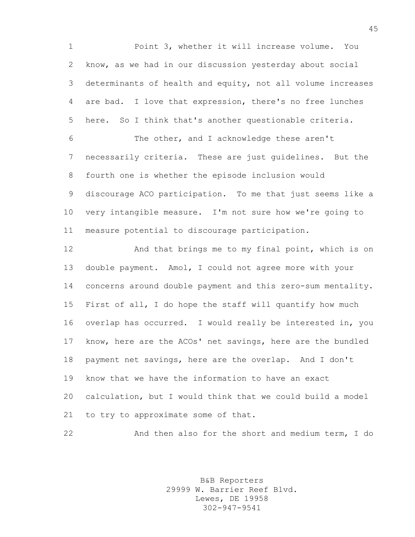Point 3, whether it will increase volume. You know, as we had in our discussion yesterday about social determinants of health and equity, not all volume increases are bad. I love that expression, there's no free lunches here. So I think that's another questionable criteria. The other, and I acknowledge these aren't

 necessarily criteria. These are just guidelines. But the fourth one is whether the episode inclusion would discourage ACO participation. To me that just seems like a very intangible measure. I'm not sure how we're going to measure potential to discourage participation.

**And that brings me to my final point, which is on**  double payment. Amol, I could not agree more with your concerns around double payment and this zero-sum mentality. First of all, I do hope the staff will quantify how much overlap has occurred. I would really be interested in, you know, here are the ACOs' net savings, here are the bundled payment net savings, here are the overlap. And I don't know that we have the information to have an exact calculation, but I would think that we could build a model to try to approximate some of that.

And then also for the short and medium term, I do

B&B Reporters 29999 W. Barrier Reef Blvd. Lewes, DE 19958 302-947-9541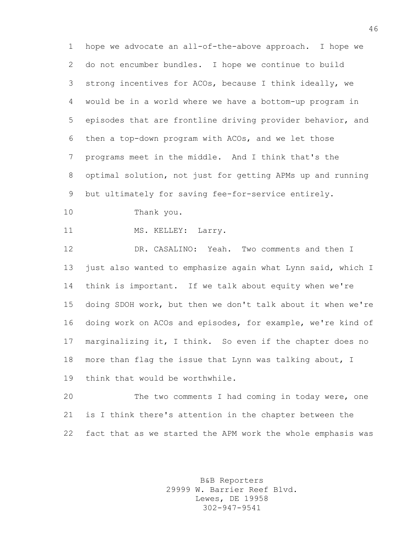hope we advocate an all-of-the-above approach. I hope we do not encumber bundles. I hope we continue to build strong incentives for ACOs, because I think ideally, we would be in a world where we have a bottom-up program in episodes that are frontline driving provider behavior, and then a top-down program with ACOs, and we let those programs meet in the middle. And I think that's the optimal solution, not just for getting APMs up and running but ultimately for saving fee-for-service entirely.

Thank you.

11 MS. KELLEY: Larry.

 DR. CASALINO: Yeah. Two comments and then I just also wanted to emphasize again what Lynn said, which I think is important. If we talk about equity when we're doing SDOH work, but then we don't talk about it when we're doing work on ACOs and episodes, for example, we're kind of marginalizing it, I think. So even if the chapter does no more than flag the issue that Lynn was talking about, I think that would be worthwhile.

 The two comments I had coming in today were, one is I think there's attention in the chapter between the fact that as we started the APM work the whole emphasis was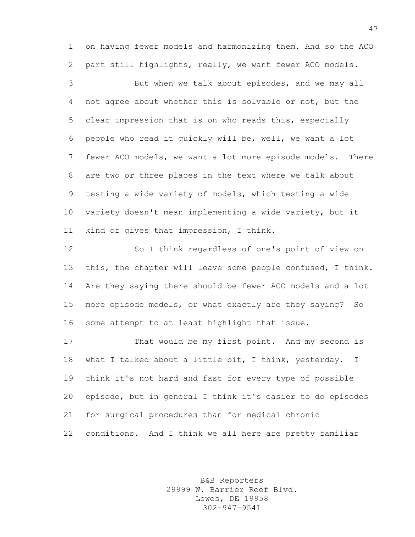on having fewer models and harmonizing them. And so the ACO part still highlights, really, we want fewer ACO models.

 But when we talk about episodes, and we may all not agree about whether this is solvable or not, but the clear impression that is on who reads this, especially people who read it quickly will be, well, we want a lot fewer ACO models, we want a lot more episode models. There are two or three places in the text where we talk about testing a wide variety of models, which testing a wide variety doesn't mean implementing a wide variety, but it kind of gives that impression, I think.

 So I think regardless of one's point of view on this, the chapter will leave some people confused, I think. Are they saying there should be fewer ACO models and a lot more episode models, or what exactly are they saying? So some attempt to at least highlight that issue.

 That would be my first point. And my second is what I talked about a little bit, I think, yesterday. I think it's not hard and fast for every type of possible episode, but in general I think it's easier to do episodes for surgical procedures than for medical chronic conditions. And I think we all here are pretty familiar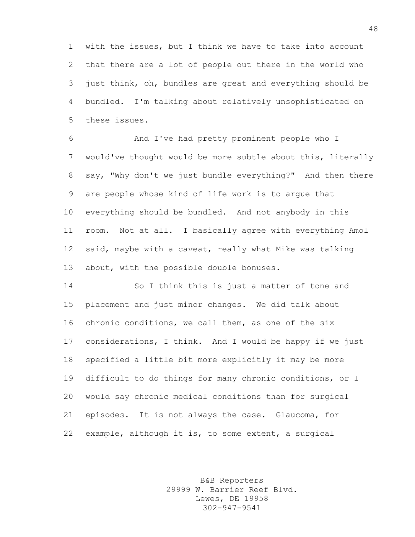with the issues, but I think we have to take into account that there are a lot of people out there in the world who just think, oh, bundles are great and everything should be bundled. I'm talking about relatively unsophisticated on these issues.

 And I've had pretty prominent people who I would've thought would be more subtle about this, literally say, "Why don't we just bundle everything?" And then there are people whose kind of life work is to argue that everything should be bundled. And not anybody in this room. Not at all. I basically agree with everything Amol said, maybe with a caveat, really what Mike was talking 13 about, with the possible double bonuses.

 So I think this is just a matter of tone and placement and just minor changes. We did talk about chronic conditions, we call them, as one of the six considerations, I think. And I would be happy if we just specified a little bit more explicitly it may be more difficult to do things for many chronic conditions, or I would say chronic medical conditions than for surgical episodes. It is not always the case. Glaucoma, for example, although it is, to some extent, a surgical

> B&B Reporters 29999 W. Barrier Reef Blvd. Lewes, DE 19958 302-947-9541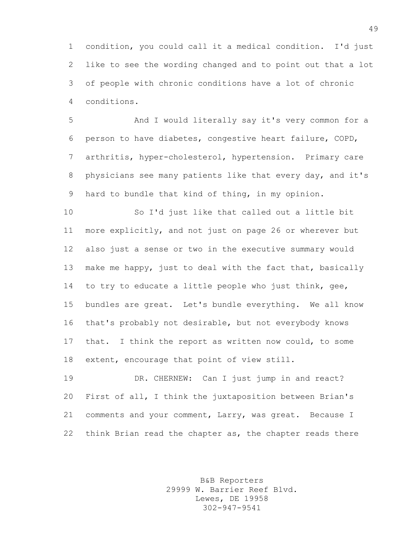condition, you could call it a medical condition. I'd just like to see the wording changed and to point out that a lot of people with chronic conditions have a lot of chronic conditions.

 And I would literally say it's very common for a person to have diabetes, congestive heart failure, COPD, arthritis, hyper-cholesterol, hypertension. Primary care physicians see many patients like that every day, and it's hard to bundle that kind of thing, in my opinion.

 So I'd just like that called out a little bit more explicitly, and not just on page 26 or wherever but also just a sense or two in the executive summary would make me happy, just to deal with the fact that, basically to try to educate a little people who just think, gee, bundles are great. Let's bundle everything. We all know that's probably not desirable, but not everybody knows that. I think the report as written now could, to some extent, encourage that point of view still.

 DR. CHERNEW: Can I just jump in and react? First of all, I think the juxtaposition between Brian's comments and your comment, Larry, was great. Because I think Brian read the chapter as, the chapter reads there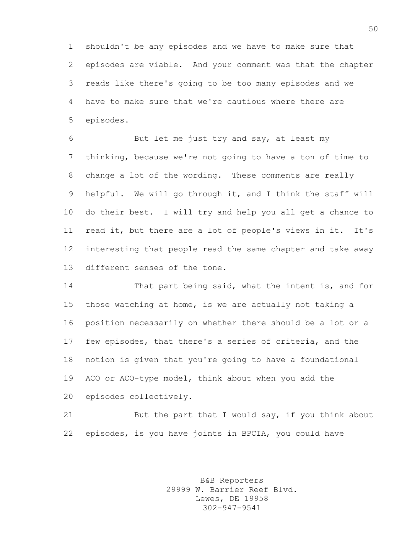shouldn't be any episodes and we have to make sure that episodes are viable. And your comment was that the chapter reads like there's going to be too many episodes and we have to make sure that we're cautious where there are episodes.

 But let me just try and say, at least my thinking, because we're not going to have a ton of time to change a lot of the wording. These comments are really helpful. We will go through it, and I think the staff will do their best. I will try and help you all get a chance to read it, but there are a lot of people's views in it. It's interesting that people read the same chapter and take away different senses of the tone.

 That part being said, what the intent is, and for those watching at home, is we are actually not taking a position necessarily on whether there should be a lot or a few episodes, that there's a series of criteria, and the notion is given that you're going to have a foundational ACO or ACO-type model, think about when you add the episodes collectively.

21 But the part that I would say, if you think about episodes, is you have joints in BPCIA, you could have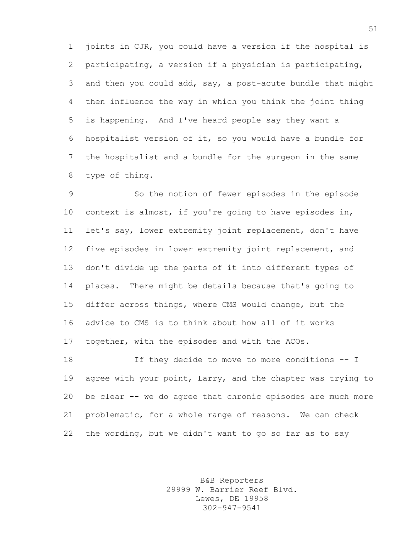joints in CJR, you could have a version if the hospital is participating, a version if a physician is participating, and then you could add, say, a post-acute bundle that might then influence the way in which you think the joint thing is happening. And I've heard people say they want a hospitalist version of it, so you would have a bundle for the hospitalist and a bundle for the surgeon in the same type of thing.

 So the notion of fewer episodes in the episode context is almost, if you're going to have episodes in, let's say, lower extremity joint replacement, don't have five episodes in lower extremity joint replacement, and don't divide up the parts of it into different types of places. There might be details because that's going to differ across things, where CMS would change, but the advice to CMS is to think about how all of it works together, with the episodes and with the ACOs.

 If they decide to move to more conditions -- I agree with your point, Larry, and the chapter was trying to be clear -- we do agree that chronic episodes are much more problematic, for a whole range of reasons. We can check the wording, but we didn't want to go so far as to say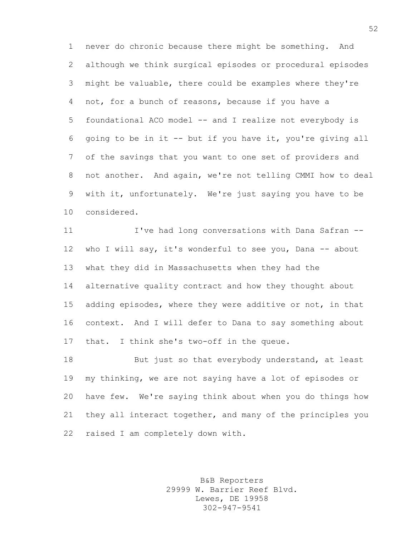never do chronic because there might be something. And although we think surgical episodes or procedural episodes might be valuable, there could be examples where they're not, for a bunch of reasons, because if you have a foundational ACO model -- and I realize not everybody is going to be in it -- but if you have it, you're giving all of the savings that you want to one set of providers and not another. And again, we're not telling CMMI how to deal with it, unfortunately. We're just saying you have to be considered.

 I've had long conversations with Dana Safran -- who I will say, it's wonderful to see you, Dana -- about what they did in Massachusetts when they had the alternative quality contract and how they thought about adding episodes, where they were additive or not, in that context. And I will defer to Dana to say something about that. I think she's two-off in the queue.

18 But just so that everybody understand, at least my thinking, we are not saying have a lot of episodes or have few. We're saying think about when you do things how they all interact together, and many of the principles you raised I am completely down with.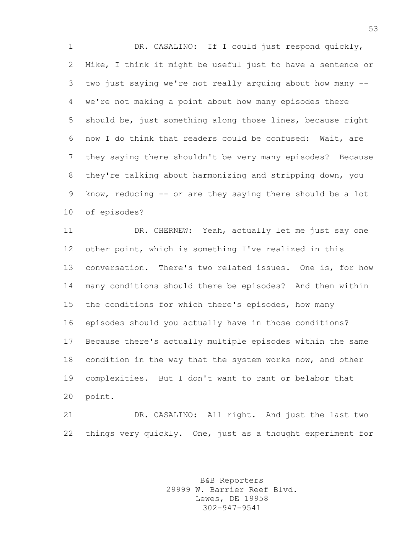DR. CASALINO: If I could just respond quickly, Mike, I think it might be useful just to have a sentence or two just saying we're not really arguing about how many -- we're not making a point about how many episodes there should be, just something along those lines, because right now I do think that readers could be confused: Wait, are they saying there shouldn't be very many episodes? Because they're talking about harmonizing and stripping down, you know, reducing -- or are they saying there should be a lot of episodes?

 DR. CHERNEW: Yeah, actually let me just say one other point, which is something I've realized in this conversation. There's two related issues. One is, for how many conditions should there be episodes? And then within the conditions for which there's episodes, how many episodes should you actually have in those conditions? Because there's actually multiple episodes within the same condition in the way that the system works now, and other complexities. But I don't want to rant or belabor that point.

 DR. CASALINO: All right. And just the last two things very quickly. One, just as a thought experiment for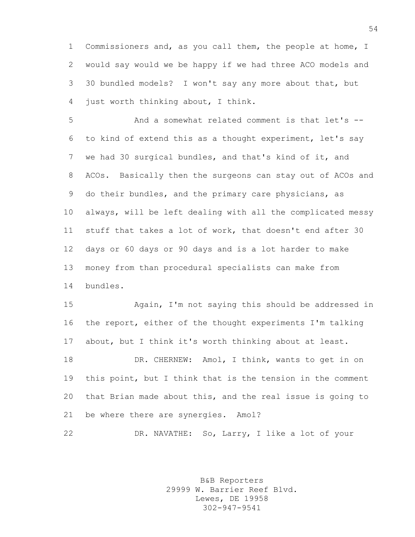Commissioners and, as you call them, the people at home, I would say would we be happy if we had three ACO models and 30 bundled models? I won't say any more about that, but just worth thinking about, I think.

 And a somewhat related comment is that let's -- to kind of extend this as a thought experiment, let's say we had 30 surgical bundles, and that's kind of it, and ACOs. Basically then the surgeons can stay out of ACOs and do their bundles, and the primary care physicians, as always, will be left dealing with all the complicated messy stuff that takes a lot of work, that doesn't end after 30 days or 60 days or 90 days and is a lot harder to make money from than procedural specialists can make from bundles.

 Again, I'm not saying this should be addressed in the report, either of the thought experiments I'm talking about, but I think it's worth thinking about at least. 18 DR. CHERNEW: Amol, I think, wants to get in on this point, but I think that is the tension in the comment that Brian made about this, and the real issue is going to be where there are synergies. Amol?

DR. NAVATHE: So, Larry, I like a lot of your

B&B Reporters 29999 W. Barrier Reef Blvd. Lewes, DE 19958 302-947-9541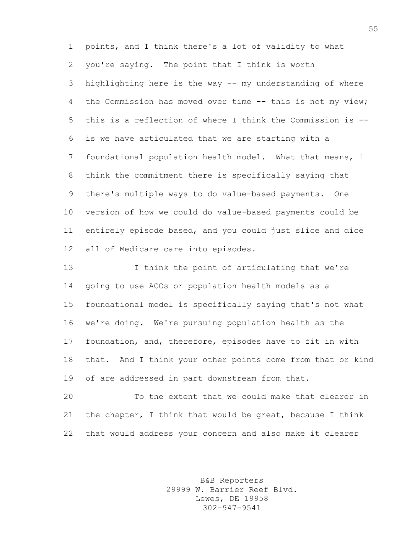points, and I think there's a lot of validity to what you're saying. The point that I think is worth highlighting here is the way -- my understanding of where the Commission has moved over time -- this is not my view; this is a reflection of where I think the Commission is -- is we have articulated that we are starting with a foundational population health model. What that means, I think the commitment there is specifically saying that there's multiple ways to do value-based payments. One version of how we could do value-based payments could be entirely episode based, and you could just slice and dice all of Medicare care into episodes.

 I think the point of articulating that we're going to use ACOs or population health models as a foundational model is specifically saying that's not what we're doing. We're pursuing population health as the foundation, and, therefore, episodes have to fit in with that. And I think your other points come from that or kind of are addressed in part downstream from that.

 To the extent that we could make that clearer in the chapter, I think that would be great, because I think that would address your concern and also make it clearer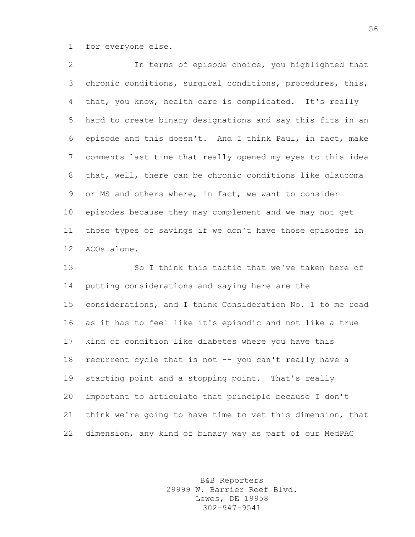for everyone else.

 In terms of episode choice, you highlighted that chronic conditions, surgical conditions, procedures, this, 4 that, you know, health care is complicated. It's really hard to create binary designations and say this fits in an episode and this doesn't. And I think Paul, in fact, make comments last time that really opened my eyes to this idea that, well, there can be chronic conditions like glaucoma or MS and others where, in fact, we want to consider episodes because they may complement and we may not get those types of savings if we don't have those episodes in ACOs alone.

 So I think this tactic that we've taken here of putting considerations and saying here are the considerations, and I think Consideration No. 1 to me read as it has to feel like it's episodic and not like a true kind of condition like diabetes where you have this 18 recurrent cycle that is not -- you can't really have a starting point and a stopping point. That's really important to articulate that principle because I don't think we're going to have time to vet this dimension, that dimension, any kind of binary way as part of our MedPAC

> B&B Reporters 29999 W. Barrier Reef Blvd. Lewes, DE 19958 302-947-9541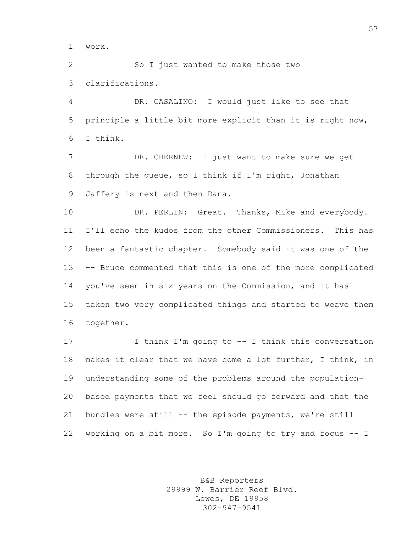work.

 So I just wanted to make those two clarifications.

 DR. CASALINO: I would just like to see that principle a little bit more explicit than it is right now, I think.

 DR. CHERNEW: I just want to make sure we get through the queue, so I think if I'm right, Jonathan Jaffery is next and then Dana.

10 DR. PERLIN: Great. Thanks, Mike and everybody. I'll echo the kudos from the other Commissioners. This has been a fantastic chapter. Somebody said it was one of the -- Bruce commented that this is one of the more complicated you've seen in six years on the Commission, and it has taken two very complicated things and started to weave them together.

17 I think I'm going to -- I think this conversation makes it clear that we have come a lot further, I think, in understanding some of the problems around the population- based payments that we feel should go forward and that the bundles were still -- the episode payments, we're still working on a bit more. So I'm going to try and focus -- I

> B&B Reporters 29999 W. Barrier Reef Blvd. Lewes, DE 19958 302-947-9541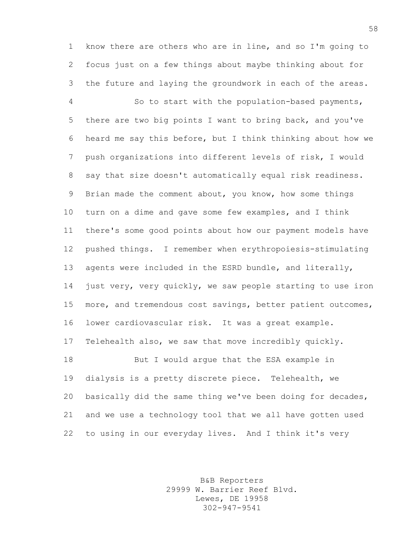know there are others who are in line, and so I'm going to focus just on a few things about maybe thinking about for the future and laying the groundwork in each of the areas.

 So to start with the population-based payments, there are two big points I want to bring back, and you've heard me say this before, but I think thinking about how we push organizations into different levels of risk, I would say that size doesn't automatically equal risk readiness. Brian made the comment about, you know, how some things turn on a dime and gave some few examples, and I think there's some good points about how our payment models have pushed things. I remember when erythropoiesis-stimulating agents were included in the ESRD bundle, and literally, just very, very quickly, we saw people starting to use iron more, and tremendous cost savings, better patient outcomes, lower cardiovascular risk. It was a great example. Telehealth also, we saw that move incredibly quickly. 18 But I would arque that the ESA example in dialysis is a pretty discrete piece. Telehealth, we basically did the same thing we've been doing for decades, and we use a technology tool that we all have gotten used

to using in our everyday lives. And I think it's very

B&B Reporters 29999 W. Barrier Reef Blvd. Lewes, DE 19958 302-947-9541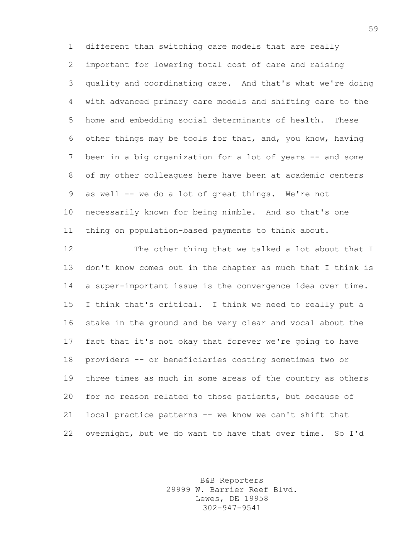different than switching care models that are really important for lowering total cost of care and raising quality and coordinating care. And that's what we're doing with advanced primary care models and shifting care to the home and embedding social determinants of health. These other things may be tools for that, and, you know, having been in a big organization for a lot of years -- and some of my other colleagues here have been at academic centers as well -- we do a lot of great things. We're not necessarily known for being nimble. And so that's one thing on population-based payments to think about.

 The other thing that we talked a lot about that I don't know comes out in the chapter as much that I think is a super-important issue is the convergence idea over time. I think that's critical. I think we need to really put a stake in the ground and be very clear and vocal about the fact that it's not okay that forever we're going to have providers -- or beneficiaries costing sometimes two or three times as much in some areas of the country as others for no reason related to those patients, but because of local practice patterns -- we know we can't shift that overnight, but we do want to have that over time. So I'd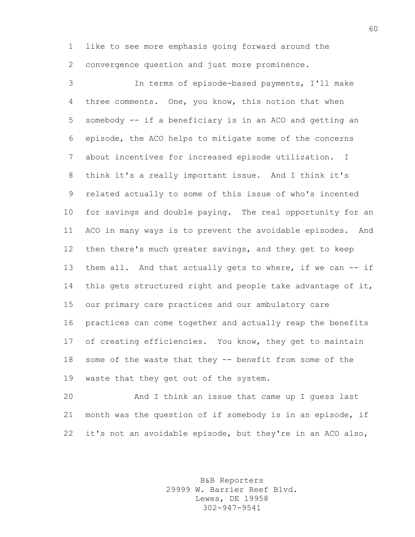like to see more emphasis going forward around the convergence question and just more prominence.

 In terms of episode-based payments, I'll make three comments. One, you know, this notion that when somebody -- if a beneficiary is in an ACO and getting an episode, the ACO helps to mitigate some of the concerns about incentives for increased episode utilization. I think it's a really important issue. And I think it's related actually to some of this issue of who's incented for savings and double paying. The real opportunity for an ACO in many ways is to prevent the avoidable episodes. And then there's much greater savings, and they get to keep 13 them all. And that actually gets to where, if we can -- if 14 this gets structured right and people take advantage of it, our primary care practices and our ambulatory care practices can come together and actually reap the benefits of creating efficiencies. You know, they get to maintain some of the waste that they -- benefit from some of the waste that they get out of the system.

 And I think an issue that came up I guess last month was the question of if somebody is in an episode, if it's not an avoidable episode, but they're in an ACO also,

> B&B Reporters 29999 W. Barrier Reef Blvd. Lewes, DE 19958 302-947-9541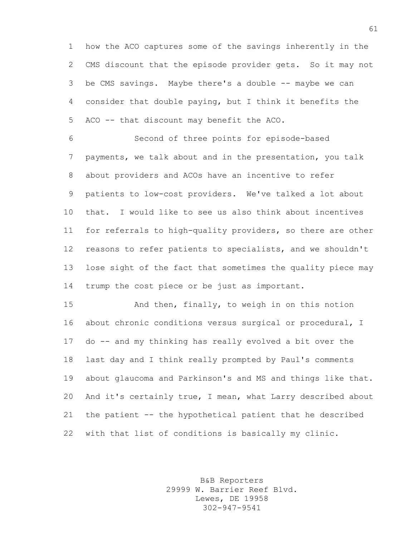how the ACO captures some of the savings inherently in the CMS discount that the episode provider gets. So it may not be CMS savings. Maybe there's a double -- maybe we can consider that double paying, but I think it benefits the ACO -- that discount may benefit the ACO.

 Second of three points for episode-based payments, we talk about and in the presentation, you talk about providers and ACOs have an incentive to refer patients to low-cost providers. We've talked a lot about that. I would like to see us also think about incentives for referrals to high-quality providers, so there are other reasons to refer patients to specialists, and we shouldn't lose sight of the fact that sometimes the quality piece may trump the cost piece or be just as important.

 And then, finally, to weigh in on this notion about chronic conditions versus surgical or procedural, I do -- and my thinking has really evolved a bit over the last day and I think really prompted by Paul's comments about glaucoma and Parkinson's and MS and things like that. And it's certainly true, I mean, what Larry described about the patient -- the hypothetical patient that he described with that list of conditions is basically my clinic.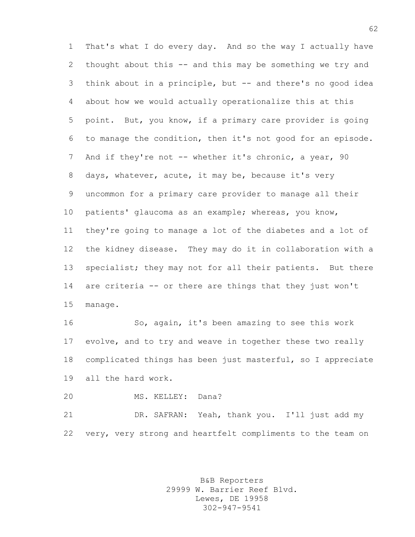That's what I do every day. And so the way I actually have thought about this -- and this may be something we try and think about in a principle, but -- and there's no good idea about how we would actually operationalize this at this point. But, you know, if a primary care provider is going to manage the condition, then it's not good for an episode. 7 And if they're not -- whether it's chronic, a year, 90 days, whatever, acute, it may be, because it's very uncommon for a primary care provider to manage all their patients' glaucoma as an example; whereas, you know, they're going to manage a lot of the diabetes and a lot of the kidney disease. They may do it in collaboration with a 13 specialist; they may not for all their patients. But there are criteria -- or there are things that they just won't manage.

 So, again, it's been amazing to see this work evolve, and to try and weave in together these two really complicated things has been just masterful, so I appreciate all the hard work.

MS. KELLEY: Dana?

 DR. SAFRAN: Yeah, thank you. I'll just add my very, very strong and heartfelt compliments to the team on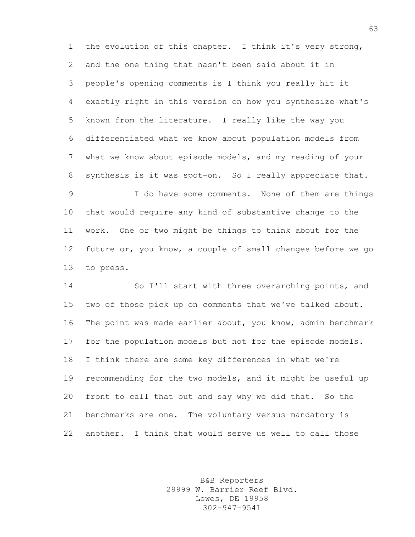the evolution of this chapter. I think it's very strong, and the one thing that hasn't been said about it in people's opening comments is I think you really hit it exactly right in this version on how you synthesize what's known from the literature. I really like the way you differentiated what we know about population models from what we know about episode models, and my reading of your synthesis is it was spot-on. So I really appreciate that.

 I do have some comments. None of them are things that would require any kind of substantive change to the work. One or two might be things to think about for the future or, you know, a couple of small changes before we go to press.

 So I'll start with three overarching points, and two of those pick up on comments that we've talked about. The point was made earlier about, you know, admin benchmark for the population models but not for the episode models. I think there are some key differences in what we're recommending for the two models, and it might be useful up front to call that out and say why we did that. So the benchmarks are one. The voluntary versus mandatory is another. I think that would serve us well to call those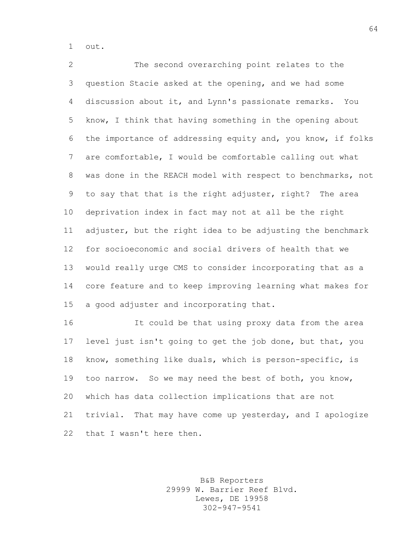out.

 The second overarching point relates to the question Stacie asked at the opening, and we had some discussion about it, and Lynn's passionate remarks. You know, I think that having something in the opening about the importance of addressing equity and, you know, if folks are comfortable, I would be comfortable calling out what was done in the REACH model with respect to benchmarks, not to say that that is the right adjuster, right? The area deprivation index in fact may not at all be the right adjuster, but the right idea to be adjusting the benchmark for socioeconomic and social drivers of health that we would really urge CMS to consider incorporating that as a core feature and to keep improving learning what makes for a good adjuster and incorporating that.

 It could be that using proxy data from the area level just isn't going to get the job done, but that, you know, something like duals, which is person-specific, is too narrow. So we may need the best of both, you know, which has data collection implications that are not trivial. That may have come up yesterday, and I apologize 22 that I wasn't here then.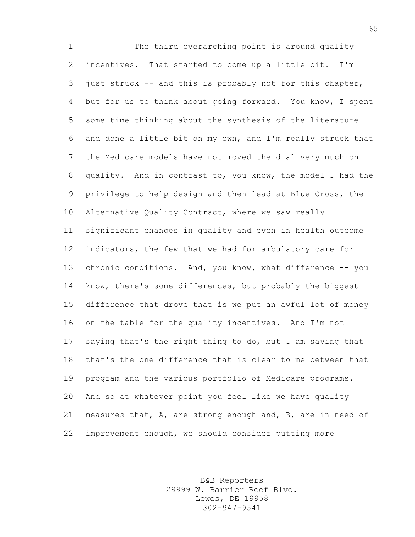The third overarching point is around quality incentives. That started to come up a little bit. I'm just struck -- and this is probably not for this chapter, but for us to think about going forward. You know, I spent some time thinking about the synthesis of the literature and done a little bit on my own, and I'm really struck that the Medicare models have not moved the dial very much on quality. And in contrast to, you know, the model I had the privilege to help design and then lead at Blue Cross, the Alternative Quality Contract, where we saw really significant changes in quality and even in health outcome indicators, the few that we had for ambulatory care for 13 chronic conditions. And, you know, what difference -- you know, there's some differences, but probably the biggest difference that drove that is we put an awful lot of money on the table for the quality incentives. And I'm not saying that's the right thing to do, but I am saying that that's the one difference that is clear to me between that program and the various portfolio of Medicare programs. And so at whatever point you feel like we have quality measures that, A, are strong enough and, B, are in need of improvement enough, we should consider putting more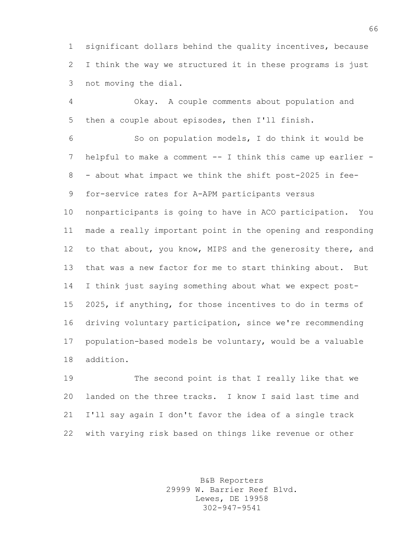significant dollars behind the quality incentives, because I think the way we structured it in these programs is just not moving the dial.

 Okay. A couple comments about population and then a couple about episodes, then I'll finish.

 So on population models, I do think it would be helpful to make a comment -- I think this came up earlier - - about what impact we think the shift post-2025 in fee-for-service rates for A-APM participants versus

 nonparticipants is going to have in ACO participation. You made a really important point in the opening and responding 12 to that about, you know, MIPS and the generosity there, and that was a new factor for me to start thinking about. But I think just saying something about what we expect post- 2025, if anything, for those incentives to do in terms of driving voluntary participation, since we're recommending population-based models be voluntary, would be a valuable addition.

 The second point is that I really like that we landed on the three tracks. I know I said last time and I'll say again I don't favor the idea of a single track with varying risk based on things like revenue or other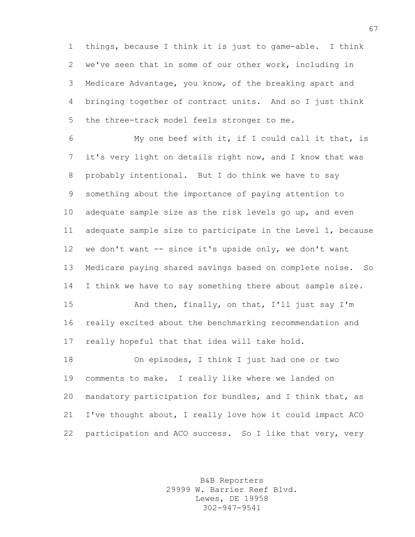things, because I think it is just to game-able. I think we've seen that in some of our other work, including in Medicare Advantage, you know, of the breaking apart and bringing together of contract units. And so I just think the three-track model feels stronger to me.

 My one beef with it, if I could call it that, is it's very light on details right now, and I know that was probably intentional. But I do think we have to say something about the importance of paying attention to adequate sample size as the risk levels go up, and even adequate sample size to participate in the Level 1, because we don't want -- since it's upside only, we don't want Medicare paying shared savings based on complete noise. So 14 I think we have to say something there about sample size.

 And then, finally, on that, I'll just say I'm really excited about the benchmarking recommendation and really hopeful that that idea will take hold.

 On episodes, I think I just had one or two comments to make. I really like where we landed on mandatory participation for bundles, and I think that, as I've thought about, I really love how it could impact ACO participation and ACO success. So I like that very, very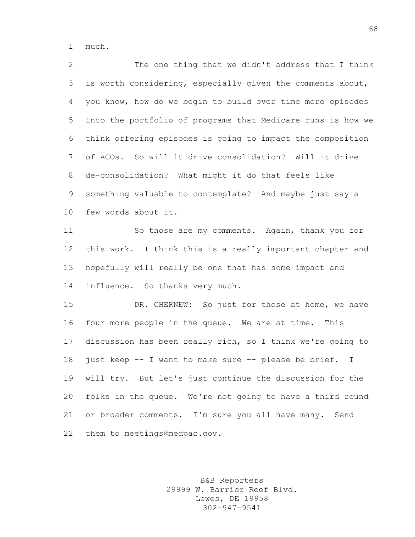much.

 The one thing that we didn't address that I think is worth considering, especially given the comments about, you know, how do we begin to build over time more episodes into the portfolio of programs that Medicare runs is how we think offering episodes is going to impact the composition of ACOs. So will it drive consolidation? Will it drive de-consolidation? What might it do that feels like something valuable to contemplate? And maybe just say a few words about it. So those are my comments. Again, thank you for

 this work. I think this is a really important chapter and hopefully will really be one that has some impact and influence. So thanks very much.

 DR. CHERNEW: So just for those at home, we have four more people in the queue. We are at time. This discussion has been really rich, so I think we're going to just keep -- I want to make sure -- please be brief. I will try. But let's just continue the discussion for the folks in the queue. We're not going to have a third round 21 or broader comments. I'm sure you all have many. Send them to meetings@medpac.gov.

> B&B Reporters 29999 W. Barrier Reef Blvd. Lewes, DE 19958 302-947-9541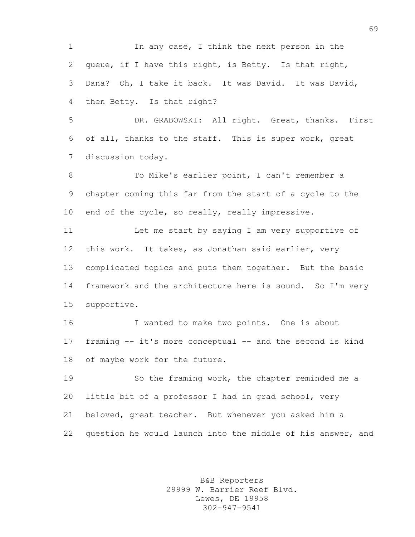1 In any case, I think the next person in the queue, if I have this right, is Betty. Is that right, Dana? Oh, I take it back. It was David. It was David, then Betty. Is that right?

 DR. GRABOWSKI: All right. Great, thanks. First of all, thanks to the staff. This is super work, great discussion today.

 To Mike's earlier point, I can't remember a chapter coming this far from the start of a cycle to the 10 end of the cycle, so really, really impressive.

 Let me start by saying I am very supportive of this work. It takes, as Jonathan said earlier, very complicated topics and puts them together. But the basic framework and the architecture here is sound. So I'm very supportive.

 I wanted to make two points. One is about framing -- it's more conceptual -- and the second is kind of maybe work for the future.

 So the framing work, the chapter reminded me a little bit of a professor I had in grad school, very beloved, great teacher. But whenever you asked him a question he would launch into the middle of his answer, and

> B&B Reporters 29999 W. Barrier Reef Blvd. Lewes, DE 19958 302-947-9541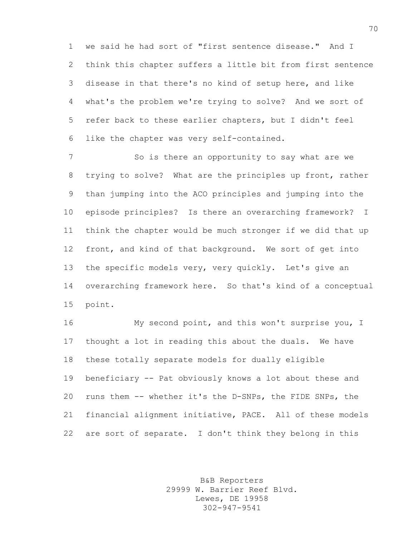we said he had sort of "first sentence disease." And I think this chapter suffers a little bit from first sentence disease in that there's no kind of setup here, and like what's the problem we're trying to solve? And we sort of refer back to these earlier chapters, but I didn't feel like the chapter was very self-contained.

 So is there an opportunity to say what are we trying to solve? What are the principles up front, rather than jumping into the ACO principles and jumping into the episode principles? Is there an overarching framework? I think the chapter would be much stronger if we did that up front, and kind of that background. We sort of get into the specific models very, very quickly. Let's give an overarching framework here. So that's kind of a conceptual point.

 My second point, and this won't surprise you, I thought a lot in reading this about the duals. We have these totally separate models for dually eligible beneficiary -- Pat obviously knows a lot about these and runs them -- whether it's the D-SNPs, the FIDE SNPs, the financial alignment initiative, PACE. All of these models are sort of separate. I don't think they belong in this

> B&B Reporters 29999 W. Barrier Reef Blvd. Lewes, DE 19958 302-947-9541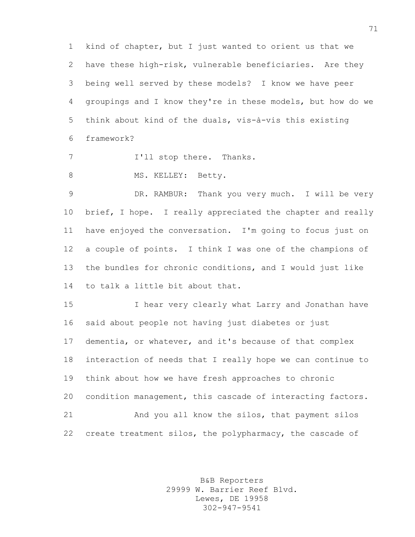kind of chapter, but I just wanted to orient us that we have these high-risk, vulnerable beneficiaries. Are they being well served by these models? I know we have peer groupings and I know they're in these models, but how do we think about kind of the duals, vis-à-vis this existing framework?

7 I'll stop there. Thanks.

8 MS. KELLEY: Betty.

 DR. RAMBUR: Thank you very much. I will be very 10 brief, I hope. I really appreciated the chapter and really have enjoyed the conversation. I'm going to focus just on a couple of points. I think I was one of the champions of the bundles for chronic conditions, and I would just like to talk a little bit about that.

 I hear very clearly what Larry and Jonathan have said about people not having just diabetes or just dementia, or whatever, and it's because of that complex interaction of needs that I really hope we can continue to think about how we have fresh approaches to chronic condition management, this cascade of interacting factors. And you all know the silos, that payment silos 22 create treatment silos, the polypharmacy, the cascade of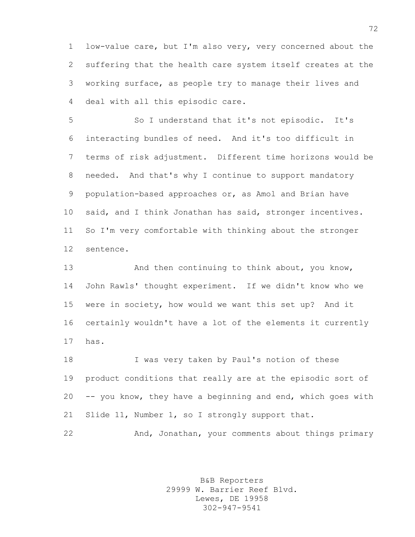low-value care, but I'm also very, very concerned about the suffering that the health care system itself creates at the working surface, as people try to manage their lives and deal with all this episodic care.

 So I understand that it's not episodic. It's interacting bundles of need. And it's too difficult in terms of risk adjustment. Different time horizons would be needed. And that's why I continue to support mandatory population-based approaches or, as Amol and Brian have said, and I think Jonathan has said, stronger incentives. So I'm very comfortable with thinking about the stronger sentence.

13 And then continuing to think about, you know, John Rawls' thought experiment. If we didn't know who we were in society, how would we want this set up? And it certainly wouldn't have a lot of the elements it currently has.

18 I was very taken by Paul's notion of these product conditions that really are at the episodic sort of -- you know, they have a beginning and end, which goes with 21 Slide 11, Number 1, so I strongly support that.

And, Jonathan, your comments about things primary

B&B Reporters 29999 W. Barrier Reef Blvd. Lewes, DE 19958 302-947-9541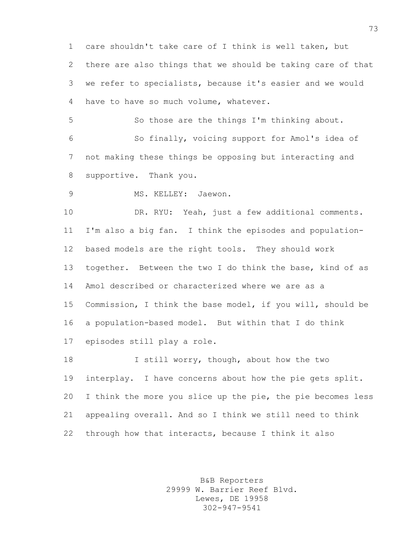care shouldn't take care of I think is well taken, but there are also things that we should be taking care of that we refer to specialists, because it's easier and we would have to have so much volume, whatever.

 So those are the things I'm thinking about. So finally, voicing support for Amol's idea of not making these things be opposing but interacting and supportive. Thank you.

MS. KELLEY: Jaewon.

 DR. RYU: Yeah, just a few additional comments. I'm also a big fan. I think the episodes and population- based models are the right tools. They should work together. Between the two I do think the base, kind of as Amol described or characterized where we are as a Commission, I think the base model, if you will, should be a population-based model. But within that I do think episodes still play a role.

18 I still worry, though, about how the two interplay. I have concerns about how the pie gets split. I think the more you slice up the pie, the pie becomes less appealing overall. And so I think we still need to think through how that interacts, because I think it also

> B&B Reporters 29999 W. Barrier Reef Blvd. Lewes, DE 19958 302-947-9541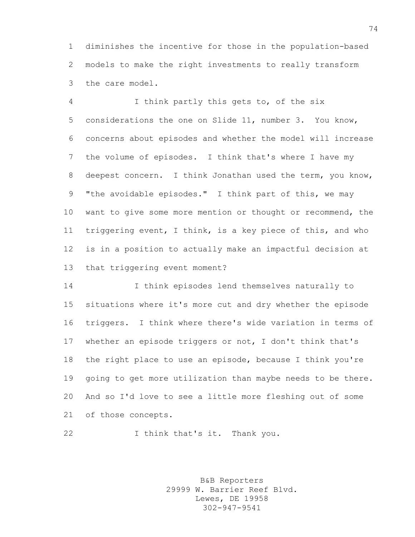diminishes the incentive for those in the population-based models to make the right investments to really transform the care model.

 I think partly this gets to, of the six considerations the one on Slide 11, number 3. You know, concerns about episodes and whether the model will increase the volume of episodes. I think that's where I have my deepest concern. I think Jonathan used the term, you know, "the avoidable episodes." I think part of this, we may want to give some more mention or thought or recommend, the triggering event, I think, is a key piece of this, and who is in a position to actually make an impactful decision at that triggering event moment?

 I think episodes lend themselves naturally to situations where it's more cut and dry whether the episode triggers. I think where there's wide variation in terms of whether an episode triggers or not, I don't think that's the right place to use an episode, because I think you're going to get more utilization than maybe needs to be there. And so I'd love to see a little more fleshing out of some of those concepts.

22 I think that's it. Thank you.

B&B Reporters 29999 W. Barrier Reef Blvd. Lewes, DE 19958 302-947-9541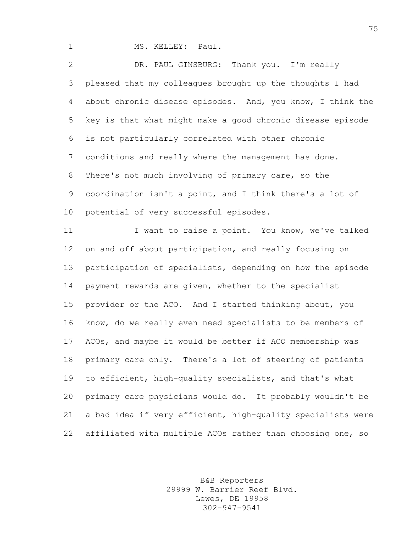1 MS. KELLEY: Paul.

 DR. PAUL GINSBURG: Thank you. I'm really pleased that my colleagues brought up the thoughts I had about chronic disease episodes. And, you know, I think the key is that what might make a good chronic disease episode is not particularly correlated with other chronic conditions and really where the management has done. There's not much involving of primary care, so the coordination isn't a point, and I think there's a lot of potential of very successful episodes.

11 I want to raise a point. You know, we've talked on and off about participation, and really focusing on participation of specialists, depending on how the episode payment rewards are given, whether to the specialist provider or the ACO. And I started thinking about, you know, do we really even need specialists to be members of ACOs, and maybe it would be better if ACO membership was primary care only. There's a lot of steering of patients to efficient, high-quality specialists, and that's what primary care physicians would do. It probably wouldn't be a bad idea if very efficient, high-quality specialists were affiliated with multiple ACOs rather than choosing one, so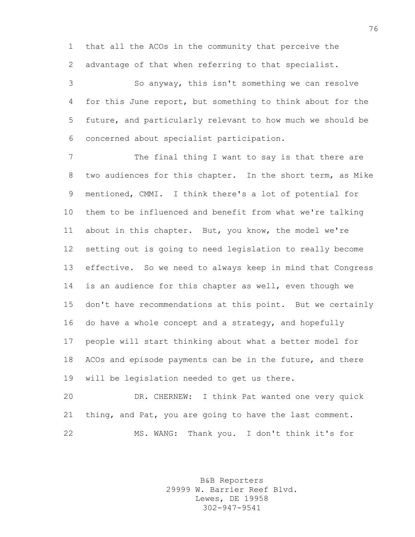that all the ACOs in the community that perceive the advantage of that when referring to that specialist.

 So anyway, this isn't something we can resolve for this June report, but something to think about for the future, and particularly relevant to how much we should be concerned about specialist participation.

7 The final thing I want to say is that there are two audiences for this chapter. In the short term, as Mike mentioned, CMMI. I think there's a lot of potential for them to be influenced and benefit from what we're talking about in this chapter. But, you know, the model we're setting out is going to need legislation to really become effective. So we need to always keep in mind that Congress is an audience for this chapter as well, even though we don't have recommendations at this point. But we certainly do have a whole concept and a strategy, and hopefully people will start thinking about what a better model for ACOs and episode payments can be in the future, and there will be legislation needed to get us there.

 DR. CHERNEW: I think Pat wanted one very quick thing, and Pat, you are going to have the last comment. MS. WANG: Thank you. I don't think it's for

> B&B Reporters 29999 W. Barrier Reef Blvd. Lewes, DE 19958 302-947-9541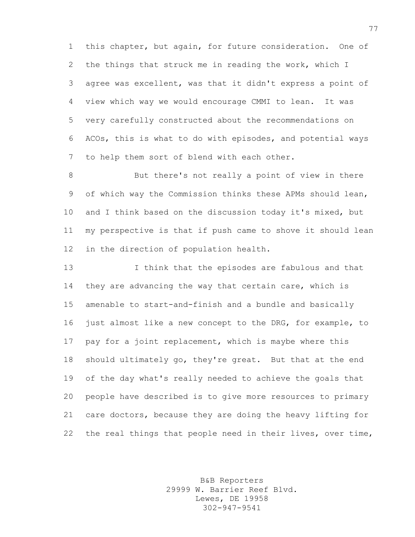this chapter, but again, for future consideration. One of the things that struck me in reading the work, which I agree was excellent, was that it didn't express a point of view which way we would encourage CMMI to lean. It was very carefully constructed about the recommendations on ACOs, this is what to do with episodes, and potential ways to help them sort of blend with each other.

 But there's not really a point of view in there of which way the Commission thinks these APMs should lean, and I think based on the discussion today it's mixed, but my perspective is that if push came to shove it should lean in the direction of population health.

 I think that the episodes are fabulous and that 14 they are advancing the way that certain care, which is amenable to start-and-finish and a bundle and basically just almost like a new concept to the DRG, for example, to pay for a joint replacement, which is maybe where this should ultimately go, they're great. But that at the end of the day what's really needed to achieve the goals that people have described is to give more resources to primary care doctors, because they are doing the heavy lifting for the real things that people need in their lives, over time,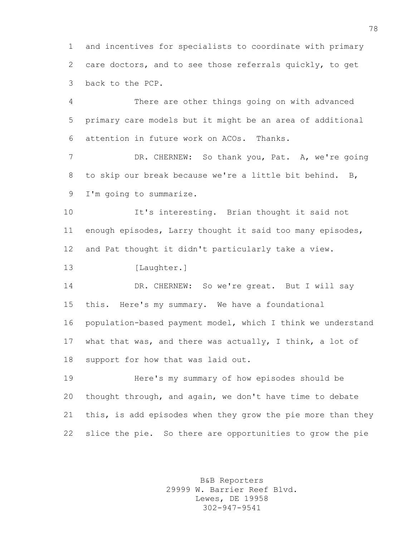and incentives for specialists to coordinate with primary care doctors, and to see those referrals quickly, to get back to the PCP.

 There are other things going on with advanced primary care models but it might be an area of additional attention in future work on ACOs. Thanks.

7 DR. CHERNEW: So thank you, Pat. A, we're going to skip our break because we're a little bit behind. B, I'm going to summarize.

 It's interesting. Brian thought it said not enough episodes, Larry thought it said too many episodes, and Pat thought it didn't particularly take a view.

13 [Laughter.]

14 DR. CHERNEW: So we're great. But I will say this. Here's my summary. We have a foundational population-based payment model, which I think we understand what that was, and there was actually, I think, a lot of support for how that was laid out.

 Here's my summary of how episodes should be thought through, and again, we don't have time to debate this, is add episodes when they grow the pie more than they slice the pie. So there are opportunities to grow the pie

> B&B Reporters 29999 W. Barrier Reef Blvd. Lewes, DE 19958 302-947-9541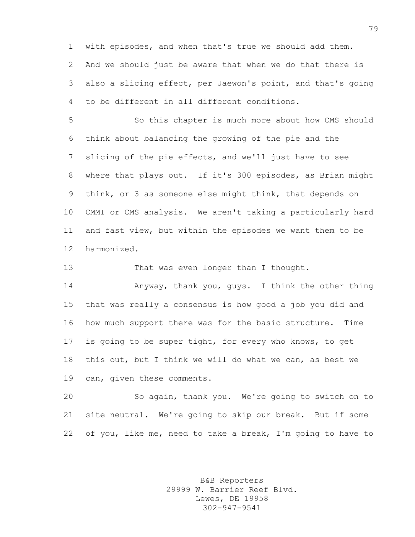with episodes, and when that's true we should add them. And we should just be aware that when we do that there is also a slicing effect, per Jaewon's point, and that's going to be different in all different conditions.

 So this chapter is much more about how CMS should think about balancing the growing of the pie and the slicing of the pie effects, and we'll just have to see where that plays out. If it's 300 episodes, as Brian might think, or 3 as someone else might think, that depends on CMMI or CMS analysis. We aren't taking a particularly hard and fast view, but within the episodes we want them to be harmonized.

13 That was even longer than I thought.

 Anyway, thank you, guys. I think the other thing that was really a consensus is how good a job you did and how much support there was for the basic structure. Time is going to be super tight, for every who knows, to get this out, but I think we will do what we can, as best we can, given these comments.

 So again, thank you. We're going to switch on to site neutral. We're going to skip our break. But if some of you, like me, need to take a break, I'm going to have to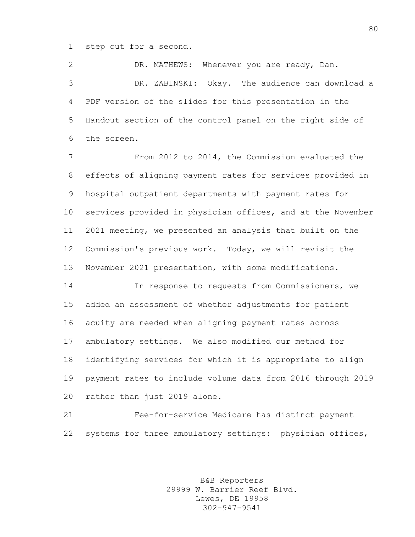step out for a second.

 DR. MATHEWS: Whenever you are ready, Dan. DR. ZABINSKI: Okay. The audience can download a PDF version of the slides for this presentation in the Handout section of the control panel on the right side of the screen.

 From 2012 to 2014, the Commission evaluated the effects of aligning payment rates for services provided in hospital outpatient departments with payment rates for services provided in physician offices, and at the November 2021 meeting, we presented an analysis that built on the Commission's previous work. Today, we will revisit the November 2021 presentation, with some modifications.

 In response to requests from Commissioners, we added an assessment of whether adjustments for patient acuity are needed when aligning payment rates across ambulatory settings. We also modified our method for identifying services for which it is appropriate to align payment rates to include volume data from 2016 through 2019 rather than just 2019 alone.

 Fee-for-service Medicare has distinct payment 22 systems for three ambulatory settings: physician offices,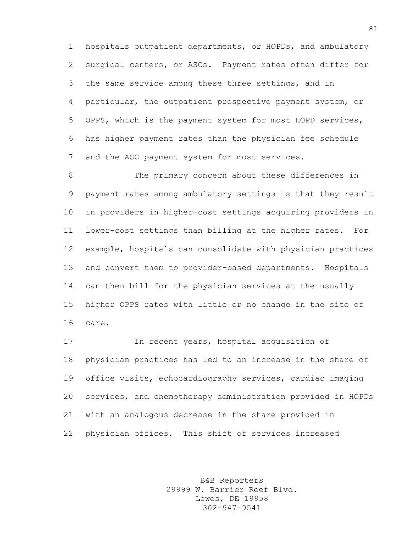hospitals outpatient departments, or HOPDs, and ambulatory surgical centers, or ASCs. Payment rates often differ for the same service among these three settings, and in particular, the outpatient prospective payment system, or OPPS, which is the payment system for most HOPD services, has higher payment rates than the physician fee schedule and the ASC payment system for most services.

 The primary concern about these differences in payment rates among ambulatory settings is that they result in providers in higher-cost settings acquiring providers in lower-cost settings than billing at the higher rates. For example, hospitals can consolidate with physician practices and convert them to provider-based departments. Hospitals can then bill for the physician services at the usually higher OPPS rates with little or no change in the site of care.

 In recent years, hospital acquisition of physician practices has led to an increase in the share of office visits, echocardiography services, cardiac imaging services, and chemotherapy administration provided in HOPDs with an analogous decrease in the share provided in physician offices. This shift of services increased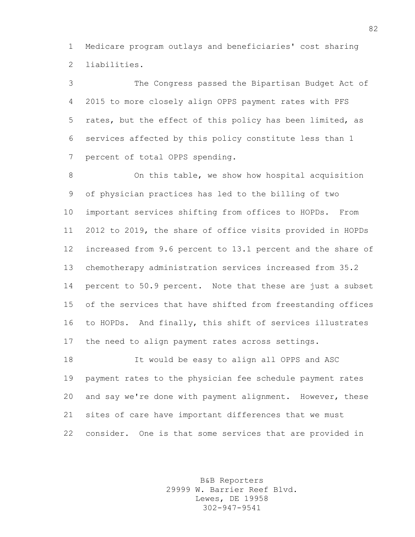Medicare program outlays and beneficiaries' cost sharing liabilities.

 The Congress passed the Bipartisan Budget Act of 2015 to more closely align OPPS payment rates with PFS rates, but the effect of this policy has been limited, as services affected by this policy constitute less than 1 percent of total OPPS spending.

 On this table, we show how hospital acquisition of physician practices has led to the billing of two important services shifting from offices to HOPDs. From 2012 to 2019, the share of office visits provided in HOPDs increased from 9.6 percent to 13.1 percent and the share of chemotherapy administration services increased from 35.2 percent to 50.9 percent. Note that these are just a subset of the services that have shifted from freestanding offices to HOPDs. And finally, this shift of services illustrates the need to align payment rates across settings.

 It would be easy to align all OPPS and ASC payment rates to the physician fee schedule payment rates and say we're done with payment alignment. However, these sites of care have important differences that we must consider. One is that some services that are provided in

> B&B Reporters 29999 W. Barrier Reef Blvd. Lewes, DE 19958 302-947-9541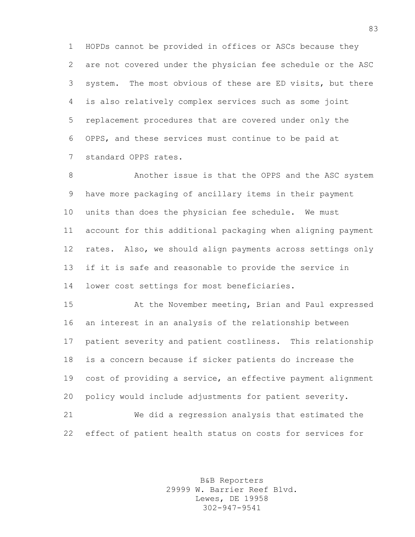HOPDs cannot be provided in offices or ASCs because they are not covered under the physician fee schedule or the ASC system. The most obvious of these are ED visits, but there is also relatively complex services such as some joint replacement procedures that are covered under only the OPPS, and these services must continue to be paid at standard OPPS rates.

 Another issue is that the OPPS and the ASC system have more packaging of ancillary items in their payment units than does the physician fee schedule. We must account for this additional packaging when aligning payment rates. Also, we should align payments across settings only if it is safe and reasonable to provide the service in lower cost settings for most beneficiaries.

 At the November meeting, Brian and Paul expressed an interest in an analysis of the relationship between patient severity and patient costliness. This relationship is a concern because if sicker patients do increase the cost of providing a service, an effective payment alignment policy would include adjustments for patient severity. We did a regression analysis that estimated the effect of patient health status on costs for services for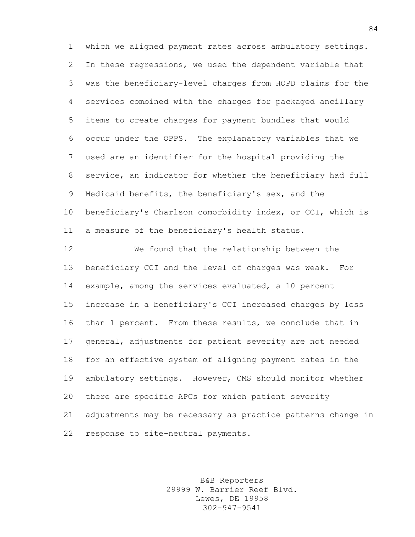which we aligned payment rates across ambulatory settings. In these regressions, we used the dependent variable that was the beneficiary-level charges from HOPD claims for the services combined with the charges for packaged ancillary items to create charges for payment bundles that would occur under the OPPS. The explanatory variables that we used are an identifier for the hospital providing the service, an indicator for whether the beneficiary had full Medicaid benefits, the beneficiary's sex, and the beneficiary's Charlson comorbidity index, or CCI, which is a measure of the beneficiary's health status.

 We found that the relationship between the beneficiary CCI and the level of charges was weak. For example, among the services evaluated, a 10 percent increase in a beneficiary's CCI increased charges by less than 1 percent. From these results, we conclude that in general, adjustments for patient severity are not needed for an effective system of aligning payment rates in the ambulatory settings. However, CMS should monitor whether there are specific APCs for which patient severity adjustments may be necessary as practice patterns change in response to site-neutral payments.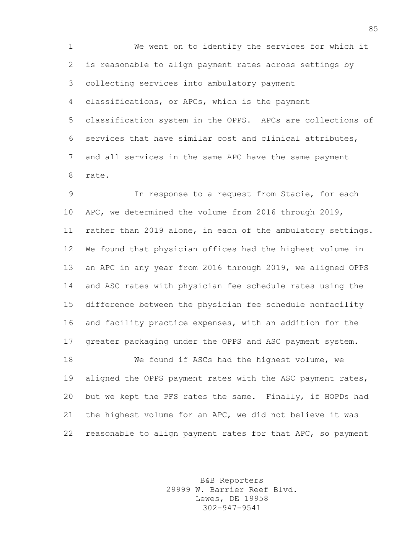We went on to identify the services for which it is reasonable to align payment rates across settings by collecting services into ambulatory payment classifications, or APCs, which is the payment classification system in the OPPS. APCs are collections of services that have similar cost and clinical attributes, and all services in the same APC have the same payment rate.

 In response to a request from Stacie, for each APC, we determined the volume from 2016 through 2019, rather than 2019 alone, in each of the ambulatory settings. We found that physician offices had the highest volume in an APC in any year from 2016 through 2019, we aligned OPPS and ASC rates with physician fee schedule rates using the difference between the physician fee schedule nonfacility and facility practice expenses, with an addition for the greater packaging under the OPPS and ASC payment system. We found if ASCs had the highest volume, we 19 aligned the OPPS payment rates with the ASC payment rates, but we kept the PFS rates the same. Finally, if HOPDs had

 the highest volume for an APC, we did not believe it was reasonable to align payment rates for that APC, so payment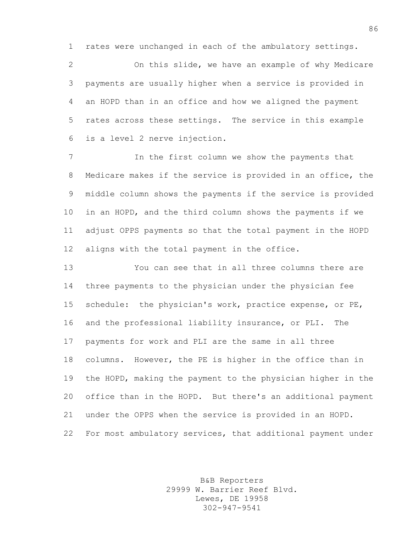rates were unchanged in each of the ambulatory settings.

 On this slide, we have an example of why Medicare payments are usually higher when a service is provided in an HOPD than in an office and how we aligned the payment rates across these settings. The service in this example is a level 2 nerve injection.

 In the first column we show the payments that Medicare makes if the service is provided in an office, the middle column shows the payments if the service is provided in an HOPD, and the third column shows the payments if we adjust OPPS payments so that the total payment in the HOPD aligns with the total payment in the office.

 You can see that in all three columns there are three payments to the physician under the physician fee schedule: the physician's work, practice expense, or PE, and the professional liability insurance, or PLI. The payments for work and PLI are the same in all three columns. However, the PE is higher in the office than in the HOPD, making the payment to the physician higher in the office than in the HOPD. But there's an additional payment under the OPPS when the service is provided in an HOPD. For most ambulatory services, that additional payment under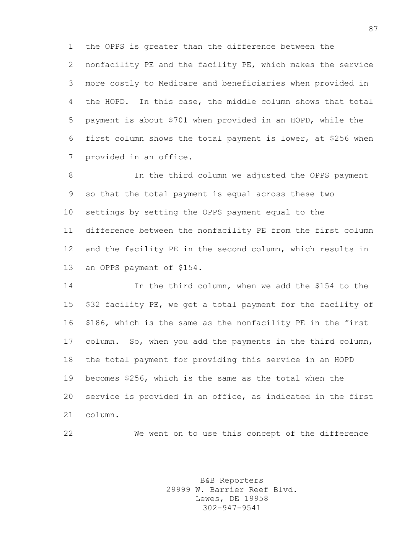the OPPS is greater than the difference between the nonfacility PE and the facility PE, which makes the service more costly to Medicare and beneficiaries when provided in the HOPD. In this case, the middle column shows that total payment is about \$701 when provided in an HOPD, while the first column shows the total payment is lower, at \$256 when provided in an office.

 In the third column we adjusted the OPPS payment so that the total payment is equal across these two settings by setting the OPPS payment equal to the difference between the nonfacility PE from the first column and the facility PE in the second column, which results in an OPPS payment of \$154.

 In the third column, when we add the \$154 to the \$32 facility PE, we get a total payment for the facility of \$186, which is the same as the nonfacility PE in the first column. So, when you add the payments in the third column, the total payment for providing this service in an HOPD becomes \$256, which is the same as the total when the service is provided in an office, as indicated in the first column.

We went on to use this concept of the difference

B&B Reporters 29999 W. Barrier Reef Blvd. Lewes, DE 19958 302-947-9541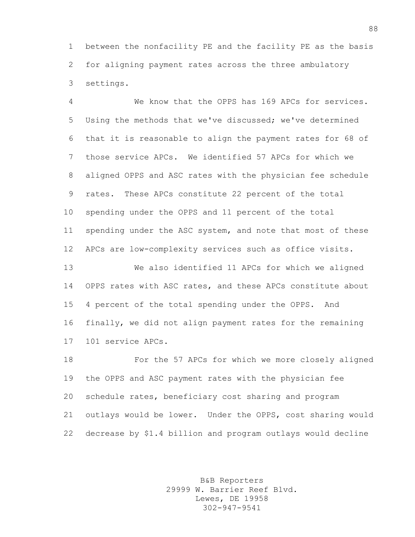between the nonfacility PE and the facility PE as the basis for aligning payment rates across the three ambulatory settings.

 We know that the OPPS has 169 APCs for services. Using the methods that we've discussed; we've determined that it is reasonable to align the payment rates for 68 of those service APCs. We identified 57 APCs for which we aligned OPPS and ASC rates with the physician fee schedule rates. These APCs constitute 22 percent of the total spending under the OPPS and 11 percent of the total 11 spending under the ASC system, and note that most of these APCs are low-complexity services such as office visits.

 We also identified 11 APCs for which we aligned OPPS rates with ASC rates, and these APCs constitute about 4 percent of the total spending under the OPPS. And finally, we did not align payment rates for the remaining 101 service APCs.

 For the 57 APCs for which we more closely aligned the OPPS and ASC payment rates with the physician fee schedule rates, beneficiary cost sharing and program outlays would be lower. Under the OPPS, cost sharing would decrease by \$1.4 billion and program outlays would decline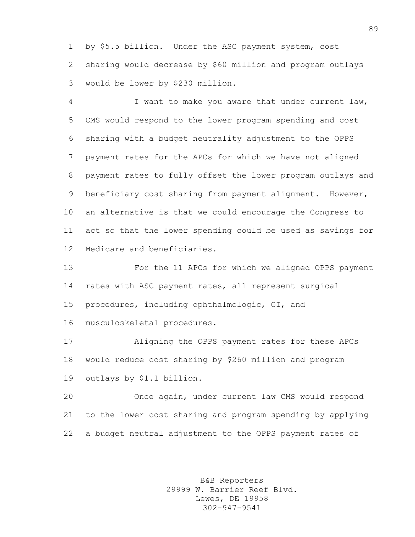by \$5.5 billion. Under the ASC payment system, cost sharing would decrease by \$60 million and program outlays would be lower by \$230 million.

 I want to make you aware that under current law, CMS would respond to the lower program spending and cost sharing with a budget neutrality adjustment to the OPPS payment rates for the APCs for which we have not aligned payment rates to fully offset the lower program outlays and beneficiary cost sharing from payment alignment. However, an alternative is that we could encourage the Congress to act so that the lower spending could be used as savings for Medicare and beneficiaries.

 For the 11 APCs for which we aligned OPPS payment rates with ASC payment rates, all represent surgical procedures, including ophthalmologic, GI, and

musculoskeletal procedures.

 Aligning the OPPS payment rates for these APCs would reduce cost sharing by \$260 million and program outlays by \$1.1 billion.

 Once again, under current law CMS would respond to the lower cost sharing and program spending by applying a budget neutral adjustment to the OPPS payment rates of

> B&B Reporters 29999 W. Barrier Reef Blvd. Lewes, DE 19958 302-947-9541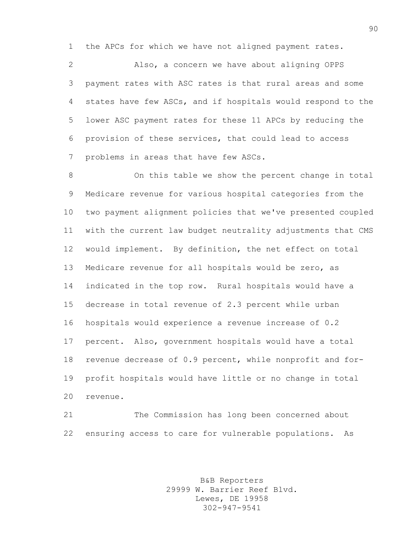the APCs for which we have not aligned payment rates.

 Also, a concern we have about aligning OPPS payment rates with ASC rates is that rural areas and some states have few ASCs, and if hospitals would respond to the lower ASC payment rates for these 11 APCs by reducing the provision of these services, that could lead to access problems in areas that have few ASCs.

 On this table we show the percent change in total Medicare revenue for various hospital categories from the two payment alignment policies that we've presented coupled with the current law budget neutrality adjustments that CMS would implement. By definition, the net effect on total Medicare revenue for all hospitals would be zero, as indicated in the top row. Rural hospitals would have a decrease in total revenue of 2.3 percent while urban hospitals would experience a revenue increase of 0.2 percent. Also, government hospitals would have a total revenue decrease of 0.9 percent, while nonprofit and for- profit hospitals would have little or no change in total revenue.

 The Commission has long been concerned about ensuring access to care for vulnerable populations. As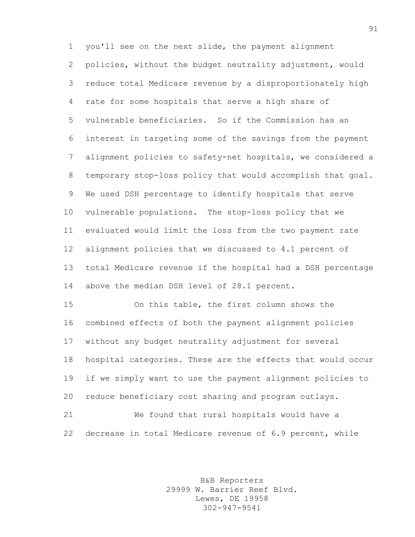you'll see on the next slide, the payment alignment policies, without the budget neutrality adjustment, would reduce total Medicare revenue by a disproportionately high rate for some hospitals that serve a high share of vulnerable beneficiaries. So if the Commission has an interest in targeting some of the savings from the payment alignment policies to safety-net hospitals, we considered a temporary stop-loss policy that would accomplish that goal. We used DSH percentage to identify hospitals that serve vulnerable populations. The stop-loss policy that we evaluated would limit the loss from the two payment rate alignment policies that we discussed to 4.1 percent of total Medicare revenue if the hospital had a DSH percentage above the median DSH level of 28.1 percent.

 On this table, the first column shows the combined effects of both the payment alignment policies without any budget neutrality adjustment for several hospital categories. These are the effects that would occur if we simply want to use the payment alignment policies to reduce beneficiary cost sharing and program outlays. We found that rural hospitals would have a

decrease in total Medicare revenue of 6.9 percent, while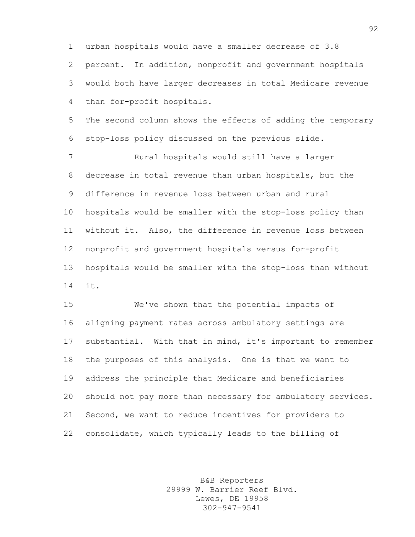urban hospitals would have a smaller decrease of 3.8 percent. In addition, nonprofit and government hospitals would both have larger decreases in total Medicare revenue than for-profit hospitals.

 The second column shows the effects of adding the temporary stop-loss policy discussed on the previous slide.

 Rural hospitals would still have a larger decrease in total revenue than urban hospitals, but the difference in revenue loss between urban and rural hospitals would be smaller with the stop-loss policy than without it. Also, the difference in revenue loss between nonprofit and government hospitals versus for-profit hospitals would be smaller with the stop-loss than without it.

 We've shown that the potential impacts of aligning payment rates across ambulatory settings are substantial. With that in mind, it's important to remember the purposes of this analysis. One is that we want to address the principle that Medicare and beneficiaries should not pay more than necessary for ambulatory services. Second, we want to reduce incentives for providers to consolidate, which typically leads to the billing of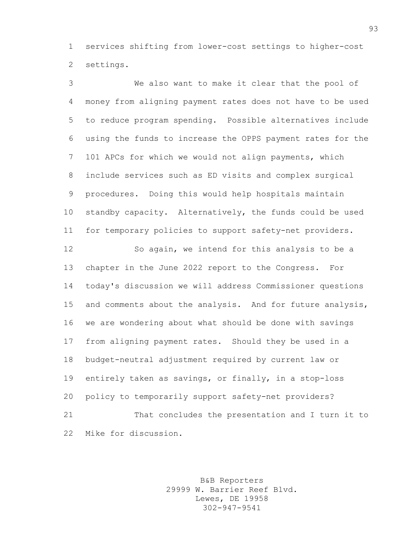services shifting from lower-cost settings to higher-cost settings.

 We also want to make it clear that the pool of money from aligning payment rates does not have to be used to reduce program spending. Possible alternatives include using the funds to increase the OPPS payment rates for the 101 APCs for which we would not align payments, which include services such as ED visits and complex surgical procedures. Doing this would help hospitals maintain standby capacity. Alternatively, the funds could be used for temporary policies to support safety-net providers. So again, we intend for this analysis to be a chapter in the June 2022 report to the Congress. For today's discussion we will address Commissioner questions and comments about the analysis. And for future analysis, we are wondering about what should be done with savings from aligning payment rates. Should they be used in a budget-neutral adjustment required by current law or entirely taken as savings, or finally, in a stop-loss policy to temporarily support safety-net providers? That concludes the presentation and I turn it to Mike for discussion.

> B&B Reporters 29999 W. Barrier Reef Blvd. Lewes, DE 19958 302-947-9541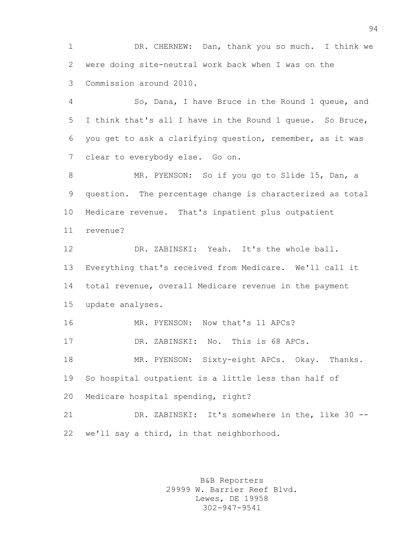DR. CHERNEW: Dan, thank you so much. I think we were doing site-neutral work back when I was on the Commission around 2010.

 So, Dana, I have Bruce in the Round 1 queue, and I think that's all I have in the Round 1 queue. So Bruce, you get to ask a clarifying question, remember, as it was clear to everybody else. Go on.

 MR. PYENSON: So if you go to Slide 15, Dan, a question. The percentage change is characterized as total Medicare revenue. That's inpatient plus outpatient revenue?

 DR. ZABINSKI: Yeah. It's the whole ball. Everything that's received from Medicare. We'll call it total revenue, overall Medicare revenue in the payment update analyses.

MR. PYENSON: Now that's 11 APCs?

DR. ZABINSKI: No. This is 68 APCs.

 MR. PYENSON: Sixty-eight APCs. Okay. Thanks. So hospital outpatient is a little less than half of

Medicare hospital spending, right?

 DR. ZABINSKI: It's somewhere in the, like 30 -- we'll say a third, in that neighborhood.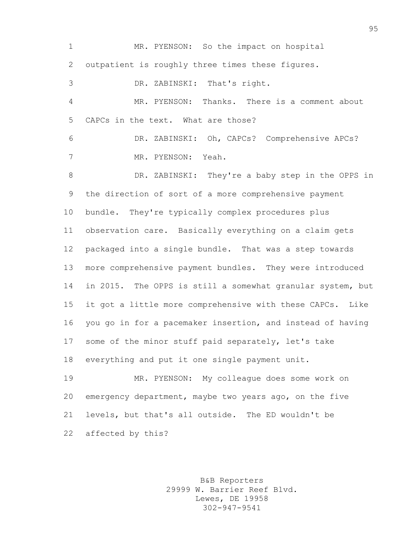MR. PYENSON: So the impact on hospital outpatient is roughly three times these figures. DR. ZABINSKI: That's right. MR. PYENSON: Thanks. There is a comment about CAPCs in the text. What are those? DR. ZABINSKI: Oh, CAPCs? Comprehensive APCs? MR. PYENSON: Yeah. DR. ZABINSKI: They're a baby step in the OPPS in the direction of sort of a more comprehensive payment bundle. They're typically complex procedures plus observation care. Basically everything on a claim gets packaged into a single bundle. That was a step towards more comprehensive payment bundles. They were introduced in 2015. The OPPS is still a somewhat granular system, but it got a little more comprehensive with these CAPCs. Like you go in for a pacemaker insertion, and instead of having some of the minor stuff paid separately, let's take everything and put it one single payment unit. MR. PYENSON: My colleague does some work on emergency department, maybe two years ago, on the five levels, but that's all outside. The ED wouldn't be affected by this?

> B&B Reporters 29999 W. Barrier Reef Blvd. Lewes, DE 19958 302-947-9541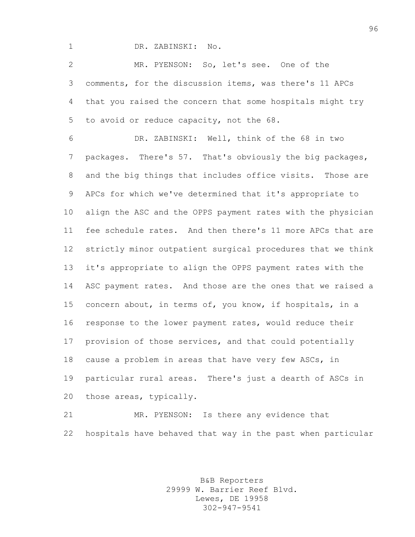DR. ZABINSKI: No.

 MR. PYENSON: So, let's see. One of the comments, for the discussion items, was there's 11 APCs that you raised the concern that some hospitals might try to avoid or reduce capacity, not the 68.

 DR. ZABINSKI: Well, think of the 68 in two packages. There's 57. That's obviously the big packages, and the big things that includes office visits. Those are APCs for which we've determined that it's appropriate to align the ASC and the OPPS payment rates with the physician fee schedule rates. And then there's 11 more APCs that are strictly minor outpatient surgical procedures that we think it's appropriate to align the OPPS payment rates with the ASC payment rates. And those are the ones that we raised a concern about, in terms of, you know, if hospitals, in a response to the lower payment rates, would reduce their provision of those services, and that could potentially cause a problem in areas that have very few ASCs, in particular rural areas. There's just a dearth of ASCs in those areas, typically.

 MR. PYENSON: Is there any evidence that hospitals have behaved that way in the past when particular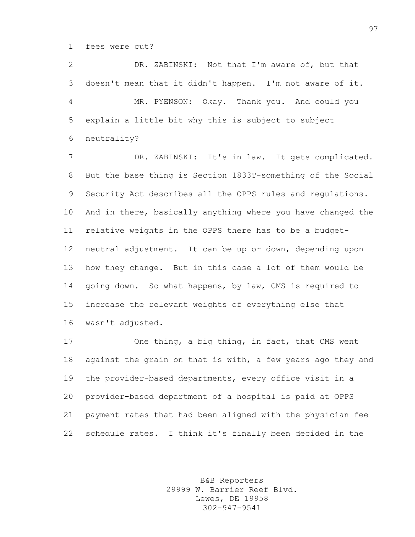fees were cut?

 DR. ZABINSKI: Not that I'm aware of, but that doesn't mean that it didn't happen. I'm not aware of it. MR. PYENSON: Okay. Thank you. And could you explain a little bit why this is subject to subject neutrality?

 DR. ZABINSKI: It's in law. It gets complicated. But the base thing is Section 1833T-something of the Social Security Act describes all the OPPS rules and regulations. And in there, basically anything where you have changed the relative weights in the OPPS there has to be a budget- neutral adjustment. It can be up or down, depending upon how they change. But in this case a lot of them would be going down. So what happens, by law, CMS is required to increase the relevant weights of everything else that wasn't adjusted.

 One thing, a big thing, in fact, that CMS went 18 against the grain on that is with, a few years ago they and the provider-based departments, every office visit in a provider-based department of a hospital is paid at OPPS payment rates that had been aligned with the physician fee schedule rates. I think it's finally been decided in the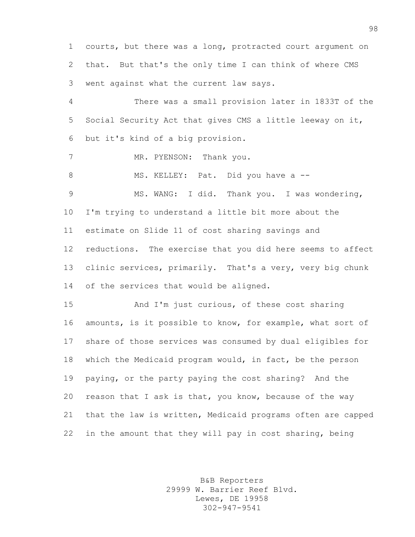courts, but there was a long, protracted court argument on that. But that's the only time I can think of where CMS went against what the current law says.

 There was a small provision later in 1833T of the Social Security Act that gives CMS a little leeway on it, but it's kind of a big provision.

7 MR. PYENSON: Thank you.

8 MS. KELLEY: Pat. Did you have a --

 MS. WANG: I did. Thank you. I was wondering, I'm trying to understand a little bit more about the estimate on Slide 11 of cost sharing savings and reductions. The exercise that you did here seems to affect clinic services, primarily. That's a very, very big chunk 14 of the services that would be aligned.

 And I'm just curious, of these cost sharing amounts, is it possible to know, for example, what sort of share of those services was consumed by dual eligibles for which the Medicaid program would, in fact, be the person paying, or the party paying the cost sharing? And the reason that I ask is that, you know, because of the way that the law is written, Medicaid programs often are capped in the amount that they will pay in cost sharing, being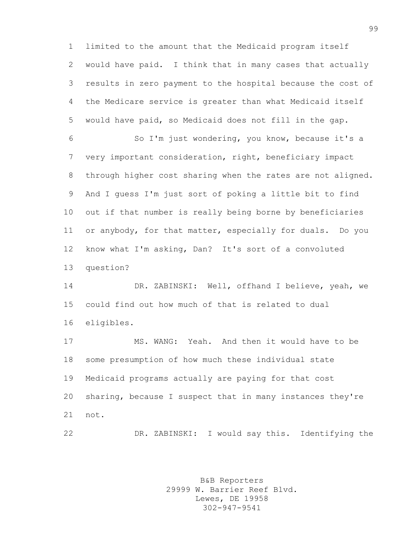limited to the amount that the Medicaid program itself would have paid. I think that in many cases that actually results in zero payment to the hospital because the cost of the Medicare service is greater than what Medicaid itself would have paid, so Medicaid does not fill in the gap.

 So I'm just wondering, you know, because it's a very important consideration, right, beneficiary impact through higher cost sharing when the rates are not aligned. And I guess I'm just sort of poking a little bit to find out if that number is really being borne by beneficiaries or anybody, for that matter, especially for duals. Do you know what I'm asking, Dan? It's sort of a convoluted question?

 DR. ZABINSKI: Well, offhand I believe, yeah, we could find out how much of that is related to dual eligibles.

 MS. WANG: Yeah. And then it would have to be some presumption of how much these individual state Medicaid programs actually are paying for that cost sharing, because I suspect that in many instances they're not.

DR. ZABINSKI: I would say this. Identifying the

B&B Reporters 29999 W. Barrier Reef Blvd. Lewes, DE 19958 302-947-9541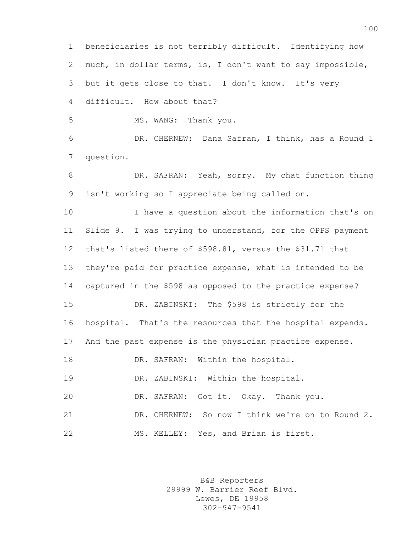beneficiaries is not terribly difficult. Identifying how much, in dollar terms, is, I don't want to say impossible, but it gets close to that. I don't know. It's very difficult. How about that?

MS. WANG: Thank you.

 DR. CHERNEW: Dana Safran, I think, has a Round 1 question.

8 DR. SAFRAN: Yeah, sorry. My chat function thing isn't working so I appreciate being called on.

 I have a question about the information that's on Slide 9. I was trying to understand, for the OPPS payment that's listed there of \$598.81, versus the \$31.71 that they're paid for practice expense, what is intended to be captured in the \$598 as opposed to the practice expense? DR. ZABINSKI: The \$598 is strictly for the hospital. That's the resources that the hospital expends. And the past expense is the physician practice expense.

18 DR. SAFRAN: Within the hospital.

DR. ZABINSKI: Within the hospital.

DR. SAFRAN: Got it. Okay. Thank you.

 DR. CHERNEW: So now I think we're on to Round 2. MS. KELLEY: Yes, and Brian is first.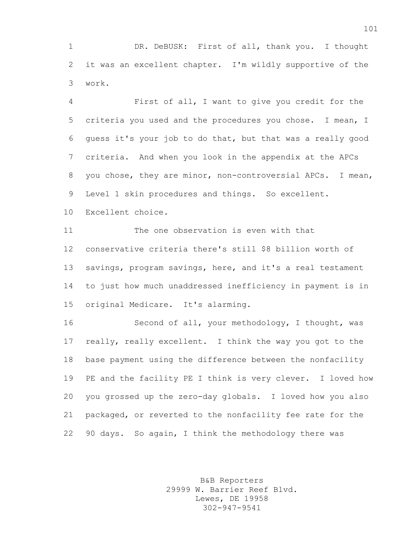1 DR. DeBUSK: First of all, thank you. I thought it was an excellent chapter. I'm wildly supportive of the work.

 First of all, I want to give you credit for the criteria you used and the procedures you chose. I mean, I guess it's your job to do that, but that was a really good criteria. And when you look in the appendix at the APCs you chose, they are minor, non-controversial APCs. I mean, Level 1 skin procedures and things. So excellent.

Excellent choice.

 The one observation is even with that conservative criteria there's still \$8 billion worth of savings, program savings, here, and it's a real testament to just how much unaddressed inefficiency in payment is in original Medicare. It's alarming.

 Second of all, your methodology, I thought, was really, really excellent. I think the way you got to the base payment using the difference between the nonfacility PE and the facility PE I think is very clever. I loved how you grossed up the zero-day globals. I loved how you also packaged, or reverted to the nonfacility fee rate for the 90 days. So again, I think the methodology there was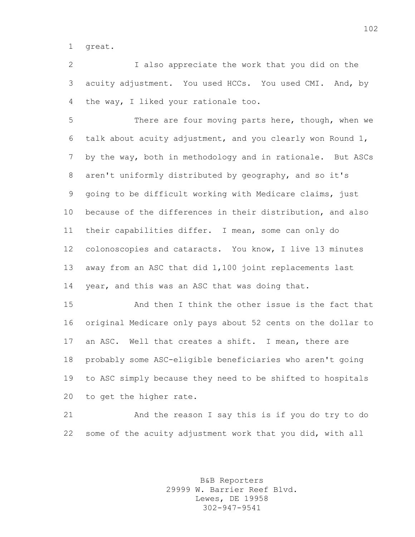great.

 I also appreciate the work that you did on the acuity adjustment. You used HCCs. You used CMI. And, by the way, I liked your rationale too.

 There are four moving parts here, though, when we talk about acuity adjustment, and you clearly won Round 1, by the way, both in methodology and in rationale. But ASCs aren't uniformly distributed by geography, and so it's going to be difficult working with Medicare claims, just because of the differences in their distribution, and also their capabilities differ. I mean, some can only do colonoscopies and cataracts. You know, I live 13 minutes away from an ASC that did 1,100 joint replacements last year, and this was an ASC that was doing that.

 And then I think the other issue is the fact that original Medicare only pays about 52 cents on the dollar to an ASC. Well that creates a shift. I mean, there are probably some ASC-eligible beneficiaries who aren't going to ASC simply because they need to be shifted to hospitals to get the higher rate.

 And the reason I say this is if you do try to do some of the acuity adjustment work that you did, with all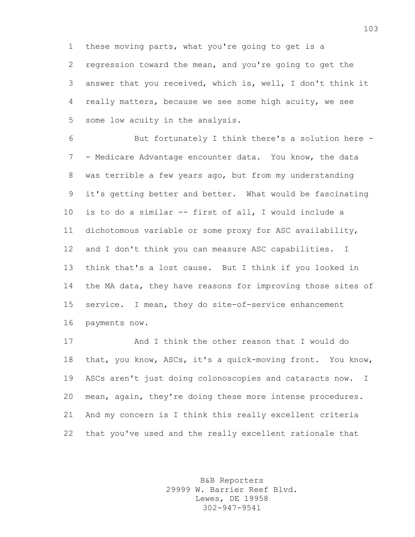these moving parts, what you're going to get is a regression toward the mean, and you're going to get the answer that you received, which is, well, I don't think it really matters, because we see some high acuity, we see some low acuity in the analysis.

 But fortunately I think there's a solution here - - Medicare Advantage encounter data. You know, the data was terrible a few years ago, but from my understanding it's getting better and better. What would be fascinating is to do a similar -- first of all, I would include a dichotomous variable or some proxy for ASC availability, and I don't think you can measure ASC capabilities. I think that's a lost cause. But I think if you looked in the MA data, they have reasons for improving those sites of service. I mean, they do site-of-service enhancement payments now.

 And I think the other reason that I would do that, you know, ASCs, it's a quick-moving front. You know, ASCs aren't just doing colonoscopies and cataracts now. I mean, again, they're doing these more intense procedures. And my concern is I think this really excellent criteria that you've used and the really excellent rationale that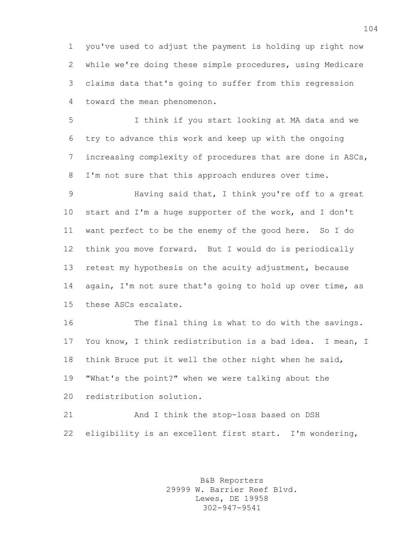you've used to adjust the payment is holding up right now while we're doing these simple procedures, using Medicare claims data that's going to suffer from this regression toward the mean phenomenon.

 I think if you start looking at MA data and we try to advance this work and keep up with the ongoing increasing complexity of procedures that are done in ASCs, I'm not sure that this approach endures over time.

 Having said that, I think you're off to a great start and I'm a huge supporter of the work, and I don't want perfect to be the enemy of the good here. So I do think you move forward. But I would do is periodically retest my hypothesis on the acuity adjustment, because 14 again, I'm not sure that's going to hold up over time, as these ASCs escalate.

 The final thing is what to do with the savings. You know, I think redistribution is a bad idea. I mean, I think Bruce put it well the other night when he said, "What's the point?" when we were talking about the redistribution solution.

 And I think the stop-loss based on DSH eligibility is an excellent first start. I'm wondering,

> B&B Reporters 29999 W. Barrier Reef Blvd. Lewes, DE 19958 302-947-9541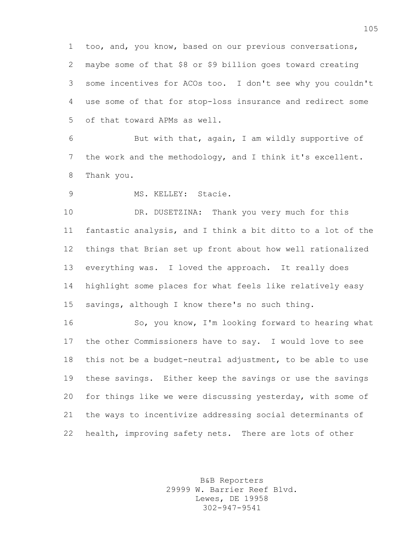too, and, you know, based on our previous conversations, maybe some of that \$8 or \$9 billion goes toward creating some incentives for ACOs too. I don't see why you couldn't use some of that for stop-loss insurance and redirect some of that toward APMs as well.

 But with that, again, I am wildly supportive of the work and the methodology, and I think it's excellent. Thank you.

MS. KELLEY: Stacie.

 DR. DUSETZINA: Thank you very much for this fantastic analysis, and I think a bit ditto to a lot of the things that Brian set up front about how well rationalized everything was. I loved the approach. It really does highlight some places for what feels like relatively easy savings, although I know there's no such thing.

 So, you know, I'm looking forward to hearing what the other Commissioners have to say. I would love to see this not be a budget-neutral adjustment, to be able to use these savings. Either keep the savings or use the savings for things like we were discussing yesterday, with some of the ways to incentivize addressing social determinants of health, improving safety nets. There are lots of other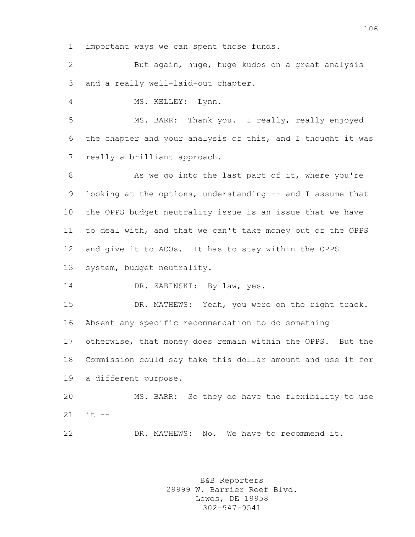important ways we can spent those funds.

 But again, huge, huge kudos on a great analysis and a really well-laid-out chapter.

MS. KELLEY: Lynn.

 MS. BARR: Thank you. I really, really enjoyed the chapter and your analysis of this, and I thought it was really a brilliant approach.

8 As we go into the last part of it, where you're 9 looking at the options, understanding -- and I assume that the OPPS budget neutrality issue is an issue that we have to deal with, and that we can't take money out of the OPPS and give it to ACOs. It has to stay within the OPPS system, budget neutrality.

14 DR. ZABINSKI: By law, yes.

 DR. MATHEWS: Yeah, you were on the right track. Absent any specific recommendation to do something otherwise, that money does remain within the OPPS. But the Commission could say take this dollar amount and use it for a different purpose.

 MS. BARR: So they do have the flexibility to use it --

DR. MATHEWS: No. We have to recommend it.

B&B Reporters 29999 W. Barrier Reef Blvd. Lewes, DE 19958 302-947-9541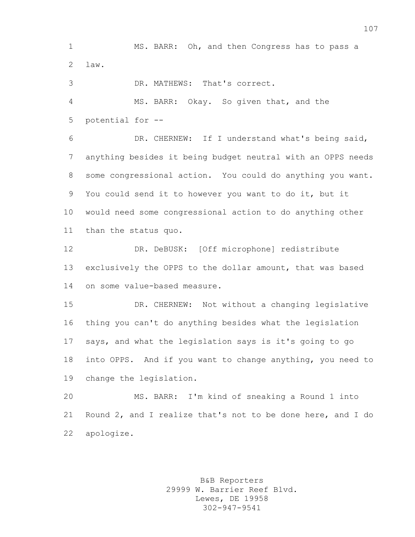MS. BARR: Oh, and then Congress has to pass a law.

DR. MATHEWS: That's correct.

 MS. BARR: Okay. So given that, and the potential for --

 DR. CHERNEW: If I understand what's being said, anything besides it being budget neutral with an OPPS needs some congressional action. You could do anything you want. You could send it to however you want to do it, but it would need some congressional action to do anything other than the status quo.

 DR. DeBUSK: [Off microphone] redistribute exclusively the OPPS to the dollar amount, that was based on some value-based measure.

 DR. CHERNEW: Not without a changing legislative thing you can't do anything besides what the legislation says, and what the legislation says is it's going to go into OPPS. And if you want to change anything, you need to change the legislation.

 MS. BARR: I'm kind of sneaking a Round 1 into Round 2, and I realize that's not to be done here, and I do apologize.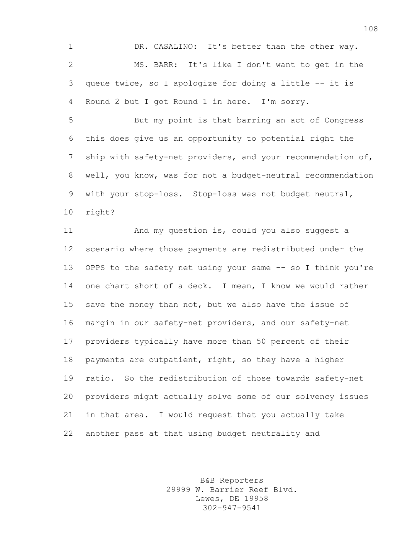DR. CASALINO: It's better than the other way. MS. BARR: It's like I don't want to get in the queue twice, so I apologize for doing a little -- it is Round 2 but I got Round 1 in here. I'm sorry.

 But my point is that barring an act of Congress this does give us an opportunity to potential right the ship with safety-net providers, and your recommendation of, well, you know, was for not a budget-neutral recommendation with your stop-loss. Stop-loss was not budget neutral, right?

 And my question is, could you also suggest a scenario where those payments are redistributed under the OPPS to the safety net using your same -- so I think you're one chart short of a deck. I mean, I know we would rather save the money than not, but we also have the issue of margin in our safety-net providers, and our safety-net providers typically have more than 50 percent of their payments are outpatient, right, so they have a higher ratio. So the redistribution of those towards safety-net providers might actually solve some of our solvency issues in that area. I would request that you actually take another pass at that using budget neutrality and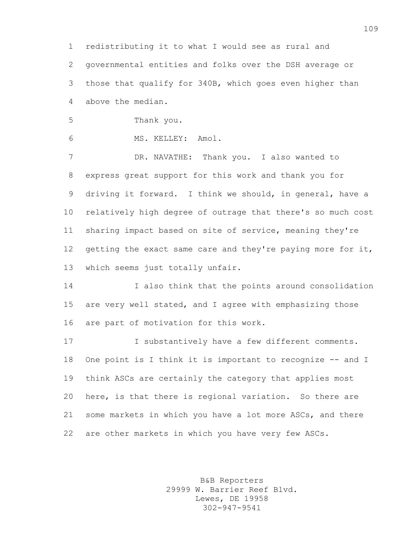redistributing it to what I would see as rural and governmental entities and folks over the DSH average or those that qualify for 340B, which goes even higher than above the median.

- Thank you.
- MS. KELLEY: Amol.

 DR. NAVATHE: Thank you. I also wanted to express great support for this work and thank you for driving it forward. I think we should, in general, have a relatively high degree of outrage that there's so much cost sharing impact based on site of service, meaning they're 12 getting the exact same care and they're paying more for it, which seems just totally unfair.

 I also think that the points around consolidation are very well stated, and I agree with emphasizing those are part of motivation for this work.

 I substantively have a few different comments. 18 One point is I think it is important to recognize -- and I think ASCs are certainly the category that applies most here, is that there is regional variation. So there are some markets in which you have a lot more ASCs, and there are other markets in which you have very few ASCs.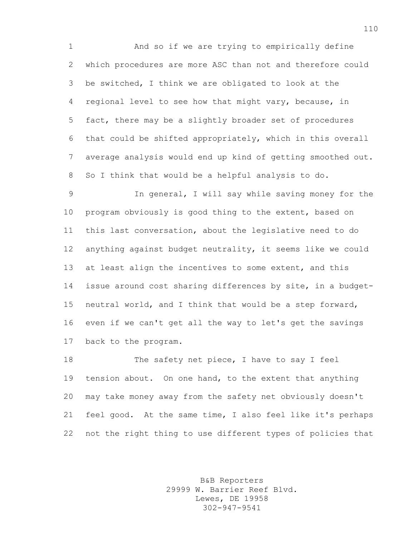And so if we are trying to empirically define which procedures are more ASC than not and therefore could be switched, I think we are obligated to look at the regional level to see how that might vary, because, in fact, there may be a slightly broader set of procedures that could be shifted appropriately, which in this overall average analysis would end up kind of getting smoothed out. So I think that would be a helpful analysis to do.

 In general, I will say while saving money for the program obviously is good thing to the extent, based on this last conversation, about the legislative need to do anything against budget neutrality, it seems like we could at least align the incentives to some extent, and this issue around cost sharing differences by site, in a budget- neutral world, and I think that would be a step forward, even if we can't get all the way to let's get the savings back to the program.

18 The safety net piece, I have to say I feel tension about. On one hand, to the extent that anything may take money away from the safety net obviously doesn't feel good. At the same time, I also feel like it's perhaps not the right thing to use different types of policies that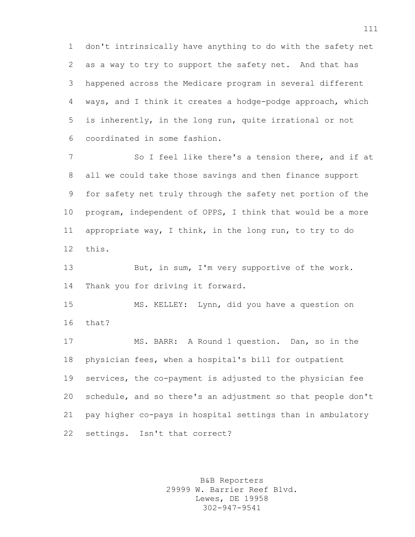don't intrinsically have anything to do with the safety net as a way to try to support the safety net. And that has happened across the Medicare program in several different ways, and I think it creates a hodge-podge approach, which is inherently, in the long run, quite irrational or not coordinated in some fashion.

 So I feel like there's a tension there, and if at all we could take those savings and then finance support for safety net truly through the safety net portion of the program, independent of OPPS, I think that would be a more appropriate way, I think, in the long run, to try to do this.

 But, in sum, I'm very supportive of the work. Thank you for driving it forward.

 MS. KELLEY: Lynn, did you have a question on that?

 MS. BARR: A Round 1 question. Dan, so in the physician fees, when a hospital's bill for outpatient services, the co-payment is adjusted to the physician fee schedule, and so there's an adjustment so that people don't pay higher co-pays in hospital settings than in ambulatory settings. Isn't that correct?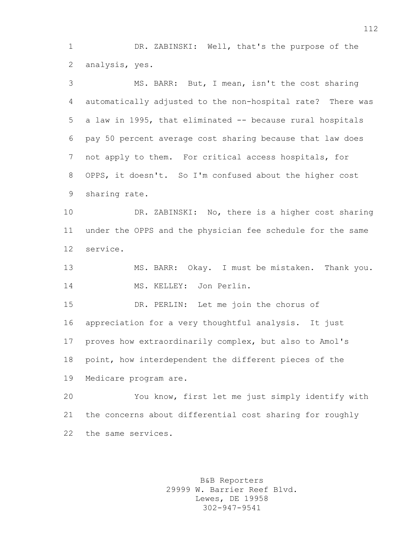DR. ZABINSKI: Well, that's the purpose of the analysis, yes.

 MS. BARR: But, I mean, isn't the cost sharing automatically adjusted to the non-hospital rate? There was a law in 1995, that eliminated -- because rural hospitals pay 50 percent average cost sharing because that law does not apply to them. For critical access hospitals, for OPPS, it doesn't. So I'm confused about the higher cost sharing rate.

 DR. ZABINSKI: No, there is a higher cost sharing under the OPPS and the physician fee schedule for the same service.

 MS. BARR: Okay. I must be mistaken. Thank you. MS. KELLEY: Jon Perlin.

 DR. PERLIN: Let me join the chorus of appreciation for a very thoughtful analysis. It just proves how extraordinarily complex, but also to Amol's point, how interdependent the different pieces of the Medicare program are.

 You know, first let me just simply identify with the concerns about differential cost sharing for roughly the same services.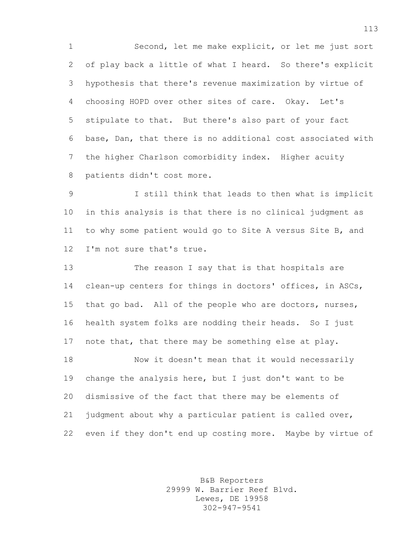Second, let me make explicit, or let me just sort of play back a little of what I heard. So there's explicit hypothesis that there's revenue maximization by virtue of choosing HOPD over other sites of care. Okay. Let's stipulate to that. But there's also part of your fact base, Dan, that there is no additional cost associated with the higher Charlson comorbidity index. Higher acuity patients didn't cost more.

 I still think that leads to then what is implicit in this analysis is that there is no clinical judgment as to why some patient would go to Site A versus Site B, and I'm not sure that's true.

 The reason I say that is that hospitals are clean-up centers for things in doctors' offices, in ASCs, that go bad. All of the people who are doctors, nurses, health system folks are nodding their heads. So I just note that, that there may be something else at play. Now it doesn't mean that it would necessarily change the analysis here, but I just don't want to be dismissive of the fact that there may be elements of judgment about why a particular patient is called over, even if they don't end up costing more. Maybe by virtue of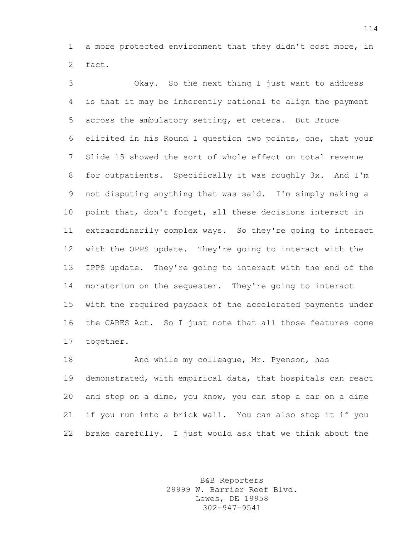a more protected environment that they didn't cost more, in fact.

 Okay. So the next thing I just want to address is that it may be inherently rational to align the payment across the ambulatory setting, et cetera. But Bruce elicited in his Round 1 question two points, one, that your Slide 15 showed the sort of whole effect on total revenue for outpatients. Specifically it was roughly 3x. And I'm not disputing anything that was said. I'm simply making a point that, don't forget, all these decisions interact in extraordinarily complex ways. So they're going to interact with the OPPS update. They're going to interact with the IPPS update. They're going to interact with the end of the moratorium on the sequester. They're going to interact with the required payback of the accelerated payments under the CARES Act. So I just note that all those features come together.

18 And while my colleague, Mr. Pyenson, has demonstrated, with empirical data, that hospitals can react and stop on a dime, you know, you can stop a car on a dime if you run into a brick wall. You can also stop it if you brake carefully. I just would ask that we think about the

> B&B Reporters 29999 W. Barrier Reef Blvd. Lewes, DE 19958 302-947-9541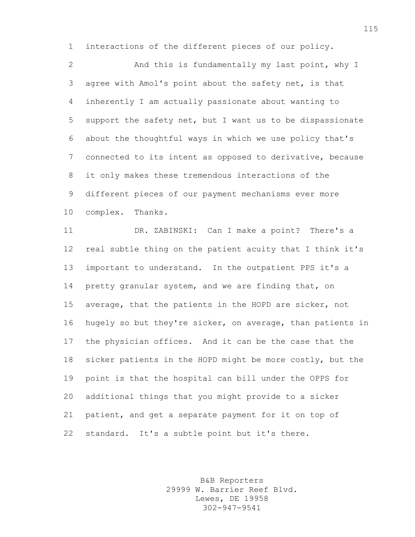interactions of the different pieces of our policy.

 And this is fundamentally my last point, why I agree with Amol's point about the safety net, is that inherently I am actually passionate about wanting to support the safety net, but I want us to be dispassionate about the thoughtful ways in which we use policy that's connected to its intent as opposed to derivative, because it only makes these tremendous interactions of the different pieces of our payment mechanisms ever more complex. Thanks.

 DR. ZABINSKI: Can I make a point? There's a real subtle thing on the patient acuity that I think it's important to understand. In the outpatient PPS it's a 14 pretty granular system, and we are finding that, on average, that the patients in the HOPD are sicker, not hugely so but they're sicker, on average, than patients in the physician offices. And it can be the case that the sicker patients in the HOPD might be more costly, but the point is that the hospital can bill under the OPPS for additional things that you might provide to a sicker patient, and get a separate payment for it on top of standard. It's a subtle point but it's there.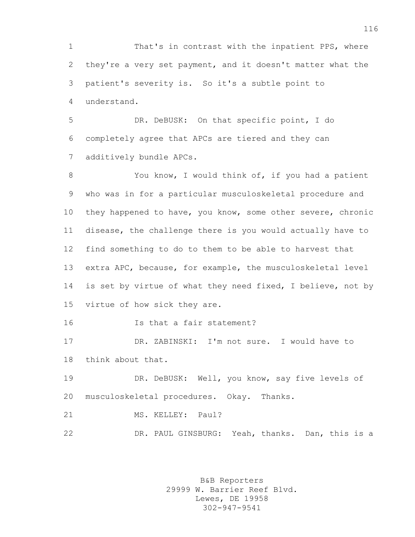That's in contrast with the inpatient PPS, where they're a very set payment, and it doesn't matter what the patient's severity is. So it's a subtle point to understand.

 DR. DeBUSK: On that specific point, I do completely agree that APCs are tiered and they can additively bundle APCs.

8 You know, I would think of, if you had a patient who was in for a particular musculoskeletal procedure and they happened to have, you know, some other severe, chronic disease, the challenge there is you would actually have to find something to do to them to be able to harvest that extra APC, because, for example, the musculoskeletal level 14 is set by virtue of what they need fixed, I believe, not by virtue of how sick they are.

Is that a fair statement?

 DR. ZABINSKI: I'm not sure. I would have to think about that.

19 DR. DeBUSK: Well, you know, say five levels of musculoskeletal procedures. Okay. Thanks.

21 MS. KELLEY: Paul?

22 DR. PAUL GINSBURG: Yeah, thanks. Dan, this is a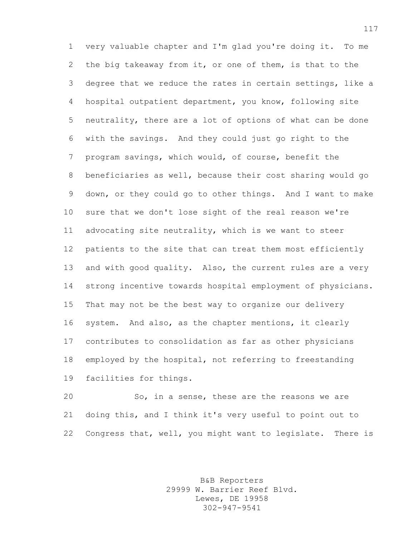very valuable chapter and I'm glad you're doing it. To me the big takeaway from it, or one of them, is that to the degree that we reduce the rates in certain settings, like a hospital outpatient department, you know, following site neutrality, there are a lot of options of what can be done with the savings. And they could just go right to the program savings, which would, of course, benefit the beneficiaries as well, because their cost sharing would go down, or they could go to other things. And I want to make sure that we don't lose sight of the real reason we're advocating site neutrality, which is we want to steer patients to the site that can treat them most efficiently 13 and with good quality. Also, the current rules are a very strong incentive towards hospital employment of physicians. That may not be the best way to organize our delivery system. And also, as the chapter mentions, it clearly contributes to consolidation as far as other physicians employed by the hospital, not referring to freestanding facilities for things.

 So, in a sense, these are the reasons we are doing this, and I think it's very useful to point out to Congress that, well, you might want to legislate. There is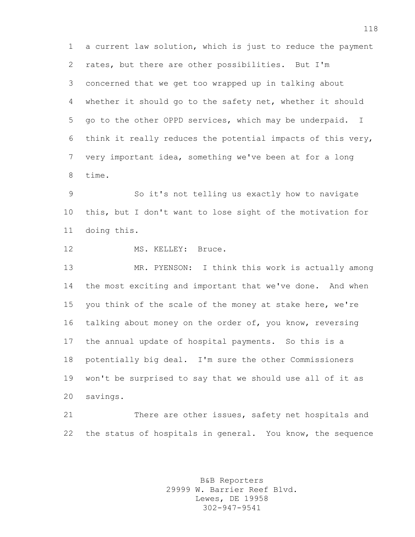a current law solution, which is just to reduce the payment rates, but there are other possibilities. But I'm concerned that we get too wrapped up in talking about whether it should go to the safety net, whether it should go to the other OPPD services, which may be underpaid. I think it really reduces the potential impacts of this very, very important idea, something we've been at for a long time.

 So it's not telling us exactly how to navigate this, but I don't want to lose sight of the motivation for doing this.

12 MS. KELLEY: Bruce.

 MR. PYENSON: I think this work is actually among the most exciting and important that we've done. And when you think of the scale of the money at stake here, we're talking about money on the order of, you know, reversing the annual update of hospital payments. So this is a potentially big deal. I'm sure the other Commissioners won't be surprised to say that we should use all of it as savings.

21 There are other issues, safety net hospitals and the status of hospitals in general. You know, the sequence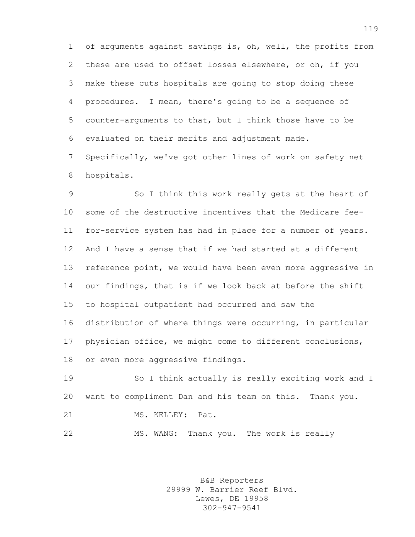of arguments against savings is, oh, well, the profits from these are used to offset losses elsewhere, or oh, if you make these cuts hospitals are going to stop doing these procedures. I mean, there's going to be a sequence of counter-arguments to that, but I think those have to be evaluated on their merits and adjustment made. Specifically, we've got other lines of work on safety net hospitals.

 So I think this work really gets at the heart of some of the destructive incentives that the Medicare fee- for-service system has had in place for a number of years. And I have a sense that if we had started at a different 13 reference point, we would have been even more aggressive in our findings, that is if we look back at before the shift to hospital outpatient had occurred and saw the distribution of where things were occurring, in particular physician office, we might come to different conclusions, or even more aggressive findings.

 So I think actually is really exciting work and I want to compliment Dan and his team on this. Thank you. MS. KELLEY: Pat. MS. WANG: Thank you. The work is really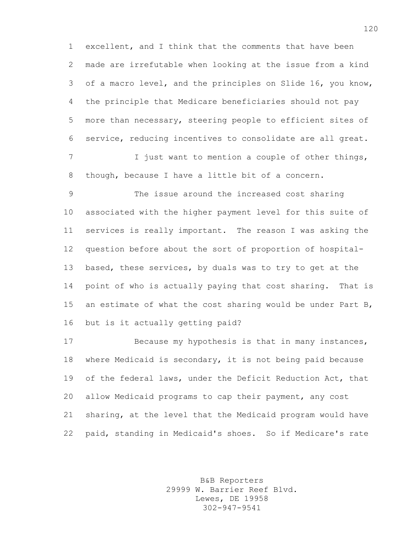excellent, and I think that the comments that have been made are irrefutable when looking at the issue from a kind of a macro level, and the principles on Slide 16, you know, the principle that Medicare beneficiaries should not pay more than necessary, steering people to efficient sites of service, reducing incentives to consolidate are all great. 7 I just want to mention a couple of other things, though, because I have a little bit of a concern.

 The issue around the increased cost sharing associated with the higher payment level for this suite of services is really important. The reason I was asking the question before about the sort of proportion of hospital- based, these services, by duals was to try to get at the point of who is actually paying that cost sharing. That is an estimate of what the cost sharing would be under Part B, but is it actually getting paid?

 Because my hypothesis is that in many instances, where Medicaid is secondary, it is not being paid because of the federal laws, under the Deficit Reduction Act, that allow Medicaid programs to cap their payment, any cost sharing, at the level that the Medicaid program would have paid, standing in Medicaid's shoes. So if Medicare's rate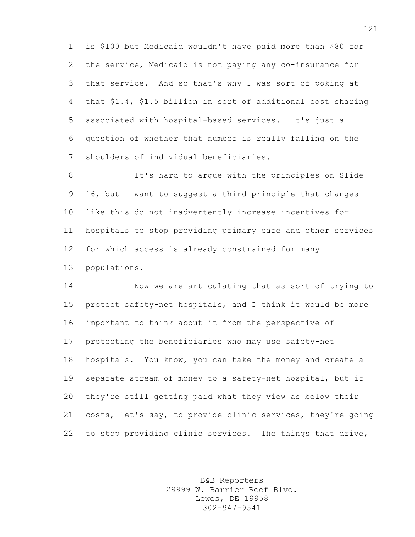is \$100 but Medicaid wouldn't have paid more than \$80 for the service, Medicaid is not paying any co-insurance for that service. And so that's why I was sort of poking at that \$1.4, \$1.5 billion in sort of additional cost sharing associated with hospital-based services. It's just a question of whether that number is really falling on the shoulders of individual beneficiaries.

 It's hard to argue with the principles on Slide 16, but I want to suggest a third principle that changes like this do not inadvertently increase incentives for hospitals to stop providing primary care and other services for which access is already constrained for many populations.

 Now we are articulating that as sort of trying to protect safety-net hospitals, and I think it would be more important to think about it from the perspective of protecting the beneficiaries who may use safety-net hospitals. You know, you can take the money and create a separate stream of money to a safety-net hospital, but if they're still getting paid what they view as below their costs, let's say, to provide clinic services, they're going to stop providing clinic services. The things that drive,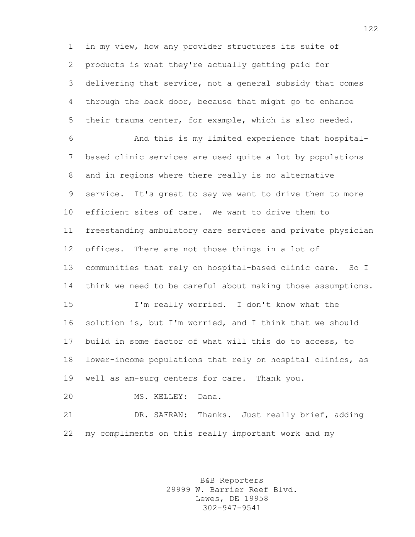in my view, how any provider structures its suite of products is what they're actually getting paid for delivering that service, not a general subsidy that comes through the back door, because that might go to enhance their trauma center, for example, which is also needed.

 And this is my limited experience that hospital- based clinic services are used quite a lot by populations and in regions where there really is no alternative service. It's great to say we want to drive them to more efficient sites of care. We want to drive them to freestanding ambulatory care services and private physician offices. There are not those things in a lot of communities that rely on hospital-based clinic care. So I think we need to be careful about making those assumptions. I'm really worried. I don't know what the solution is, but I'm worried, and I think that we should build in some factor of what will this do to access, to lower-income populations that rely on hospital clinics, as well as am-surg centers for care. Thank you.

MS. KELLEY: Dana.

 DR. SAFRAN: Thanks. Just really brief, adding my compliments on this really important work and my

> B&B Reporters 29999 W. Barrier Reef Blvd. Lewes, DE 19958 302-947-9541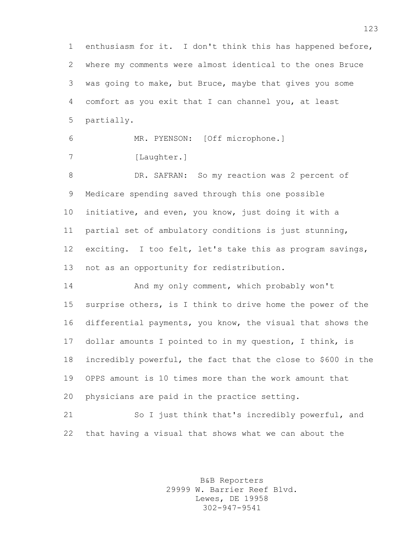enthusiasm for it. I don't think this has happened before, where my comments were almost identical to the ones Bruce was going to make, but Bruce, maybe that gives you some comfort as you exit that I can channel you, at least partially.

 MR. PYENSON: [Off microphone.] 7 [Laughter.]

 DR. SAFRAN: So my reaction was 2 percent of Medicare spending saved through this one possible initiative, and even, you know, just doing it with a partial set of ambulatory conditions is just stunning, exciting. I too felt, let's take this as program savings, not as an opportunity for redistribution.

 And my only comment, which probably won't surprise others, is I think to drive home the power of the differential payments, you know, the visual that shows the dollar amounts I pointed to in my question, I think, is incredibly powerful, the fact that the close to \$600 in the OPPS amount is 10 times more than the work amount that physicians are paid in the practice setting.

 So I just think that's incredibly powerful, and that having a visual that shows what we can about the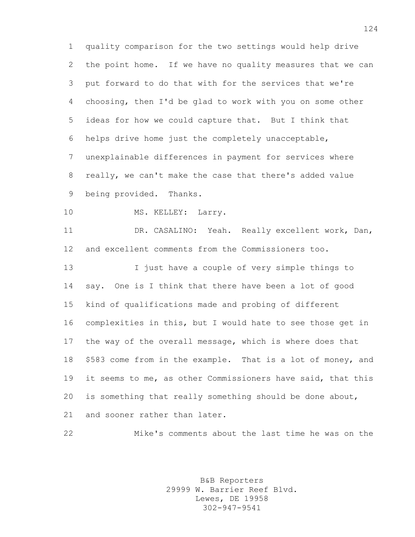quality comparison for the two settings would help drive the point home. If we have no quality measures that we can put forward to do that with for the services that we're choosing, then I'd be glad to work with you on some other ideas for how we could capture that. But I think that helps drive home just the completely unacceptable, unexplainable differences in payment for services where really, we can't make the case that there's added value being provided. Thanks.

10 MS. KELLEY: Larry.

 DR. CASALINO: Yeah. Really excellent work, Dan, and excellent comments from the Commissioners too.

 I just have a couple of very simple things to say. One is I think that there have been a lot of good kind of qualifications made and probing of different complexities in this, but I would hate to see those get in the way of the overall message, which is where does that \$583 come from in the example. That is a lot of money, and it seems to me, as other Commissioners have said, that this is something that really something should be done about, and sooner rather than later.

Mike's comments about the last time he was on the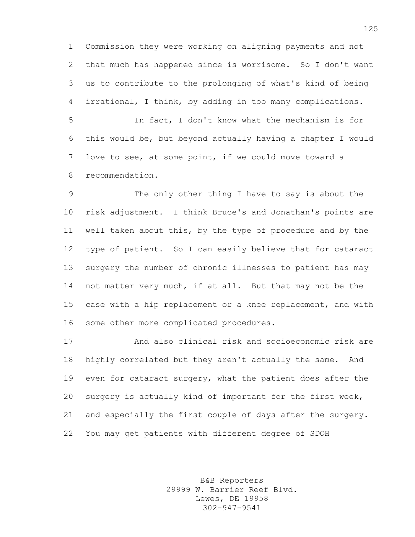Commission they were working on aligning payments and not that much has happened since is worrisome. So I don't want us to contribute to the prolonging of what's kind of being irrational, I think, by adding in too many complications.

 In fact, I don't know what the mechanism is for this would be, but beyond actually having a chapter I would love to see, at some point, if we could move toward a recommendation.

 The only other thing I have to say is about the risk adjustment. I think Bruce's and Jonathan's points are well taken about this, by the type of procedure and by the type of patient. So I can easily believe that for cataract surgery the number of chronic illnesses to patient has may not matter very much, if at all. But that may not be the case with a hip replacement or a knee replacement, and with some other more complicated procedures.

 And also clinical risk and socioeconomic risk are highly correlated but they aren't actually the same. And 19 even for cataract surgery, what the patient does after the surgery is actually kind of important for the first week, and especially the first couple of days after the surgery. You may get patients with different degree of SDOH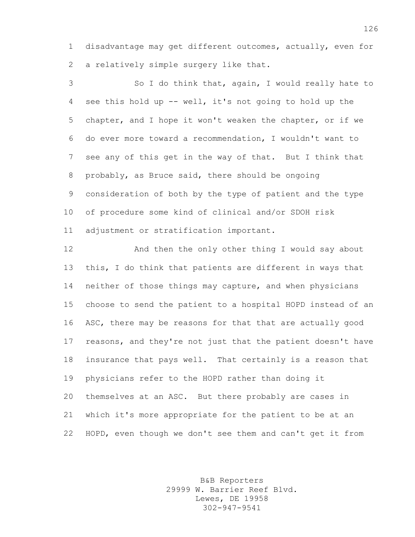disadvantage may get different outcomes, actually, even for a relatively simple surgery like that.

 So I do think that, again, I would really hate to see this hold up -- well, it's not going to hold up the chapter, and I hope it won't weaken the chapter, or if we do ever more toward a recommendation, I wouldn't want to see any of this get in the way of that. But I think that probably, as Bruce said, there should be ongoing consideration of both by the type of patient and the type of procedure some kind of clinical and/or SDOH risk adjustment or stratification important.

 And then the only other thing I would say about this, I do think that patients are different in ways that neither of those things may capture, and when physicians choose to send the patient to a hospital HOPD instead of an ASC, there may be reasons for that that are actually good reasons, and they're not just that the patient doesn't have insurance that pays well. That certainly is a reason that physicians refer to the HOPD rather than doing it themselves at an ASC. But there probably are cases in which it's more appropriate for the patient to be at an HOPD, even though we don't see them and can't get it from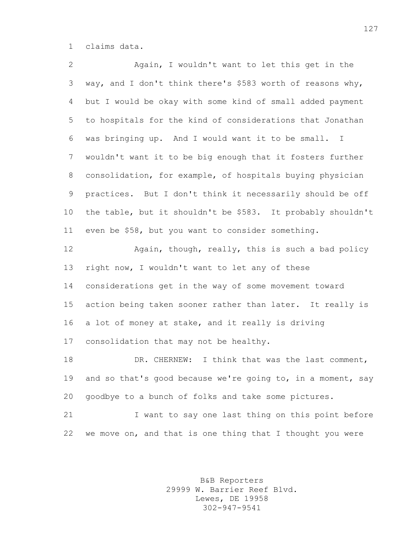claims data.

 Again, I wouldn't want to let this get in the way, and I don't think there's \$583 worth of reasons why, but I would be okay with some kind of small added payment to hospitals for the kind of considerations that Jonathan was bringing up. And I would want it to be small. I wouldn't want it to be big enough that it fosters further consolidation, for example, of hospitals buying physician practices. But I don't think it necessarily should be off the table, but it shouldn't be \$583. It probably shouldn't even be \$58, but you want to consider something. **Again, though, really, this is such a bad policy** 13 right now, I wouldn't want to let any of these considerations get in the way of some movement toward action being taken sooner rather than later. It really is a lot of money at stake, and it really is driving

consolidation that may not be healthy.

18 DR. CHERNEW: I think that was the last comment, 19 and so that's good because we're going to, in a moment, say goodbye to a bunch of folks and take some pictures.

21 I want to say one last thing on this point before we move on, and that is one thing that I thought you were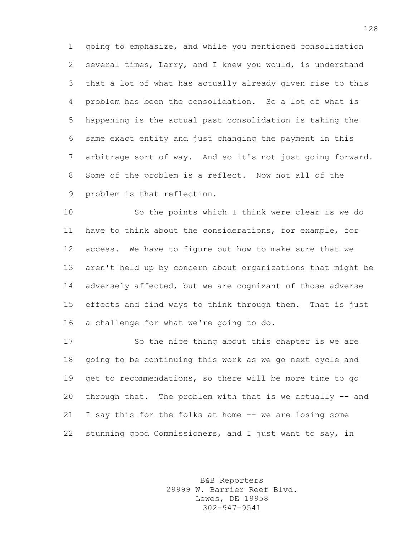going to emphasize, and while you mentioned consolidation several times, Larry, and I knew you would, is understand that a lot of what has actually already given rise to this problem has been the consolidation. So a lot of what is happening is the actual past consolidation is taking the same exact entity and just changing the payment in this arbitrage sort of way. And so it's not just going forward. Some of the problem is a reflect. Now not all of the problem is that reflection.

 So the points which I think were clear is we do have to think about the considerations, for example, for access. We have to figure out how to make sure that we aren't held up by concern about organizations that might be adversely affected, but we are cognizant of those adverse effects and find ways to think through them. That is just a challenge for what we're going to do.

 So the nice thing about this chapter is we are going to be continuing this work as we go next cycle and get to recommendations, so there will be more time to go through that. The problem with that is we actually -- and I say this for the folks at home -- we are losing some stunning good Commissioners, and I just want to say, in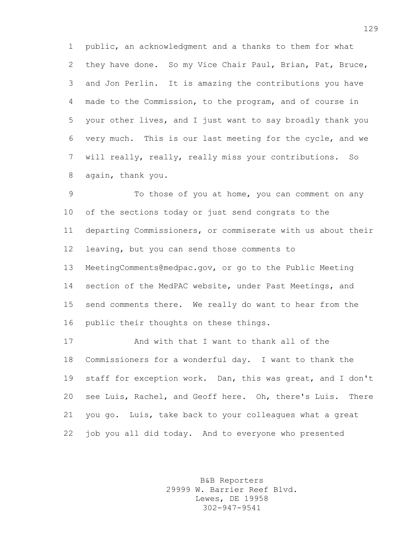public, an acknowledgment and a thanks to them for what they have done. So my Vice Chair Paul, Brian, Pat, Bruce, and Jon Perlin. It is amazing the contributions you have made to the Commission, to the program, and of course in your other lives, and I just want to say broadly thank you very much. This is our last meeting for the cycle, and we will really, really, really miss your contributions. So again, thank you.

 To those of you at home, you can comment on any of the sections today or just send congrats to the departing Commissioners, or commiserate with us about their leaving, but you can send those comments to MeetingComments@medpac.gov, or go to the Public Meeting section of the MedPAC website, under Past Meetings, and send comments there. We really do want to hear from the public their thoughts on these things.

 And with that I want to thank all of the Commissioners for a wonderful day. I want to thank the staff for exception work. Dan, this was great, and I don't see Luis, Rachel, and Geoff here. Oh, there's Luis. There you go. Luis, take back to your colleagues what a great 22 job you all did today. And to everyone who presented